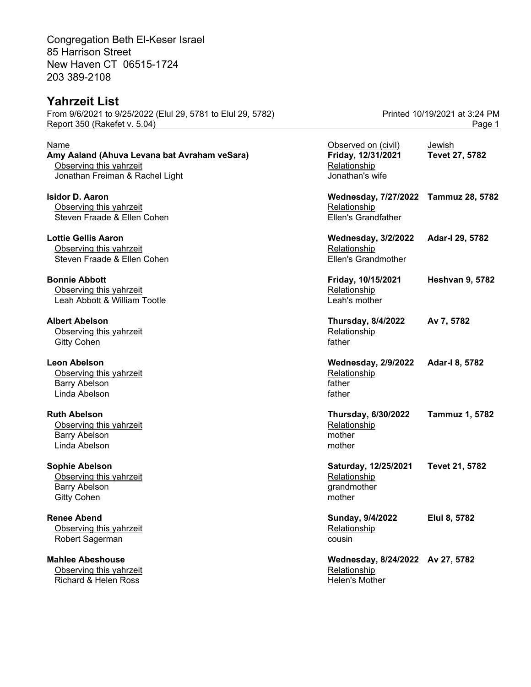Congregation Beth El-Keser Israel 85 Harrison Street New Haven CT 06515-1724 203 389-2108

## **Yahrzeit List**

From 9/6/2021 to 9/25/2022 (Elul 29, 5781 to Elul 29, 5782) Printed 10/19/2021 at 3:24 PM Report 350 (Rakefet v. 5.04) Page 1

| Name<br>Amy Aaland (Ahuva Levana bat Avraham veSara)<br>Observing this yahrzeit<br>Jonathan Freiman & Rachel Light | Observed on (civil)<br>Friday, 12/31/2021<br>Relationship<br>Jonathan's wife       | Jewish<br>Tevet 27, 5782 |
|--------------------------------------------------------------------------------------------------------------------|------------------------------------------------------------------------------------|--------------------------|
| <b>Isidor D. Aaron</b><br>Observing this yahrzeit<br>Steven Fraade & Ellen Cohen                                   | Wednesday, 7/27/2022 Tammuz 28, 5782<br>Relationship<br><b>Ellen's Grandfather</b> |                          |
| <b>Lottie Gellis Aaron</b><br>Observing this yahrzeit<br>Steven Fraade & Ellen Cohen                               | <b>Wednesday, 3/2/2022</b><br>Relationship<br><b>Ellen's Grandmother</b>           | Adar-I 29, 5782          |
| <b>Bonnie Abbott</b><br>Observing this yahrzeit<br>Leah Abbott & William Tootle                                    | Friday, 10/15/2021<br>Relationship<br>Leah's mother                                | <b>Heshvan 9, 5782</b>   |
| <b>Albert Abelson</b><br>Observing this yahrzeit<br><b>Gitty Cohen</b>                                             | <b>Thursday, 8/4/2022</b><br>Relationship<br>father                                | Av 7, 5782               |
| <b>Leon Abelson</b><br>Observing this yahrzeit<br><b>Barry Abelson</b><br>Linda Abelson                            | <b>Wednesday, 2/9/2022</b><br>Relationship<br>father<br>father                     | Adar-I 8, 5782           |
| <b>Ruth Abelson</b><br>Observing this yahrzeit<br><b>Barry Abelson</b><br>Linda Abelson                            | <b>Thursday, 6/30/2022</b><br>Relationship<br>mother<br>mother                     | <b>Tammuz 1, 5782</b>    |
| <b>Sophie Abelson</b><br>Observing this yahrzeit<br><b>Barry Abelson</b><br><b>Gitty Cohen</b>                     | Saturday, 12/25/2021<br>Relationship<br>grandmother<br>mother                      | Tevet 21, 5782           |
| <b>Renee Abend</b><br>Observing this yahrzeit<br>Robert Sagerman                                                   | Sunday, 9/4/2022<br>Relationship<br>cousin                                         | Elul 8, 5782             |
| <b>Mahlee Abeshouse</b><br>Observing this yahrzeit                                                                 | Wednesday, 8/24/2022 Av 27, 5782<br>Relationship                                   |                          |

Richard & Helen Ross **Helen's Mother** Helen's Mother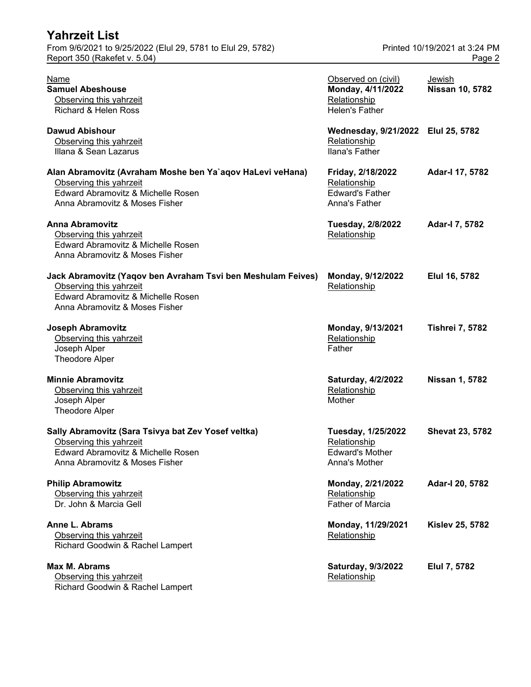| <b>Yahrzeit List</b>                                        |                               |
|-------------------------------------------------------------|-------------------------------|
| From 9/6/2021 to 9/25/2022 (Elul 29, 5781 to Elul 29, 5782) | Printed 10/19/2021 at 3:24 PM |
| Report 350 (Rakefet v. 5.04)                                | Page 2                        |

| <b>Name</b><br><b>Samuel Abeshouse</b><br>Observing this yahrzeit<br>Richard & Helen Ross                                                                         | Observed on (civil)<br>Monday, 4/11/2022<br>Relationship<br><b>Helen's Father</b> | Jewish<br><b>Nissan 10, 5782</b> |
|-------------------------------------------------------------------------------------------------------------------------------------------------------------------|-----------------------------------------------------------------------------------|----------------------------------|
| <b>Dawud Abishour</b><br>Observing this yahrzeit<br>Illana & Sean Lazarus                                                                                         | Wednesday, 9/21/2022 Elul 25, 5782<br>Relationship<br>Ilana's Father              |                                  |
| Alan Abramovitz (Avraham Moshe ben Ya`aqov HaLevi veHana)<br>Observing this yahrzeit<br>Edward Abramovitz & Michelle Rosen<br>Anna Abramovitz & Moses Fisher      | Friday, 2/18/2022<br>Relationship<br><b>Edward's Father</b><br>Anna's Father      | Adar-I 17, 5782                  |
| <b>Anna Abramovitz</b><br>Observing this yahrzeit<br>Edward Abramovitz & Michelle Rosen<br>Anna Abramovitz & Moses Fisher                                         | <b>Tuesday, 2/8/2022</b><br>Relationship                                          | Adar-I 7, 5782                   |
| Jack Abramovitz (Yaqov ben Avraham Tsvi ben Meshulam Feives)<br>Observing this yahrzeit<br>Edward Abramovitz & Michelle Rosen<br>Anna Abramovitz & Moses Fisher   | Monday, 9/12/2022<br>Relationship                                                 | Elul 16, 5782                    |
| <b>Joseph Abramovitz</b><br>Observing this yahrzeit<br>Joseph Alper<br><b>Theodore Alper</b>                                                                      | Monday, 9/13/2021<br>Relationship<br>Father                                       | <b>Tishrei 7, 5782</b>           |
| <b>Minnie Abramovitz</b><br>Observing this yahrzeit<br>Joseph Alper<br><b>Theodore Alper</b>                                                                      | <b>Saturday, 4/2/2022</b><br>Relationship<br>Mother                               | <b>Nissan 1, 5782</b>            |
| Sally Abramovitz (Sara Tsivya bat Zev Yosef veltka)<br>Observing this yahrzeit<br><b>Edward Abramovitz &amp; Michelle Rosen</b><br>Anna Abramovitz & Moses Fisher | Tuesday, 1/25/2022<br>Relationship<br><b>Edward's Mother</b><br>Anna's Mother     | <b>Shevat 23, 5782</b>           |
| <b>Philip Abramowitz</b><br>Observing this yahrzeit<br>Dr. John & Marcia Gell                                                                                     | Monday, 2/21/2022<br>Relationship<br><b>Father of Marcia</b>                      | Adar-I 20, 5782                  |
| Anne L. Abrams<br>Observing this yahrzeit<br>Richard Goodwin & Rachel Lampert                                                                                     | Monday, 11/29/2021<br>Relationship                                                | <b>Kislev 25, 5782</b>           |
| <b>Max M. Abrams</b><br>Observing this yahrzeit<br>Richard Goodwin & Rachel Lampert                                                                               | Saturday, 9/3/2022<br>Relationship                                                | Elul 7, 5782                     |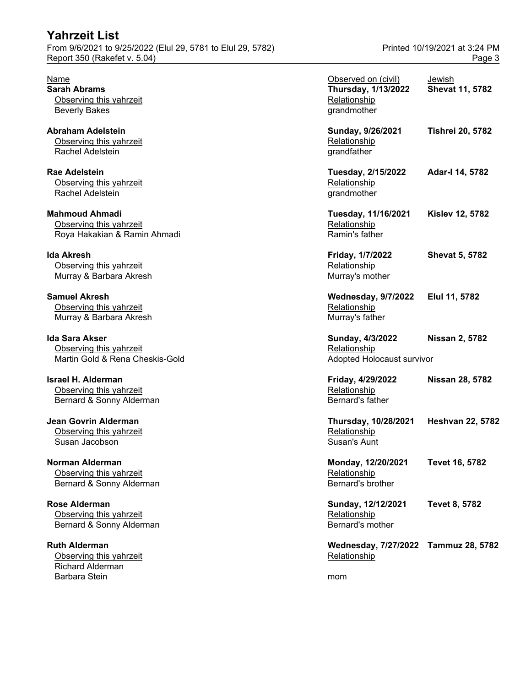| <b>Yahrzeit List</b><br>From 9/6/2021 to 9/25/2022 (Elul 29, 5781 to Elul 29, 5782)<br>Report 350 (Rakefet v. 5.04) |                                                                                  | Printed 10/19/2021 at 3:24 PM<br>Page 3 |
|---------------------------------------------------------------------------------------------------------------------|----------------------------------------------------------------------------------|-----------------------------------------|
| Name<br><b>Sarah Abrams</b><br>Observing this yahrzeit<br><b>Beverly Bakes</b>                                      | Observed on (civil)<br><b>Thursday, 1/13/2022</b><br>Relationship<br>grandmother | Jewish<br><b>Shevat 11, 5782</b>        |
| <b>Abraham Adelstein</b><br>Observing this yahrzeit<br>Rachel Adelstein                                             | Sunday, 9/26/2021<br>Relationship<br>grandfather                                 | <b>Tishrei 20, 5782</b>                 |
| <b>Rae Adelstein</b><br>Observing this yahrzeit<br>Rachel Adelstein                                                 | Tuesday, 2/15/2022<br>Relationship<br>grandmother                                | Adar-I 14, 5782                         |
| <b>Mahmoud Ahmadi</b><br>Observing this yahrzeit<br>Roya Hakakian & Ramin Ahmadi                                    | Tuesday, 11/16/2021<br>Relationship<br>Ramin's father                            | <b>Kislev 12, 5782</b>                  |
| <b>Ida Akresh</b><br>Observing this yahrzeit<br>Murray & Barbara Akresh                                             | Friday, 1/7/2022<br>Relationship<br>Murray's mother                              | <b>Shevat 5, 5782</b>                   |
| <b>Samuel Akresh</b><br>Observing this yahrzeit<br>Murray & Barbara Akresh                                          | <b>Wednesday, 9/7/2022</b><br>Relationship<br>Murray's father                    | Elul 11, 5782                           |
| <b>Ida Sara Akser</b><br>Observing this yahrzeit<br>Martin Gold & Rena Cheskis-Gold                                 | Sunday, 4/3/2022<br>Relationship<br>Adopted Holocaust survivor                   | <b>Nissan 2, 5782</b>                   |
| <b>Israel H. Alderman</b><br>Observing this yahrzeit<br>Bernard & Sonny Alderman                                    | Friday, 4/29/2022<br>Relationship<br>Bernard's father                            | <b>Nissan 28, 5782</b>                  |
| <b>Jean Govrin Alderman</b><br>Observing this yahrzeit<br>Susan Jacobson                                            | Thursday, 10/28/2021<br>Relationship<br>Susan's Aunt                             | <b>Heshvan 22, 5782</b>                 |
| Norman Alderman<br>Observing this yahrzeit<br>Bernard & Sonny Alderman                                              | Monday, 12/20/2021<br>Relationship<br>Bernard's brother                          | Tevet 16, 5782                          |
| <b>Rose Alderman</b><br>Observing this yahrzeit<br>Bernard & Sonny Alderman                                         | Sunday, 12/12/2021<br>Relationship<br>Bernard's mother                           | <b>Tevet 8, 5782</b>                    |
| <b>Ruth Alderman</b><br>Observing this yahrzeit<br>Richard Alderman                                                 | Wednesday, 7/27/2022 Tammuz 28, 5782<br>Relationship                             |                                         |

Barbara Stein moment and the steamer was a structured with the moment of the steamer moment of the steamer mom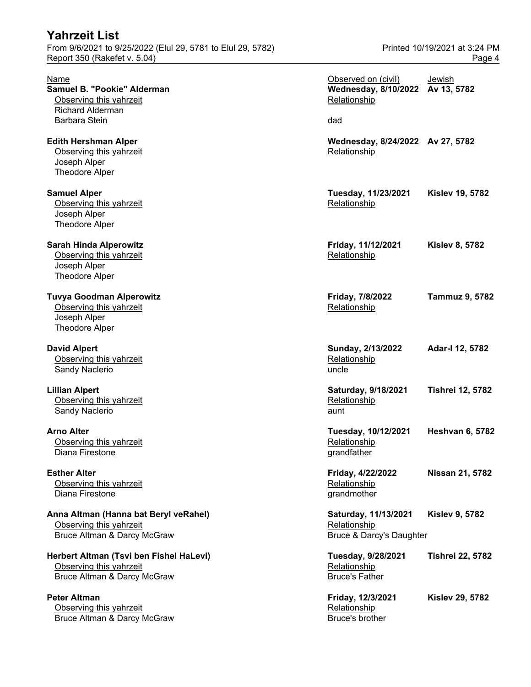| From 9/6/2021 to 9/25/2022 (Elul 29, 5781 to Elul 29, 5782)<br>Report 350 (Rakefet v. 5.04)         |                                                                         | Printed 10/19/2021 at 3:24 PM<br>Page 4 |
|-----------------------------------------------------------------------------------------------------|-------------------------------------------------------------------------|-----------------------------------------|
| Name<br>Samuel B. "Pookie" Alderman<br>Observing this yahrzeit<br><b>Richard Alderman</b>           | Observed on (civil)<br>Wednesday, 8/10/2022 Av 13, 5782<br>Relationship | Jewish                                  |
| <b>Barbara Stein</b>                                                                                | dad                                                                     |                                         |
| <b>Edith Hershman Alper</b><br>Observing this yahrzeit<br>Joseph Alper<br>Theodore Alper            | Wednesday, 8/24/2022 Av 27, 5782<br>Relationship                        |                                         |
| <b>Samuel Alper</b><br>Observing this yahrzeit<br>Joseph Alper<br><b>Theodore Alper</b>             | Tuesday, 11/23/2021<br>Relationship                                     | <b>Kislev 19, 5782</b>                  |
| <b>Sarah Hinda Alperowitz</b><br>Observing this yahrzeit<br>Joseph Alper<br><b>Theodore Alper</b>   | Friday, 11/12/2021<br>Relationship                                      | <b>Kislev 8, 5782</b>                   |
| <b>Tuvya Goodman Alperowitz</b><br>Observing this yahrzeit<br>Joseph Alper<br><b>Theodore Alper</b> | Friday, 7/8/2022<br>Relationship                                        | <b>Tammuz 9, 5782</b>                   |
| <b>David Alpert</b><br>Observing this yahrzeit<br>Sandy Naclerio                                    | Sunday, 2/13/2022<br>Relationship<br>uncle                              | Adar-I 12, 5782                         |
| <b>Lillian Alpert</b><br>Observing this yahrzeit<br>Sandy Naclerio                                  | Saturday, 9/18/2021<br>Relationship<br>aunt                             | <b>Tishrei 12, 5782</b>                 |
| <b>Arno Alter</b><br>Observing this yahrzeit<br>Diana Firestone                                     | Tuesday, 10/12/2021<br>Relationship<br>grandfather                      | <b>Heshvan 6, 5782</b>                  |
| <b>Esther Alter</b><br>Observing this yahrzeit<br>Diana Firestone                                   | Friday, 4/22/2022<br>Relationship<br>grandmother                        | Nissan 21, 5782                         |
| Anna Altman (Hanna bat Beryl veRahel)<br>Observing this yahrzeit<br>Bruce Altman & Darcy McGraw     | Saturday, 11/13/2021<br>Relationship<br>Bruce & Darcy's Daughter        | <b>Kislev 9, 5782</b>                   |
| Herbert Altman (Tsvi ben Fishel HaLevi)<br>Observing this yahrzeit<br>Bruce Altman & Darcy McGraw   | Tuesday, 9/28/2021<br>Relationship<br><b>Bruce's Father</b>             | <b>Tishrei 22, 5782</b>                 |
| <b>Peter Altman</b><br>Observing this yahrzeit<br>Bruce Altman & Darcy McGraw                       | Friday, 12/3/2021<br>Relationship<br>Bruce's brother                    | <b>Kislev 29, 5782</b>                  |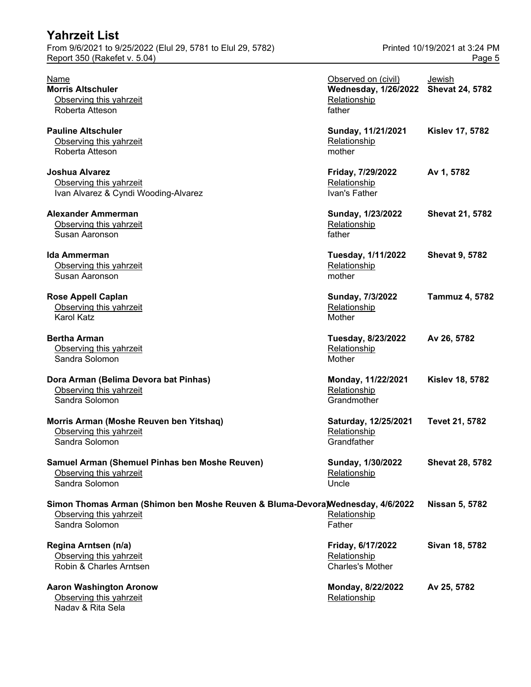| <b>Yahrzeit List</b>                                                                                                        |                                                                              |                                         |
|-----------------------------------------------------------------------------------------------------------------------------|------------------------------------------------------------------------------|-----------------------------------------|
| From 9/6/2021 to 9/25/2022 (Elul 29, 5781 to Elul 29, 5782)<br>Report 350 (Rakefet v. 5.04)                                 |                                                                              | Printed 10/19/2021 at 3:24 PM<br>Page 5 |
| Name<br><b>Morris Altschuler</b><br>Observing this yahrzeit<br>Roberta Atteson                                              | Observed on (civil)<br><b>Wednesday, 1/26/2022</b><br>Relationship<br>father | Jewish<br><b>Shevat 24, 5782</b>        |
| <b>Pauline Altschuler</b><br>Observing this yahrzeit<br>Roberta Atteson                                                     | Sunday, 11/21/2021<br>Relationship<br>mother                                 | <b>Kislev 17, 5782</b>                  |
| <b>Joshua Alvarez</b><br>Observing this yahrzeit<br>Ivan Alvarez & Cyndi Wooding-Alvarez                                    | Friday, 7/29/2022<br>Relationship<br>Ivan's Father                           | Av 1, 5782                              |
| <b>Alexander Ammerman</b><br>Observing this yahrzeit<br>Susan Aaronson                                                      | Sunday, 1/23/2022<br>Relationship<br>father                                  | <b>Shevat 21, 5782</b>                  |
| <b>Ida Ammerman</b><br>Observing this yahrzeit<br>Susan Aaronson                                                            | Tuesday, 1/11/2022<br>Relationship<br>mother                                 | <b>Shevat 9, 5782</b>                   |
| <b>Rose Appell Caplan</b><br>Observing this yahrzeit<br>Karol Katz                                                          | Sunday, 7/3/2022<br>Relationship<br>Mother                                   | <b>Tammuz 4, 5782</b>                   |
| <b>Bertha Arman</b><br>Observing this yahrzeit<br>Sandra Solomon                                                            | Tuesday, 8/23/2022<br>Relationship<br>Mother                                 | Av 26, 5782                             |
| Dora Arman (Belima Devora bat Pinhas)<br>Observing this yahrzeit<br>Sandra Solomon                                          | Monday, 11/22/2021<br>Relationship<br>Grandmother                            | <b>Kislev 18, 5782</b>                  |
| Morris Arman (Moshe Reuven ben Yitshaq)<br>Observing this yahrzeit<br>Sandra Solomon                                        | Saturday, 12/25/2021<br>Relationship<br>Grandfather                          | Tevet 21, 5782                          |
| Samuel Arman (Shemuel Pinhas ben Moshe Reuven)<br>Observing this yahrzeit<br>Sandra Solomon                                 | Sunday, 1/30/2022<br>Relationship<br>Uncle                                   | <b>Shevat 28, 5782</b>                  |
| Simon Thomas Arman (Shimon ben Moshe Reuven & Bluma-Devora)Wednesday, 4/6/2022<br>Observing this yahrzeit<br>Sandra Solomon | Relationship<br>Father                                                       | Nissan 5, 5782                          |
| Regina Arntsen (n/a)<br>Observing this yahrzeit<br>Robin & Charles Arntsen                                                  | Friday, 6/17/2022<br>Relationship<br><b>Charles's Mother</b>                 | Sivan 18, 5782                          |
| <b>Aaron Washington Aronow</b><br>Observing this yahrzeit<br>Nadav & Rita Sela                                              | Monday, 8/22/2022<br>Relationship                                            | Av 25, 5782                             |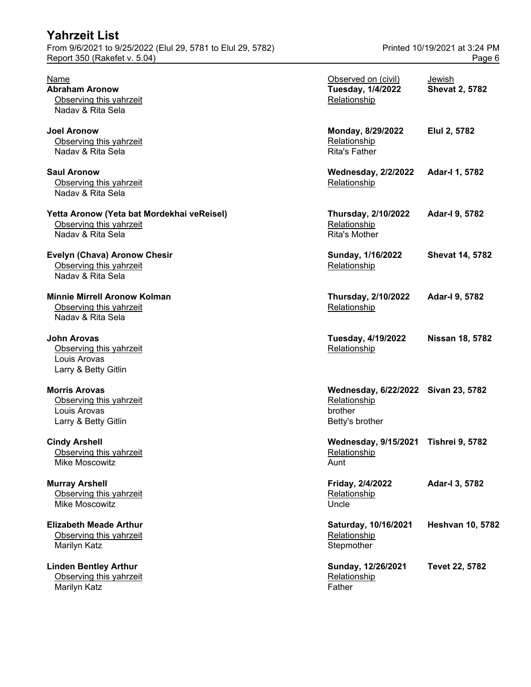| <b>Yahrzeit List</b><br>From 9/6/2021 to 9/25/2022 (Elul 29, 5781 to Elul 29, 5782)        |                                                                                   | Printed 10/19/2021 at 3:24 PM   |
|--------------------------------------------------------------------------------------------|-----------------------------------------------------------------------------------|---------------------------------|
| Report 350 (Rakefet v. 5.04)                                                               |                                                                                   | Page 6                          |
| <b>Name</b><br><b>Abraham Aronow</b><br>Observing this yahrzeit<br>Nadav & Rita Sela       | Observed on (civil)<br>Tuesday, 1/4/2022<br>Relationship                          | Jewish<br><b>Shevat 2, 5782</b> |
| <b>Joel Aronow</b><br>Observing this yahrzeit<br>Naday & Rita Sela                         | Monday, 8/29/2022<br>Relationship<br><b>Rita's Father</b>                         | Elul 2, 5782                    |
| <b>Saul Aronow</b><br>Observing this yahrzeit<br>Nadav & Rita Sela                         | <b>Wednesday, 2/2/2022</b><br>Relationship                                        | Adar-I 1, 5782                  |
| Yetta Aronow (Yeta bat Mordekhai veReisel)<br>Observing this yahrzeit<br>Naday & Rita Sela | <b>Thursday, 2/10/2022</b><br>Relationship<br><b>Rita's Mother</b>                | Adar-I 9, 5782                  |
| Evelyn (Chava) Aronow Chesir<br>Observing this yahrzeit<br>Naday & Rita Sela               | Sunday, 1/16/2022<br>Relationship                                                 | <b>Shevat 14, 5782</b>          |
| <b>Minnie Mirrell Aronow Kolman</b><br>Observing this yahrzeit<br>Nadav & Rita Sela        | <b>Thursday, 2/10/2022</b><br>Relationship                                        | Adar-I 9, 5782                  |
| <b>John Arovas</b><br>Observing this yahrzeit<br>Louis Arovas<br>Larry & Betty Gitlin      | Tuesday, 4/19/2022<br>Relationship                                                | <b>Nissan 18, 5782</b>          |
| <b>Morris Arovas</b><br>Observing this yahrzeit<br>Louis Arovas<br>Larry & Betty Gitlin    | Wednesday, 6/22/2022 Sivan 23, 5782<br>Relationship<br>brother<br>Betty's brother |                                 |
| <b>Cindy Arshell</b><br>Observing this yahrzeit<br>Mike Moscowitz                          | <b>Wednesday, 9/15/2021</b><br>Relationship<br>Aunt                               | <b>Tishrei 9, 5782</b>          |
| <b>Murray Arshell</b><br>Observing this yahrzeit<br>Mike Moscowitz                         | Friday, 2/4/2022<br>Relationship<br>Uncle                                         | Adar-I 3, 5782                  |
| <b>Elizabeth Meade Arthur</b><br>Observing this yahrzeit<br>Marilyn Katz                   | Saturday, 10/16/2021<br>Relationship<br>Stepmother                                | <b>Heshvan 10, 5782</b>         |
| <b>Linden Bentley Arthur</b><br>Observing this yahrzeit<br>Marilyn Katz                    | Sunday, 12/26/2021<br>Relationship<br>Father                                      | Tevet 22, 5782                  |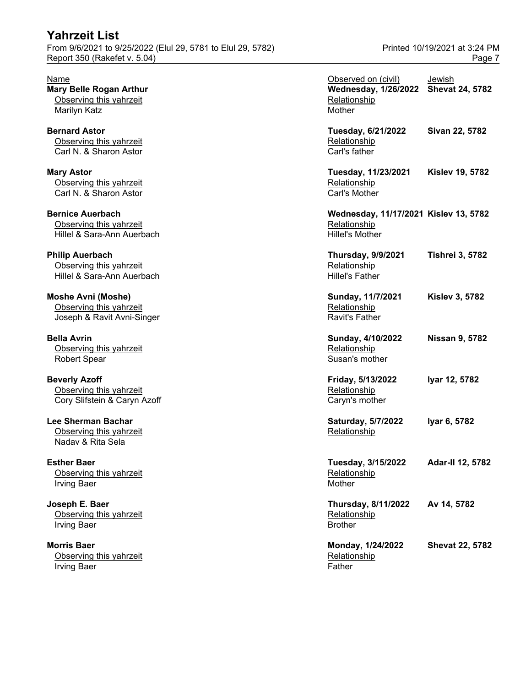| From 9/6/2021 to 9/25/2022 (Elul 29, 5781 to Elul 29, 5782)<br>Report 350 (Rakefet v. 5.04) |                                                                                 | Printed 10/19/2021 at 3:24 PM<br>Page 7 |
|---------------------------------------------------------------------------------------------|---------------------------------------------------------------------------------|-----------------------------------------|
| Name<br><b>Mary Belle Rogan Arthur</b><br>Observing this yahrzeit<br>Marilyn Katz           | Observed on (civil)<br><b>Wednesday, 1/26/2022</b><br>Relationship<br>Mother    | Jewish<br><b>Shevat 24, 5782</b>        |
| <b>Bernard Astor</b><br>Observing this yahrzeit<br>Carl N. & Sharon Astor                   | Tuesday, 6/21/2022<br>Relationship<br>Carl's father                             | Sivan 22, 5782                          |
| <b>Mary Astor</b><br>Observing this yahrzeit<br>Carl N. & Sharon Astor                      | Tuesday, 11/23/2021<br>Relationship<br>Carl's Mother                            | <b>Kislev 19, 5782</b>                  |
| <b>Bernice Auerbach</b><br>Observing this yahrzeit<br>Hillel & Sara-Ann Auerbach            | Wednesday, 11/17/2021 Kislev 13, 5782<br>Relationship<br><b>Hillel's Mother</b> |                                         |
| <b>Philip Auerbach</b><br>Observing this yahrzeit<br>Hillel & Sara-Ann Auerbach             | <b>Thursday, 9/9/2021</b><br>Relationship<br><b>Hillel's Father</b>             | <b>Tishrei 3, 5782</b>                  |
| <b>Moshe Avni (Moshe)</b><br>Observing this yahrzeit<br>Joseph & Ravit Avni-Singer          | Sunday, 11/7/2021<br>Relationship<br><b>Ravit's Father</b>                      | <b>Kislev 3, 5782</b>                   |
| <b>Bella Avrin</b><br>Observing this yahrzeit<br><b>Robert Spear</b>                        | Sunday, 4/10/2022<br>Relationship<br>Susan's mother                             | <b>Nissan 9, 5782</b>                   |
| <b>Beverly Azoff</b><br>Observing this yahrzeit<br>Cory Slifstein & Caryn Azoff             | Friday, 5/13/2022<br>Relationship<br>Caryn's mother                             | Iyar 12, 5782                           |
| Lee Sherman Bachar<br>Observing this yahrzeit<br>Naday & Rita Sela                          | <b>Saturday, 5/7/2022</b><br>Relationship                                       | Iyar 6, 5782                            |
| <b>Esther Baer</b><br>Observing this yahrzeit<br><b>Irving Baer</b>                         | Tuesday, 3/15/2022<br>Relationship<br>Mother                                    | Adar-II 12, 5782                        |
| Joseph E. Baer<br>Observing this yahrzeit<br><b>Irving Baer</b>                             | <b>Thursday, 8/11/2022</b><br>Relationship<br><b>Brother</b>                    | Av 14, 5782                             |
| <b>Morris Baer</b><br>Observing this yahrzeit<br><b>Irving Baer</b>                         | Monday, 1/24/2022<br>Relationship<br>Father                                     | <b>Shevat 22, 5782</b>                  |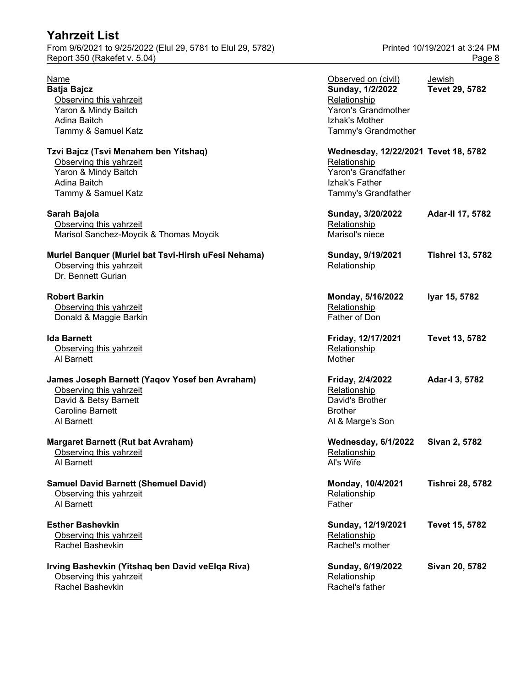From 9/6/2021 to 9/25/2022 (Elul 29, 5781 to Elul 29, 5782) Printed 10/19/2021 at 3:24 PM Report 350 (Rakefet v. 5.04) Page 8

| Name                                                                                                                                        | Observed on (civil)                                                                                                  | Jewish                  |
|---------------------------------------------------------------------------------------------------------------------------------------------|----------------------------------------------------------------------------------------------------------------------|-------------------------|
| Batja Bajcz<br>Observing this yahrzeit<br>Yaron & Mindy Baitch                                                                              | Sunday, 1/2/2022<br>Relationship<br>Yaron's Grandmother                                                              | Tevet 29, 5782          |
| Adina Baitch<br>Tammy & Samuel Katz                                                                                                         | Izhak's Mother<br>Tammy's Grandmother                                                                                |                         |
| Tzvi Bajcz (Tsvi Menahem ben Yitshaq)<br>Observing this yahrzeit<br>Yaron & Mindy Baitch<br>Adina Baitch<br>Tammy & Samuel Katz             | Wednesday, 12/22/2021 Tevet 18, 5782<br>Relationship<br>Yaron's Grandfather<br>Izhak's Father<br>Tammy's Grandfather |                         |
| Sarah Bajola<br>Observing this yahrzeit<br>Marisol Sanchez-Moycik & Thomas Moycik                                                           | Sunday, 3/20/2022<br>Relationship<br>Marisol's niece                                                                 | <b>Adar-II 17, 5782</b> |
| Muriel Banquer (Muriel bat Tsvi-Hirsh uFesi Nehama)<br>Observing this yahrzeit<br>Dr. Bennett Gurian                                        | Sunday, 9/19/2021<br>Relationship                                                                                    | <b>Tishrei 13, 5782</b> |
| <b>Robert Barkin</b><br>Observing this yahrzeit<br>Donald & Maggie Barkin                                                                   | Monday, 5/16/2022<br>Relationship<br>Father of Don                                                                   | Iyar 15, 5782           |
| Ida Barnett<br>Observing this yahrzeit<br>Al Barnett                                                                                        | Friday, 12/17/2021<br>Relationship<br>Mother                                                                         | Tevet 13, 5782          |
| James Joseph Barnett (Yaqov Yosef ben Avraham)<br>Observing this yahrzeit<br>David & Betsy Barnett<br><b>Caroline Barnett</b><br>Al Barnett | Friday, 2/4/2022<br>Relationship<br>David's Brother<br><b>Brother</b><br>Al & Marge's Son                            | Adar-I 3, 5782          |
| <b>Margaret Barnett (Rut bat Avraham)</b><br>Observing this yahrzeit<br>Al Barnett                                                          | <b>Wednesday, 6/1/2022</b><br><b>Relationship</b><br>Al's Wife                                                       | Sivan 2, 5782           |
| <b>Samuel David Barnett (Shemuel David)</b><br>Observing this yahrzeit<br>Al Barnett                                                        | Monday, 10/4/2021<br>Relationship<br>Father                                                                          | <b>Tishrei 28, 5782</b> |
| <b>Esther Bashevkin</b><br>Observing this yahrzeit<br><b>Rachel Bashevkin</b>                                                               | Sunday, 12/19/2021<br>Relationship<br>Rachel's mother                                                                | Tevet 15, 5782          |
| Irving Bashevkin (Yitshaq ben David veElqa Riva)<br>Observing this yahrzeit<br>Rachel Bashevkin                                             | Sunday, 6/19/2022<br>Relationship<br>Rachel's father                                                                 | Sivan 20, 5782          |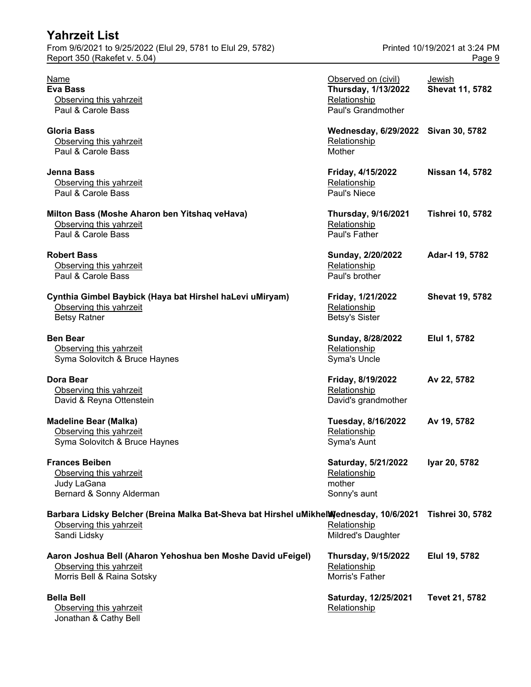| <b>Yahrzeit List</b>                                                                                                              |                                                                                         |                                         |
|-----------------------------------------------------------------------------------------------------------------------------------|-----------------------------------------------------------------------------------------|-----------------------------------------|
| From 9/6/2021 to 9/25/2022 (Elul 29, 5781 to Elul 29, 5782)<br>Report 350 (Rakefet v. 5.04)                                       |                                                                                         | Printed 10/19/2021 at 3:24 PM<br>Page 9 |
| <u>Name</u><br><b>Eva Bass</b><br>Observing this yahrzeit<br>Paul & Carole Bass                                                   | Observed on (civil)<br><b>Thursday, 1/13/2022</b><br>Relationship<br>Paul's Grandmother | Jewish<br><b>Shevat 11, 5782</b>        |
| Gloria Bass<br>Observing this yahrzeit<br>Paul & Carole Bass                                                                      | Wednesday, 6/29/2022 Sivan 30, 5782<br>Relationship<br>Mother                           |                                         |
| Jenna Bass<br>Observing this yahrzeit<br>Paul & Carole Bass                                                                       | Friday, 4/15/2022<br>Relationship<br>Paul's Niece                                       | <b>Nissan 14, 5782</b>                  |
| Milton Bass (Moshe Aharon ben Yitshaq veHava)<br>Observing this yahrzeit<br>Paul & Carole Bass                                    | <b>Thursday, 9/16/2021</b><br>Relationship<br>Paul's Father                             | <b>Tishrei 10, 5782</b>                 |
| <b>Robert Bass</b><br>Observing this yahrzeit<br>Paul & Carole Bass                                                               | Sunday, 2/20/2022<br>Relationship<br>Paul's brother                                     | Adar-I 19, 5782                         |
| Cynthia Gimbel Baybick (Haya bat Hirshel haLevi uMiryam)<br>Observing this yahrzeit<br><b>Betsy Ratner</b>                        | Friday, 1/21/2022<br>Relationship<br><b>Betsy's Sister</b>                              | <b>Shevat 19, 5782</b>                  |
| <b>Ben Bear</b><br>Observing this yahrzeit<br>Syma Solovitch & Bruce Haynes                                                       | Sunday, 8/28/2022<br>Relationship<br>Syma's Uncle                                       | Elul 1, 5782                            |
| Dora Bear<br>Observing this yahrzeit<br>David & Reyna Ottenstein                                                                  | Friday, 8/19/2022<br>Relationship<br>David's grandmother                                | Av 22, 5782                             |
| <b>Madeline Bear (Malka)</b><br>Observing this yahrzeit<br>Syma Solovitch & Bruce Haynes                                          | Tuesday, 8/16/2022<br>Relationship<br>Syma's Aunt                                       | Av 19, 5782                             |
| <b>Frances Beiben</b><br>Observing this yahrzeit<br>Judy LaGana<br>Bernard & Sonny Alderman                                       | Saturday, 5/21/2022<br>Relationship<br>mother<br>Sonny's aunt                           | Iyar 20, 5782                           |
| Barbara Lidsky Belcher (Breina Malka Bat-Sheva bat Hirshel uMikhelWednesday, 10/6/2021<br>Observing this yahrzeit<br>Sandi Lidsky | Relationship<br>Mildred's Daughter                                                      | <b>Tishrei 30, 5782</b>                 |
| Aaron Joshua Bell (Aharon Yehoshua ben Moshe David uFeigel)<br>Observing this yahrzeit<br>Morris Bell & Raina Sotsky              | <b>Thursday, 9/15/2022</b><br>Relationship<br>Morris's Father                           | Elul 19, 5782                           |
| <b>Bella Bell</b><br>Observing this yahrzeit<br>Jonathan & Cathy Bell                                                             | Saturday, 12/25/2021<br>Relationship                                                    | Tevet 21, 5782                          |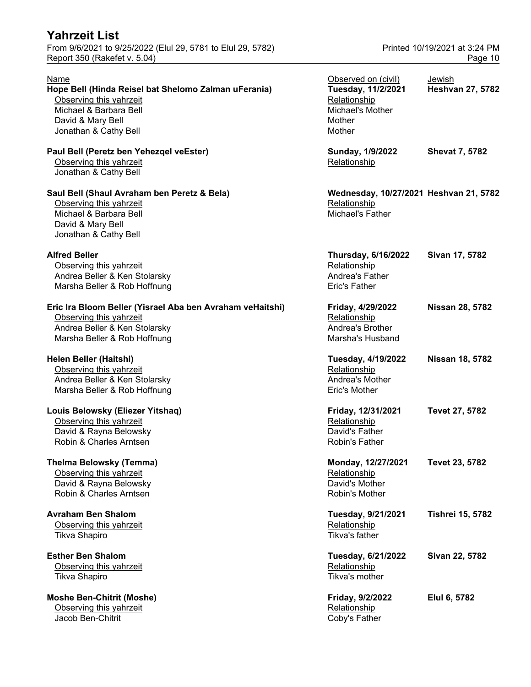From 9/6/2021 to 9/25/2022 (Elul 29, 5781 to Elul 29, 5782) Printed 10/19/2021 at 3:24 PM Report 350 (Rakefet v. 5.04) **Page 10** 

### Name Observed on (civil) Jewish **Hope Bell (Hinda Reisel bat Shelomo Zalman uFerania) Tuesday, 11/2/2021 Heshvan 27, 5782** Observing this yahrzeit Michael & Barbara Bell David & Mary Bell Jonathan & Cathy Bell **Paul Bell (Peretz ben Yehezqel veEster)** Observing this yahrzeit Jonathan & Cathy Bell **Saul Bell (Shaul Avraham ben Peretz & Bela) Wednesday, 10/27/2021 Heshvan 21, 5782** Observing this yahrzeit Michael & Barbara Bell David & Mary Bell Jonathan & Cathy Bell **Alfred Beller Thursday, 6/16/2022 Sivan 17, 5782** Observing this yahrzeit Andrea Beller & Ken Stolarsky Marsha Beller & Rob Hoffnung Eric Ira Bloom Beller (Yisrael Aba ben Avraham veHaitshi) Observing this yahrzeit Andrea Beller & Ken Stolarsky Marsha Beller & Rob Hoffnung **Helen Beller (Haitshi)** Observing this yahrzeit Andrea Beller & Ken Stolarsky Marsha Beller & Rob Hoffnung **Louis Belowsky (Eliezer Yitshaq)** Observing this yahrzeit David & Rayna Belowsky Robin & Charles Arntsen **Thelma Belowsky (Temma)** Observing this yahrzeit David & Rayna Belowsky Robin & Charles Arntsen **Avraham Ben Shalom** Observing this yahrzeit Tikva Shapiro **Esther Ben Shalom** Observing this yahrzeit Tikva Shapiro **Moshe Ben-Chitrit (Moshe)** Observing this yahrzeit **Relationship Relationship** Jacob Ben-Chitrit Coby's Father

| Observed on (civil)<br>Tuesday, 11/2/2021<br>Relationship<br>Michael's Mother<br>Mother<br>Mother | <u>Jewish</u><br><b>Heshvan 27, 5782</b> |
|---------------------------------------------------------------------------------------------------|------------------------------------------|
| Sunday, 1/9/2022<br>Relationship                                                                  | <b>Shevat 7, 5782</b>                    |
| Wednesday, 10/27/2021 Heshvan 21, 5782<br>Relationship<br>Michael's Father                        |                                          |
| <b>Thursday, 6/16/2022</b><br>Relationship<br>Andrea's Father<br>Eric's Father                    | Sivan 17, 5782                           |
| Friday, 4/29/2022<br>Relationship<br><b>Andrea's Brother</b><br>Marsha's Husband                  | <b>Nissan 28, 5782</b>                   |
| Tuesday, 4/19/2022<br>Relationship<br><b>Andrea's Mother</b><br>Eric's Mother                     | <b>Nissan 18, 5782</b>                   |
| Friday, 12/31/2021<br>Relationship<br>David's Father<br>Robin's Father                            | <b>Tevet 27, 5782</b>                    |
| Monday, 12/27/2021<br>Relationship<br>David's Mother<br>Robin's Mother                            | Tevet 23, 5782                           |
| Tuesday, 9/21/2021<br>Relationship<br>Tikva's father                                              | <b>Tishrei 15, 5782</b>                  |
| Tuesday, 6/21/2022<br>Relationship<br>Tikva's mother                                              | Sivan 22, 5782                           |
| Friday, 9/2/2022                                                                                  | Elul 6, 5782                             |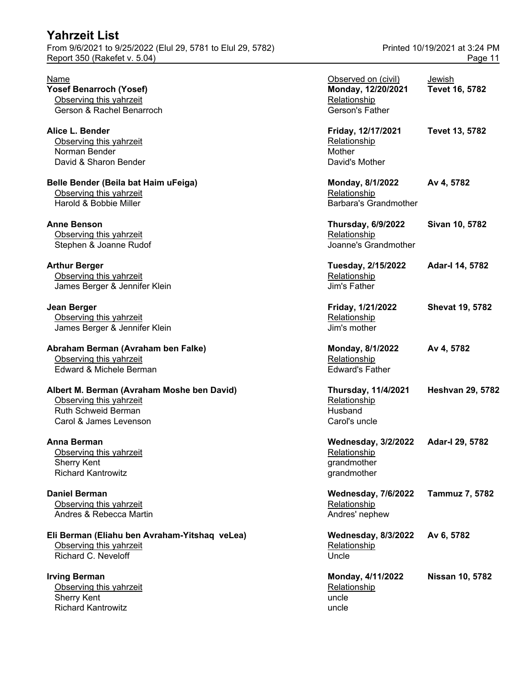## **Yahrzeit List** From 9/6/2021 to 9/25/2022 (Elul 29, 5781 to Elul 29, 5782)

Report 350 (Rakefet v.  $5.04$ )

## **Albert M. Berman (Avraham Moshe ben David) Thursday, 11/4/2021 Heshvan 29, 5782** Observing this yahrzeit

#### **Anna Berman**

#### **Eli Berman (Eliahu ben Avraham-Yitshaq veLea)** Observing this yahrzeit Richard C. Neveloff

Observing this yahrzeit Sherry Kent Richard Kantrowitz **Nicholass Community** and the Uncle of the Uncle of the Uncle of the Uncle of the Uncle of the U

| Printed 10/19/2021 at 3:24 PM |         |  |
|-------------------------------|---------|--|
|                               | Page 11 |  |

| Name                                          | Observed on (civil)          | Jewish                  |
|-----------------------------------------------|------------------------------|-------------------------|
| Yosef Benarroch (Yosef)                       | Monday, 12/20/2021           | Tevet 16, 5782          |
| Observing this yahrzeit                       | Relationship                 |                         |
| Gerson & Rachel Benarroch                     | Gerson's Father              |                         |
| Alice L. Bender                               | Friday, 12/17/2021           | Tevet 13, 5782          |
| Observing this yahrzeit                       | Relationship                 |                         |
| Norman Bender                                 | Mother                       |                         |
| David & Sharon Bender                         | David's Mother               |                         |
| Belle Bender (Beila bat Haim uFeiga)          | Monday, 8/1/2022             | Av 4, 5782              |
| Observing this yahrzeit                       | Relationship                 |                         |
| Harold & Bobbie Miller                        | <b>Barbara's Grandmother</b> |                         |
| Anne Benson                                   | <b>Thursday, 6/9/2022</b>    | Sivan 10, 5782          |
| Observing this yahrzeit                       | Relationship                 |                         |
| Stephen & Joanne Rudof                        | Joanne's Grandmother         |                         |
| <b>Arthur Berger</b>                          | Tuesday, 2/15/2022           | Adar-I 14, 5782         |
| Observing this yahrzeit                       | Relationship                 |                         |
| James Berger & Jennifer Klein                 | Jim's Father                 |                         |
| Jean Berger                                   | Friday, 1/21/2022            | <b>Shevat 19, 5782</b>  |
| Observing this yahrzeit                       | Relationship                 |                         |
| James Berger & Jennifer Klein                 | Jim's mother                 |                         |
| Abraham Berman (Avraham ben Falke)            | Monday, 8/1/2022             | Av 4, 5782              |
| Observing this yahrzeit                       | Relationship                 |                         |
| Edward & Michele Berman                       | <b>Edward's Father</b>       |                         |
| Albert M. Berman (Avraham Moshe ben David)    | <b>Thursday, 11/4/2021</b>   | <b>Heshvan 29, 5782</b> |
| Observing this yahrzeit                       | Relationship                 |                         |
| Ruth Schweid Berman                           | Husband                      |                         |
| Carol & James Levenson                        | Carol's uncle                |                         |
| Anna Berman                                   | <b>Wednesday, 3/2/2022</b>   | Adar-I 29, 5782         |
| Observing this yahrzeit                       | Relationship                 |                         |
| <b>Sherry Kent</b>                            | grandmother                  |                         |
| <b>Richard Kantrowitz</b>                     | grandmother                  |                         |
| Daniel Berman                                 | <b>Wednesday, 7/6/2022</b>   | Tammuz 7, 5782          |
| Observing this yahrzeit                       | Relationship                 |                         |
| Andres & Rebecca Martin                       | Andres' nephew               |                         |
| Eli Berman (Eliahu ben Avraham-Yitshaq veLea) | <b>Wednesday, 8/3/2022</b>   | Av 6, 5782              |
| Observing this yahrzeit                       | Relationship                 |                         |
| Richard C. Neveloff                           | Uncle                        |                         |
| <b>Irving Berman</b>                          | Monday, 4/11/2022            | <b>Nissan 10, 5782</b>  |
| Observing this yahrzeit                       | Relationship                 |                         |
| <b>Sherry Kent</b>                            | uncle                        |                         |
| Pichard Kantrowitz                            | unele                        |                         |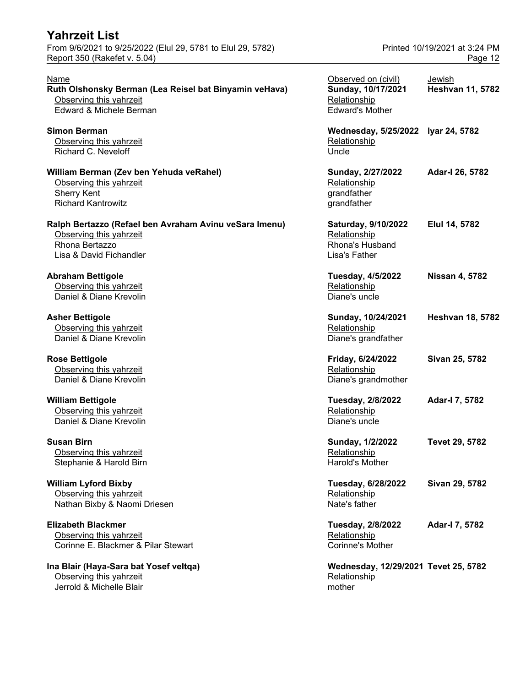#### **William Lyford Bixby** Observing this yahrzeit Nathan Bixby & Naomi Driesen

**Ina Blair (Haya-Sara bat Yosef veltqa)** Observing this yahrzeit Jerrold & Michelle Blair mother mother

| <u>Name</u><br>Ruth Olshonsky Berman (Lea Reisel bat Binyamin veHava)<br>Observing this yahrzeit<br>Edward & Michele Berman    | Observed on (civil)<br>Sunday, 10/17/2021<br>Relationship<br><b>Edward's Mother</b> | Jewish<br><b>Heshvan 11, 5782</b> |
|--------------------------------------------------------------------------------------------------------------------------------|-------------------------------------------------------------------------------------|-----------------------------------|
| <b>Simon Berman</b><br>Observing this yahrzeit<br>Richard C. Neveloff                                                          | Wednesday, 5/25/2022 Iyar 24, 5782<br>Relationship<br>Uncle                         |                                   |
| William Berman (Zev ben Yehuda veRahel)<br>Observing this yahrzeit<br>Sherry Kent<br><b>Richard Kantrowitz</b>                 | Sunday, 2/27/2022<br>Relationship<br>grandfather<br>grandfather                     | Adar-I 26, 5782                   |
| Ralph Bertazzo (Refael ben Avraham Avinu veSara Imenu)<br>Observing this yahrzeit<br>Rhona Bertazzo<br>Lisa & David Fichandler | Saturday, 9/10/2022<br>Relationship<br>Rhona's Husband<br>Lisa's Father             | Elul 14, 5782                     |
| <b>Abraham Bettigole</b><br>Observing this yahrzeit<br>Daniel & Diane Krevolin                                                 | <b>Tuesday, 4/5/2022</b><br>Relationship<br>Diane's uncle                           | <b>Nissan 4, 5782</b>             |
| Asher Bettigole<br>Observing this yahrzeit<br>Daniel & Diane Krevolin                                                          | Sunday, 10/24/2021<br>Relationship<br>Diane's grandfather                           | <b>Heshvan 18, 5782</b>           |
| Rose Bettigole<br>Observing this yahrzeit<br>Daniel & Diane Krevolin                                                           | Friday, 6/24/2022<br>Relationship<br>Diane's grandmother                            | Sivan 25, 5782                    |
| <b>William Bettigole</b><br>Observing this yahrzeit<br>Daniel & Diane Krevolin                                                 | Tuesday, 2/8/2022<br>Relationship<br>Diane's uncle                                  | Adar-I 7, 5782                    |
| <b>Susan Birn</b><br>Observing this yahrzeit<br>Stephanie & Harold Birn                                                        | Sunday, 1/2/2022<br>Relationship<br>Harold's Mother                                 | Tevet 29, 5782                    |
| <b>William Lyford Bixby</b><br>Observing this yahrzeit<br>Nathan Bixby & Naomi Driesen                                         | Tuesday, 6/28/2022<br>Relationship<br>Nate's father                                 | Sivan 29, 5782                    |
| <b>Elizabeth Blackmer</b><br>Observing this yahrzeit<br>Corinne E. Blackmer & Pilar Stewart                                    | Tuesday, 2/8/2022<br>Relationship<br>Corinne's Mother                               | Adar-I 7, 5782                    |
| Ina Blair (Haya-Sara bat Yosef veltqa)<br>Observing this yahrzeit                                                              | Wednesday, 12/29/2021 Tevet 25, 5782<br>Relationship                                |                                   |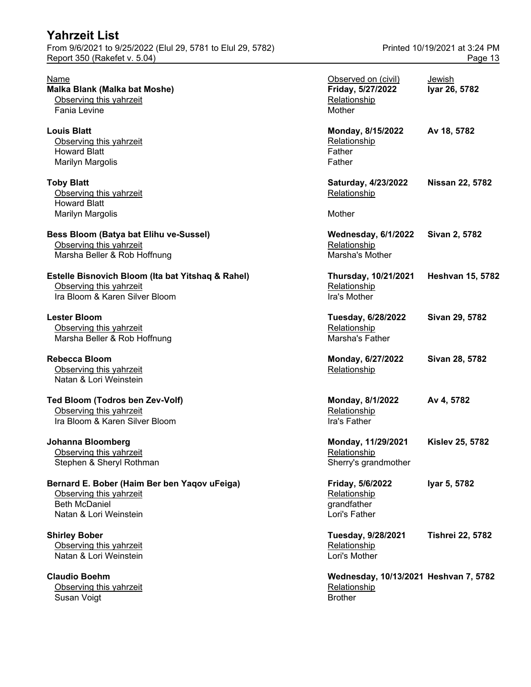| From 9/6/2021 to 9/25/2022 (Elul 29, 5781 to Elul 29, 5782)<br>Report 350 (Rakefet v. 5.04)                               | Printed 10/19/2021 at 3:24 PM<br>Page 13                           |                         |
|---------------------------------------------------------------------------------------------------------------------------|--------------------------------------------------------------------|-------------------------|
| Name<br>Malka Blank (Malka bat Moshe)<br>Observing this yahrzeit<br><b>Fania Levine</b>                                   | Observed on (civil)<br>Friday, 5/27/2022<br>Relationship<br>Mother | Jewish<br>Iyar 26, 5782 |
| <b>Louis Blatt</b><br>Observing this yahrzeit<br><b>Howard Blatt</b><br><b>Marilyn Margolis</b>                           | Monday, 8/15/2022<br>Relationship<br>Father<br>Father              | Av 18, 5782             |
| <b>Toby Blatt</b><br>Observing this yahrzeit<br><b>Howard Blatt</b><br><b>Marilyn Margolis</b>                            | Saturday, 4/23/2022<br>Relationship<br>Mother                      | <b>Nissan 22, 5782</b>  |
| Bess Bloom (Batya bat Elihu ve-Sussel)<br>Observing this yahrzeit<br>Marsha Beller & Rob Hoffnung                         | <b>Wednesday, 6/1/2022</b><br>Relationship<br>Marsha's Mother      | Sivan 2, 5782           |
| Estelle Bisnovich Bloom (Ita bat Yitshaq & Rahel)<br>Observing this yahrzeit<br>Ira Bloom & Karen Silver Bloom            | Thursday, 10/21/2021<br>Relationship<br>Ira's Mother               | <b>Heshvan 15, 5782</b> |
| <b>Lester Bloom</b><br>Observing this yahrzeit<br>Marsha Beller & Rob Hoffnung                                            | Tuesday, 6/28/2022<br>Relationship<br>Marsha's Father              | Sivan 29, 5782          |
| <b>Rebecca Bloom</b><br>Observing this yahrzeit<br>Natan & Lori Weinstein                                                 | Monday, 6/27/2022<br>Relationship                                  | Sivan 28, 5782          |
| Ted Bloom (Todros ben Zev-Volf)<br>Observing this yahrzeit<br>Ira Bloom & Karen Silver Bloom                              | Monday, 8/1/2022<br>Relationship<br>Ira's Father                   | Av 4, 5782              |
| Johanna Bloomberg<br>Observing this yahrzeit<br>Stephen & Sheryl Rothman                                                  | Monday, 11/29/2021<br>Relationship<br>Sherry's grandmother         | <b>Kislev 25, 5782</b>  |
| Bernard E. Bober (Haim Ber ben Yaqov uFeiga)<br>Observing this yahrzeit<br><b>Beth McDaniel</b><br>Natan & Lori Weinstein | Friday, 5/6/2022<br>Relationship<br>grandfather<br>Lori's Father   | Iyar 5, 5782            |
| <b>Shirley Bober</b><br>Observing this yahrzeit<br>Natan & Lori Weinstein                                                 | Tuesday, 9/28/2021<br>Relationship<br>Lori's Mother                | <b>Tishrei 22, 5782</b> |
| <b>Claudio Boehm</b><br>Observing this yahrzeit                                                                           | Wednesday, 10/13/2021 Heshvan 7, 5782<br>Relationship              |                         |

Susan Voigt Brother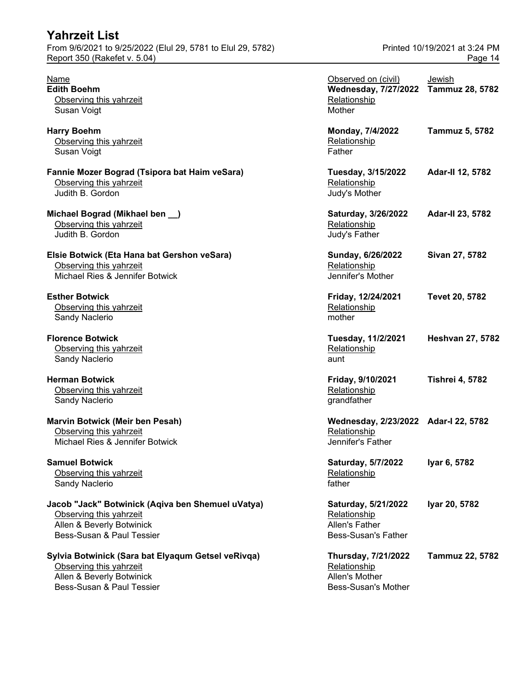| <b>Yahrzeit List</b>                                        |                               |
|-------------------------------------------------------------|-------------------------------|
| From 9/6/2021 to 9/25/2022 (Elul 29, 5781 to Elul 29, 5782) | Printed 10/19/2021 at 3:24 PM |
| Report 350 (Rakefet v. 5.04)                                | Page 14                       |
|                                                             |                               |

#### **Sylvia Botwinick (Sara bat Elyaqum Getsel veRivqa)** Observing this yahrzeit Allen & Beverly Botwinick

Bess-Susan & Paul Tessier Bess-Susan's Mother Bess-Susan's Mother

| Name<br><b>Edith Boehm</b><br>Observing this yahrzeit<br>Susan Voigt                                                                   | Observed on (civil)<br>Wednesday, 7/27/2022 Tammuz 28, 5782<br>Relationship<br>Mother | Jewish                  |
|----------------------------------------------------------------------------------------------------------------------------------------|---------------------------------------------------------------------------------------|-------------------------|
| <b>Harry Boehm</b><br>Observing this yahrzeit<br>Susan Voigt                                                                           | Monday, 7/4/2022<br>Relationship<br>Father                                            | <b>Tammuz 5, 5782</b>   |
| Fannie Mozer Bograd (Tsipora bat Haim veSara)<br>Observing this yahrzeit<br>Judith B. Gordon                                           | Tuesday, 3/15/2022<br>Relationship<br>Judy's Mother                                   | Adar-II 12, 5782        |
| Michael Bograd (Mikhael ben __)<br>Observing this yahrzeit<br>Judith B. Gordon                                                         | Saturday, 3/26/2022<br>Relationship<br>Judy's Father                                  | Adar-II 23, 5782        |
| Elsie Botwick (Eta Hana bat Gershon veSara)<br>Observing this yahrzeit<br>Michael Ries & Jennifer Botwick                              | Sunday, 6/26/2022<br>Relationship<br>Jennifer's Mother                                | Sivan 27, 5782          |
| <b>Esther Botwick</b><br>Observing this yahrzeit<br>Sandy Naclerio                                                                     | Friday, 12/24/2021<br>Relationship<br>mother                                          | Tevet 20, 5782          |
| <b>Florence Botwick</b><br>Observing this yahrzeit<br>Sandy Naclerio                                                                   | Tuesday, 11/2/2021<br>Relationship<br>aunt                                            | <b>Heshvan 27, 5782</b> |
| <b>Herman Botwick</b><br>Observing this yahrzeit<br>Sandy Naclerio                                                                     | Friday, 9/10/2021<br>Relationship<br>grandfather                                      | <b>Tishrei 4, 5782</b>  |
| Marvin Botwick (Meir ben Pesah)<br>Observing this yahrzeit<br>Michael Ries & Jennifer Botwick                                          | Wednesday, 2/23/2022 Adar-I 22, 5782<br>Relationship<br>Jennifer's Father             |                         |
| <b>Samuel Botwick</b><br>Observing this yahrzeit<br>Sandy Naclerio                                                                     | Saturday, 5/7/2022<br>Relationship<br>father                                          | Iyar 6, 5782            |
| Jacob "Jack" Botwinick (Aqiva ben Shemuel uVatya)<br>Observing this yahrzeit<br>Allen & Beverly Botwinick<br>Bess-Susan & Paul Tessier | Saturday, 5/21/2022<br>Relationship<br>Allen's Father<br><b>Bess-Susan's Father</b>   | Iyar 20, 5782           |
| Sylvia Botwinick (Sara bat Elyaqum Getsel veRivqa)<br>Observing this yahrzeit<br>Allen & Beverly Botwinick                             | Thursday, 7/21/2022<br>Relationship<br>Allen's Mother                                 | Tammuz 22, 5782         |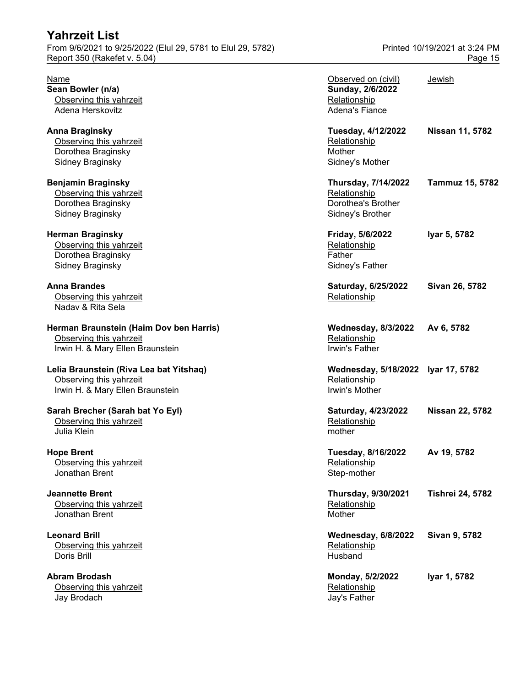| I AIII LUI LIJL<br>From 9/6/2021 to 9/25/2022 (Elul 29, 5781 to Elul 29, 5782)<br>Report 350 (Rakefet v. 5.04) |                                                                                  | Printed 10/19/2021 at 3:24 PM<br>Page 15 |
|----------------------------------------------------------------------------------------------------------------|----------------------------------------------------------------------------------|------------------------------------------|
| Name<br>Sean Bowler (n/a)<br>Observing this yahrzeit<br>Adena Herskovitz                                       | Observed on (civil)<br>Sunday, 2/6/2022<br>Relationship<br><b>Adena's Fiance</b> | Jewish                                   |
| <b>Anna Braginsky</b><br>Observing this yahrzeit<br>Dorothea Braginsky<br>Sidney Braginsky                     | Tuesday, 4/12/2022<br>Relationship<br>Mother<br>Sidney's Mother                  | Nissan 11, 5782                          |
| <b>Benjamin Braginsky</b><br>Observing this yahrzeit<br>Dorothea Braginsky<br>Sidney Braginsky                 | Thursday, 7/14/2022<br>Relationship<br>Dorothea's Brother<br>Sidney's Brother    | Tammuz 15, 5782                          |
| <b>Herman Braginsky</b><br>Observing this yahrzeit<br>Dorothea Braginsky<br>Sidney Braginsky                   | Friday, 5/6/2022<br>Relationship<br>Father<br>Sidney's Father                    | Iyar 5, 5782                             |
| <b>Anna Brandes</b><br>Observing this yahrzeit<br>Nadav & Rita Sela                                            | Saturday, 6/25/2022<br>Relationship                                              | Sivan 26, 5782                           |
| Herman Braunstein (Haim Dov ben Harris)<br>Observing this yahrzeit<br>Irwin H. & Mary Ellen Braunstein         | <b>Wednesday, 8/3/2022</b><br>Relationship<br>Irwin's Father                     | Av 6, 5782                               |
| Lelia Braunstein (Riva Lea bat Yitshaq)<br>Observing this yahrzeit<br>Irwin H. & Mary Ellen Braunstein         | Wednesday, 5/18/2022 Iyar 17, 5782<br>Relationship<br>Irwin's Mother             |                                          |
| Sarah Brecher (Sarah bat Yo Eyl)<br>Observing this yahrzeit<br>Julia Klein                                     | Saturday, 4/23/2022<br>Relationship<br>mother                                    | <b>Nissan 22, 5782</b>                   |
| <b>Hope Brent</b><br>Observing this yahrzeit<br>Jonathan Brent                                                 | <b>Tuesday, 8/16/2022</b><br>Relationship<br>Step-mother                         | Av 19, 5782                              |
| <b>Jeannette Brent</b><br>Observing this yahrzeit<br>Jonathan Brent                                            | Thursday, 9/30/2021<br>Relationship<br>Mother                                    | <b>Tishrei 24, 5782</b>                  |
| <b>Leonard Brill</b><br>Observing this yahrzeit<br>Doris Brill                                                 | Wednesday, 6/8/2022<br>Relationship<br>Husband                                   | Sivan 9, 5782                            |
| <b>Abram Brodash</b>                                                                                           | Monday, 5/2/2022                                                                 | Iyar 1, 5782                             |

Observing this yahrzeit Relationship Relationship Jay Brodach Jay's Father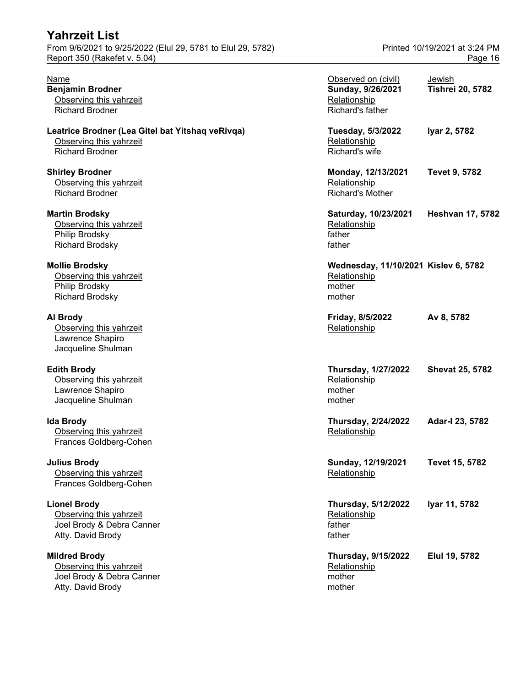| <b>Yahrzeit List</b>                                                                                  |                                                                              |                                          |
|-------------------------------------------------------------------------------------------------------|------------------------------------------------------------------------------|------------------------------------------|
| From 9/6/2021 to 9/25/2022 (Elul 29, 5781 to Elul 29, 5782)<br>Report 350 (Rakefet v. 5.04)           |                                                                              | Printed 10/19/2021 at 3:24 PM<br>Page 16 |
| Name<br><b>Benjamin Brodner</b><br>Observing this yahrzeit<br><b>Richard Brodner</b>                  | Observed on (civil)<br>Sunday, 9/26/2021<br>Relationship<br>Richard's father | <u>Jewish</u><br><b>Tishrei 20, 5782</b> |
| Leatrice Brodner (Lea Gitel bat Yitshaq veRivqa)<br>Observing this yahrzeit<br><b>Richard Brodner</b> | Tuesday, 5/3/2022<br>Relationship<br>Richard's wife                          | Iyar 2, 5782                             |
| <b>Shirley Brodner</b><br>Observing this yahrzeit<br><b>Richard Brodner</b>                           | Monday, 12/13/2021<br>Relationship<br><b>Richard's Mother</b>                | <b>Tevet 9, 5782</b>                     |
| <b>Martin Brodsky</b><br>Observing this yahrzeit<br>Philip Brodsky<br><b>Richard Brodsky</b>          | Saturday, 10/23/2021<br>Relationship<br>father<br>father                     | <b>Heshvan 17, 5782</b>                  |
| <b>Mollie Brodsky</b><br>Observing this yahrzeit<br>Philip Brodsky<br><b>Richard Brodsky</b>          | Wednesday, 11/10/2021 Kislev 6, 5782<br>Relationship<br>mother<br>mother     |                                          |
| Al Brody<br>Observing this yahrzeit<br>Lawrence Shapiro<br>Jacqueline Shulman                         | Friday, 8/5/2022<br>Relationship                                             | Av 8, 5782                               |
| <b>Edith Brody</b><br>Observing this yahrzeit<br>Lawrence Shapiro<br>Jacqueline Shulman               | <b>Thursday, 1/27/2022</b><br>Relationship<br>mother<br>mother               | <b>Shevat 25, 5782</b>                   |
| <b>Ida Brody</b><br>Observing this yahrzeit<br>Frances Goldberg-Cohen                                 | Thursday, 2/24/2022<br>Relationship                                          | Adar-I 23, 5782                          |
| <b>Julius Brody</b><br>Observing this yahrzeit<br>Frances Goldberg-Cohen                              | Sunday, 12/19/2021<br>Relationship                                           | <b>Tevet 15, 5782</b>                    |
| <b>Lionel Brody</b><br>Observing this yahrzeit<br>Joel Brody & Debra Canner<br>Atty. David Brody      | Thursday, 5/12/2022<br>Relationship<br>father<br>father                      | Iyar 11, 5782                            |
| <b>Mildred Brody</b><br>Observing this yahrzeit<br>Joel Brody & Debra Canner                          | <b>Thursday, 9/15/2022</b><br>Relationship<br>mother                         | Elul 19, 5782                            |

Atty. David Brody and Broad Broad Broad Broad Broad Broad Broad Broad Broad Broad Broad Broad Broad Broad Broad Broad Broad Broad Broad Broad Broad Broad Broad Broad Broad Broad Broad Broad Broad Broad Broad Broad Broad Br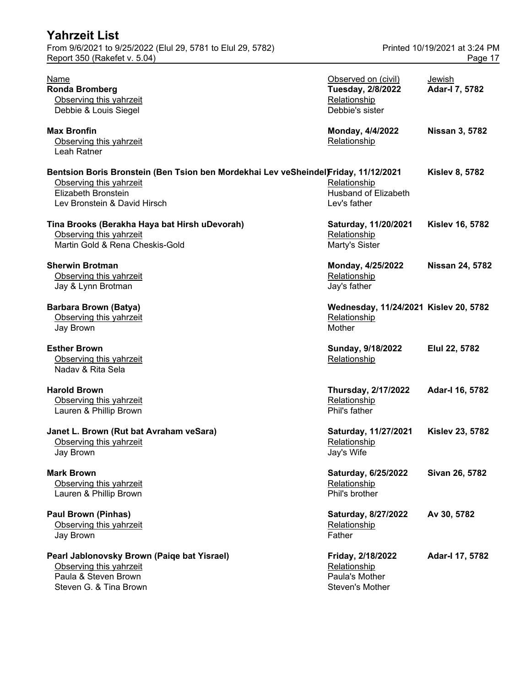| <b>Yahrzeit List</b>                                                                                                                                                  |                                                                             |                                          |
|-----------------------------------------------------------------------------------------------------------------------------------------------------------------------|-----------------------------------------------------------------------------|------------------------------------------|
| From 9/6/2021 to 9/25/2022 (Elul 29, 5781 to Elul 29, 5782)<br>Report 350 (Rakefet v. 5.04)                                                                           |                                                                             | Printed 10/19/2021 at 3:24 PM<br>Page 17 |
| <b>Name</b><br><b>Ronda Bromberg</b><br>Observing this yahrzeit<br>Debbie & Louis Siegel                                                                              | Observed on (civil)<br>Tuesday, 2/8/2022<br>Relationship<br>Debbie's sister | <b>Jewish</b><br>Adar-I 7, 5782          |
| <b>Max Bronfin</b><br>Observing this yahrzeit<br>Leah Ratner                                                                                                          | Monday, 4/4/2022<br>Relationship                                            | <b>Nissan 3, 5782</b>                    |
| Bentsion Boris Bronstein (Ben Tsion ben Mordekhai Lev veSheindel)Friday, 11/12/2021<br>Observing this yahrzeit<br>Elizabeth Bronstein<br>Lev Bronstein & David Hirsch | Relationship<br>Husband of Elizabeth<br>Lev's father                        | <b>Kislev 8, 5782</b>                    |
| Tina Brooks (Berakha Haya bat Hirsh uDevorah)<br>Observing this yahrzeit<br>Martin Gold & Rena Cheskis-Gold                                                           | Saturday, 11/20/2021<br>Relationship<br>Marty's Sister                      | <b>Kislev 16, 5782</b>                   |
| <b>Sherwin Brotman</b><br>Observing this yahrzeit<br>Jay & Lynn Brotman                                                                                               | Monday, 4/25/2022<br>Relationship<br>Jay's father                           | <b>Nissan 24, 5782</b>                   |
| <b>Barbara Brown (Batya)</b><br>Observing this yahrzeit<br>Jay Brown                                                                                                  | Wednesday, 11/24/2021 Kislev 20, 5782<br>Relationship<br>Mother             |                                          |
| <b>Esther Brown</b><br>Observing this yahrzeit<br>Naday & Rita Sela                                                                                                   | Sunday, 9/18/2022<br>Relationship                                           | Elul 22, 5782                            |
| <b>Harold Brown</b><br>Observing this yahrzeit<br>Lauren & Phillip Brown                                                                                              | <b>Thursday, 2/17/2022</b><br>Relationship<br>Phil's father                 | Adar-I 16, 5782                          |
| Janet L. Brown (Rut bat Avraham veSara)<br>Observing this yahrzeit<br>Jay Brown                                                                                       | Saturday, 11/27/2021<br>Relationship<br>Jay's Wife                          | <b>Kislev 23, 5782</b>                   |
| <b>Mark Brown</b><br>Observing this yahrzeit<br>Lauren & Phillip Brown                                                                                                | Saturday, 6/25/2022<br>Relationship<br>Phil's brother                       | Sivan 26, 5782                           |
| <b>Paul Brown (Pinhas)</b><br>Observing this yahrzeit<br>Jay Brown                                                                                                    | Saturday, 8/27/2022<br>Relationship<br>Father                               | Av 30, 5782                              |
| Pearl Jablonovsky Brown (Paiqe bat Yisrael)<br>Observing this yahrzeit<br>Paula & Steven Brown<br>Steven G. & Tina Brown                                              | Friday, 2/18/2022<br>Relationship<br>Paula's Mother<br>Steven's Mother      | Adar-I 17, 5782                          |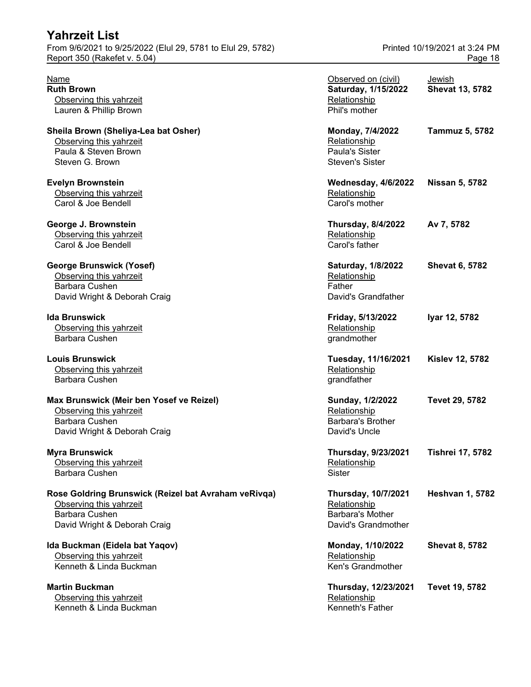#### **Max Brunswick (Meir ben Yosef ve Reizel)** Observing this yahrzeit Barbara Cushen David Wright & Deborah Craig

#### **Rose Goldring Brunswick (Reizel bat Avraham veRivqa) Thursday, 10/7/2021 Heshvan 1, 5782** Observing this yahrzeit Barbara Cushen David Wright & Deborah Craig

#### **Martin Buckman** Observing this yahrzeit Kenneth & Linda Buckman

Report 350 (Rakefet v. 5.04) **Page 18** 

| Name<br><b>Ruth Brown</b><br>Observing this yahrzeit<br>Lauren & Phillip Brown                                                    | Observed on (civil)<br>Saturday, 1/15/2022<br>Relationship<br>Phil's mother                  | Jewish<br><b>Shevat 13, 5782</b> |
|-----------------------------------------------------------------------------------------------------------------------------------|----------------------------------------------------------------------------------------------|----------------------------------|
| Sheila Brown (Sheliya-Lea bat Osher)<br>Observing this yahrzeit<br>Paula & Steven Brown<br>Steven G. Brown                        | Monday, 7/4/2022<br>Relationship<br>Paula's Sister<br><b>Steven's Sister</b>                 | <b>Tammuz 5, 5782</b>            |
| <b>Evelyn Brownstein</b><br>Observing this yahrzeit<br>Carol & Joe Bendell                                                        | <b>Wednesday, 4/6/2022</b><br>Relationship<br>Carol's mother                                 | <b>Nissan 5, 5782</b>            |
| George J. Brownstein<br>Observing this yahrzeit<br>Carol & Joe Bendell                                                            | <b>Thursday, 8/4/2022</b><br>Relationship<br>Carol's father                                  | Av 7, 5782                       |
| George Brunswick (Yosef)<br>Observing this yahrzeit<br><b>Barbara Cushen</b><br>David Wright & Deborah Craig                      | <b>Saturday, 1/8/2022</b><br>Relationship<br>Father<br>David's Grandfather                   | <b>Shevat 6, 5782</b>            |
| lda Brunswick<br>Observing this yahrzeit<br>Barbara Cushen                                                                        | Friday, 5/13/2022<br>Relationship<br>grandmother                                             | Iyar 12, 5782                    |
| <b>Louis Brunswick</b><br>Observing this yahrzeit<br>Barbara Cushen                                                               | Tuesday, 11/16/2021<br>Relationship<br>grandfather                                           | <b>Kislev 12, 5782</b>           |
| Max Brunswick (Meir ben Yosef ve Reizel)<br>Observing this yahrzeit<br><b>Barbara Cushen</b><br>David Wright & Deborah Craig      | Sunday, 1/2/2022<br>Relationship<br><b>Barbara's Brother</b><br>David's Uncle                | Tevet 29, 5782                   |
| Myra Brunswick<br>Observing this yahrzeit<br>Barbara Cushen                                                                       | Thursday, 9/23/2021<br><b>Relationship</b><br>Sister                                         | <b>Tishrei 17, 5782</b>          |
| Rose Goldring Brunswick (Reizel bat Avraham veRivqa)<br>Observing this yahrzeit<br>Barbara Cushen<br>David Wright & Deborah Craig | <b>Thursday, 10/7/2021</b><br>Relationship<br><b>Barbara's Mother</b><br>David's Grandmother | <b>Heshvan 1, 5782</b>           |
| Ida Buckman (Eidela bat Yaqov)<br>Observing this yahrzeit<br>Kenneth & Linda Buckman                                              | Monday, 1/10/2022<br>Relationship<br>Ken's Grandmother                                       | <b>Shevat 8, 5782</b>            |
| <b>Martin Buckman</b><br>Observing this yahrzeit<br>Kenneth & Linda Buckman                                                       | Thursday, 12/23/2021<br>Relationship<br>Kenneth's Father                                     | Tevet 19, 5782                   |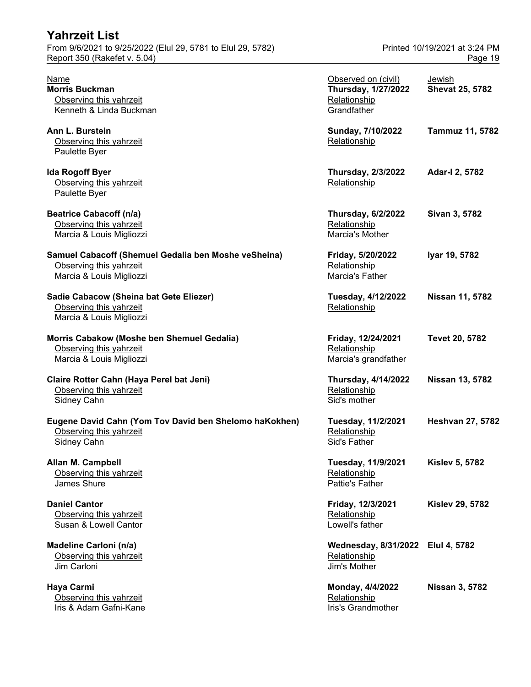| <b>Yahrzeit List</b>                                                                                        |                                                                                  |                                          |
|-------------------------------------------------------------------------------------------------------------|----------------------------------------------------------------------------------|------------------------------------------|
| From 9/6/2021 to 9/25/2022 (Elul 29, 5781 to Elul 29, 5782)<br>Report 350 (Rakefet v. 5.04)                 |                                                                                  | Printed 10/19/2021 at 3:24 PM<br>Page 19 |
| Name<br><b>Morris Buckman</b><br>Observing this yahrzeit<br>Kenneth & Linda Buckman                         | Observed on (civil)<br><b>Thursday, 1/27/2022</b><br>Relationship<br>Grandfather | Jewish<br><b>Shevat 25, 5782</b>         |
| Ann L. Burstein<br>Observing this yahrzeit<br>Paulette Byer                                                 | Sunday, 7/10/2022<br>Relationship                                                | Tammuz 11, 5782                          |
| <b>Ida Rogoff Byer</b><br>Observing this yahrzeit<br>Paulette Byer                                          | <b>Thursday, 2/3/2022</b><br>Relationship                                        | Adar-I 2, 5782                           |
| <b>Beatrice Cabacoff (n/a)</b><br>Observing this yahrzeit<br>Marcia & Louis Migliozzi                       | <b>Thursday, 6/2/2022</b><br>Relationship<br>Marcia's Mother                     | Sivan 3, 5782                            |
| Samuel Cabacoff (Shemuel Gedalia ben Moshe veSheina)<br>Observing this yahrzeit<br>Marcia & Louis Migliozzi | Friday, 5/20/2022<br>Relationship<br>Marcia's Father                             | Iyar 19, 5782                            |
| Sadie Cabacow (Sheina bat Gete Eliezer)<br>Observing this yahrzeit<br>Marcia & Louis Migliozzi              | Tuesday, 4/12/2022<br>Relationship                                               | Nissan 11, 5782                          |
| Morris Cabakow (Moshe ben Shemuel Gedalia)<br>Observing this yahrzeit<br>Marcia & Louis Migliozzi           | Friday, 12/24/2021<br>Relationship<br>Marcia's grandfather                       | Tevet 20, 5782                           |
| Claire Rotter Cahn (Haya Perel bat Jeni)<br>Observing this yahrzeit<br>Sidney Cahn                          | <b>Thursday, 4/14/2022</b><br>Relationship<br>Sid's mother                       | <b>Nissan 13, 5782</b>                   |
| Eugene David Cahn (Yom Tov David ben Shelomo haKokhen)<br>Observing this yahrzeit<br>Sidney Cahn            | Tuesday, 11/2/2021<br>Relationship<br>Sid's Father                               | <b>Heshvan 27, 5782</b>                  |
| Allan M. Campbell<br>Observing this yahrzeit<br>James Shure                                                 | Tuesday, 11/9/2021<br>Relationship<br>Pattie's Father                            | <b>Kislev 5, 5782</b>                    |
| <b>Daniel Cantor</b><br>Observing this yahrzeit<br>Susan & Lowell Cantor                                    | Friday, 12/3/2021<br>Relationship<br>Lowell's father                             | <b>Kislev 29, 5782</b>                   |
| Madeline Carloni (n/a)<br>Observing this yahrzeit<br>Jim Carloni                                            | Wednesday, 8/31/2022 Elul 4, 5782<br>Relationship<br>Jim's Mother                |                                          |
| Haya Carmi<br>Observing this yahrzeit<br>Iris & Adam Gafni-Kane                                             | Monday, 4/4/2022<br>Relationship<br>Iris's Grandmother                           | Nissan 3, 5782                           |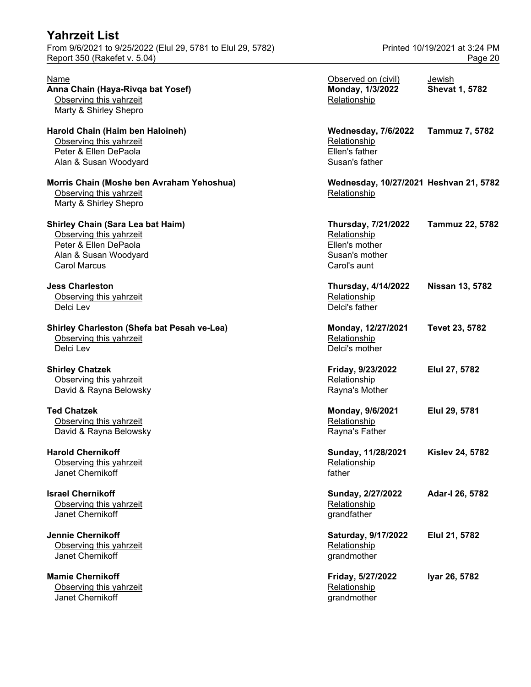**Mamie Chernikoff** Observing this yahrzeit Janet Chernikoff grandmother grandmother

| Name<br>Anna Chain (Haya-Rivqa bat Yosef)<br>Observing this yahrzeit<br>Marty & Shirley Shepro                                               | Observed on (civil)<br>Monday, 1/3/2022<br>Relationship                                        | Jewish<br><b>Shevat 1, 5782</b> |
|----------------------------------------------------------------------------------------------------------------------------------------------|------------------------------------------------------------------------------------------------|---------------------------------|
| Harold Chain (Haim ben Haloineh)<br>Observing this yahrzeit<br>Peter & Ellen DePaola<br>Alan & Susan Woodyard                                | <b>Wednesday, 7/6/2022</b><br>Relationship<br>Ellen's father<br>Susan's father                 | Tammuz 7, 5782                  |
| Morris Chain (Moshe ben Avraham Yehoshua)<br>Observing this yahrzeit<br>Marty & Shirley Shepro                                               | Wednesday, 10/27/2021 Heshvan 21, 5782<br>Relationship                                         |                                 |
| <b>Shirley Chain (Sara Lea bat Haim)</b><br>Observing this yahrzeit<br>Peter & Ellen DePaola<br>Alan & Susan Woodyard<br><b>Carol Marcus</b> | <b>Thursday, 7/21/2022</b><br>Relationship<br>Ellen's mother<br>Susan's mother<br>Carol's aunt | Tammuz 22, 5782                 |
| <b>Jess Charleston</b><br>Observing this yahrzeit<br>Delci Lev                                                                               | <b>Thursday, 4/14/2022</b><br>Relationship<br>Delci's father                                   | <b>Nissan 13, 5782</b>          |
| Shirley Charleston (Shefa bat Pesah ve-Lea)<br>Observing this yahrzeit<br>Delci Lev                                                          | Monday, 12/27/2021<br>Relationship<br>Delci's mother                                           | Tevet 23, 5782                  |
| <b>Shirley Chatzek</b><br>Observing this yahrzeit<br>David & Rayna Belowsky                                                                  | Friday, 9/23/2022<br>Relationship<br>Rayna's Mother                                            | Elul 27, 5782                   |
| <b>Ted Chatzek</b><br>Observing this yahrzeit<br>David & Rayna Belowsky                                                                      | Monday, 9/6/2021<br>Relationship<br>Rayna's Father                                             | Elul 29, 5781                   |
| <b>Harold Chernikoff</b><br>Observing this yahrzeit<br>Janet Chernikoff                                                                      | Sunday, 11/28/2021<br>Relationship<br>father                                                   | <b>Kislev 24, 5782</b>          |
| <b>Israel Chernikoff</b><br>Observing this yahrzeit<br>Janet Chernikoff                                                                      | Sunday, 2/27/2022<br>Relationship<br>grandfather                                               | Adar-I 26, 5782                 |
| <b>Jennie Chernikoff</b><br>Observing this yahrzeit<br>Janet Chernikoff                                                                      | Saturday, 9/17/2022<br>Relationship<br>grandmother                                             | Elul 21, 5782                   |
| <b>Mamie Chernikoff</b><br>Observing this yahrzeit<br>Janet Chernikoff                                                                       | Friday, 5/27/2022<br>Relationship<br>grandmother                                               | Iyar 26, 5782                   |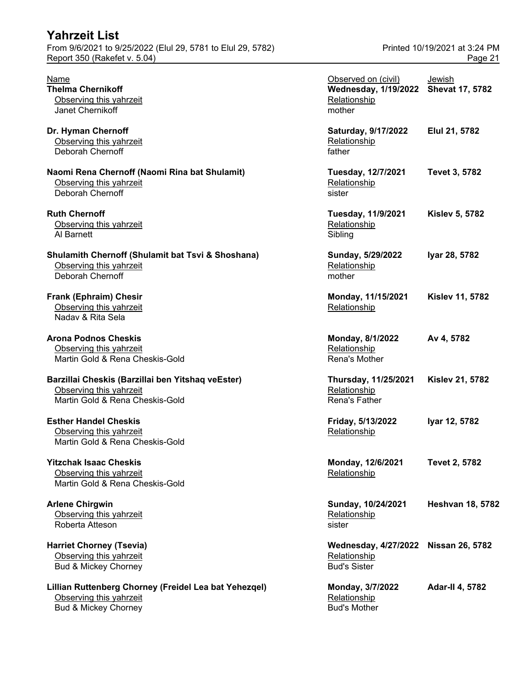| <b>Yahrzeit List</b><br>From 9/6/2021 to 9/25/2022 (Elul 29, 5781 to Elul 29, 5782)                                 |                                                                              | Printed 10/19/2021 at 3:24 PM           |
|---------------------------------------------------------------------------------------------------------------------|------------------------------------------------------------------------------|-----------------------------------------|
| Report 350 (Rakefet v. 5.04)                                                                                        |                                                                              | Page 21                                 |
| <b>Name</b><br><b>Thelma Chernikoff</b><br>Observing this yahrzeit<br>Janet Chernikoff                              | Observed on (civil)<br><b>Wednesday, 1/19/2022</b><br>Relationship<br>mother | <b>Jewish</b><br><b>Shevat 17, 5782</b> |
| Dr. Hyman Chernoff<br>Observing this yahrzeit<br><b>Deborah Chernoff</b>                                            | Saturday, 9/17/2022<br>Relationship<br>father                                | Elul 21, 5782                           |
| Naomi Rena Chernoff (Naomi Rina bat Shulamit)<br>Observing this yahrzeit<br>Deborah Chernoff                        | Tuesday, 12/7/2021<br>Relationship<br>sister                                 | <b>Tevet 3, 5782</b>                    |
| <b>Ruth Chernoff</b><br>Observing this yahrzeit<br>Al Barnett                                                       | Tuesday, 11/9/2021<br>Relationship<br>Sibling                                | <b>Kislev 5, 5782</b>                   |
| <b>Shulamith Chernoff (Shulamit bat Tsvi &amp; Shoshana)</b><br>Observing this yahrzeit<br>Deborah Chernoff         | Sunday, 5/29/2022<br>Relationship<br>mother                                  | Iyar 28, 5782                           |
| Frank (Ephraim) Chesir<br>Observing this yahrzeit<br>Naday & Rita Sela                                              | Monday, 11/15/2021<br>Relationship                                           | <b>Kislev 11, 5782</b>                  |
| <b>Arona Podnos Cheskis</b><br>Observing this yahrzeit<br>Martin Gold & Rena Cheskis-Gold                           | Monday, 8/1/2022<br>Relationship<br>Rena's Mother                            | Av 4, 5782                              |
| Barzillai Cheskis (Barzillai ben Yitshaq veEster)<br>Observing this yahrzeit<br>Martin Gold & Rena Cheskis-Gold     | Thursday, 11/25/2021<br>Relationship<br>Rena's Father                        | <b>Kislev 21, 5782</b>                  |
| <b>Esther Handel Cheskis</b><br>Observing this yahrzeit<br>Martin Gold & Rena Cheskis-Gold                          | Friday, 5/13/2022<br>Relationship                                            | Iyar 12, 5782                           |
| <b>Yitzchak Isaac Cheskis</b><br>Observing this yahrzeit<br>Martin Gold & Rena Cheskis-Gold                         | Monday, 12/6/2021<br>Relationship                                            | <b>Tevet 2, 5782</b>                    |
| <b>Arlene Chirgwin</b><br>Observing this yahrzeit<br>Roberta Atteson                                                | Sunday, 10/24/2021<br>Relationship<br>sister                                 | <b>Heshvan 18, 5782</b>                 |
| <b>Harriet Chorney (Tsevia)</b><br>Observing this yahrzeit<br><b>Bud &amp; Mickey Chorney</b>                       | <b>Wednesday, 4/27/2022</b><br>Relationship<br><b>Bud's Sister</b>           | <b>Nissan 26, 5782</b>                  |
| Lillian Ruttenberg Chorney (Freidel Lea bat Yehezqel)<br>Observing this yahrzeit<br><b>Bud &amp; Mickey Chorney</b> | Monday, 3/7/2022<br>Relationship<br><b>Bud's Mother</b>                      | <b>Adar-II 4, 5782</b>                  |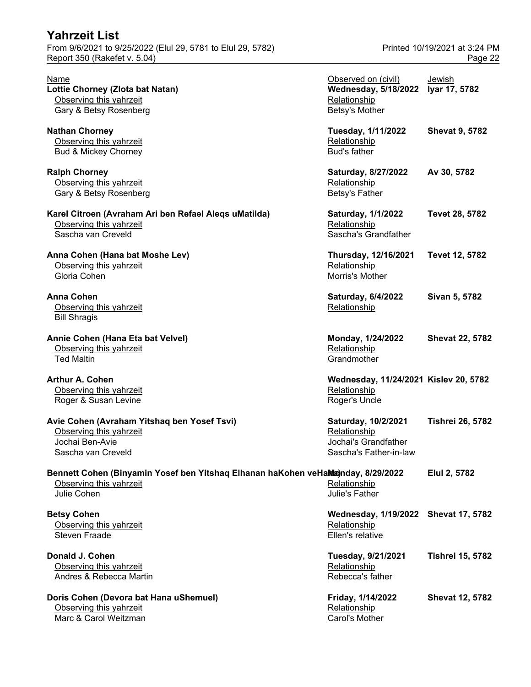| <b>Yahrzeit List</b>                                                                                                       |                                                                                       |                                          |
|----------------------------------------------------------------------------------------------------------------------------|---------------------------------------------------------------------------------------|------------------------------------------|
| From 9/6/2021 to 9/25/2022 (Elul 29, 5781 to Elul 29, 5782)<br>Report 350 (Rakefet v. 5.04)                                |                                                                                       | Printed 10/19/2021 at 3:24 PM<br>Page 22 |
| <b>Name</b><br>Lottie Chorney (Zlota bat Natan)<br>Observing this yahrzeit<br>Gary & Betsy Rosenberg                       | Observed on (civil)<br><b>Wednesday, 5/18/2022</b><br>Relationship<br>Betsy's Mother  | <b>Jewish</b><br>Iyar 17, 5782           |
| <b>Nathan Chorney</b><br>Observing this yahrzeit<br><b>Bud &amp; Mickey Chorney</b>                                        | Tuesday, 1/11/2022<br>Relationship<br><b>Bud's father</b>                             | <b>Shevat 9, 5782</b>                    |
| <b>Ralph Chorney</b><br>Observing this yahrzeit<br>Gary & Betsy Rosenberg                                                  | Saturday, 8/27/2022<br>Relationship<br>Betsy's Father                                 | Av 30, 5782                              |
| Karel Citroen (Avraham Ari ben Refael Aleqs uMatilda)<br>Observing this yahrzeit<br>Sascha van Creveld                     | Saturday, 1/1/2022<br>Relationship<br>Sascha's Grandfather                            | Tevet 28, 5782                           |
| Anna Cohen (Hana bat Moshe Lev)<br>Observing this yahrzeit<br>Gloria Cohen                                                 | Thursday, 12/16/2021<br>Relationship<br>Morris's Mother                               | Tevet 12, 5782                           |
| <b>Anna Cohen</b><br>Observing this yahrzeit<br><b>Bill Shragis</b>                                                        | Saturday, 6/4/2022<br>Relationship                                                    | Sivan 5, 5782                            |
| Annie Cohen (Hana Eta bat Velvel)<br>Observing this yahrzeit<br><b>Ted Maltin</b>                                          | Monday, 1/24/2022<br>Relationship<br>Grandmother                                      | <b>Shevat 22, 5782</b>                   |
| <b>Arthur A. Cohen</b><br>Observing this yahrzeit<br>Roger & Susan Levine                                                  | Wednesday, 11/24/2021 Kislev 20, 5782<br>Relationship<br>Roger's Uncle                |                                          |
| Avie Cohen (Avraham Yitshaq ben Yosef Tsvi)<br>Observing this yahrzeit<br>Jochai Ben-Avie<br>Sascha van Creveld            | Saturday, 10/2/2021<br>Relationship<br>Jochai's Grandfather<br>Sascha's Father-in-law | <b>Tishrei 26, 5782</b>                  |
| Bennett Cohen (Binyamin Yosef ben Yitshaq Elhanan haKohen veHaMa)nday, 8/29/2022<br>Observing this yahrzeit<br>Julie Cohen | Relationship<br>Julie's Father                                                        | Elul 2, 5782                             |
| <b>Betsy Cohen</b><br>Observing this yahrzeit<br><b>Steven Fraade</b>                                                      | Wednesday, 1/19/2022 Shevat 17, 5782<br>Relationship<br>Ellen's relative              |                                          |
| Donald J. Cohen<br>Observing this yahrzeit<br>Andres & Rebecca Martin                                                      | Tuesday, 9/21/2021<br>Relationship<br>Rebecca's father                                | <b>Tishrei 15, 5782</b>                  |
| Doris Cohen (Devora bat Hana uShemuel)<br>Observing this yahrzeit<br>Marc & Carol Weitzman                                 | Friday, 1/14/2022<br>Relationship<br>Carol's Mother                                   | <b>Shevat 12, 5782</b>                   |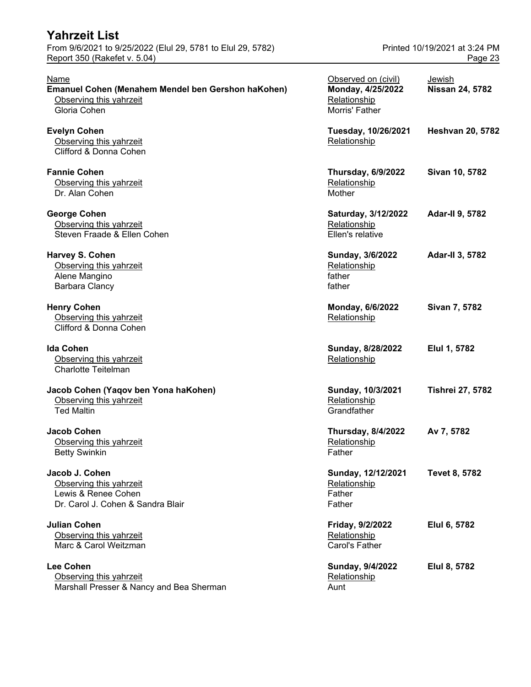| <b>Yahrzeit List</b>                                                                                         |                                                                            |                                          |
|--------------------------------------------------------------------------------------------------------------|----------------------------------------------------------------------------|------------------------------------------|
| From 9/6/2021 to 9/25/2022 (Elul 29, 5781 to Elul 29, 5782)<br>Report 350 (Rakefet v. 5.04)                  |                                                                            | Printed 10/19/2021 at 3:24 PM<br>Page 23 |
| <b>Name</b><br>Emanuel Cohen (Menahem Mendel ben Gershon haKohen)<br>Observing this yahrzeit<br>Gloria Cohen | Observed on (civil)<br>Monday, 4/25/2022<br>Relationship<br>Morris' Father | Jewish<br><b>Nissan 24, 5782</b>         |
| <b>Evelyn Cohen</b><br>Observing this yahrzeit<br>Clifford & Donna Cohen                                     | Tuesday, 10/26/2021<br>Relationship                                        | <b>Heshvan 20, 5782</b>                  |
| <b>Fannie Cohen</b><br>Observing this yahrzeit<br>Dr. Alan Cohen                                             | <b>Thursday, 6/9/2022</b><br>Relationship<br>Mother                        | Sivan 10, 5782                           |
| <b>George Cohen</b><br>Observing this yahrzeit<br>Steven Fraade & Ellen Cohen                                | Saturday, 3/12/2022<br>Relationship<br>Ellen's relative                    | <b>Adar-II 9, 5782</b>                   |
| Harvey S. Cohen<br>Observing this yahrzeit<br>Alene Mangino<br>Barbara Clancy                                | Sunday, 3/6/2022<br>Relationship<br>father<br>father                       | <b>Adar-II 3, 5782</b>                   |
| <b>Henry Cohen</b><br>Observing this yahrzeit<br>Clifford & Donna Cohen                                      | Monday, 6/6/2022<br>Relationship                                           | Sivan 7, 5782                            |
| <b>Ida Cohen</b><br>Observing this yahrzeit<br><b>Charlotte Teitelman</b>                                    | Sunday, 8/28/2022<br>Relationship                                          | Elul 1, 5782                             |
| Jacob Cohen (Yaqov ben Yona haKohen)<br>Observing this yahrzeit<br><b>Ted Maltin</b>                         | Sunday, 10/3/2021<br>Relationship<br>Grandfather                           | <b>Tishrei 27, 5782</b>                  |
| Jacob Cohen<br>Observing this yahrzeit<br><b>Betty Swinkin</b>                                               | <b>Thursday, 8/4/2022</b><br>Relationship<br>Father                        | Av 7, 5782                               |
| Jacob J. Cohen<br>Observing this yahrzeit<br>Lewis & Renee Cohen<br>Dr. Carol J. Cohen & Sandra Blair        | Sunday, 12/12/2021<br>Relationship<br>Father<br>Father                     | Tevet 8, 5782                            |
| <b>Julian Cohen</b><br>Observing this yahrzeit<br>Marc & Carol Weitzman                                      | Friday, 9/2/2022<br>Relationship<br>Carol's Father                         | Elul 6, 5782                             |
| <b>Lee Cohen</b><br>Observing this yahrzeit<br>Marshall Presser & Nancy and Bea Sherman                      | Sunday, 9/4/2022<br>Relationship<br>Aunt                                   | Elul 8, 5782                             |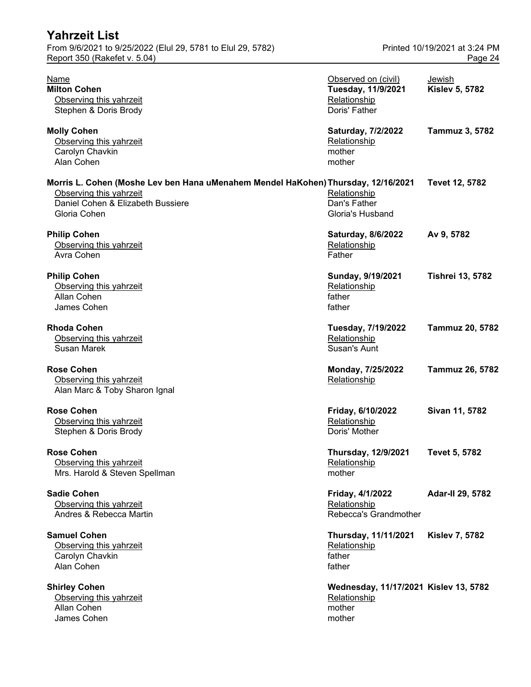| Yahrzeit List<br>From 9/6/2021 to 9/25/2022 (Elul 29, 5781 to Elul 29, 5782)                                                                                      |                                                                            | Printed 10/19/2021 at 3:24 PM   |
|-------------------------------------------------------------------------------------------------------------------------------------------------------------------|----------------------------------------------------------------------------|---------------------------------|
| Report 350 (Rakefet v. 5.04)                                                                                                                                      |                                                                            | Page 24                         |
| Name<br><b>Milton Cohen</b><br>Observing this yahrzeit<br>Stephen & Doris Brody                                                                                   | Observed on (civil)<br>Tuesday, 11/9/2021<br>Relationship<br>Doris' Father | Jewish<br><b>Kislev 5, 5782</b> |
| <b>Molly Cohen</b><br>Observing this yahrzeit<br>Carolyn Chavkin<br>Alan Cohen                                                                                    | Saturday, 7/2/2022<br>Relationship<br>mother<br>mother                     | Tammuz 3, 5782                  |
| Morris L. Cohen (Moshe Lev ben Hana uMenahem Mendel HaKohen) Thursday, 12/16/2021<br>Observing this yahrzeit<br>Daniel Cohen & Elizabeth Bussiere<br>Gloria Cohen | Relationship<br>Dan's Father<br>Gloria's Husband                           | Tevet 12, 5782                  |
| <b>Philip Cohen</b><br>Observing this yahrzeit<br>Avra Cohen                                                                                                      | Saturday, 8/6/2022<br>Relationship<br>Father                               | Av 9, 5782                      |
| <b>Philip Cohen</b><br>Observing this yahrzeit<br>Allan Cohen<br>James Cohen                                                                                      | Sunday, 9/19/2021<br>Relationship<br>father<br>father                      | <b>Tishrei 13, 5782</b>         |
| <b>Rhoda Cohen</b><br>Observing this yahrzeit<br>Susan Marek                                                                                                      | Tuesday, 7/19/2022<br>Relationship<br>Susan's Aunt                         | <b>Tammuz 20, 5782</b>          |
| <b>Rose Cohen</b><br>Observing this yahrzeit<br>Alan Marc & Toby Sharon Ignal                                                                                     | Monday, 7/25/2022<br>Relationship                                          | <b>Tammuz 26, 5782</b>          |
| <b>Rose Cohen</b><br>Observing this yahrzeit<br>Stephen & Doris Brody                                                                                             | Friday, 6/10/2022<br>Relationship<br>Doris' Mother                         | Sivan 11, 5782                  |
| <b>Rose Cohen</b><br>Observing this yahrzeit<br>Mrs. Harold & Steven Spellman                                                                                     | <b>Thursday, 12/9/2021</b><br>Relationship<br>mother                       | <b>Tevet 5, 5782</b>            |
| <b>Sadie Cohen</b><br>Observing this yahrzeit<br>Andres & Rebecca Martin                                                                                          | Friday, 4/1/2022<br>Relationship<br>Rebecca's Grandmother                  | Adar-II 29, 5782                |
| <b>Samuel Cohen</b><br>Observing this yahrzeit<br>Carolyn Chavkin<br>Alan Cohen                                                                                   | Thursday, 11/11/2021<br>Relationship<br>father<br>father                   | <b>Kislev 7, 5782</b>           |
| <b>Shirley Cohen</b><br>Observing this yahrzeit<br>Allan Cohen<br>James Cohen                                                                                     | Wednesday, 11/17/2021 Kislev 13, 5782<br>Relationship<br>mother<br>mother  |                                 |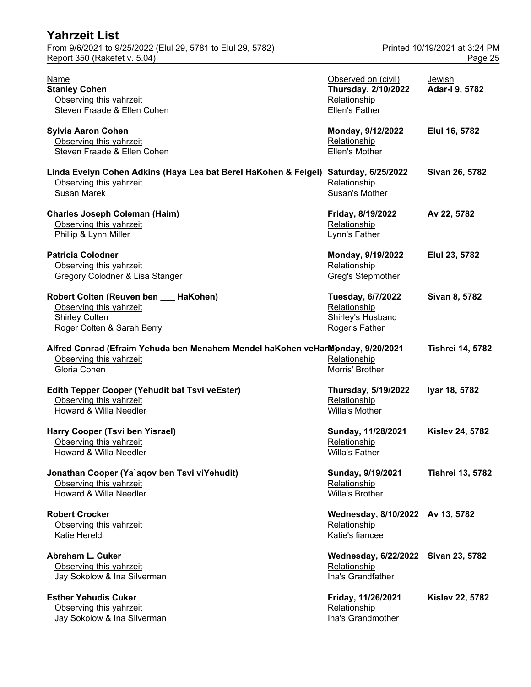| Tanrzen List<br>From 9/6/2021 to 9/25/2022 (Elul 29, 5781 to Elul 29, 5782)                                               |                                                                                     | Printed 10/19/2021 at 3:24 PM |
|---------------------------------------------------------------------------------------------------------------------------|-------------------------------------------------------------------------------------|-------------------------------|
| Report 350 (Rakefet v. 5.04)                                                                                              |                                                                                     | Page 25                       |
| Name<br><b>Stanley Cohen</b><br>Observing this yahrzeit<br>Steven Fraade & Ellen Cohen                                    | Observed on (civil)<br><b>Thursday, 2/10/2022</b><br>Relationship<br>Ellen's Father | Jewish<br>Adar-I 9, 5782      |
| <b>Sylvia Aaron Cohen</b><br>Observing this yahrzeit<br>Steven Fraade & Ellen Cohen                                       | Monday, 9/12/2022<br>Relationship<br>Ellen's Mother                                 | Elul 16, 5782                 |
| Linda Evelyn Cohen Adkins (Haya Lea bat Berel HaKohen & Feigel)<br>Observing this yahrzeit<br>Susan Marek                 | Saturday, 6/25/2022<br>Relationship<br>Susan's Mother                               | Sivan 26, 5782                |
| <b>Charles Joseph Coleman (Haim)</b><br>Observing this yahrzeit<br>Phillip & Lynn Miller                                  | Friday, 8/19/2022<br>Relationship<br>Lynn's Father                                  | Av 22, 5782                   |
| <b>Patricia Colodner</b><br>Observing this yahrzeit<br>Gregory Colodner & Lisa Stanger                                    | Monday, 9/19/2022<br>Relationship<br>Greg's Stepmother                              | Elul 23, 5782                 |
| Robert Colten (Reuven ben __ HaKohen)<br>Observing this yahrzeit<br><b>Shirley Colten</b><br>Roger Colten & Sarah Berry   | Tuesday, 6/7/2022<br>Relationship<br>Shirley's Husband<br>Roger's Father            | Sivan 8, 5782                 |
| Alfred Conrad (Efraim Yehuda ben Menahem Mendel haKohen veHandpnday, 9/20/2021<br>Observing this yahrzeit<br>Gloria Cohen | Relationship<br>Morris' Brother                                                     | <b>Tishrei 14, 5782</b>       |
| <b>Edith Tepper Cooper (Yehudit bat Tsvi veEster)</b><br>Observing this yahrzeit<br>Howard & Willa Needler                | <b>Thursday, 5/19/2022</b><br>Relationship<br>Willa's Mother                        | Iyar 18, 5782                 |
| <b>Harry Cooper (Tsvi ben Yisrael)</b><br>Observing this yahrzeit<br>Howard & Willa Needler                               | Sunday, 11/28/2021<br>Relationship<br><b>Willa's Father</b>                         | <b>Kislev 24, 5782</b>        |
| Jonathan Cooper (Ya`aqov ben Tsvi viYehudit)<br>Observing this yahrzeit<br>Howard & Willa Needler                         | Sunday, 9/19/2021<br>Relationship<br>Willa's Brother                                | <b>Tishrei 13, 5782</b>       |
| <b>Robert Crocker</b><br>Observing this vahrzeit                                                                          | Wednesday, 8/10/2022 Av 13, 5782<br>Relationship                                    |                               |

**Jonathan Cooper 13, 5782 Robert Crocker Wednesday, 8/10/2022 Av 13, 5782** Observing this yahrzeit Relationship Relationship **Katie Hereld** Katie's fiancee Abraham L. Cuker **Mateur Company, 2008** Wednesday, 6/22/2022 Sivan 23, 5782 Observing this yahrzeit Christian Christian Christian Christian Christian Christian Christian Christian Christian<br>
Christian Christian Christian Christian Christian Christian Christian Christian Christian Christian Christi Jay Sokolow & Ina Silverman Esther Yehudis Cuker **Friday, 11/26/2021** Kislev 22, 5782 Observing this yahrzeit **Relationship Relationship** Jay Sokolow & Ina Silverman **Inaby Sokolow & Ina**'s Grandmother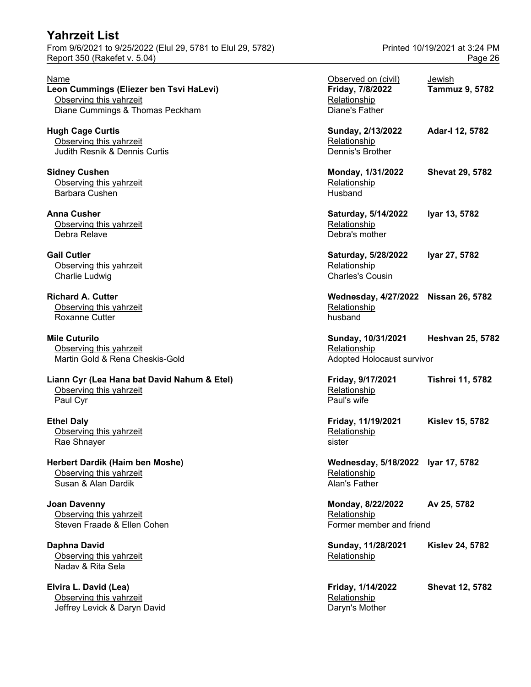From 9/6/2021 to 9/25/2022 (Elul 29, 5781 to Elul 29, 5782) Printed 10/19/2021 at 3:24 PM Report 350 (Rakefet v. 5.04) **Page 26** 

**Elvira L. David (Lea)** Observing this yahrzeit Jeffrey Levick & Daryn David Daryn Care and Daryn's Mother

| Name<br>Leon Cummings (Eliezer ben Tsvi HaLevi)<br>Observing this yahrzeit<br>Diane Cummings & Thomas Peckham | Observed on (civil)<br>Friday, 7/8/2022<br>Relationship<br>Diane's Father | Jewish<br><b>Tammuz 9, 5782</b> |
|---------------------------------------------------------------------------------------------------------------|---------------------------------------------------------------------------|---------------------------------|
| <b>Hugh Cage Curtis</b><br>Observing this yahrzeit<br>Judith Resnik & Dennis Curtis                           | Sunday, 2/13/2022<br>Relationship<br><b>Dennis's Brother</b>              | Adar-I 12, 5782                 |
| <b>Sidney Cushen</b><br>Observing this yahrzeit<br>Barbara Cushen                                             | Monday, 1/31/2022<br>Relationship<br>Husband                              | <b>Shevat 29, 5782</b>          |
| <b>Anna Cusher</b><br>Observing this yahrzeit<br>Debra Relave                                                 | Saturday, 5/14/2022<br>Relationship<br>Debra's mother                     | Iyar 13, 5782                   |
| <b>Gail Cutler</b><br>Observing this yahrzeit<br>Charlie Ludwig                                               | Saturday, 5/28/2022<br>Relationship<br><b>Charles's Cousin</b>            | Iyar 27, 5782                   |
| <b>Richard A. Cutter</b><br>Observing this yahrzeit<br><b>Roxanne Cutter</b>                                  | Wednesday, 4/27/2022 Nissan 26, 5782<br>Relationship<br>husband           |                                 |
| <b>Mile Cuturilo</b><br>Observing this yahrzeit<br>Martin Gold & Rena Cheskis-Gold                            | Sunday, 10/31/2021<br>Relationship<br>Adopted Holocaust survivor          | <b>Heshvan 25, 5782</b>         |
| Liann Cyr (Lea Hana bat David Nahum & Etel)<br>Observing this yahrzeit<br>Paul Cyr                            | Friday, 9/17/2021<br>Relationship<br>Paul's wife                          | <b>Tishrei 11, 5782</b>         |
| <b>Ethel Daly</b><br>Observing this yahrzeit<br>Rae Shnayer                                                   | Friday, 11/19/2021<br>Relationship<br>sister                              | <b>Kislev 15, 5782</b>          |
| Herbert Dardik (Haim ben Moshe)<br>Observing this yahrzeit<br>Susan & Alan Dardik                             | Wednesday, 5/18/2022 Iyar 17, 5782<br>Relationship<br>Alan's Father       |                                 |
| <b>Joan Davenny</b><br>Observing this yahrzeit<br>Steven Fraade & Ellen Cohen                                 | Monday, 8/22/2022<br>Relationship<br>Former member and friend             | Av 25, 5782                     |
| Daphna David<br>Observing this yahrzeit<br>Naday & Rita Sela                                                  | Sunday, 11/28/2021<br>Relationship                                        | <b>Kislev 24, 5782</b>          |
| Elvira L. David (Lea)<br>Observing this yahrzeit                                                              | Friday, 1/14/2022<br>Relationship                                         | <b>Shevat 12, 5782</b>          |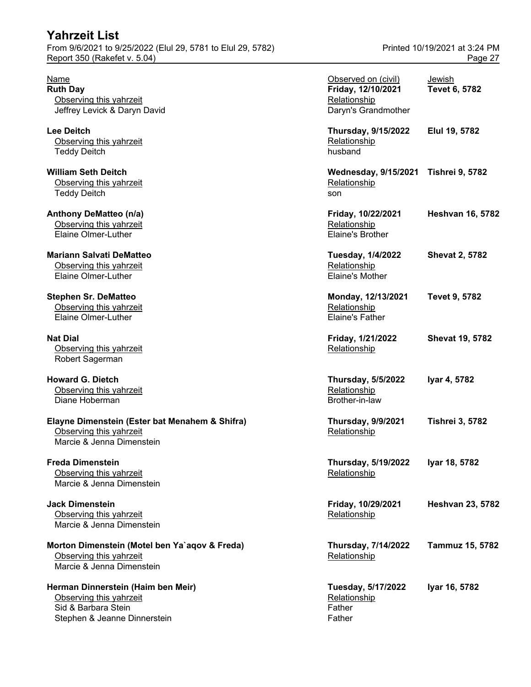From 9/6/2021 to 9/25/2022 (Elul 29, 5781 to Elul 29, 5782) Printed 10/19/2021 at 3:24 PM Report 350 (Rakefet v. 5.04) Page 27

| Name<br><b>Ruth Day</b><br>Observing this yahrzeit<br>Jeffrey Levick & Daryn David                                   | Observed on (civil)<br>Friday, 12/10/2021<br>Relationship<br>Daryn's Grandmother | Jewish<br><b>Tevet 6, 5782</b> |
|----------------------------------------------------------------------------------------------------------------------|----------------------------------------------------------------------------------|--------------------------------|
| <b>Lee Deitch</b><br>Observing this yahrzeit<br><b>Teddy Deitch</b>                                                  | <b>Thursday, 9/15/2022</b><br>Relationship<br>husband                            | Elul 19, 5782                  |
| <b>William Seth Deitch</b><br>Observing this yahrzeit<br><b>Teddy Deitch</b>                                         | <b>Wednesday, 9/15/2021</b><br>Relationship<br>son                               | <b>Tishrei 9, 5782</b>         |
| Anthony DeMatteo (n/a)<br>Observing this yahrzeit<br>Elaine Olmer-Luther                                             | Friday, 10/22/2021<br>Relationship<br>Elaine's Brother                           | <b>Heshvan 16, 5782</b>        |
| <b>Mariann Salvati DeMatteo</b><br>Observing this yahrzeit<br>Elaine Olmer-Luther                                    | Tuesday, 1/4/2022<br>Relationship<br><b>Elaine's Mother</b>                      | <b>Shevat 2, 5782</b>          |
| <b>Stephen Sr. DeMatteo</b><br>Observing this yahrzeit<br>Elaine Olmer-Luther                                        | Monday, 12/13/2021<br>Relationship<br><b>Elaine's Father</b>                     | <b>Tevet 9, 5782</b>           |
| <b>Nat Dial</b><br>Observing this yahrzeit<br>Robert Sagerman                                                        | Friday, 1/21/2022<br>Relationship                                                | <b>Shevat 19, 5782</b>         |
| <b>Howard G. Dietch</b><br>Observing this yahrzeit<br>Diane Hoberman                                                 | <b>Thursday, 5/5/2022</b><br>Relationship<br>Brother-in-law                      | Iyar 4, 5782                   |
| Elayne Dimenstein (Ester bat Menahem & Shifra)<br>Observing this yahrzeit<br>Marcie & Jenna Dimenstein               | <b>Thursday, 9/9/2021</b><br>Relationship                                        | <b>Tishrei 3, 5782</b>         |
| <b>Freda Dimenstein</b><br>Observing this yahrzeit<br>Marcie & Jenna Dimenstein                                      | <b>Thursday, 5/19/2022</b><br>Relationship                                       | Iyar 18, 5782                  |
| <b>Jack Dimenstein</b><br>Observing this yahrzeit<br>Marcie & Jenna Dimenstein                                       | Friday, 10/29/2021<br>Relationship                                               | <b>Heshvan 23, 5782</b>        |
| Morton Dimenstein (Motel ben Ya`aqov & Freda)<br>Observing this yahrzeit<br>Marcie & Jenna Dimenstein                | Thursday, 7/14/2022<br>Relationship                                              | Tammuz 15, 5782                |
| Herman Dinnerstein (Haim ben Meir)<br>Observing this yahrzeit<br>Sid & Barbara Stein<br>Stephen & Jeanne Dinnerstein | Tuesday, 5/17/2022<br>Relationship<br>Father<br>Father                           | Iyar 16, 5782                  |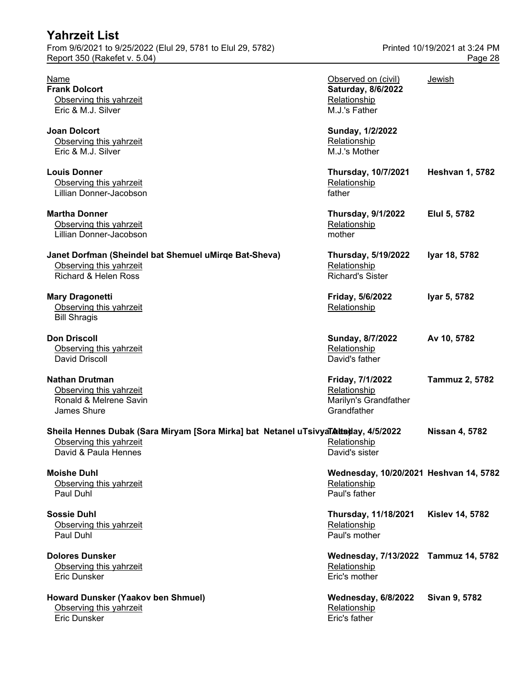| Yahrzeit List                                                                                                                          |                                                                            |                                          |
|----------------------------------------------------------------------------------------------------------------------------------------|----------------------------------------------------------------------------|------------------------------------------|
| From 9/6/2021 to 9/25/2022 (Elul 29, 5781 to Elul 29, 5782)<br>Report 350 (Rakefet v. 5.04)                                            |                                                                            | Printed 10/19/2021 at 3:24 PM<br>Page 28 |
| Name<br><b>Frank Dolcort</b><br>Observing this yahrzeit<br>Eric & M.J. Silver                                                          | Observed on (civil)<br>Saturday, 8/6/2022<br>Relationship<br>M.J.'s Father | Jewish                                   |
| <b>Joan Dolcort</b><br>Observing this yahrzeit<br>Eric & M.J. Silver                                                                   | Sunday, 1/2/2022<br>Relationship<br>M.J.'s Mother                          |                                          |
| <b>Louis Donner</b><br>Observing this yahrzeit<br>Lillian Donner-Jacobson                                                              | <b>Thursday, 10/7/2021</b><br>Relationship<br>father                       | <b>Heshvan 1, 5782</b>                   |
| <b>Martha Donner</b><br>Observing this yahrzeit<br>Lillian Donner-Jacobson                                                             | <b>Thursday, 9/1/2022</b><br>Relationship<br>mother                        | Elul 5, 5782                             |
| Janet Dorfman (Sheindel bat Shemuel uMirqe Bat-Sheva)<br>Observing this yahrzeit<br><b>Richard &amp; Helen Ross</b>                    | <b>Thursday, 5/19/2022</b><br>Relationship<br><b>Richard's Sister</b>      | Iyar 18, 5782                            |
| <b>Mary Dragonetti</b><br>Observing this yahrzeit<br><b>Bill Shragis</b>                                                               | Friday, 5/6/2022<br>Relationship                                           | Iyar 5, 5782                             |
| <b>Don Driscoll</b><br>Observing this yahrzeit<br>David Driscoll                                                                       | Sunday, 8/7/2022<br>Relationship<br>David's father                         | Av 10, 5782                              |
| <b>Nathan Drutman</b><br>Observing this yahrzeit<br>Ronald & Melrene Savin<br>James Shure                                              | Friday, 7/1/2022<br>Relationship<br>Marilyn's Grandfather<br>Grandfather   | <b>Tammuz 2, 5782</b>                    |
| Sheila Hennes Dubak (Sara Miryam [Sora Mirka] bat Netanel uTsivyaTA tagay, 4/5/2022<br>Observing this yahrzeit<br>David & Paula Hennes | Relationship<br>David's sister                                             | <b>Nissan 4, 5782</b>                    |
| <b>Moishe Duhl</b><br>Observing this yahrzeit<br>Paul Duhl                                                                             | Wednesday, 10/20/2021 Heshvan 14, 5782<br>Relationship<br>Paul's father    |                                          |
| <b>Sossie Duhl</b><br>Observing this yahrzeit<br>Paul Duhl                                                                             | Thursday, 11/18/2021<br>Relationship<br>Paul's mother                      | <b>Kislev 14, 5782</b>                   |
| <b>Dolores Dunsker</b><br>Observing this yahrzeit<br>Eric Dunsker                                                                      | Wednesday, 7/13/2022 Tammuz 14, 5782<br>Relationship<br>Eric's mother      |                                          |
| Howard Dunsker (Yaakov ben Shmuel)<br>Observing this yahrzeit<br>Eric Dunsker                                                          | Wednesday, 6/8/2022<br>Relationship<br>Eric's father                       | Sivan 9, 5782                            |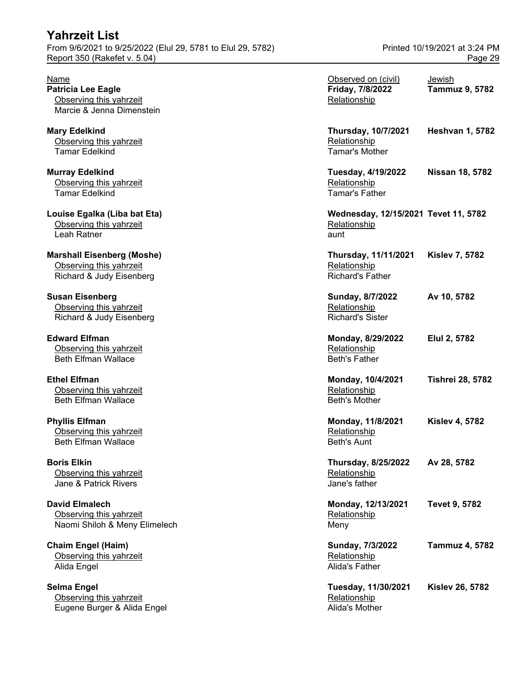| Yahrzeit List                                                                               |                                      |                                          |
|---------------------------------------------------------------------------------------------|--------------------------------------|------------------------------------------|
| From 9/6/2021 to 9/25/2022 (Elul 29, 5781 to Elul 29, 5782)<br>Report 350 (Rakefet v. 5.04) |                                      | Printed 10/19/2021 at 3:24 PM<br>Page 29 |
|                                                                                             |                                      |                                          |
| Name                                                                                        | Observed on (civil)                  | Jewish                                   |
| <b>Patricia Lee Eagle</b>                                                                   | Friday, 7/8/2022                     | <b>Tammuz 9, 5782</b>                    |
| Observing this yahrzeit                                                                     | Relationship                         |                                          |
| Marcie & Jenna Dimenstein                                                                   |                                      |                                          |
| <b>Mary Edelkind</b>                                                                        | <b>Thursday, 10/7/2021</b>           | <b>Heshvan 1, 5782</b>                   |
| Observing this yahrzeit                                                                     | Relationship                         |                                          |
| <b>Tamar Edelkind</b>                                                                       | <b>Tamar's Mother</b>                |                                          |
| <b>Murray Edelkind</b>                                                                      | Tuesday, 4/19/2022                   | <b>Nissan 18, 5782</b>                   |
| Observing this yahrzeit                                                                     | Relationship                         |                                          |
| <b>Tamar Edelkind</b>                                                                       | <b>Tamar's Father</b>                |                                          |
| Louise Egalka (Liba bat Eta)                                                                | Wednesday, 12/15/2021 Tevet 11, 5782 |                                          |
| Observing this yahrzeit                                                                     | Relationship                         |                                          |
| Leah Ratner                                                                                 | aunt                                 |                                          |
| <b>Marshall Eisenberg (Moshe)</b>                                                           | Thursday, 11/11/2021                 | <b>Kislev 7, 5782</b>                    |
| Observing this yahrzeit                                                                     | Relationship                         |                                          |
| Richard & Judy Eisenberg                                                                    | <b>Richard's Father</b>              |                                          |
| <b>Susan Eisenberg</b>                                                                      | Sunday, 8/7/2022                     | Av 10, 5782                              |
| Observing this yahrzeit                                                                     | Relationship                         |                                          |
| Richard & Judy Eisenberg                                                                    | <b>Richard's Sister</b>              |                                          |
| <b>Edward Elfman</b>                                                                        | Monday, 8/29/2022                    | Elul 2, 5782                             |
| Observing this yahrzeit                                                                     | Relationship                         |                                          |
| <b>Beth Elfman Wallace</b>                                                                  | <b>Beth's Father</b>                 |                                          |
| <b>Ethel Elfman</b>                                                                         | Monday, 10/4/2021                    | <b>Tishrei 28, 5782</b>                  |
| Observing this yahrzeit                                                                     | Relationship                         |                                          |
| <b>Beth Elfman Wallace</b>                                                                  | <b>Beth's Mother</b>                 |                                          |
| <b>Phyllis Elfman</b>                                                                       | Monday, 11/8/2021                    | <b>Kislev 4, 5782</b>                    |
| Observing this yahrzeit                                                                     | Relationship                         |                                          |
| <b>Beth Elfman Wallace</b>                                                                  | <b>Beth's Aunt</b>                   |                                          |
| <b>Boris Elkin</b>                                                                          | <b>Thursday, 8/25/2022</b>           | Av 28, 5782                              |
| Observing this yahrzeit                                                                     | Relationship                         |                                          |
| Jane & Patrick Rivers                                                                       | Jane's father                        |                                          |
| <b>David Elmalech</b>                                                                       | Monday, 12/13/2021                   | <b>Tevet 9, 5782</b>                     |
| Observing this yahrzeit                                                                     | Relationship                         |                                          |
| Naomi Shiloh & Meny Elimelech                                                               | Meny                                 |                                          |

**Chaim Engel (Haim)**<br>
Chaim Engel (Haim)<br>
Observing this yahrzeit<br>
Sunday, 7/3/2022 Tammuz 4, 5782 Observing this yahrzeit Alida Engel **Alida's Father** 

**Selma Engel Selma Engel Selma Engel Selma Engel Selma Engel Selma Engel Selma Engel Selma Engel Selma Engel Se<br>Relationship Selma Albert Selma Albert Selma Albert Selma Albert Selma Albert Selma Albert Selma Albert Selma** Observing this yahrzeit Eugene Burger & Alida Engel Alida's Mother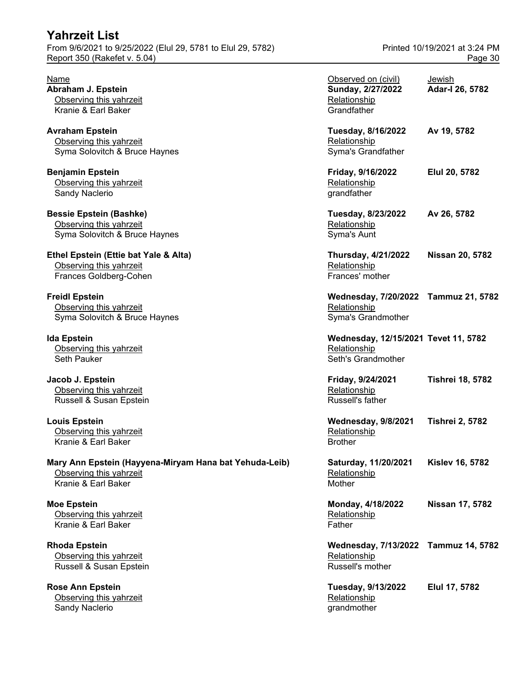| <b>Yahrzeit List</b>                                        |                               |
|-------------------------------------------------------------|-------------------------------|
| From 9/6/2021 to 9/25/2022 (Elul 29, 5781 to Elul 29, 5782) | Printed 10/19/2021 at 3:24 PM |
| Report 350 (Rakefet v. 5.04)                                | Page 30                       |

**Rose Ann Epstein** Observing this yahrzeit Sandy Naclerio **Grandmother** grandmother

| Name<br>Abraham J. Epstein<br>Observing this yahrzeit<br>Kranie & Earl Baker                             | Observed on (civil)<br>Sunday, 2/27/2022<br>Relationship<br>Grandfather    | Jewish<br>Adar-I 26, 5782 |
|----------------------------------------------------------------------------------------------------------|----------------------------------------------------------------------------|---------------------------|
| Avraham Epstein<br>Observing this yahrzeit<br>Syma Solovitch & Bruce Haynes                              | Tuesday, 8/16/2022<br>Relationship<br>Syma's Grandfather                   | Av 19, 5782               |
| <b>Benjamin Epstein</b><br>Observing this yahrzeit<br>Sandy Naclerio                                     | Friday, 9/16/2022<br>Relationship<br>grandfather                           | Elul 20, 5782             |
| <b>Bessie Epstein (Bashke)</b><br>Observing this yahrzeit<br>Syma Solovitch & Bruce Haynes               | Tuesday, 8/23/2022<br>Relationship<br>Syma's Aunt                          | Av 26, 5782               |
| Ethel Epstein (Ettie bat Yale & Alta)<br>Observing this yahrzeit<br>Frances Goldberg-Cohen               | <b>Thursday, 4/21/2022</b><br>Relationship<br>Frances' mother              | <b>Nissan 20, 5782</b>    |
| <b>Freidl Epstein</b><br>Observing this yahrzeit<br>Syma Solovitch & Bruce Haynes                        | Wednesday, 7/20/2022 Tammuz 21, 5782<br>Relationship<br>Syma's Grandmother |                           |
| lda Epstein<br>Observing this yahrzeit<br>Seth Pauker                                                    | Wednesday, 12/15/2021 Tevet 11, 5782<br>Relationship<br>Seth's Grandmother |                           |
| Jacob J. Epstein<br>Observing this yahrzeit<br>Russell & Susan Epstein                                   | Friday, 9/24/2021<br>Relationship<br>Russell's father                      | <b>Tishrei 18, 5782</b>   |
| <b>Louis Epstein</b><br>Observing this yahrzeit<br>Kranie & Earl Baker                                   | Wednesday, 9/8/2021<br>Relationship<br><b>Brother</b>                      | <b>Tishrei 2, 5782</b>    |
| Mary Ann Epstein (Hayyena-Miryam Hana bat Yehuda-Leib)<br>Observing this yahrzeit<br>Kranie & Earl Baker | Saturday, 11/20/2021<br>Relationship<br>Mother                             | <b>Kislev 16, 5782</b>    |
| <b>Moe Epstein</b><br>Observing this yahrzeit<br>Kranie & Earl Baker                                     | Monday, 4/18/2022<br>Relationship<br>Father                                | Nissan 17, 5782           |
| <b>Rhoda Epstein</b><br>Observing this yahrzeit<br>Russell & Susan Epstein                               | Wednesday, 7/13/2022 Tammuz 14, 5782<br>Relationship<br>Russell's mother   |                           |
| Rose Ann Epstein<br>Observing this yahrzeit                                                              | Tuesday, 9/13/2022<br>Relationship                                         | Elul 17, 5782             |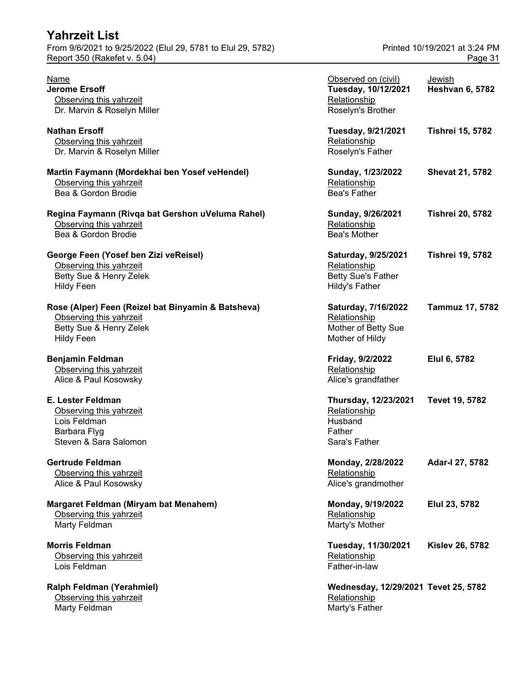| <b>Yahrzeit List</b>                                        |                     |                               |
|-------------------------------------------------------------|---------------------|-------------------------------|
| From 9/6/2021 to 9/25/2022 (Elul 29, 5781 to Elul 29, 5782) |                     | Printed 10/19/2021 at 3:24 PM |
| Report 350 (Rakefet v. 5.04)                                |                     | Page 31                       |
| <u>Name</u>                                                 | Observed on (civil) | Jewish                        |
| Jerome Ersoff                                               | Tuesday, 10/12/2021 | <b>Heshvan 6, 5782</b>        |
| Ohonation this work                                         | Deletianabin        |                               |

**Ralph Feldman (Yerahmiel)** Observing this yahrzeit **Relationship Containst Relationship Relationship** Marty Feldman Marty's Father

| Name                                               | Observed on (civil)                  | Jewish                  |
|----------------------------------------------------|--------------------------------------|-------------------------|
| <b>Jerome Ersoff</b>                               | Tuesday, 10/12/2021                  | <b>Heshvan 6, 5782</b>  |
| Observing this yahrzeit                            | Relationship                         |                         |
| Dr. Marvin & Roselyn Miller                        | Roselyn's Brother                    |                         |
| Nathan Ersoff                                      | Tuesday, 9/21/2021                   | <b>Tishrei 15, 5782</b> |
| Observing this yahrzeit                            | Relationship                         |                         |
| Dr. Marvin & Roselyn Miller                        | Roselyn's Father                     |                         |
|                                                    |                                      |                         |
| Martin Faymann (Mordekhai ben Yosef veHendel)      | Sunday, 1/23/2022                    | <b>Shevat 21, 5782</b>  |
| Observing this yahrzeit                            | Relationship                         |                         |
| Bea & Gordon Brodie                                | <b>Bea's Father</b>                  |                         |
| Regina Faymann (Rivqa bat Gershon uVeluma Rahel)   | Sunday, 9/26/2021                    | <b>Tishrei 20, 5782</b> |
| Observing this yahrzeit                            | Relationship                         |                         |
| Bea & Gordon Brodie                                | Bea's Mother                         |                         |
|                                                    |                                      |                         |
| George Feen (Yosef ben Zizi veReisel)              | Saturday, 9/25/2021                  | <b>Tishrei 19, 5782</b> |
| Observing this yahrzeit                            | Relationship                         |                         |
| Betty Sue & Henry Zelek                            | <b>Betty Sue's Father</b>            |                         |
| <b>Hildy Feen</b>                                  | <b>Hildy's Father</b>                |                         |
|                                                    |                                      |                         |
| Rose (Alper) Feen (Reizel bat Binyamin & Batsheva) | Saturday, 7/16/2022                  | <b>Tammuz 17, 578</b>   |
| Observing this yahrzeit                            | Relationship                         |                         |
| Betty Sue & Henry Zelek                            | Mother of Betty Sue                  |                         |
| <b>Hildy Feen</b>                                  | Mother of Hildy                      |                         |
|                                                    |                                      |                         |
| Benjamin Feldman                                   | Friday, 9/2/2022                     | Elul 6, 5782            |
| Observing this yahrzeit                            | Relationship                         |                         |
| Alice & Paul Kosowsky                              | Alice's grandfather                  |                         |
| E. Lester Feldman                                  |                                      |                         |
|                                                    | Thursday, 12/23/2021                 | Tevet 19, 5782          |
| Observing this yahrzeit                            | Relationship                         |                         |
| Lois Feldman                                       | Husband                              |                         |
| Barbara Flyg                                       | Father                               |                         |
| Steven & Sara Salomon                              | Sara's Father                        |                         |
| Gertrude Feldman                                   | Monday, 2/28/2022                    | Adar-I 27, 5782         |
| Observing this yahrzeit                            | Relationship                         |                         |
| Alice & Paul Kosowsky                              | Alice's grandmother                  |                         |
|                                                    |                                      |                         |
| Margaret Feldman (Miryam bat Menahem)              | Monday, 9/19/2022                    | Elul 23, 5782           |
| Observing this yahrzeit                            | Relationship                         |                         |
| Marty Feldman                                      | Marty's Mother                       |                         |
|                                                    |                                      |                         |
| <b>Morris Feldman</b>                              | Tuesday, 11/30/2021                  | <b>Kislev 26, 5782</b>  |
| Observing this yahrzeit                            | Relationship                         |                         |
| Lois Feldman                                       | Father-in-law                        |                         |
|                                                    |                                      |                         |
| Ralph Feldman (Yerahmiel)                          | Wednesday, 12/29/2021 Tevet 25, 5782 |                         |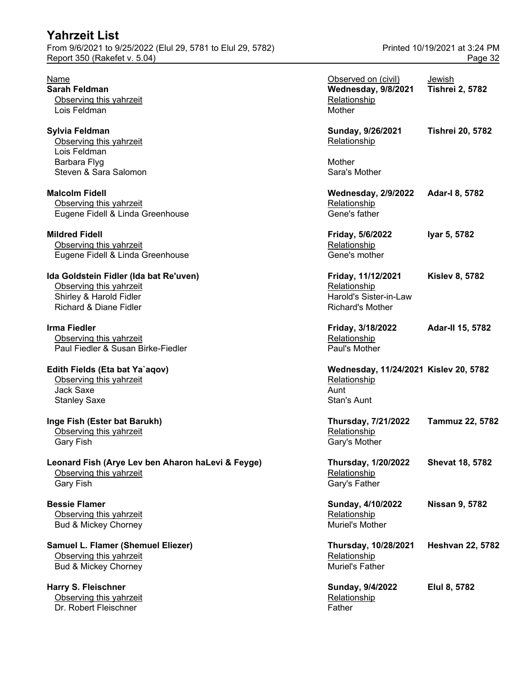#### **Mildred Fidell**

#### **Edith Fields (Eta bat Ya`aqov)**

**Harry S. Fleischner** Observing this yahrzeit Dr. Robert Fleischner Father Father Father Father

| Name<br>Sarah Feldman<br>Observing this yahrzeit<br>Lois Feldman                                                                  | Observed on (civil)<br>Wednesday, 9/8/2021<br>Relationship<br>Mother                    | Jewish<br><b>Tishrei 2, 5782</b> |
|-----------------------------------------------------------------------------------------------------------------------------------|-----------------------------------------------------------------------------------------|----------------------------------|
| Sylvia Feldman<br>Observing this yahrzeit                                                                                         | Sunday, 9/26/2021<br>Relationship                                                       | <b>Tishrei 20, 5782</b>          |
| Lois Feldman<br>Barbara Flyg<br>Steven & Sara Salomon                                                                             | Mother<br>Sara's Mother                                                                 |                                  |
| <b>Malcolm Fidell</b><br>Observing this yahrzeit<br>Eugene Fidell & Linda Greenhouse                                              | <b>Wednesday, 2/9/2022</b><br>Relationship<br>Gene's father                             | Adar-I 8, 5782                   |
| <b>Mildred Fidell</b><br>Observing this yahrzeit<br>Eugene Fidell & Linda Greenhouse                                              | Friday, 5/6/2022<br>Relationship<br>Gene's mother                                       | lyar 5, 5782                     |
| Ida Goldstein Fidler (Ida bat Re'uven)<br>Observing this yahrzeit<br>Shirley & Harold Fidler<br><b>Richard &amp; Diane Fidler</b> | Friday, 11/12/2021<br>Relationship<br>Harold's Sister-in-Law<br><b>Richard's Mother</b> | <b>Kislev 8, 5782</b>            |
| Irma Fiedler<br>Observing this yahrzeit<br>Paul Fiedler & Susan Birke-Fiedler                                                     | Friday, 3/18/2022<br>Relationship<br>Paul's Mother                                      | Adar-II 15, 5782                 |
| Edith Fields (Eta bat Ya`aqov)<br>Observing this yahrzeit<br><b>Jack Saxe</b><br><b>Stanley Saxe</b>                              | Wednesday, 11/24/2021 Kislev 20, 5782<br>Relationship<br>Aunt<br>Stan's Aunt            |                                  |
| Inge Fish (Ester bat Barukh)<br>Observing this yahrzeit<br><b>Gary Fish</b>                                                       | <b>Thursday, 7/21/2022</b><br>Relationship<br>Gary's Mother                             | <b>Tammuz 22, 5782</b>           |
| Leonard Fish (Arye Lev ben Aharon haLevi & Feyge)<br>Observing this yahrzeit<br>Gary Fish                                         | <b>Thursday, 1/20/2022</b><br>Relationship<br>Gary's Father                             | <b>Shevat 18, 5782</b>           |
| <b>Bessie Flamer</b><br>Observing this yahrzeit<br>Bud & Mickey Chorney                                                           | Sunday, 4/10/2022<br>Relationship<br>Muriel's Mother                                    | <b>Nissan 9, 5782</b>            |
| Samuel L. Flamer (Shemuel Eliezer)<br>Observing this yahrzeit<br><b>Bud &amp; Mickey Chorney</b>                                  | Thursday, 10/28/2021<br>Relationship<br>Muriel's Father                                 | <b>Heshvan 22, 5782</b>          |
| Harry S. Fleischner<br>Observing this yahrzeit                                                                                    | Sunday, 9/4/2022<br>Relationship                                                        | Elul 8, 5782                     |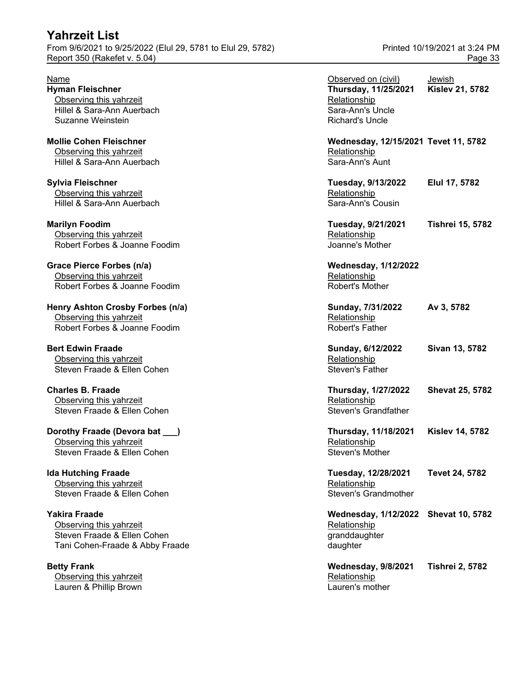**Betty Frank** Observing this yahrzeit Lauren & Phillip Brown Lauren's mother

| Name                                                     | Observed on (civil)                  | Jewish                  |
|----------------------------------------------------------|--------------------------------------|-------------------------|
| <b>Hyman Fleischner</b><br>Observing this yahrzeit       | Thursday, 11/25/2021<br>Relationship | <b>Kislev 21, 5782</b>  |
| Hillel & Sara-Ann Auerbach                               | Sara-Ann's Uncle                     |                         |
| Suzanne Weinstein                                        | <b>Richard's Uncle</b>               |                         |
| <b>Mollie Cohen Fleischner</b>                           | Wednesday, 12/15/2021 Tevet 11, 5782 |                         |
| Observing this yahrzeit                                  | Relationship                         |                         |
| Hillel & Sara-Ann Auerbach                               | Sara-Ann's Aunt                      |                         |
| Sylvia Fleischner                                        | <b>Tuesday, 9/13/2022</b>            | Elul 17, 5782           |
| Observing this yahrzeit                                  | Relationship                         |                         |
| Hillel & Sara-Ann Auerbach                               | Sara-Ann's Cousin                    |                         |
| <b>Marilyn Foodim</b>                                    | Tuesday, 9/21/2021                   | <b>Tishrei 15, 5782</b> |
| Observing this yahrzeit<br>Robert Forbes & Joanne Foodim | Relationship<br>Joanne's Mother      |                         |
|                                                          |                                      |                         |
| Grace Pierce Forbes (n/a)                                | <b>Wednesday, 1/12/2022</b>          |                         |
| Observing this yahrzeit                                  | Relationship                         |                         |
| Robert Forbes & Joanne Foodim                            | Robert's Mother                      |                         |
| Henry Ashton Crosby Forbes (n/a)                         | Sunday, 7/31/2022                    | Av 3, 5782              |
| Observing this yahrzeit                                  | Relationship                         |                         |
| Robert Forbes & Joanne Foodim                            | <b>Robert's Father</b>               |                         |
| <b>Bert Edwin Fraade</b>                                 | Sunday, 6/12/2022                    | Sivan 13, 5782          |
| Observing this yahrzeit                                  | Relationship                         |                         |
| Steven Fraade & Ellen Cohen                              | <b>Steven's Father</b>               |                         |
| <b>Charles B. Fraade</b>                                 | <b>Thursday, 1/27/2022</b>           | <b>Shevat 25, 5782</b>  |
| Observing this yahrzeit                                  | Relationship                         |                         |
| Steven Fraade & Ellen Cohen                              | <b>Steven's Grandfather</b>          |                         |
| Dorothy Fraade (Devora bat __)                           | Thursday, 11/18/2021                 | <b>Kislev 14, 5782</b>  |
| Observing this yahrzeit                                  | Relationship                         |                         |
| Steven Fraade & Ellen Cohen                              | Steven's Mother                      |                         |
| <b>Ida Hutching Fraade</b>                               | Tuesday, 12/28/2021                  | Tevet 24, 5782          |
| Observing this yahrzeit                                  | Relationship                         |                         |
| Steven Fraade & Ellen Cohen                              | <b>Steven's Grandmother</b>          |                         |
| Yakira Fraade                                            | Wednesday, 1/12/2022 Shevat 10, 5782 |                         |
| Observing this yahrzeit                                  | Relationship                         |                         |
| Steven Fraade & Ellen Cohen                              | granddaughter                        |                         |
| Tani Cohen-Fraade & Abby Fraade                          | daughter                             |                         |
| <b>Betty Frank</b>                                       | Wednesday, 9/8/2021                  | <b>Tishrei 2, 5782</b>  |
| Observing this yahrzeit                                  | Relationship                         |                         |
|                                                          |                                      |                         |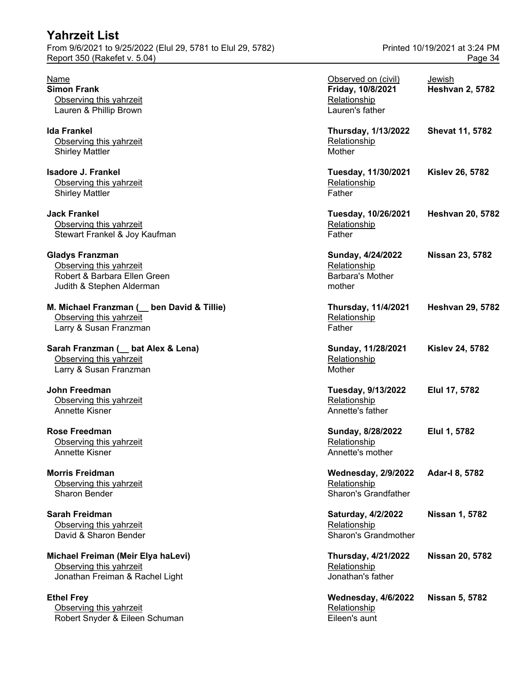| <b>Yahrzeit List</b>                                        |                               |
|-------------------------------------------------------------|-------------------------------|
| From 9/6/2021 to 9/25/2022 (Elul 29, 5781 to Elul 29, 5782) | Printed 10/19/2021 at 3:24 PM |
| Report 350 (Rakefet v. 5.04)                                | Page 34                       |

| M. Michael Franzman (<br>ben David & Tillie) | Thursday, 1  |
|----------------------------------------------|--------------|
| Observing this vahrzeit                      | Relationship |
| Larry & Susan Franzman                       | Father       |

Observing this yahrzeit **Relationship Relationship** Robert Snyder & Eileen Schuman Eileen's aunt

| Name<br><b>Simon Frank</b><br>Observing this yahrzeit<br>Lauren & Phillip Brown                                | Observed on (civil)<br>Friday, 10/8/2021<br>Relationship<br>Lauren's father | Jewish<br><b>Heshvan 2, 5782</b> |
|----------------------------------------------------------------------------------------------------------------|-----------------------------------------------------------------------------|----------------------------------|
| lda Frankel<br>Observing this yahrzeit<br><b>Shirley Mattler</b>                                               | <b>Thursday, 1/13/2022</b><br>Relationship<br>Mother                        | <b>Shevat 11, 5782</b>           |
| Isadore J. Frankel<br>Observing this yahrzeit<br><b>Shirley Mattler</b>                                        | Tuesday, 11/30/2021<br>Relationship<br>Father                               | <b>Kislev 26, 5782</b>           |
| Jack Frankel<br>Observing this yahrzeit<br>Stewart Frankel & Joy Kaufman                                       | Tuesday, 10/26/2021<br>Relationship<br>Father                               | <b>Heshvan 20, 5782</b>          |
| <b>Gladys Franzman</b><br>Observing this yahrzeit<br>Robert & Barbara Ellen Green<br>Judith & Stephen Alderman | Sunday, 4/24/2022<br>Relationship<br><b>Barbara's Mother</b><br>mother      | Nissan 23, 5782                  |
| M. Michael Franzman ( _ ben David & Tillie)<br>Observing this yahrzeit<br>Larry & Susan Franzman               | <b>Thursday, 11/4/2021</b><br>Relationship<br>Father                        | <b>Heshvan 29, 5782</b>          |
| Sarah Franzman ( _ bat Alex & Lena)<br>Observing this yahrzeit<br>Larry & Susan Franzman                       | Sunday, 11/28/2021<br>Relationship<br>Mother                                | <b>Kislev 24, 5782</b>           |
| John Freedman<br>Observing this yahrzeit<br>Annette Kisner                                                     | Tuesday, 9/13/2022<br>Relationship<br>Annette's father                      | Elul 17, 5782                    |
| Rose Freedman<br>Observing this yahrzeit<br>Annette Kisner                                                     | Sunday, 8/28/2022<br>Relationship<br>Annette's mother                       | Elul 1, 5782                     |
| <b>Morris Freidman</b><br>Observing this yahrzeit<br>Sharon Bender                                             | <b>Wednesday, 2/9/2022</b><br>Relationship<br>Sharon's Grandfather          | Adar-I 8, 5782                   |
| Sarah Freidman<br>Observing this yahrzeit<br>David & Sharon Bender                                             | <b>Saturday, 4/2/2022</b><br>Relationship<br>Sharon's Grandmother           | Nissan 1, 5782                   |
| Michael Freiman (Meir Elya haLevi)<br>Observing this yahrzeit<br>Jonathan Freiman & Rachel Light               | <b>Thursday, 4/21/2022</b><br>Relationship<br>Jonathan's father             | <b>Nissan 20, 5782</b>           |
| <b>Ethel Frey</b>                                                                                              | Wednesday, 4/6/2022                                                         | <b>Nissan 5, 5782</b>            |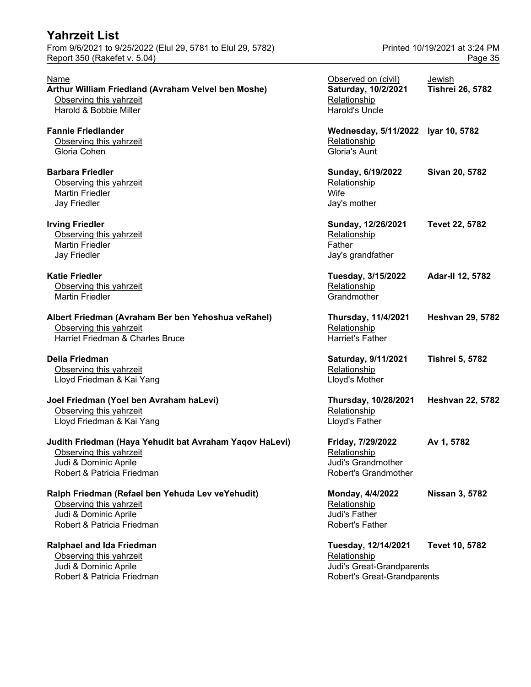| <b>Yahrzeit List</b>                                                                        |                                    |                         |
|---------------------------------------------------------------------------------------------|------------------------------------|-------------------------|
| From 9/6/2021 to 9/25/2022 (Elul 29, 5781 to Elul 29, 5782)<br>Report 350 (Rakefet v. 5.04) | Printed 10/19/2021 at 3:24 PM      |                         |
|                                                                                             |                                    | Page 35                 |
| Name                                                                                        | Observed on (civil)                | Jewish                  |
| Arthur William Friedland (Avraham Velvel ben Moshe)                                         | Saturday, 10/2/2021                | <b>Tishrei 26, 5782</b> |
| Observing this yahrzeit                                                                     | Relationship                       |                         |
| Harold & Bobbie Miller                                                                      | <b>Harold's Uncle</b>              |                         |
| <b>Fannie Friedlander</b>                                                                   | Wednesday, 5/11/2022 Iyar 10, 5782 |                         |
| Observing this yahrzeit                                                                     | Relationship                       |                         |
| Gloria Cohen                                                                                | Gloria's Aunt                      |                         |
| <b>Barbara Friedler</b>                                                                     | Sunday, 6/19/2022                  | Sivan 20, 5782          |
| Observing this yahrzeit                                                                     | Relationship                       |                         |
| <b>Martin Friedler</b>                                                                      | Wife                               |                         |
| Jay Friedler                                                                                | Jay's mother                       |                         |
| <b>Irving Friedler</b>                                                                      | Sunday, 12/26/2021                 | Tevet 22, 5782          |
| Observing this yahrzeit                                                                     | Relationship                       |                         |
| <b>Martin Friedler</b>                                                                      | Father                             |                         |
| Jay Friedler                                                                                | Jay's grandfather                  |                         |
| <b>Katie Friedler</b>                                                                       | Tuesday, 3/15/2022                 | Adar-II 12, 5782        |
| Observing this yahrzeit                                                                     | Relationship                       |                         |
| <b>Martin Friedler</b>                                                                      | Grandmother                        |                         |
| Albert Friedman (Avraham Ber ben Yehoshua veRahel)                                          | <b>Thursday, 11/4/2021</b>         | <b>Heshvan 29, 5782</b> |
| Observing this yahrzeit                                                                     | Relationship                       |                         |
| Harriet Friedman & Charles Bruce                                                            | <b>Harriet's Father</b>            |                         |
| Delia Friedman                                                                              | Saturday, 9/11/2021                | <b>Tishrei 5, 5782</b>  |
| Observing this yahrzeit                                                                     | Relationship                       |                         |
| Lloyd Friedman & Kai Yang                                                                   | Lloyd's Mother                     |                         |
| Joel Friedman (Yoel ben Avraham haLevi)                                                     | Thursday, 10/28/2021               | <b>Heshvan 22, 5782</b> |
| Observing this yahrzeit                                                                     | Relationship                       |                         |
| Lloyd Friedman & Kai Yang                                                                   | Lloyd's Father                     |                         |
| Judith Friedman (Haya Yehudit bat Avraham Yaqov HaLevi)                                     | Friday, 7/29/2022                  | Av 1, 5782              |
| Observing this yahrzeit                                                                     | Relationship                       |                         |
| Judi & Dominic Aprile                                                                       | Judi's Grandmother                 |                         |
| Robert & Patricia Friedman                                                                  | Robert's Grandmother               |                         |
| Ralph Friedman (Refael ben Yehuda Lev veYehudit)                                            | Monday, 4/4/2022                   | <b>Nissan 3, 5782</b>   |
| Observing this yahrzeit                                                                     | Relationship                       |                         |
| Judi & Dominic Aprile                                                                       | Judi's Father                      |                         |
| Robert & Patricia Friedman                                                                  | <b>Robert's Father</b>             |                         |
| Ralphael and Ida Friedman                                                                   | Tuesday, 12/14/2021                | Tevet 10, 5782          |
| Observing this yahrzeit                                                                     | Relationship                       |                         |
| Iudi & Dominia Aprilo                                                                       | ludile Croot Crondnoronto          |                         |

# **Arthur William Friedland (Avraham Velvel ben Moshe) Saturday, 10/2/2021 Tishrei 26, 5782**

| Sunday, 12/26/2021 | Tevet 22, 5782 |
|--------------------|----------------|
| Relationship       |                |
| Father             |                |
| Jay's grandfather  |                |

| Tuesday, 3/15/2022 | <b>Adar-II 12, 5782</b> |
|--------------------|-------------------------|
| Relationship       |                         |
| Grandmother        |                         |

# **Joel Friedman (Yoel ben Avraham haLevi) Thursday, 10/28/2021 Heshvan 22, 5782**

**Ralphael and Ida Friedman Tuesday, 12/14/2021 Tevet 10, 5782** Judi & Dominic Aprile Judi's Great-Grandparents Robert's Great-Grandparents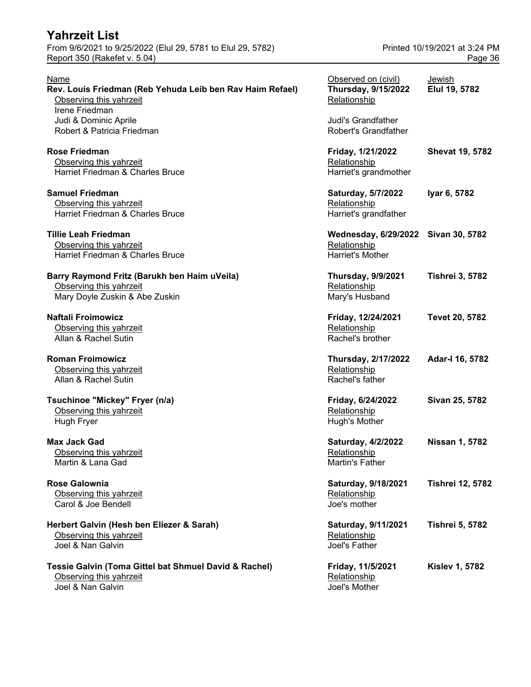From 9/6/2021 to 9/25/2022 (Elul 29, 5781 to Elul 29, 5782) Printed 10/19/2021 at 3:24 PM Report 350 (Rakefet v. 5.04) Page 36

| Name<br>Rev. Louis Friedman (Reb Yehuda Leib ben Rav Haim Refael)<br>Observing this yahrzeit<br>Irene Friedman | Observed on (civil)<br><b>Thursday, 9/15/2022</b><br>Relationship              | Jewish<br>Elul 19, 5782 |
|----------------------------------------------------------------------------------------------------------------|--------------------------------------------------------------------------------|-------------------------|
| Judi & Dominic Aprile<br>Robert & Patricia Friedman                                                            | Judi's Grandfather<br><b>Robert's Grandfather</b>                              |                         |
| <b>Rose Friedman</b><br>Observing this yahrzeit<br>Harriet Friedman & Charles Bruce                            | Friday, 1/21/2022<br>Relationship<br>Harriet's grandmother                     | <b>Shevat 19, 5782</b>  |
| <b>Samuel Friedman</b><br>Observing this yahrzeit<br>Harriet Friedman & Charles Bruce                          | Saturday, 5/7/2022<br>Relationship<br>Harriet's grandfather                    | Iyar 6, 5782            |
| <b>Tillie Leah Friedman</b><br>Observing this yahrzeit<br>Harriet Friedman & Charles Bruce                     | Wednesday, 6/29/2022 Sivan 30, 5782<br>Relationship<br><b>Harriet's Mother</b> |                         |
| Barry Raymond Fritz (Barukh ben Haim uVeila)<br>Observing this yahrzeit<br>Mary Doyle Zuskin & Abe Zuskin      | <b>Thursday, 9/9/2021</b><br>Relationship<br>Mary's Husband                    | <b>Tishrei 3, 5782</b>  |
| Naftali Froimowicz<br>Observing this yahrzeit<br>Allan & Rachel Sutin                                          | Friday, 12/24/2021<br>Relationship<br>Rachel's brother                         | Tevet 20, 5782          |
| <b>Roman Froimowicz</b><br>Observing this yahrzeit<br>Allan & Rachel Sutin                                     | <b>Thursday, 2/17/2022</b><br>Relationship<br>Rachel's father                  | Adar-I 16, 5782         |
| Tsuchinoe "Mickey" Fryer (n/a)<br>Observing this yahrzeit<br>Hugh Fryer                                        | Friday, 6/24/2022<br>Relationship<br>Hugh's Mother                             | Sivan 25, 5782          |
| <b>Max Jack Gad</b><br>Observing this yahrzeit<br>Martin & Lana Gad                                            | Saturday, 4/2/2022<br>Relationship<br>Martin's Father                          | Nissan 1, 5782          |
| <b>Rose Galownia</b><br>Observing this yahrzeit<br>Carol & Joe Bendell                                         | Saturday, 9/18/2021<br>Relationship<br>Joe's mother                            | <b>Tishrei 12, 5782</b> |
| Herbert Galvin (Hesh ben Eliezer & Sarah)<br>Observing this yahrzeit<br>Joel & Nan Galvin                      | Saturday, 9/11/2021<br>Relationship<br>Joel's Father                           | <b>Tishrei 5, 5782</b>  |
| Tessie Galvin (Toma Gittel bat Shmuel David & Rachel)<br>Observing this yahrzeit<br>Joel & Nan Galvin          | Friday, 11/5/2021<br>Relationship<br>Joel's Mother                             | <b>Kislev 1, 5782</b>   |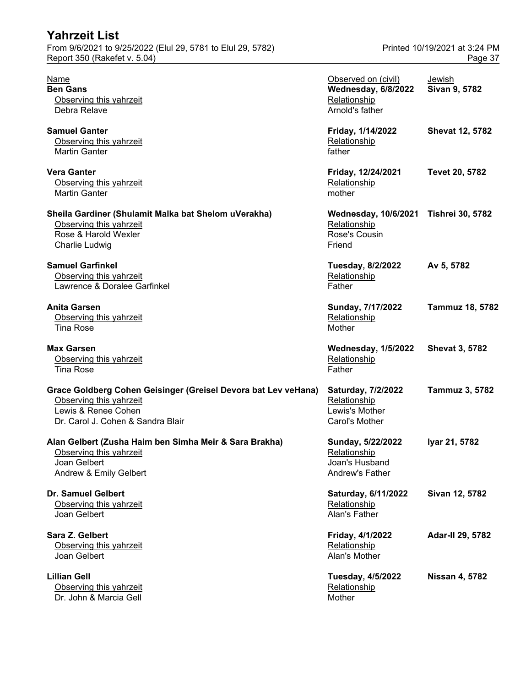| Yahrzeit List                                                                                                                                         |                                                                                  |                                          |
|-------------------------------------------------------------------------------------------------------------------------------------------------------|----------------------------------------------------------------------------------|------------------------------------------|
| From 9/6/2021 to 9/25/2022 (Elul 29, 5781 to Elul 29, 5782)<br>Report 350 (Rakefet v. 5.04)                                                           |                                                                                  | Printed 10/19/2021 at 3:24 PM<br>Page 37 |
| Name<br><b>Ben Gans</b><br>Observing this yahrzeit<br>Debra Relave                                                                                    | Observed on (civil)<br>Wednesday, 6/8/2022<br>Relationship<br>Arnold's father    | Jewish<br>Sivan 9, 5782                  |
| <b>Samuel Ganter</b><br>Observing this yahrzeit<br><b>Martin Ganter</b>                                                                               | Friday, 1/14/2022<br>Relationship<br>father                                      | <b>Shevat 12, 5782</b>                   |
| <b>Vera Ganter</b><br>Observing this yahrzeit<br><b>Martin Ganter</b>                                                                                 | Friday, 12/24/2021<br>Relationship<br>mother                                     | <b>Tevet 20, 5782</b>                    |
| Sheila Gardiner (Shulamit Malka bat Shelom uVerakha)<br>Observing this yahrzeit<br>Rose & Harold Wexler<br><b>Charlie Ludwig</b>                      | Wednesday, 10/6/2021 Tishrei 30, 5782<br>Relationship<br>Rose's Cousin<br>Friend |                                          |
| <b>Samuel Garfinkel</b><br>Observing this yahrzeit<br>Lawrence & Doralee Garfinkel                                                                    | <b>Tuesday, 8/2/2022</b><br>Relationship<br>Father                               | Av 5, 5782                               |
| <b>Anita Garsen</b><br>Observing this yahrzeit<br><b>Tina Rose</b>                                                                                    | Sunday, 7/17/2022<br>Relationship<br>Mother                                      | <b>Tammuz 18, 5782</b>                   |
| <b>Max Garsen</b><br>Observing this yahrzeit<br><b>Tina Rose</b>                                                                                      | <b>Wednesday, 1/5/2022</b><br>Relationship<br>Father                             | <b>Shevat 3, 5782</b>                    |
| Grace Goldberg Cohen Geisinger (Greisel Devora bat Lev veHana)<br>Observing this yahrzeit<br>Lewis & Renee Cohen<br>Dr. Carol J. Cohen & Sandra Blair | Saturday, 7/2/2022<br>Relationship<br>Lewis's Mother<br>Carol's Mother           | <b>Tammuz 3, 5782</b>                    |
| Alan Gelbert (Zusha Haim ben Simha Meir & Sara Brakha)<br>Observing this yahrzeit<br>Joan Gelbert<br>Andrew & Emily Gelbert                           | Sunday, 5/22/2022<br>Relationship<br>Joan's Husband<br>Andrew's Father           | Iyar 21, 5782                            |
| <b>Dr. Samuel Gelbert</b><br>Observing this yahrzeit<br>Joan Gelbert                                                                                  | Saturday, 6/11/2022<br>Relationship<br>Alan's Father                             | Sivan 12, 5782                           |
| Sara Z. Gelbert<br>Observing this yahrzeit<br>Joan Gelbert                                                                                            | Friday, 4/1/2022<br>Relationship<br>Alan's Mother                                | Adar-II 29, 5782                         |
| <b>Lillian Gell</b><br>Observing this yahrzeit<br>Dr. John & Marcia Gell                                                                              | <b>Tuesday, 4/5/2022</b><br>Relationship<br>Mother                               | <b>Nissan 4, 5782</b>                    |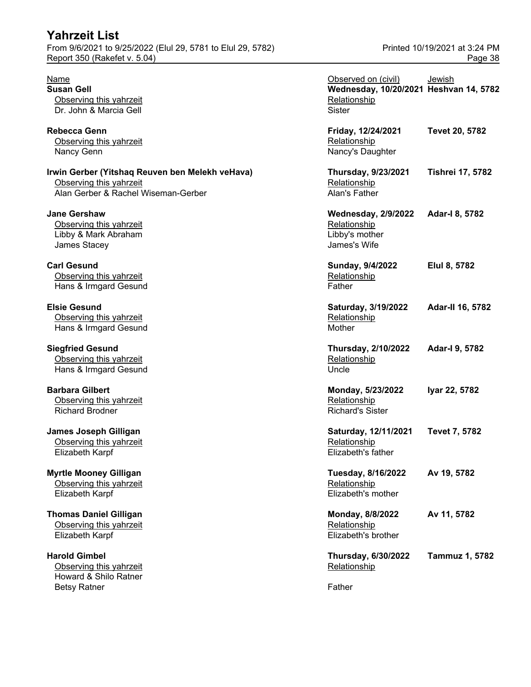**Harold Gimbel** Observing this yahrzeit Howard & Shilo Ratner Betsy Ratner Father Father Father

| <u>Name</u>                                     | Observed on (civil)                    | Jewish                  |
|-------------------------------------------------|----------------------------------------|-------------------------|
| Susan Gell                                      | Wednesday, 10/20/2021 Heshvan 14, 5782 |                         |
| Observing this yahrzeit                         | Relationship                           |                         |
| Dr. John & Marcia Gell                          | <b>Sister</b>                          |                         |
| Rebecca Genn                                    | Friday, 12/24/2021                     | Tevet 20, 5782          |
| Observing this yahrzeit                         | Relationship                           |                         |
| Nancy Genn                                      | Nancy's Daughter                       |                         |
| Irwin Gerber (Yitshaq Reuven ben Melekh veHava) | <b>Thursday, 9/23/2021</b>             | <b>Tishrei 17, 5782</b> |
| Observing this yahrzeit                         | Relationship                           |                         |
| Alan Gerber & Rachel Wiseman-Gerber             | Alan's Father                          |                         |
| Jane Gershaw                                    | <b>Wednesday, 2/9/2022</b>             | Adar-I 8, 5782          |
| Observing this yahrzeit                         | Relationship                           |                         |
| Libby & Mark Abraham                            | Libby's mother                         |                         |
| James Stacey                                    | James's Wife                           |                         |
| <b>Carl Gesund</b>                              | Sunday, 9/4/2022                       | Elul 8, 5782            |
| Observing this yahrzeit                         | Relationship                           |                         |
| Hans & Irmgard Gesund                           | Father                                 |                         |
| <b>Elsie Gesund</b>                             | Saturday, 3/19/2022                    | Adar-II 16, 5782        |
| Observing this yahrzeit                         | Relationship                           |                         |
| Hans & Irmgard Gesund                           | Mother                                 |                         |
| <b>Siegfried Gesund</b>                         | <b>Thursday, 2/10/2022</b>             | Adar-I 9, 5782          |
| Observing this yahrzeit                         | Relationship                           |                         |
| Hans & Irmgard Gesund                           | Uncle                                  |                         |
| <b>Barbara Gilbert</b>                          | Monday, 5/23/2022                      | Iyar 22, 5782           |
| Observing this yahrzeit                         | Relationship                           |                         |
| <b>Richard Brodner</b>                          | <b>Richard's Sister</b>                |                         |
| <b>James Joseph Gilligan</b>                    | Saturday, 12/11/2021                   | <b>Tevet 7, 5782</b>    |
| Observing this yahrzeit                         | Relationship                           |                         |
| Elizabeth Karpf                                 | Elizabeth's father                     |                         |
| <b>Myrtle Mooney Gilligan</b>                   | <b>Tuesday, 8/16/2022</b>              | Av 19, 5782             |
| Observing this yahrzeit                         | Relationship                           |                         |
| Elizabeth Karpf                                 | Elizabeth's mother                     |                         |
| <b>Thomas Daniel Gilligan</b>                   | Monday, 8/8/2022                       | Av 11, 5782             |
| Observing this yahrzeit                         | Relationship                           |                         |
| Elizabeth Karpf                                 | Elizabeth's brother                    |                         |
| <b>Harold Gimbel</b>                            | Thursday, 6/30/2022                    | Tammuz 1, 5782          |
| Observing this yahrzeit                         | Relationship                           |                         |
| Howard & Shilo Ratner                           |                                        |                         |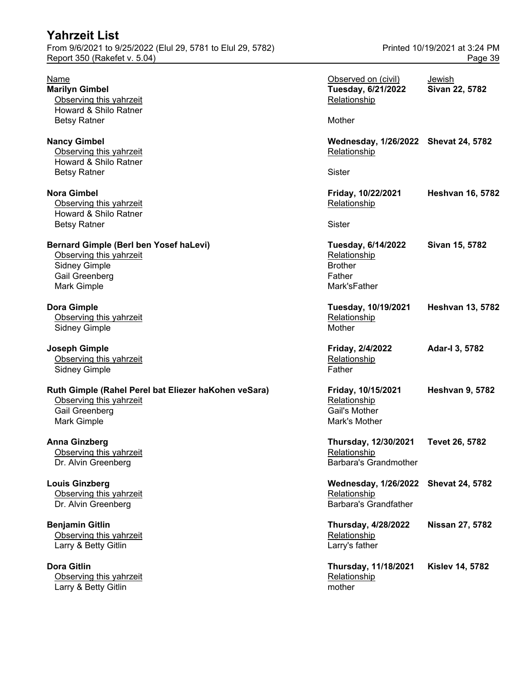| From 9/6/2021 to 9/25/2022 (Elul 29, 5781 to Elul 29, 5782)                                                                |                                                                                | Printed 10/19/2021 at 3:24 PM |  |
|----------------------------------------------------------------------------------------------------------------------------|--------------------------------------------------------------------------------|-------------------------------|--|
| Report 350 (Rakefet v. 5.04)                                                                                               |                                                                                | Page 39                       |  |
| <b>Name</b><br><b>Marilyn Gimbel</b><br>Observing this yahrzeit<br>Howard & Shilo Ratner                                   | Observed on (civil)<br>Tuesday, 6/21/2022<br>Relationship                      | Jewish<br>Sivan 22, 5782      |  |
| <b>Betsy Ratner</b>                                                                                                        | Mother                                                                         |                               |  |
| <b>Nancy Gimbel</b><br>Observing this yahrzeit<br>Howard & Shilo Ratner                                                    | Wednesday, 1/26/2022 Shevat 24, 5782<br>Relationship                           |                               |  |
| <b>Betsy Ratner</b>                                                                                                        | <b>Sister</b>                                                                  |                               |  |
| <b>Nora Gimbel</b><br>Observing this yahrzeit<br>Howard & Shilo Ratner<br><b>Betsy Ratner</b>                              | Friday, 10/22/2021<br>Relationship<br><b>Sister</b>                            | <b>Heshvan 16, 5782</b>       |  |
| Bernard Gimple (Berl ben Yosef haLevi)<br>Observing this yahrzeit<br><b>Sidney Gimple</b><br>Gail Greenberg<br>Mark Gimple | Tuesday, 6/14/2022<br>Relationship<br><b>Brother</b><br>Father<br>Mark'sFather | Sivan 15, 5782                |  |
| <b>Dora Gimple</b><br>Observing this yahrzeit<br><b>Sidney Gimple</b>                                                      | Tuesday, 10/19/2021<br>Relationship<br>Mother                                  | <b>Heshvan 13, 5782</b>       |  |
| <b>Joseph Gimple</b><br>Observing this yahrzeit<br><b>Sidney Gimple</b>                                                    | Friday, 2/4/2022<br>Relationship<br>Father                                     | Adar-I 3, 5782                |  |
| Ruth Gimple (Rahel Perel bat Eliezer haKohen veSara)<br>Observing this yahrzeit<br>Gail Greenberg<br>Mark Gimple           | Friday, 10/15/2021<br>Relationship<br>Gail's Mother<br>Mark's Mother           | <b>Heshvan 9, 5782</b>        |  |
| <b>Anna Ginzberg</b><br>Observing this yahrzeit<br>Dr. Alvin Greenberg                                                     | Thursday, 12/30/2021<br>Relationship<br><b>Barbara's Grandmother</b>           | Tevet 26, 5782                |  |
| <b>Louis Ginzberg</b><br>Observing this yahrzeit<br>Dr. Alvin Greenberg                                                    | <b>Wednesday, 1/26/2022</b><br>Relationship<br><b>Barbara's Grandfather</b>    | <b>Shevat 24, 5782</b>        |  |
| <b>Benjamin Gitlin</b><br>Observing this yahrzeit<br>Larry & Betty Gitlin                                                  | <b>Thursday, 4/28/2022</b><br>Relationship<br>Larry's father                   | <b>Nissan 27, 5782</b>        |  |
| <b>Dora Gitlin</b><br>Observing this yahrzeit<br>Larry & Betty Gitlin                                                      | Thursday, 11/18/2021<br>Relationship<br>mother                                 | <b>Kislev 14, 5782</b>        |  |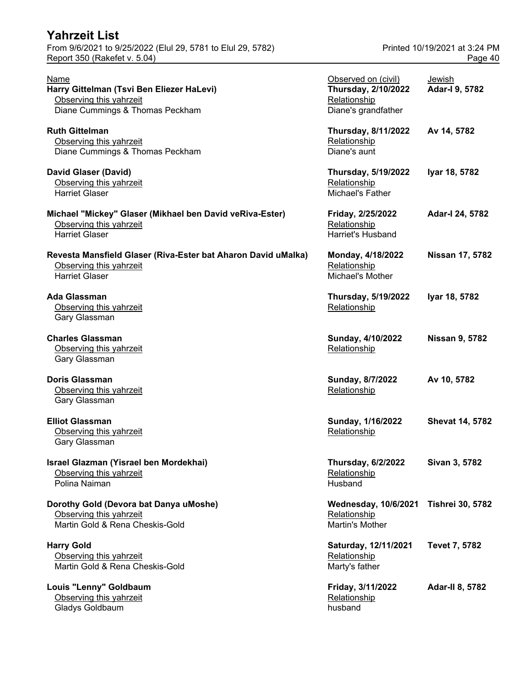| <b>Yahrzeit List</b>                                                                                              |                                                                                          |                                          |
|-------------------------------------------------------------------------------------------------------------------|------------------------------------------------------------------------------------------|------------------------------------------|
| From 9/6/2021 to 9/25/2022 (Elul 29, 5781 to Elul 29, 5782)<br>Report 350 (Rakefet v. 5.04)                       |                                                                                          | Printed 10/19/2021 at 3:24 PM<br>Page 40 |
| Name<br>Harry Gittelman (Tsvi Ben Eliezer HaLevi)<br>Observing this yahrzeit<br>Diane Cummings & Thomas Peckham   | Observed on (civil)<br><b>Thursday, 2/10/2022</b><br>Relationship<br>Diane's grandfather | Jewish<br>Adar-I 9, 5782                 |
| <b>Ruth Gittelman</b><br>Observing this yahrzeit<br>Diane Cummings & Thomas Peckham                               | <b>Thursday, 8/11/2022</b><br>Relationship<br>Diane's aunt                               | Av 14, 5782                              |
| <b>David Glaser (David)</b><br>Observing this yahrzeit<br><b>Harriet Glaser</b>                                   | <b>Thursday, 5/19/2022</b><br>Relationship<br>Michael's Father                           | Iyar 18, 5782                            |
| Michael "Mickey" Glaser (Mikhael ben David veRiva-Ester)<br>Observing this yahrzeit<br><b>Harriet Glaser</b>      | Friday, 2/25/2022<br>Relationship<br>Harriet's Husband                                   | Adar-I 24, 5782                          |
| Revesta Mansfield Glaser (Riva-Ester bat Aharon David uMalka)<br>Observing this yahrzeit<br><b>Harriet Glaser</b> | Monday, 4/18/2022<br>Relationship<br>Michael's Mother                                    | Nissan 17, 5782                          |
| <b>Ada Glassman</b><br>Observing this yahrzeit<br>Gary Glassman                                                   | <b>Thursday, 5/19/2022</b><br>Relationship                                               | Iyar 18, 5782                            |
| <b>Charles Glassman</b><br>Observing this yahrzeit<br>Gary Glassman                                               | Sunday, 4/10/2022<br>Relationship                                                        | <b>Nissan 9, 5782</b>                    |
| <b>Doris Glassman</b><br>Observing this yahrzeit<br>Gary Glassman                                                 | Sunday, 8/7/2022<br>Relationship                                                         | Av 10, 5782                              |
| <b>Elliot Glassman</b><br>Observing this yahrzeit<br>Gary Glassman                                                | Sunday, 1/16/2022<br>Relationship                                                        | <b>Shevat 14, 5782</b>                   |
| Israel Glazman (Yisrael ben Mordekhai)<br>Observing this yahrzeit<br>Polina Naiman                                | <b>Thursday, 6/2/2022</b><br>Relationship<br>Husband                                     | Sivan 3, 5782                            |
| Dorothy Gold (Devora bat Danya uMoshe)<br>Observing this yahrzeit<br>Martin Gold & Rena Cheskis-Gold              | <b>Wednesday, 10/6/2021</b><br>Relationship<br>Martin's Mother                           | <b>Tishrei 30, 5782</b>                  |
| <b>Harry Gold</b><br>Observing this yahrzeit<br>Martin Gold & Rena Cheskis-Gold                                   | Saturday, 12/11/2021<br>Relationship<br>Marty's father                                   | <b>Tevet 7, 5782</b>                     |
| Louis "Lenny" Goldbaum<br>Observing this yahrzeit<br>Gladys Goldbaum                                              | Friday, 3/11/2022<br>Relationship<br>husband                                             | <b>Adar-II 8, 5782</b>                   |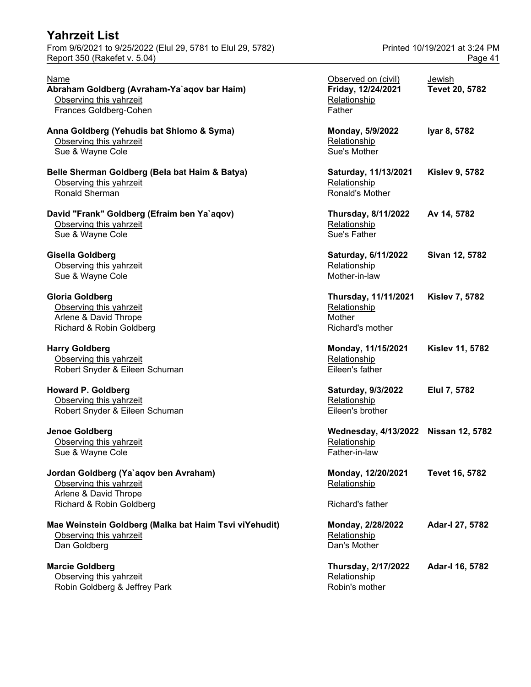From 9/6/2021 to 9/25/2022 (Elul 29, 5781 to Elul 29, 5782) Printed 10/19/2021 at 3:24 PM Report 350 (Rakefet v. 5.04) **Page 41** 

| Name<br>Abraham Goldberg (Avraham-Ya`aqov bar Haim)<br>Observing this yahrzeit<br>Frances Goldberg-Cohen              | Observed on (civil)<br>Friday, 12/24/2021<br>Relationship<br>Father | Jewish<br>Tevet 20, 5782 |
|-----------------------------------------------------------------------------------------------------------------------|---------------------------------------------------------------------|--------------------------|
| Anna Goldberg (Yehudis bat Shlomo & Syma)<br>Observing this yahrzeit<br>Sue & Wayne Cole                              | Monday, 5/9/2022<br>Relationship<br>Sue's Mother                    | Iyar 8, 5782             |
| Belle Sherman Goldberg (Bela bat Haim & Batya)<br>Observing this yahrzeit<br><b>Ronald Sherman</b>                    | Saturday, 11/13/2021<br>Relationship<br>Ronald's Mother             | <b>Kislev 9, 5782</b>    |
| David "Frank" Goldberg (Efraim ben Ya`aqov)<br>Observing this yahrzeit<br>Sue & Wayne Cole                            | <b>Thursday, 8/11/2022</b><br>Relationship<br>Sue's Father          | Av 14, 5782              |
| Gisella Goldberg<br>Observing this yahrzeit<br>Sue & Wayne Cole                                                       | Saturday, 6/11/2022<br>Relationship<br>Mother-in-law                | Sivan 12, 5782           |
| <b>Gloria Goldberg</b><br>Observing this yahrzeit<br>Arlene & David Thrope<br>Richard & Robin Goldberg                | Thursday, 11/11/2021<br>Relationship<br>Mother<br>Richard's mother  | <b>Kislev 7, 5782</b>    |
| <b>Harry Goldberg</b><br>Observing this yahrzeit<br>Robert Snyder & Eileen Schuman                                    | Monday, 11/15/2021<br>Relationship<br>Eileen's father               | <b>Kislev 11, 5782</b>   |
| <b>Howard P. Goldberg</b><br>Observing this yahrzeit<br>Robert Snyder & Eileen Schuman                                | Saturday, 9/3/2022<br>Relationship<br>Eileen's brother              | Elul 7, 5782             |
| Jenoe Goldberg<br>Observing this yahrzeit<br>Sue & Wayne Cole                                                         | <b>Wednesday, 4/13/2022</b><br>Relationship<br>Father-in-law        | <b>Nissan 12, 5782</b>   |
| Jordan Goldberg (Ya`aqov ben Avraham)<br>Observing this yahrzeit<br>Arlene & David Thrope<br>Richard & Robin Goldberg | Monday, 12/20/2021<br>Relationship<br>Richard's father              | Tevet 16, 5782           |
| Mae Weinstein Goldberg (Malka bat Haim Tsvi viYehudit)<br>Observing this yahrzeit<br>Dan Goldberg                     | Monday, 2/28/2022<br>Relationship<br>Dan's Mother                   | Adar-I 27, 5782          |
| <b>Marcie Goldberg</b>                                                                                                | <b>Thursday, 2/17/2022</b>                                          | Adar-I 16, 5782          |

Observing this yahrzeit Relationship Relationship Robin Goldberg & Jeffrey Park Robin's mother and Robin's mother

| <u> Observed on (civil)</u><br>Friday, 12/24/2021<br><b>Relationship</b><br>Father | <u>Jewish</u><br>Tevet 20, 5782 |
|------------------------------------------------------------------------------------|---------------------------------|
| Monday, 5/9/2022<br><u>Relationship</u><br>Sue's Mother                            | Iyar 8, 5782                    |
| Saturday, 11/13/2021<br>Relationship<br>Ronald's Mother                            | <b>Kislev 9, 5782</b>           |
| <b>Fhursday, 8/11/2022</b><br><u>Relationship</u><br>Sue's Father                  | Av 14, 5782                     |
| Saturday, 6/11/2022<br><u>Relationship</u><br>Mother-in-law                        | Sivan 12, 5782                  |
| <b>Fhursday, 11/11/2021</b><br><u>Relationship</u><br>Mother<br>Richard's mother   | <b>Kislev 7, 5782</b>           |
| Monday, 11/15/2021<br><u>Relationship</u><br>Eileen's father                       | <b>Kislev 11, 5782</b>          |
| Saturday, 9/3/2022<br><u>Relationship</u><br>Eileen's brother                      | Elul 7, 5782                    |
| Wednesday, 4/13/2022 Nissan 12, 5782<br><u>Relationship</u><br>ather-in-law        |                                 |
| Monday, 12/20/2021<br><u>Relationship</u>                                          | <b>Tevet 16, 5782</b>           |
| Richard's father                                                                   |                                 |
| Monday, 2/28/2022<br><u>Relationship</u><br>Dan's Mother                           | Adar-I 27, 5782                 |
| <b>Fhursday, 2/17/2022</b><br><b>Jolationship</b>                                  | Adar-I 16, 5782                 |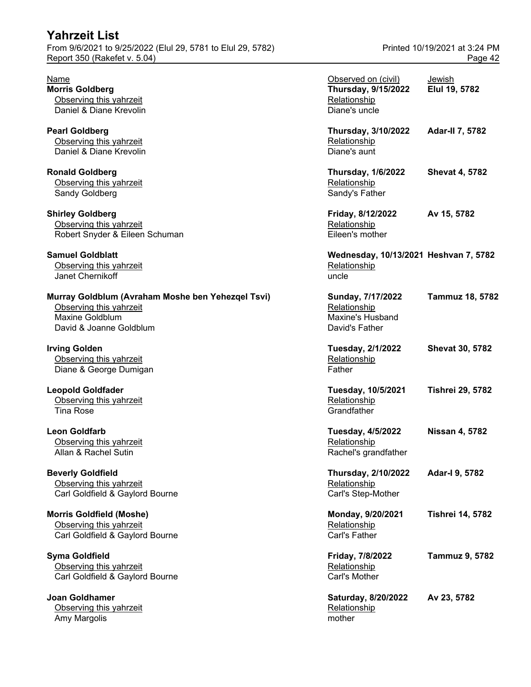| <b>Yahrzeit List</b><br>From 9/6/2021 to 9/25/2022 (Elul 29, 5781 to Elul 29, 5782)<br>Report 350 (Rakefet v. 5.04)        |                                                                                    | Printed 10/19/2021 at 3:24 PM<br>Page 42 |
|----------------------------------------------------------------------------------------------------------------------------|------------------------------------------------------------------------------------|------------------------------------------|
| Name<br><b>Morris Goldberg</b><br>Observing this yahrzeit<br>Daniel & Diane Krevolin                                       | Observed on (civil)<br><b>Thursday, 9/15/2022</b><br>Relationship<br>Diane's uncle | <b>Jewish</b><br>Elul 19, 5782           |
| <b>Pearl Goldberg</b><br>Observing this yahrzeit<br>Daniel & Diane Krevolin                                                | <b>Thursday, 3/10/2022</b><br>Relationship<br>Diane's aunt                         | <b>Adar-II 7, 5782</b>                   |
| <b>Ronald Goldberg</b><br>Observing this yahrzeit<br>Sandy Goldberg                                                        | <b>Thursday, 1/6/2022</b><br>Relationship<br>Sandy's Father                        | <b>Shevat 4, 5782</b>                    |
| <b>Shirley Goldberg</b><br>Observing this yahrzeit<br>Robert Snyder & Eileen Schuman                                       | Friday, 8/12/2022<br>Relationship<br>Eileen's mother                               | Av 15, 5782                              |
| <b>Samuel Goldblatt</b><br>Observing this yahrzeit<br>Janet Chernikoff                                                     | Wednesday, 10/13/2021 Heshvan 7, 5782<br>Relationship<br>uncle                     |                                          |
| Murray Goldblum (Avraham Moshe ben Yehezqel Tsvi)<br>Observing this yahrzeit<br>Maxine Goldblum<br>David & Joanne Goldblum | Sunday, 7/17/2022<br>Relationship<br><b>Maxine's Husband</b><br>David's Father     | <b>Tammuz 18, 5782</b>                   |
| <b>Irving Golden</b><br>Observing this yahrzeit<br>Diane & George Dumigan                                                  | Tuesday, 2/1/2022<br>Relationship<br>Father                                        | <b>Shevat 30, 5782</b>                   |
| <b>Leopold Goldfader</b><br>Observing this yahrzeit<br><b>Tina Rose</b>                                                    | Tuesday, 10/5/2021<br>Relationship<br>Grandfather                                  | <b>Tishrei 29, 5782</b>                  |
| <b>Leon Goldfarb</b><br>Observing this yahrzeit<br>Allan & Rachel Sutin                                                    | <b>Tuesday, 4/5/2022</b><br>Relationship<br>Rachel's grandfather                   | <b>Nissan 4, 5782</b>                    |
| <b>Beverly Goldfield</b><br>Observing this yahrzeit<br>Carl Goldfield & Gaylord Bourne                                     | <b>Thursday, 2/10/2022</b><br>Relationship<br>Carl's Step-Mother                   | Adar-I 9, 5782                           |
| <b>Morris Goldfield (Moshe)</b><br>Observing this yahrzeit<br>Carl Goldfield & Gaylord Bourne                              | Monday, 9/20/2021<br>Relationship<br>Carl's Father                                 | <b>Tishrei 14, 5782</b>                  |
| <b>Syma Goldfield</b><br>Observing this yahrzeit<br>Carl Goldfield & Gaylord Bourne                                        | Friday, 7/8/2022<br>Relationship<br>Carl's Mother                                  | <b>Tammuz 9, 5782</b>                    |
| <b>Joan Goldhamer</b><br>Observing this yahrzeit                                                                           | Saturday, 8/20/2022<br>Relationship                                                | Av 23, 5782                              |

Amy Margolis mother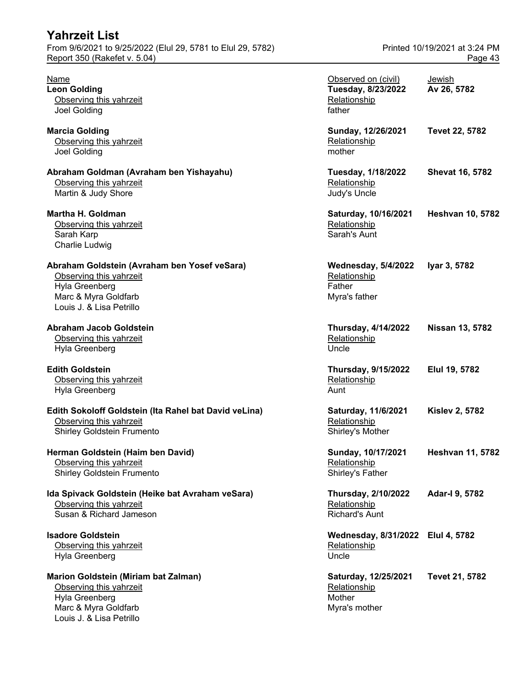| <b>Yahrzeit List</b>                                                                                                                          |                                                                       |                                          |
|-----------------------------------------------------------------------------------------------------------------------------------------------|-----------------------------------------------------------------------|------------------------------------------|
| From 9/6/2021 to 9/25/2022 (Elul 29, 5781 to Elul 29, 5782)<br>Report 350 (Rakefet v. 5.04)                                                   |                                                                       | Printed 10/19/2021 at 3:24 PM<br>Page 43 |
| <u>Name</u><br><b>Leon Golding</b><br>Observing this yahrzeit<br>Joel Golding                                                                 | Observed on (civil)<br>Tuesday, 8/23/2022<br>Relationship<br>father   | Jewish<br>Av 26, 5782                    |
| <b>Marcia Golding</b><br>Observing this yahrzeit<br>Joel Golding                                                                              | Sunday, 12/26/2021<br>Relationship<br>mother                          | <b>Tevet 22, 5782</b>                    |
| Abraham Goldman (Avraham ben Yishayahu)<br>Observing this yahrzeit<br>Martin & Judy Shore                                                     | <b>Tuesday, 1/18/2022</b><br>Relationship<br>Judy's Uncle             | <b>Shevat 16, 5782</b>                   |
| <b>Martha H. Goldman</b><br>Observing this yahrzeit<br>Sarah Karp<br><b>Charlie Ludwig</b>                                                    | Saturday, 10/16/2021<br>Relationship<br>Sarah's Aunt                  | <b>Heshvan 10, 5782</b>                  |
| Abraham Goldstein (Avraham ben Yosef veSara)<br>Observing this yahrzeit<br>Hyla Greenberg<br>Marc & Myra Goldfarb<br>Louis J. & Lisa Petrillo | <b>Wednesday, 5/4/2022</b><br>Relationship<br>Father<br>Myra's father | Iyar 3, 5782                             |
| <b>Abraham Jacob Goldstein</b><br>Observing this yahrzeit<br>Hyla Greenberg                                                                   | <b>Thursday, 4/14/2022</b><br>Relationship<br>Uncle                   | <b>Nissan 13, 5782</b>                   |
| <b>Edith Goldstein</b><br>Observing this yahrzeit<br>Hyla Greenberg                                                                           | <b>Thursday, 9/15/2022</b><br>Relationship<br>Aunt                    | Elul 19, 5782                            |
| Edith Sokoloff Goldstein (Ita Rahel bat David veLina)<br>Observing this yahrzeit<br><b>Shirley Goldstein Frumento</b>                         | Saturday, 11/6/2021<br>Relationship<br>Shirley's Mother               | <b>Kislev 2, 5782</b>                    |
| Herman Goldstein (Haim ben David)<br>Observing this yahrzeit<br><b>Shirley Goldstein Frumento</b>                                             | Sunday, 10/17/2021<br>Relationship<br>Shirley's Father                | <b>Heshvan 11, 5782</b>                  |
| Ida Spivack Goldstein (Heike bat Avraham veSara)<br>Observing this yahrzeit<br>Susan & Richard Jameson                                        | <b>Thursday, 2/10/2022</b><br>Relationship<br><b>Richard's Aunt</b>   | Adar-I 9, 5782                           |
| <b>Isadore Goldstein</b><br>Observing this yahrzeit<br>Hyla Greenberg                                                                         | Wednesday, 8/31/2022 Elul 4, 5782<br>Relationship<br>Uncle            |                                          |
| Marion Goldstein (Miriam bat Zalman)<br>Observing this yahrzeit<br>Hyla Greenberg<br>Marc & Myra Goldfarb<br>Louis J. & Lisa Petrillo         | Saturday, 12/25/2021<br>Relationship<br>Mother<br>Myra's mother       | Tevet 21, 5782                           |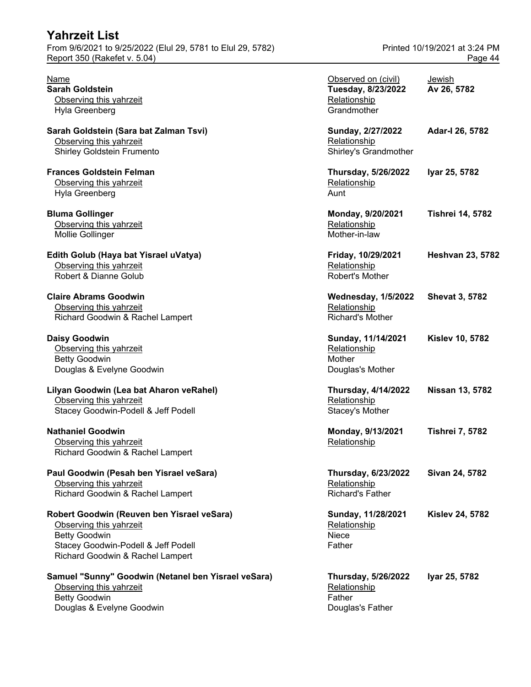| <b>Yahrzeit List</b>                                        |                               |
|-------------------------------------------------------------|-------------------------------|
| From 9/6/2021 to 9/25/2022 (Elul 29, 5781 to Elul 29, 5782) | Printed 10/19/2021 at 3:24 PM |
| Report 350 (Rakefet v. 5.04)                                | Page 44                       |

#### **Daisy Goodwin** Observing this yahrzeit

## **Paul Goodwin (Pesah ben Yisrael veSara)** Observing this yahrzeit

#### **Robert Goodwin (Reuven ben Yisrael veSara)** Observing this yahrzeit

#### **Samuel "Sunny" Goodwin (Netanel ben Yisrael veSara)** Observing this yahrzeit Betty Goodwin Father Father Father Father Father Father Father Father Father Father Father Father Father Father Douglas & Evelyne Goodwin **Douglas's Father** Douglas's Father

| Name<br><b>Sarah Goldstein</b>                                                                                                                                           | Observed on (civil)<br>Tuesday, 8/23/2022                             | Jewish<br>Av 26, 5782   |
|--------------------------------------------------------------------------------------------------------------------------------------------------------------------------|-----------------------------------------------------------------------|-------------------------|
| Observing this yahrzeit<br>Hyla Greenberg                                                                                                                                | Relationship<br>Grandmother                                           |                         |
| Sarah Goldstein (Sara bat Zalman Tsvi)<br>Observing this yahrzeit<br><b>Shirley Goldstein Frumento</b>                                                                   | Sunday, 2/27/2022<br>Relationship<br>Shirley's Grandmother            | Adar-I 26, 5782         |
| <b>Frances Goldstein Felman</b><br>Observing this yahrzeit<br>Hyla Greenberg                                                                                             | <b>Thursday, 5/26/2022</b><br>Relationship<br>Aunt                    | Iyar 25, 5782           |
| <b>Bluma Gollinger</b><br>Observing this yahrzeit<br>Mollie Gollinger                                                                                                    | Monday, 9/20/2021<br>Relationship<br>Mother-in-law                    | <b>Tishrei 14, 5782</b> |
| Edith Golub (Haya bat Yisrael uVatya)<br>Observing this yahrzeit<br>Robert & Dianne Golub                                                                                | Friday, 10/29/2021<br>Relationship<br>Robert's Mother                 | <b>Heshvan 23, 5782</b> |
| <b>Claire Abrams Goodwin</b><br>Observing this yahrzeit<br>Richard Goodwin & Rachel Lampert                                                                              | <b>Wednesday, 1/5/2022</b><br>Relationship<br><b>Richard's Mother</b> | <b>Shevat 3, 5782</b>   |
| <b>Daisy Goodwin</b><br>Observing this yahrzeit<br><b>Betty Goodwin</b><br>Douglas & Evelyne Goodwin                                                                     | Sunday, 11/14/2021<br>Relationship<br>Mother<br>Douglas's Mother      | <b>Kislev 10, 5782</b>  |
| Lilyan Goodwin (Lea bat Aharon veRahel)<br>Observing this yahrzeit<br>Stacey Goodwin-Podell & Jeff Podell                                                                | <b>Thursday, 4/14/2022</b><br>Relationship<br>Stacey's Mother         | <b>Nissan 13, 5782</b>  |
| <b>Nathaniel Goodwin</b><br>Observing this yahrzeit<br>Richard Goodwin & Rachel Lampert                                                                                  | Monday, 9/13/2021<br>Relationship                                     | <b>Tishrei 7, 5782</b>  |
| Paul Goodwin (Pesah ben Yisrael veSara)<br>Observing this yahrzeit<br>Richard Goodwin & Rachel Lampert                                                                   | Thursday, 6/23/2022<br>Relationship<br><b>Richard's Father</b>        | Sivan 24, 5782          |
| Robert Goodwin (Reuven ben Yisrael veSara)<br>Observing this yahrzeit<br><b>Betty Goodwin</b><br>Stacey Goodwin-Podell & Jeff Podell<br>Richard Goodwin & Rachel Lampert | Sunday, 11/28/2021<br>Relationship<br>Niece<br>Father                 | <b>Kislev 24, 5782</b>  |
| Samuel "Sunny" Goodwin (Netanel ben Yisrael veSara)<br>Observing this yahrzeit                                                                                           | <b>Thursday, 5/26/2022</b><br>Relationship                            | Iyar 25, 5782           |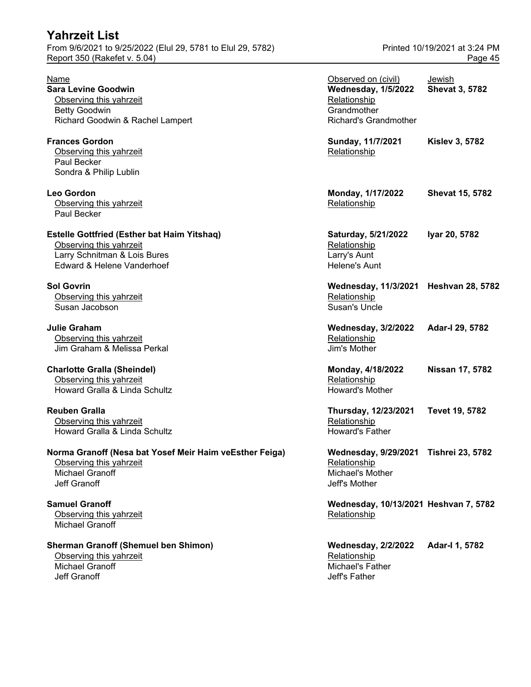## **Yahrzeit List** From 9/6/2021 to 9/25/2022 (Elul 29, 5781 to Elul 29, 5782) Printed 10/19/2021 at 3:24 PM Report 350 (Rakefet v. 5.04) **Page 45**

| Name<br><b>Sara Levine Goodwin</b><br>Observing this yahrzeit<br><b>Betty Goodwin</b><br>Richard Goodwin & Rachel Lampert                   | Observed on (civil)<br><b>Wednesday, 1/5/2022</b><br>Relationship<br>Grandmother<br><b>Richard's Grandmother</b> | Jewish<br><b>Shevat 3, 5782</b> |
|---------------------------------------------------------------------------------------------------------------------------------------------|------------------------------------------------------------------------------------------------------------------|---------------------------------|
| <b>Frances Gordon</b><br>Observing this yahrzeit<br>Paul Becker<br>Sondra & Philip Lublin                                                   | Sunday, 11/7/2021<br>Relationship                                                                                | <b>Kislev 3, 5782</b>           |
| Leo Gordon<br>Observing this yahrzeit<br>Paul Becker                                                                                        | Monday, 1/17/2022<br>Relationship                                                                                | <b>Shevat 15, 5782</b>          |
| <b>Estelle Gottfried (Esther bat Haim Yitshaq)</b><br>Observing this yahrzeit<br>Larry Schnitman & Lois Bures<br>Edward & Helene Vanderhoef | Saturday, 5/21/2022<br>Relationship<br>Larry's Aunt<br>Helene's Aunt                                             | Iyar 20, 5782                   |
| <b>Sol Govrin</b><br>Observing this yahrzeit<br>Susan Jacobson                                                                              | Wednesday, 11/3/2021 Heshvan 28, 5782<br>Relationship<br><b>Susan's Uncle</b>                                    |                                 |
| <b>Julie Graham</b><br>Observing this yahrzeit<br>Jim Graham & Melissa Perkal                                                               | <b>Wednesday, 3/2/2022</b><br>Relationship<br>Jim's Mother                                                       | Adar-I 29, 5782                 |
| <b>Charlotte Gralla (Sheindel)</b><br>Observing this yahrzeit<br>Howard Gralla & Linda Schultz                                              | Monday, 4/18/2022<br>Relationship<br><b>Howard's Mother</b>                                                      | Nissan 17, 5782                 |
| <b>Reuben Gralla</b><br>Observing this yahrzeit<br>Howard Gralla & Linda Schultz                                                            | Thursday, 12/23/2021<br>Relationship<br><b>Howard's Father</b>                                                   | Tevet 19, 5782                  |
| Norma Granoff (Nesa bat Yosef Meir Haim veEsther Feiga)<br>Observing this yahrzeit<br>Michael Granoff<br>Jeff Granoff                       | <b>Wednesday, 9/29/2021</b><br>Relationship<br>Michael's Mother<br>Jeff's Mother                                 | <b>Tishrei 23, 5782</b>         |
| <b>Samuel Granoff</b><br>Observing this yahrzeit<br>Michael Granoff                                                                         | Wednesday, 10/13/2021 Heshvan 7, 5782<br>Relationship                                                            |                                 |
| <b>Sherman Granoff (Shemuel ben Shimon)</b><br>Observing this yahrzeit<br>Michael Granoff<br>Jeff Granoff                                   | <b>Wednesday, 2/2/2022</b><br>Relationship<br>Michael's Father<br>Jeff's Father                                  | Adar-I 1, 5782                  |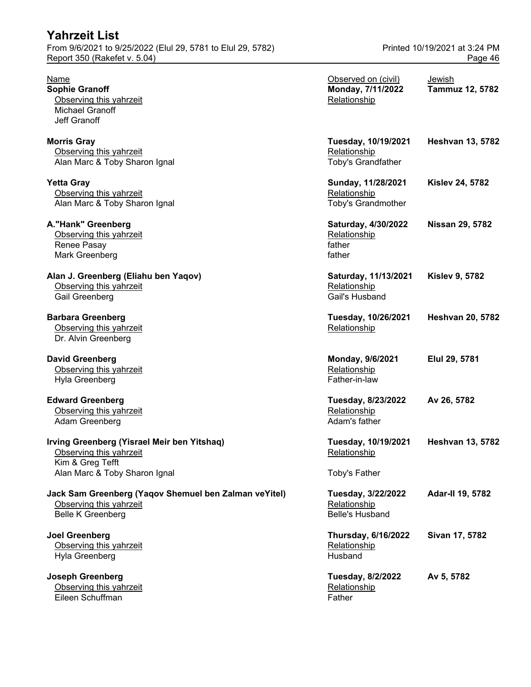| <b>Yahrzeit List</b><br>From 9/6/2021 to 9/25/2022 (Elul 29, 5781 to Elul 29, 5782)<br>Report 350 (Rakefet v. 5.04)         |                                                              | Printed 10/19/2021 at 3:24 PM<br>Page 46 |
|-----------------------------------------------------------------------------------------------------------------------------|--------------------------------------------------------------|------------------------------------------|
| Name<br><b>Sophie Granoff</b><br>Observing this yahrzeit<br><b>Michael Granoff</b><br>Jeff Granoff                          | Observed on (civil)<br>Monday, 7/11/2022<br>Relationship     | Jewish<br><b>Tammuz 12, 5782</b>         |
| <b>Morris Gray</b><br>Observing this yahrzeit<br>Alan Marc & Toby Sharon Ignal                                              | Tuesday, 10/19/2021<br>Relationship<br>Toby's Grandfather    | <b>Heshvan 13, 5782</b>                  |
| <b>Yetta Gray</b><br>Observing this yahrzeit<br>Alan Marc & Toby Sharon Ignal                                               | Sunday, 11/28/2021<br>Relationship<br>Toby's Grandmother     | <b>Kislev 24, 5782</b>                   |
| A."Hank" Greenberg<br>Observing this yahrzeit<br>Renee Pasay<br>Mark Greenberg                                              | Saturday, 4/30/2022<br>Relationship<br>father<br>father      | <b>Nissan 29, 5782</b>                   |
| Alan J. Greenberg (Eliahu ben Yaqov)<br>Observing this yahrzeit<br>Gail Greenberg                                           | Saturday, 11/13/2021<br>Relationship<br>Gail's Husband       | <b>Kislev 9, 5782</b>                    |
| <b>Barbara Greenberg</b><br>Observing this yahrzeit<br>Dr. Alvin Greenberg                                                  | Tuesday, 10/26/2021<br>Relationship                          | <b>Heshvan 20, 5782</b>                  |
| <b>David Greenberg</b><br>Observing this yahrzeit<br>Hyla Greenberg                                                         | Monday, 9/6/2021<br>Relationship<br>Father-in-law            | Elul 29, 5781                            |
| <b>Edward Greenberg</b><br>Observing this yahrzeit<br>Adam Greenberg                                                        | Tuesday, 8/23/2022<br>Relationship<br>Adam's father          | Av 26, 5782                              |
| Irving Greenberg (Yisrael Meir ben Yitshaq)<br>Observing this yahrzeit<br>Kim & Greg Tefft<br>Alan Marc & Toby Sharon Ignal | Tuesday, 10/19/2021<br>Relationship<br>Toby's Father         | <b>Heshvan 13, 5782</b>                  |
| Jack Sam Greenberg (Yaqov Shemuel ben Zalman veYitel)<br>Observing this yahrzeit<br><b>Belle K Greenberg</b>                | Tuesday, 3/22/2022<br>Relationship<br><b>Belle's Husband</b> | <b>Adar-II 19, 5782</b>                  |
| <b>Joel Greenberg</b><br>Observing this yahrzeit<br>Hyla Greenberg                                                          | <b>Thursday, 6/16/2022</b><br>Relationship<br>Husband        | Sivan 17, 5782                           |

**Joseph Greenberg Tuesday, 8/2/2022 Av 5, 5782** Observing this yahrzeit Relationship Relationship Eileen Schuffman Father Father Father Father Father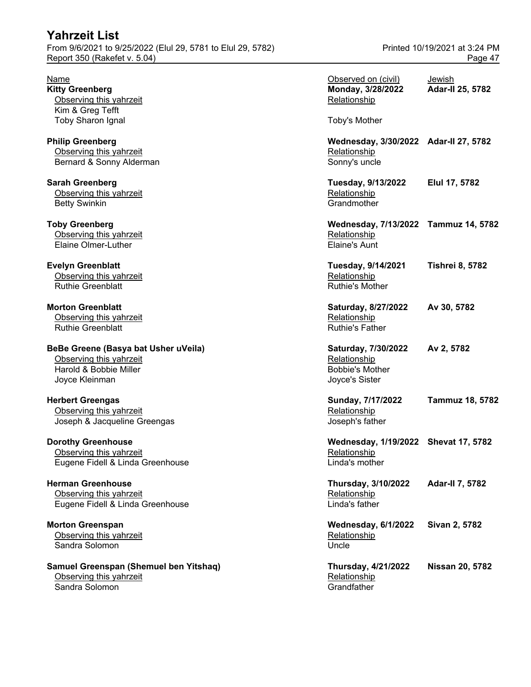From 9/6/2021 to 9/25/2022 (Elul 29, 5781 to Elul 29, 5782) Printed 10/19/2021 at 3:24 PM Report 350 (Rakefet v. 5.04) **Page 47** 

**Samuel Greenspan (Shemuel ben Yitshaq)** Observing this yahrzeit Sandra Solomon Grandfather Grandfather Grandfather Grandfather Grandfather Grandfather Grandfather G

| Name<br><b>Kitty Greenberg</b><br>Observing this yahrzeit                                                   | Observed on (civil)<br>Monday, 3/28/2022<br>Relationship                        | Jewish<br>Adar-II 25, 5782 |
|-------------------------------------------------------------------------------------------------------------|---------------------------------------------------------------------------------|----------------------------|
| Kim & Greg Tefft<br><b>Toby Sharon Ignal</b>                                                                | Toby's Mother                                                                   |                            |
| <b>Philip Greenberg</b><br>Observing this yahrzeit<br>Bernard & Sonny Alderman                              | Wednesday, 3/30/2022 Adar-II 27, 5782<br>Relationship<br>Sonny's uncle          |                            |
| Sarah Greenberg<br>Observing this yahrzeit<br><b>Betty Swinkin</b>                                          | Tuesday, 9/13/2022<br>Relationship<br>Grandmother                               | Elul 17, 5782              |
| <b>Toby Greenberg</b><br>Observing this yahrzeit<br>Elaine Olmer-Luther                                     | Wednesday, 7/13/2022 Tammuz 14, 5782<br>Relationship<br><b>Elaine's Aunt</b>    |                            |
| <b>Evelyn Greenblatt</b><br>Observing this yahrzeit<br><b>Ruthie Greenblatt</b>                             | Tuesday, 9/14/2021<br>Relationship<br><b>Ruthie's Mother</b>                    | <b>Tishrei 8, 5782</b>     |
| <b>Morton Greenblatt</b><br>Observing this yahrzeit<br><b>Ruthie Greenblatt</b>                             | Saturday, 8/27/2022<br>Relationship<br><b>Ruthie's Father</b>                   | Av 30, 5782                |
| BeBe Greene (Basya bat Usher uVeila)<br>Observing this yahrzeit<br>Harold & Bobbie Miller<br>Joyce Kleinman | Saturday, 7/30/2022<br>Relationship<br><b>Bobbie's Mother</b><br>Joyce's Sister | Av 2, 5782                 |
| <b>Herbert Greengas</b><br>Observing this yahrzeit<br>Joseph & Jacqueline Greengas                          | Sunday, 7/17/2022<br>Relationship<br>Joseph's father                            | <b>Tammuz 18, 5782</b>     |
| <b>Dorothy Greenhouse</b><br>Observing this yahrzeit<br>Eugene Fidell & Linda Greenhouse                    | Wednesday, 1/19/2022 Shevat 17, 5782<br>Relationship<br>Linda's mother          |                            |
| <b>Herman Greenhouse</b><br>Observing this yahrzeit<br>Eugene Fidell & Linda Greenhouse                     | <b>Thursday, 3/10/2022</b><br>Relationship<br>Linda's father                    | <b>Adar-II 7, 5782</b>     |
| <b>Morton Greenspan</b><br>Observing this yahrzeit<br>Sandra Solomon                                        | <b>Wednesday, 6/1/2022</b><br>Relationship<br>Uncle                             | Sivan 2, 5782              |
| Samuel Greenspan (Shemuel ben Yitshaq)<br>Observing this yahrzeit                                           | <b>Thursday, 4/21/2022</b><br>Relationship                                      | <b>Nissan 20, 5782</b>     |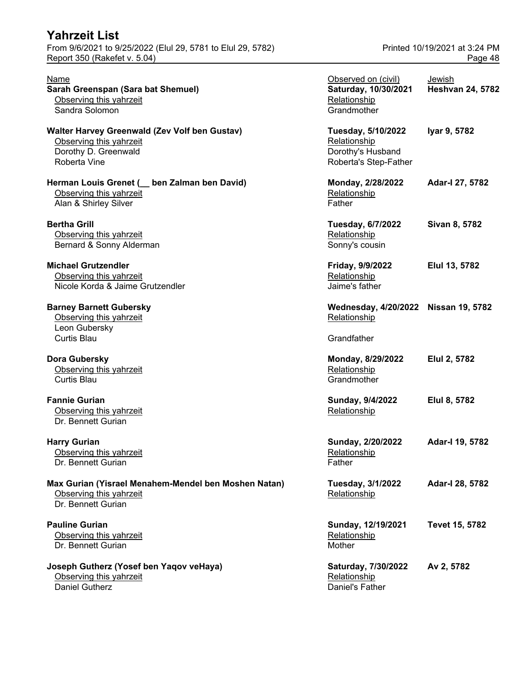| Yahrzeit List                                                                                                    |                                                                                  |                                          |
|------------------------------------------------------------------------------------------------------------------|----------------------------------------------------------------------------------|------------------------------------------|
| From 9/6/2021 to 9/25/2022 (Elul 29, 5781 to Elul 29, 5782)<br>Report 350 (Rakefet v. 5.04)                      |                                                                                  | Printed 10/19/2021 at 3:24 PM<br>Page 48 |
| <b>Name</b><br>Sarah Greenspan (Sara bat Shemuel)<br>Observing this yahrzeit<br>Sandra Solomon                   | Observed on (civil)<br>Saturday, 10/30/2021<br>Relationship<br>Grandmother       | Jewish<br><b>Heshvan 24, 5782</b>        |
| Walter Harvey Greenwald (Zev Volf ben Gustav)<br>Observing this yahrzeit<br>Dorothy D. Greenwald<br>Roberta Vine | Tuesday, 5/10/2022<br>Relationship<br>Dorothy's Husband<br>Roberta's Step-Father | Iyar 9, 5782                             |
| Herman Louis Grenet ( _ ben Zalman ben David)<br>Observing this yahrzeit<br>Alan & Shirley Silver                | Monday, 2/28/2022<br>Relationship<br>Father                                      | Adar-I 27, 5782                          |
| <b>Bertha Grill</b><br>Observing this yahrzeit<br>Bernard & Sonny Alderman                                       | <b>Tuesday, 6/7/2022</b><br>Relationship<br>Sonny's cousin                       | Sivan 8, 5782                            |
| <b>Michael Grutzendler</b><br>Observing this yahrzeit<br>Nicole Korda & Jaime Grutzendler                        | Friday, 9/9/2022<br>Relationship<br>Jaime's father                               | Elul 13, 5782                            |
| <b>Barney Barnett Gubersky</b><br>Observing this yahrzeit<br>Leon Gubersky<br><b>Curtis Blau</b>                 | Wednesday, 4/20/2022 Nissan 19, 5782<br>Relationship<br>Grandfather              |                                          |
| Dora Gubersky<br>Observing this yahrzeit<br><b>Curtis Blau</b>                                                   | Monday, 8/29/2022<br>Relationship<br>Grandmother                                 | Elul 2, 5782                             |
| <b>Fannie Gurian</b><br>Observing this yahrzeit<br>Dr. Bennett Gurian                                            | Sunday, 9/4/2022<br>Relationship                                                 | Elul 8, 5782                             |
| <b>Harry Gurian</b><br>Observing this yahrzeit<br>Dr. Bennett Gurian                                             | Sunday, 2/20/2022<br>Relationship<br>Father                                      | Adar-I 19, 5782                          |
| Max Gurian (Yisrael Menahem-Mendel ben Moshen Natan)<br>Observing this yahrzeit<br>Dr. Bennett Gurian            | Tuesday, 3/1/2022<br>Relationship                                                | Adar-I 28, 5782                          |
| <b>Pauline Gurian</b><br>Observing this yahrzeit<br>Dr. Bennett Gurian                                           | Sunday, 12/19/2021<br>Relationship<br>Mother                                     | Tevet 15, 5782                           |
| Joseph Gutherz (Yosef ben Yaqov veHaya)<br>Observing this yahrzeit                                               | Saturday, 7/30/2022<br>Relationship                                              | Av 2, 5782                               |

Daniel Gutherz Daniel's Father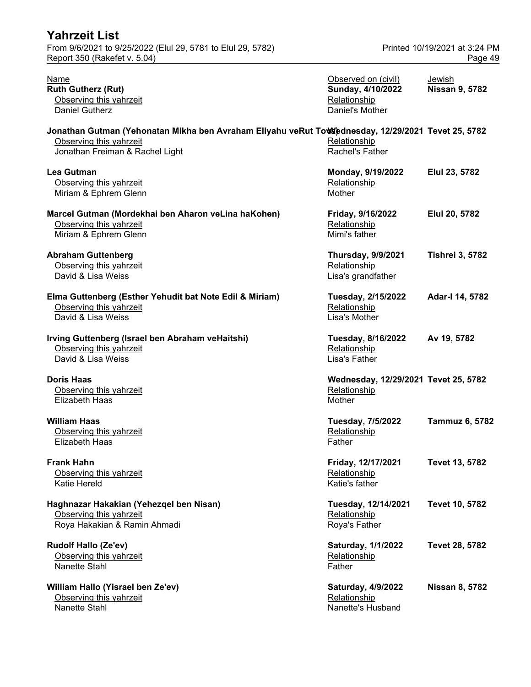| <b>Yahrzeit List</b>                                                                                                                                             |                                                                             |                                          |
|------------------------------------------------------------------------------------------------------------------------------------------------------------------|-----------------------------------------------------------------------------|------------------------------------------|
| From 9/6/2021 to 9/25/2022 (Elul 29, 5781 to Elul 29, 5782)<br>Report 350 (Rakefet v. 5.04)                                                                      |                                                                             | Printed 10/19/2021 at 3:24 PM<br>Page 49 |
| <b>Name</b><br><b>Ruth Gutherz (Rut)</b><br>Observing this yahrzeit<br><b>Daniel Gutherz</b>                                                                     | Observed on (civil)<br>Sunday, 4/10/2022<br>Relationship<br>Daniel's Mother | Jewish<br><b>Nissan 9, 5782</b>          |
| Jonathan Gutman (Yehonatan Mikha ben Avraham Eliyahu veRut Towlednesday, 12/29/2021 Tevet 25, 5782<br>Observing this yahrzeit<br>Jonathan Freiman & Rachel Light | Relationship<br>Rachel's Father                                             |                                          |
| <b>Lea Gutman</b><br>Observing this yahrzeit<br>Miriam & Ephrem Glenn                                                                                            | Monday, 9/19/2022<br>Relationship<br>Mother                                 | Elul 23, 5782                            |
| Marcel Gutman (Mordekhai ben Aharon veLina haKohen)<br>Observing this yahrzeit<br>Miriam & Ephrem Glenn                                                          | Friday, 9/16/2022<br>Relationship<br>Mimi's father                          | Elul 20, 5782                            |
| <b>Abraham Guttenberg</b><br>Observing this yahrzeit<br>David & Lisa Weiss                                                                                       | <b>Thursday, 9/9/2021</b><br>Relationship<br>Lisa's grandfather             | <b>Tishrei 3, 5782</b>                   |
| Elma Guttenberg (Esther Yehudit bat Note Edil & Miriam)<br>Observing this yahrzeit<br>David & Lisa Weiss                                                         | Tuesday, 2/15/2022<br>Relationship<br>Lisa's Mother                         | Adar-I 14, 5782                          |
| Irving Guttenberg (Israel ben Abraham veHaitshi)<br>Observing this yahrzeit<br>David & Lisa Weiss                                                                | Tuesday, 8/16/2022<br>Relationship<br>Lisa's Father                         | Av 19, 5782                              |
| <b>Doris Haas</b><br>Observing this yahrzeit<br><b>Elizabeth Haas</b>                                                                                            | Wednesday, 12/29/2021 Tevet 25, 5782<br>Relationship<br>Mother              |                                          |
| <b>William Haas</b><br>Observing this yahrzeit<br><b>Elizabeth Haas</b>                                                                                          | Tuesday, 7/5/2022<br>Relationship<br>Father                                 | <b>Tammuz 6, 5782</b>                    |
| <b>Frank Hahn</b><br>Observing this yahrzeit<br>Katie Hereld                                                                                                     | Friday, 12/17/2021<br>Relationship<br>Katie's father                        | Tevet 13, 5782                           |
| Haghnazar Hakakian (Yehezqel ben Nisan)<br>Observing this yahrzeit<br>Roya Hakakian & Ramin Ahmadi                                                               | Tuesday, 12/14/2021<br>Relationship<br>Roya's Father                        | Tevet 10, 5782                           |
| <b>Rudolf Hallo (Ze'ev)</b><br>Observing this yahrzeit<br>Nanette Stahl                                                                                          | Saturday, 1/1/2022<br>Relationship<br>Father                                | Tevet 28, 5782                           |
| William Hallo (Yisrael ben Ze'ev)<br>Observing this yahrzeit<br>Nanette Stahl                                                                                    | Saturday, 4/9/2022<br>Relationship<br>Nanette's Husband                     | <b>Nissan 8, 5782</b>                    |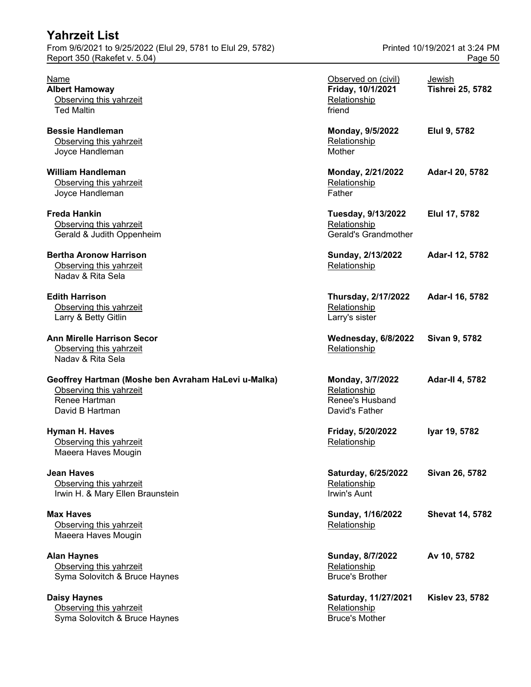| <u>LAIILETIL LISL</u><br>From 9/6/2021 to 9/25/2022 (Elul 29, 5781 to Elul 29, 5782)<br>Report 350 (Rakefet v. 5.04) |                                                                       | Printed 10/19/2021 at 3:24 PM<br>Page 50 |  |
|----------------------------------------------------------------------------------------------------------------------|-----------------------------------------------------------------------|------------------------------------------|--|
| <b>Name</b><br><b>Albert Hamoway</b><br>Observing this yahrzeit<br><b>Ted Maltin</b>                                 | Observed on (civil)<br>Friday, 10/1/2021<br>Relationship<br>friend    | Jewish<br><b>Tishrei 25, 5782</b>        |  |
| <b>Bessie Handleman</b><br>Observing this yahrzeit<br>Joyce Handleman                                                | Monday, 9/5/2022<br>Relationship<br>Mother                            | Elul 9, 5782                             |  |
| <b>William Handleman</b><br>Observing this yahrzeit<br>Joyce Handleman                                               | Monday, 2/21/2022<br>Relationship<br>Father                           | Adar-I 20, 5782                          |  |
| <b>Freda Hankin</b><br>Observing this yahrzeit<br>Gerald & Judith Oppenheim                                          | Tuesday, 9/13/2022<br>Relationship<br>Gerald's Grandmother            | Elul 17, 5782                            |  |
| <b>Bertha Aronow Harrison</b><br>Observing this yahrzeit<br>Naday & Rita Sela                                        | Sunday, 2/13/2022<br>Relationship                                     | Adar-I 12, 5782                          |  |
| <b>Edith Harrison</b><br>Observing this yahrzeit<br>Larry & Betty Gitlin                                             | Thursday, 2/17/2022<br>Relationship<br>Larry's sister                 | Adar-I 16, 5782                          |  |
| <b>Ann Mirelle Harrison Secor</b><br>Observing this yahrzeit<br>Nadav & Rita Sela                                    | Wednesday, 6/8/2022<br>Relationship                                   | Sivan 9, 5782                            |  |
| Geoffrey Hartman (Moshe ben Avraham HaLevi u-Malka)<br>Observing this yahrzeit<br>Renee Hartman<br>David B Hartman   | Monday, 3/7/2022<br>Relationship<br>Renee's Husband<br>David's Father | <b>Adar-II 4, 5782</b>                   |  |
| Hyman H. Haves<br>Observing this yahrzeit<br>Maeera Haves Mougin                                                     | Friday, 5/20/2022<br>Relationship                                     | Iyar 19, 5782                            |  |
| <b>Jean Haves</b><br>Observing this yahrzeit<br>Irwin H. & Mary Ellen Braunstein                                     | Saturday, 6/25/2022<br>Relationship<br>Irwin's Aunt                   | Sivan 26, 5782                           |  |
| <b>Max Haves</b><br>Observing this yahrzeit<br>Maeera Haves Mougin                                                   | Sunday, 1/16/2022<br>Relationship                                     | <b>Shevat 14, 5782</b>                   |  |
| <b>Alan Haynes</b><br>Observing this yahrzeit<br>Syma Solovitch & Bruce Haynes                                       | Sunday, 8/7/2022<br>Relationship<br><b>Bruce's Brother</b>            | Av 10, 5782                              |  |
| <b>Daisy Haynes</b><br>Observing this yahrzeit<br>Syma Solovitch & Bruce Haynes                                      | Saturday, 11/27/2021<br>Relationship<br><b>Bruce's Mother</b>         | <b>Kislev 23, 5782</b>                   |  |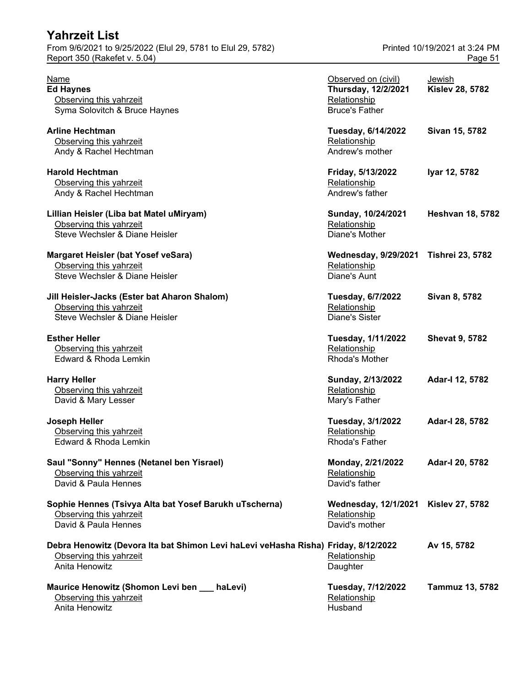| Yahrzeit List                                                                      |                                          |                               |
|------------------------------------------------------------------------------------|------------------------------------------|-------------------------------|
| From 9/6/2021 to 9/25/2022 (Elul 29, 5781 to Elul 29, 5782)                        |                                          | Printed 10/19/2021 at 3:24 PM |
| Report 350 (Rakefet v. 5.04)                                                       |                                          | Page 51                       |
| Name                                                                               |                                          |                               |
|                                                                                    | Observed on (civil)                      | Jewish                        |
| <b>Ed Haynes</b>                                                                   | Thursday, 12/2/2021                      | <b>Kislev 28, 5782</b>        |
| Observing this yahrzeit                                                            | Relationship                             |                               |
| Syma Solovitch & Bruce Haynes                                                      | <b>Bruce's Father</b>                    |                               |
| <b>Arline Hechtman</b>                                                             | Tuesday, 6/14/2022                       | Sivan 15, 5782                |
| Observing this yahrzeit                                                            | Relationship                             |                               |
| Andy & Rachel Hechtman                                                             | Andrew's mother                          |                               |
| <b>Harold Hechtman</b>                                                             | Friday, 5/13/2022                        | Iyar 12, 5782                 |
| Observing this yahrzeit                                                            | Relationship                             |                               |
| Andy & Rachel Hechtman                                                             | Andrew's father                          |                               |
| Lillian Heisler (Liba bat Matel uMiryam)                                           | Sunday, 10/24/2021                       | <b>Heshvan 18, 5782</b>       |
| Observing this yahrzeit                                                            | Relationship                             |                               |
| Steve Wechsler & Diane Heisler                                                     | Diane's Mother                           |                               |
| <b>Margaret Heisler (bat Yosef veSara)</b>                                         | <b>Wednesday, 9/29/2021</b>              | <b>Tishrei 23, 5782</b>       |
| Observing this yahrzeit                                                            | Relationship                             |                               |
| Steve Wechsler & Diane Heisler                                                     | Diane's Aunt                             |                               |
|                                                                                    |                                          | Sivan 8, 5782                 |
| Jill Heisler-Jacks (Ester bat Aharon Shalom)<br>Observing this yahrzeit            | <b>Tuesday, 6/7/2022</b><br>Relationship |                               |
| Steve Wechsler & Diane Heisler                                                     | <b>Diane's Sister</b>                    |                               |
|                                                                                    |                                          |                               |
| <b>Esther Heller</b>                                                               | Tuesday, 1/11/2022                       | <b>Shevat 9, 5782</b>         |
| Observing this yahrzeit                                                            | Relationship                             |                               |
| Edward & Rhoda Lemkin                                                              | Rhoda's Mother                           |                               |
| <b>Harry Heller</b>                                                                | Sunday, 2/13/2022                        | Adar-I 12, 5782               |
| Observing this yahrzeit                                                            | Relationship                             |                               |
| David & Mary Lesser                                                                | Mary's Father                            |                               |
| <b>Joseph Heller</b>                                                               | Tuesday, 3/1/2022                        | Adar-I 28, 5782               |
| Observing this yahrzeit                                                            | Relationship                             |                               |
| Edward & Rhoda Lemkin                                                              | Rhoda's Father                           |                               |
| Saul "Sonny" Hennes (Netanel ben Yisrael)                                          | Monday, 2/21/2022                        | Adar-I 20, 5782               |
| Observing this yahrzeit                                                            | Relationship                             |                               |
| David & Paula Hennes                                                               | David's father                           |                               |
|                                                                                    |                                          |                               |
| Sophie Hennes (Tsivya Alta bat Yosef Barukh uTscherna)                             | Wednesday, 12/1/2021 Kislev 27, 5782     |                               |
| Observing this yahrzeit                                                            | Relationship                             |                               |
| David & Paula Hennes                                                               | David's mother                           |                               |
| Debra Henowitz (Devora Ita bat Shimon Levi haLevi veHasha Risha) Friday, 8/12/2022 |                                          | Av 15, 5782                   |
| Observing this yahrzeit                                                            | Relationship                             |                               |
| Anita Henowitz                                                                     | Daughter                                 |                               |
| Maurice Henowitz (Shomon Levi ben __ haLevi)                                       | Tuesday, 7/12/2022                       | Tammuz 13, 5782               |
| Observing this yahrzeit                                                            | Relationship                             |                               |

Anita Henowitz **Husband**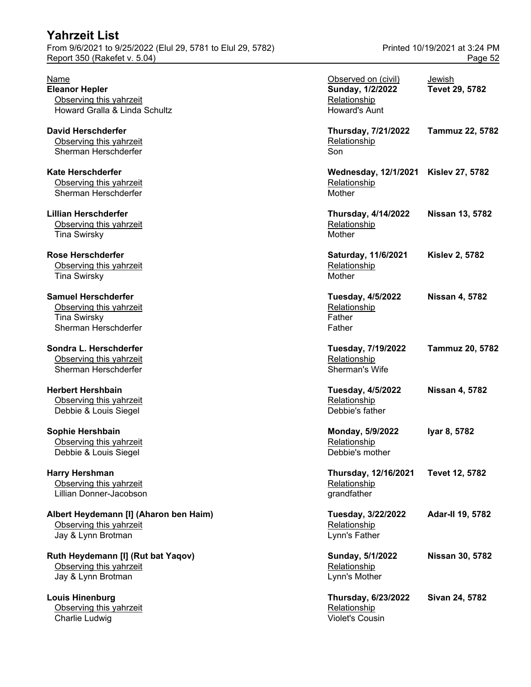**Louis Hinenburg** Observing this yahrzeit Charlie Ludwig **Violet's Cousin** Charlie Ludwig **Violet's Cousin** 

| Name<br><b>Eleanor Hepler</b><br>Observing this yahrzeit<br>Howard Gralla & Linda Schultz            | Observed on (civil)<br>Sunday, 1/2/2022<br>Relationship<br>Howard's Aunt | Jewish<br>Tevet 29, 5782 |
|------------------------------------------------------------------------------------------------------|--------------------------------------------------------------------------|--------------------------|
| <b>David Herschderfer</b><br>Observing this yahrzeit<br>Sherman Herschderfer                         | Thursday, 7/21/2022<br>Relationship<br>Son                               | <b>Tammuz 22, 5782</b>   |
| <b>Kate Herschderfer</b><br>Observing this yahrzeit<br>Sherman Herschderfer                          | Wednesday, 12/1/2021 Kislev 27, 5782<br>Relationship<br>Mother           |                          |
| <b>Lillian Herschderfer</b><br>Observing this yahrzeit<br><b>Tina Swirsky</b>                        | <b>Thursday, 4/14/2022</b><br>Relationship<br>Mother                     | <b>Nissan 13, 5782</b>   |
| <b>Rose Herschderfer</b><br>Observing this yahrzeit<br><b>Tina Swirsky</b>                           | Saturday, 11/6/2021<br>Relationship<br>Mother                            | <b>Kislev 2, 5782</b>    |
| <b>Samuel Herschderfer</b><br>Observing this yahrzeit<br><b>Tina Swirsky</b><br>Sherman Herschderfer | <b>Tuesday, 4/5/2022</b><br>Relationship<br>Father<br>Father             | <b>Nissan 4, 5782</b>    |
| Sondra L. Herschderfer<br>Observing this yahrzeit<br>Sherman Herschderfer                            | Tuesday, 7/19/2022<br>Relationship<br>Sherman's Wife                     | <b>Tammuz 20, 5782</b>   |
| <b>Herbert Hershbain</b><br>Observing this yahrzeit<br>Debbie & Louis Siegel                         | <b>Tuesday, 4/5/2022</b><br>Relationship<br>Debbie's father              | <b>Nissan 4, 5782</b>    |
| Sophie Hershbain<br>Observing this yahrzeit<br>Debbie & Louis Siegel                                 | Monday, 5/9/2022<br>Relationship<br>Debbie's mother                      | Iyar 8, 5782             |
| <b>Harry Hershman</b><br>Observing this yahrzeit<br>Lillian Donner-Jacobson                          | Thursday, 12/16/2021<br>Relationship<br>grandfather                      | Tevet 12, 5782           |
| Albert Heydemann [I] (Aharon ben Haim)<br>Observing this yahrzeit<br>Jay & Lynn Brotman              | Tuesday, 3/22/2022<br>Relationship<br>Lynn's Father                      | Adar-II 19, 5782         |
| Ruth Heydemann [I] (Rut bat Yaqov)<br>Observing this yahrzeit<br>Jay & Lynn Brotman                  | Sunday, 5/1/2022<br>Relationship<br>Lynn's Mother                        | <b>Nissan 30, 5782</b>   |
| <b>Louis Hinenburg</b><br>Observing this vahrzeit                                                    | <b>Thursday, 6/23/2022</b><br>Relationship                               | Sivan 24, 5782           |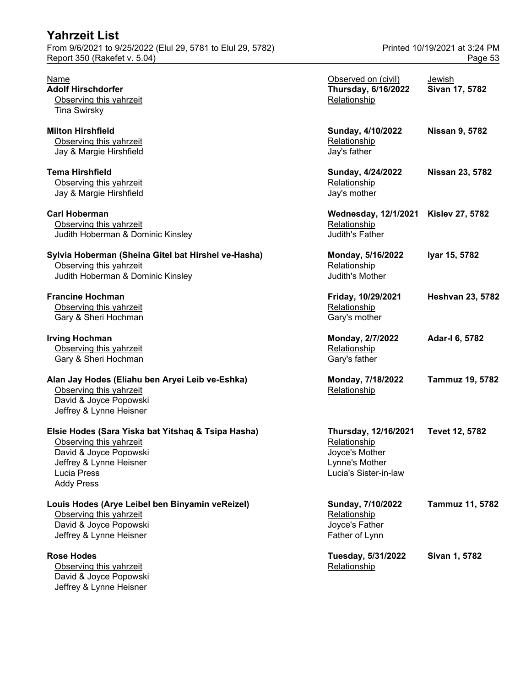| From 9/6/2021 to 9/25/2022 (Elul 29, 5781 to Elul 29, 5782)                                                                                                            | Printed 10/19/2021 at 3:24 PM                                                                     |                          |  |
|------------------------------------------------------------------------------------------------------------------------------------------------------------------------|---------------------------------------------------------------------------------------------------|--------------------------|--|
| Report 350 (Rakefet v. 5.04)                                                                                                                                           | Page 53                                                                                           |                          |  |
| <u>Name</u><br><b>Adolf Hirschdorfer</b><br>Observing this yahrzeit<br><b>Tina Swirsky</b>                                                                             | Observed on (civil)<br><b>Thursday, 6/16/2022</b><br>Relationship                                 | Jewish<br>Sivan 17, 5782 |  |
| <b>Milton Hirshfield</b><br>Observing this yahrzeit<br>Jay & Margie Hirshfield                                                                                         | Sunday, 4/10/2022<br>Relationship<br>Jay's father                                                 | <b>Nissan 9, 5782</b>    |  |
| <b>Tema Hirshfield</b><br>Observing this yahrzeit<br>Jay & Margie Hirshfield                                                                                           | Sunday, 4/24/2022<br>Relationship<br>Jay's mother                                                 | <b>Nissan 23, 5782</b>   |  |
| <b>Carl Hoberman</b><br>Observing this yahrzeit<br>Judith Hoberman & Dominic Kinsley                                                                                   | <b>Wednesday, 12/1/2021</b><br>Relationship<br>Judith's Father                                    | <b>Kislev 27, 5782</b>   |  |
| Sylvia Hoberman (Sheina Gitel bat Hirshel ve-Hasha)<br>Observing this yahrzeit<br>Judith Hoberman & Dominic Kinsley                                                    | Monday, 5/16/2022<br>Relationship<br>Judith's Mother                                              | Iyar 15, 5782            |  |
| <b>Francine Hochman</b><br>Observing this yahrzeit<br>Gary & Sheri Hochman                                                                                             | Friday, 10/29/2021<br>Relationship<br>Gary's mother                                               | <b>Heshvan 23, 5782</b>  |  |
| <b>Irving Hochman</b><br>Observing this yahrzeit<br>Gary & Sheri Hochman                                                                                               | Monday, 2/7/2022<br>Relationship<br>Gary's father                                                 | Adar-I 6, 5782           |  |
| Alan Jay Hodes (Eliahu ben Aryei Leib ve-Eshka)<br>Observing this yahrzeit<br>David & Joyce Popowski<br>Jeffrey & Lynne Heisner                                        | Monday, 7/18/2022<br>Relationship                                                                 | <b>Tammuz 19, 5782</b>   |  |
| Elsie Hodes (Sara Yiska bat Yitshaq & Tsipa Hasha)<br>Observing this yahrzeit<br>David & Joyce Popowski<br>Jeffrey & Lynne Heisner<br>Lucia Press<br><b>Addy Press</b> | Thursday, 12/16/2021<br>Relationship<br>Joyce's Mother<br>Lynne's Mother<br>Lucia's Sister-in-law | <b>Tevet 12, 5782</b>    |  |
| Louis Hodes (Arye Leibel ben Binyamin veReizel)<br>Observing this yahrzeit<br>David & Joyce Popowski<br>Jeffrey & Lynne Heisner                                        | Sunday, 7/10/2022<br>Relationship<br>Joyce's Father<br>Father of Lynn                             | Tammuz 11, 5782          |  |
| <b>Rose Hodes</b><br>Observing this yahrzeit<br>David & Joyce Ponowski                                                                                                 | Tuesday, 5/31/2022<br>Relationship                                                                | Sivan 1, 5782            |  |

David & Joyce Popowski Jeffrey & Lynne Heisner

**Yahrzeit List**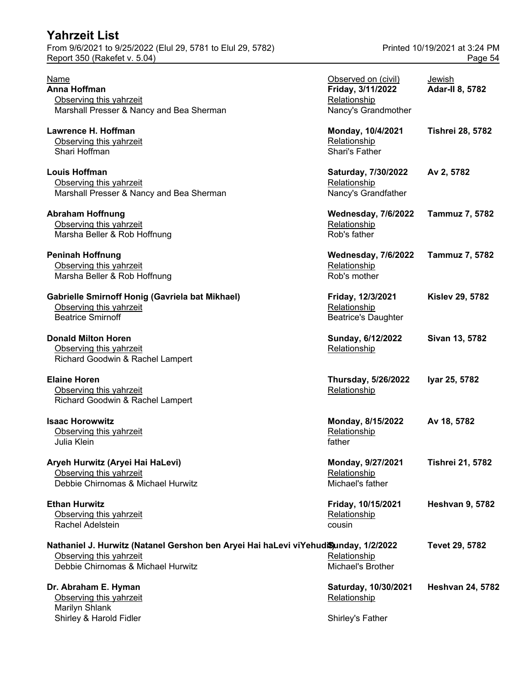| <b>Yahrzeit List</b>                                        |                               |
|-------------------------------------------------------------|-------------------------------|
| From 9/6/2021 to 9/25/2022 (Elul 29, 5781 to Elul 29, 5782) | Printed 10/19/2021 at 3:24 PM |
| Report 350 (Rakefet v. 5.04)                                | Page 54                       |

#### **Gabrielle Smirnoff Honig (Gavriela bat Mikhael)** Observing this yahrzeit Beatrice Smirnoff

# Printed 10/19/2021 at 3:24 PM

| Name<br>Anna Hoffman<br>Observing this yahrzeit<br>Marshall Presser & Nancy and Bea Sherman                                                          | Observed on (civil)<br>Friday, 3/11/2022<br>Relationship<br>Nancy's Grandmother | Jewish<br><b>Adar-II 8, 5782</b> |
|------------------------------------------------------------------------------------------------------------------------------------------------------|---------------------------------------------------------------------------------|----------------------------------|
| Lawrence H. Hoffman<br>Observing this yahrzeit<br>Shari Hoffman                                                                                      | Monday, 10/4/2021<br>Relationship<br><b>Shari's Father</b>                      | <b>Tishrei 28, 5782</b>          |
| Louis Hoffman<br>Observing this yahrzeit<br>Marshall Presser & Nancy and Bea Sherman                                                                 | Saturday, 7/30/2022<br>Relationship<br>Nancy's Grandfather                      | Av 2, 5782                       |
| <b>Abraham Hoffnung</b><br>Observing this yahrzeit<br>Marsha Beller & Rob Hoffnung                                                                   | <b>Wednesday, 7/6/2022</b><br>Relationship<br>Rob's father                      | <b>Tammuz 7, 5782</b>            |
| <b>Peninah Hoffnung</b><br>Observing this yahrzeit<br>Marsha Beller & Rob Hoffnung                                                                   | <b>Wednesday, 7/6/2022</b><br>Relationship<br>Rob's mother                      | <b>Tammuz 7, 5782</b>            |
| Gabrielle Smirnoff Honig (Gavriela bat Mikhael)<br>Observing this yahrzeit<br><b>Beatrice Smirnoff</b>                                               | Friday, 12/3/2021<br>Relationship<br><b>Beatrice's Daughter</b>                 | <b>Kislev 29, 5782</b>           |
| <b>Donald Milton Horen</b><br>Observing this yahrzeit<br>Richard Goodwin & Rachel Lampert                                                            | Sunday, 6/12/2022<br>Relationship                                               | Sivan 13, 5782                   |
| <b>Elaine Horen</b><br>Observing this yahrzeit<br>Richard Goodwin & Rachel Lampert                                                                   | <b>Thursday, 5/26/2022</b><br>Relationship                                      | Iyar 25, 5782                    |
| <b>Isaac Horowwitz</b><br>Observing this yahrzeit<br>Julia Klein                                                                                     | Monday, 8/15/2022<br>Relationship<br>father                                     | Av 18, 5782                      |
| Aryeh Hurwitz (Aryei Hai HaLevi)<br>Observing this yahrzeit<br>Debbie Chirnomas & Michael Hurwitz                                                    | Monday, 9/27/2021<br>Relationship<br>Michael's father                           | <b>Tishrei 21, 5782</b>          |
| <b>Ethan Hurwitz</b><br>Observing this yahrzeit<br>Rachel Adelstein                                                                                  | Friday, 10/15/2021<br>Relationship<br>cousin                                    | <b>Heshvan 9, 5782</b>           |
| Nathaniel J. Hurwitz (Natanel Gershon ben Aryei Hai haLevi viYehudiSunday, 1/2/2022<br>Observing this yahrzeit<br>Debbie Chirnomas & Michael Hurwitz | Relationship<br>Michael's Brother                                               | Tevet 29, 5782                   |
| Dr. Abraham E. Hyman<br>Observing this yahrzeit                                                                                                      | Saturday, 10/30/2021<br>Relationship                                            | <b>Heshvan 24, 5782</b>          |

**Dr. Abraham E. Hyman** Observing this yahrzeit Marilyn Shlank Shirley & Harold Fidler Shirley's Father Shirley's Father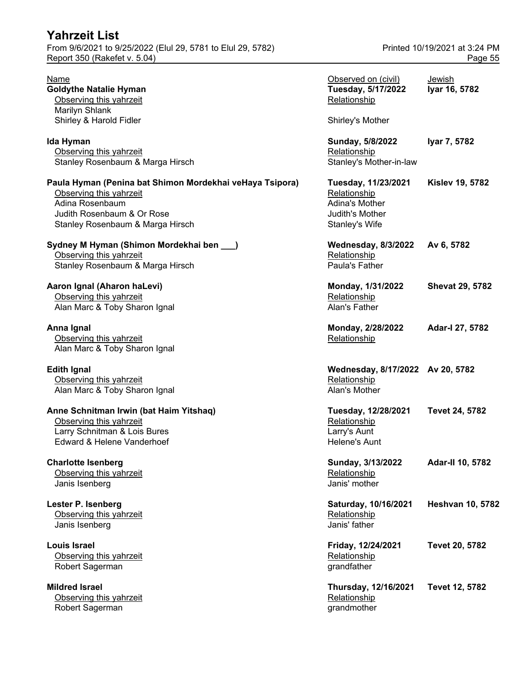## **Yahrzeit List** From 9/6/2021 to 9/25/2022 (Elul 29, 5781 to Elul 29, 5782) Printed 10/19/2021 at 3:24 PM Report 350 (Rakefet v. 5.04) Page 55

| Name<br><b>Goldythe Natalie Hyman</b><br>Observing this yahrzeit<br>Marilyn Shlank<br>Shirley & Harold Fidler                                                            | Observed on (civil)<br>Tuesday, 5/17/2022<br>Relationship<br>Shirley's Mother              | <u>Jewish</u><br>Iyar 16, 5782 |
|--------------------------------------------------------------------------------------------------------------------------------------------------------------------------|--------------------------------------------------------------------------------------------|--------------------------------|
| Ida Hyman<br>Observing this yahrzeit<br>Stanley Rosenbaum & Marga Hirsch                                                                                                 | Sunday, 5/8/2022<br>Relationship<br>Stanley's Mother-in-law                                | Iyar 7, 5782                   |
| Paula Hyman (Penina bat Shimon Mordekhai veHaya Tsipora)<br>Observing this yahrzeit<br>Adina Rosenbaum<br>Judith Rosenbaum & Or Rose<br>Stanley Rosenbaum & Marga Hirsch | Tuesday, 11/23/2021<br>Relationship<br>Adina's Mother<br>Judith's Mother<br>Stanley's Wife | <b>Kislev 19, 5782</b>         |
| Sydney M Hyman (Shimon Mordekhai ben __)<br>Observing this yahrzeit<br>Stanley Rosenbaum & Marga Hirsch                                                                  | <b>Wednesday, 8/3/2022</b><br>Relationship<br>Paula's Father                               | Av 6, 5782                     |
| Aaron Ignal (Aharon haLevi)<br>Observing this yahrzeit<br>Alan Marc & Toby Sharon Ignal                                                                                  | Monday, 1/31/2022<br>Relationship<br>Alan's Father                                         | <b>Shevat 29, 5782</b>         |
| Anna Ignal<br>Observing this yahrzeit<br>Alan Marc & Toby Sharon Ignal                                                                                                   | Monday, 2/28/2022<br>Relationship                                                          | Adar-I 27, 5782                |
| <b>Edith Ignal</b><br>Observing this yahrzeit<br>Alan Marc & Toby Sharon Ignal                                                                                           | Wednesday, 8/17/2022 Av 20, 5782<br>Relationship<br>Alan's Mother                          |                                |
| Anne Schnitman Irwin (bat Haim Yitshaq)<br>Observing this yahrzeit<br>Larry Schnitman & Lois Bures<br>Edward & Helene Vanderhoef                                         | Tuesday, 12/28/2021<br>Relationship<br>Larry's Aunt<br><b>Helene's Aunt</b>                | <b>Tevet 24, 5782</b>          |
| <b>Charlotte Isenberg</b><br>Observing this yahrzeit<br>Janis Isenberg                                                                                                   | Sunday, 3/13/2022<br>Relationship<br>Janis' mother                                         | Adar-II 10, 5782               |
| Lester P. Isenberg<br>Observing this yahrzeit<br>Janis Isenberg                                                                                                          | Saturday, 10/16/2021<br>Relationship<br>Janis' father                                      | <b>Heshvan 10, 5782</b>        |
| <b>Louis Israel</b><br>Observing this yahrzeit<br>Robert Sagerman                                                                                                        | Friday, 12/24/2021<br>Relationship<br>grandfather                                          | Tevet 20, 5782                 |
| <b>Mildred Israel</b><br>Observing this yahrzeit<br>Robert Sagerman                                                                                                      | Thursday, 12/16/2021<br>Relationship<br>grandmother                                        | Tevet 12, 5782                 |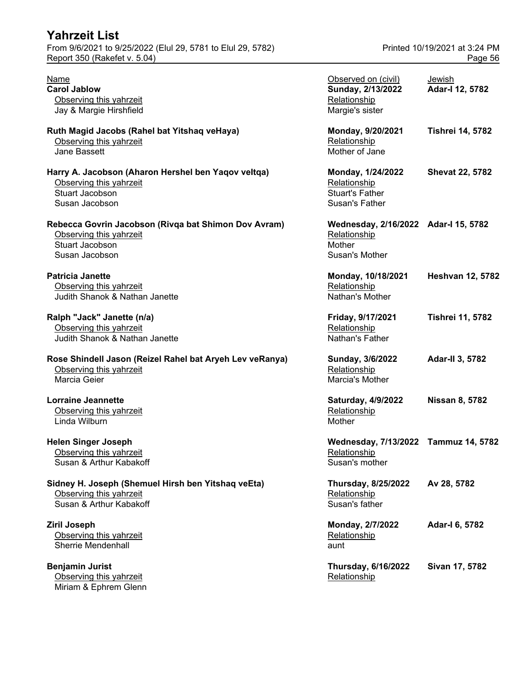| <b>Yahrzeit List</b><br>From 9/6/2021 to 9/25/2022 (Elul 29, 5781 to Elul 29, 5782)<br>Report 350 (Rakefet v. 5.04)  |                                                                                  | Printed 10/19/2021 at 3:24 PM<br>Page 56 |
|----------------------------------------------------------------------------------------------------------------------|----------------------------------------------------------------------------------|------------------------------------------|
| <b>Name</b><br><b>Carol Jablow</b><br>Observing this yahrzeit<br>Jay & Margie Hirshfield                             | Observed on (civil)<br>Sunday, 2/13/2022<br>Relationship<br>Margie's sister      | Jewish<br>Adar-I 12, 5782                |
| Ruth Magid Jacobs (Rahel bat Yitshaq veHaya)<br>Observing this yahrzeit<br>Jane Bassett                              | Monday, 9/20/2021<br>Relationship<br>Mother of Jane                              | <b>Tishrei 14, 5782</b>                  |
| Harry A. Jacobson (Aharon Hershel ben Yaqov veltqa)<br>Observing this yahrzeit<br>Stuart Jacobson<br>Susan Jacobson  | Monday, 1/24/2022<br>Relationship<br><b>Stuart's Father</b><br>Susan's Father    | <b>Shevat 22, 5782</b>                   |
| Rebecca Govrin Jacobson (Rivqa bat Shimon Dov Avram)<br>Observing this yahrzeit<br>Stuart Jacobson<br>Susan Jacobson | Wednesday, 2/16/2022 Adar-I 15, 5782<br>Relationship<br>Mother<br>Susan's Mother |                                          |
| <b>Patricia Janette</b><br>Observing this yahrzeit<br>Judith Shanok & Nathan Janette                                 | Monday, 10/18/2021<br>Relationship<br>Nathan's Mother                            | <b>Heshvan 12, 5782</b>                  |
| Ralph "Jack" Janette (n/a)<br>Observing this yahrzeit<br>Judith Shanok & Nathan Janette                              | Friday, 9/17/2021<br>Relationship<br>Nathan's Father                             | <b>Tishrei 11, 5782</b>                  |
| Rose Shindell Jason (Reizel Rahel bat Aryeh Lev veRanya)<br>Observing this yahrzeit<br>Marcia Geier                  | Sunday, 3/6/2022<br>Relationship<br>Marcia's Mother                              | Adar-II 3, 5782                          |
| <b>Lorraine Jeannette</b><br>Observing this yahrzeit<br>Linda Wilburn                                                | Saturday, 4/9/2022<br>Relationship<br>Mother                                     | <b>Nissan 8, 5782</b>                    |
| <b>Helen Singer Joseph</b><br>Observing this yahrzeit<br>Susan & Arthur Kabakoff                                     | Wednesday, 7/13/2022 Tammuz 14, 5782<br>Relationship<br>Susan's mother           |                                          |
| Sidney H. Joseph (Shemuel Hirsh ben Yitshaq veEta)<br>Observing this yahrzeit<br>Susan & Arthur Kabakoff             | <b>Thursday, 8/25/2022</b><br>Relationship<br>Susan's father                     | Av 28, 5782                              |
| <b>Ziril Joseph</b><br>Observing this yahrzeit<br>Sherrie Mendenhall                                                 | Monday, 2/7/2022<br>Relationship<br>aunt                                         | Adar-I 6, 5782                           |
| <b>Benjamin Jurist</b><br>Observing this yahrzeit                                                                    | <b>Thursday, 6/16/2022</b><br>Relationship                                       | Sivan 17, 5782                           |

Miriam & Ephrem Glenn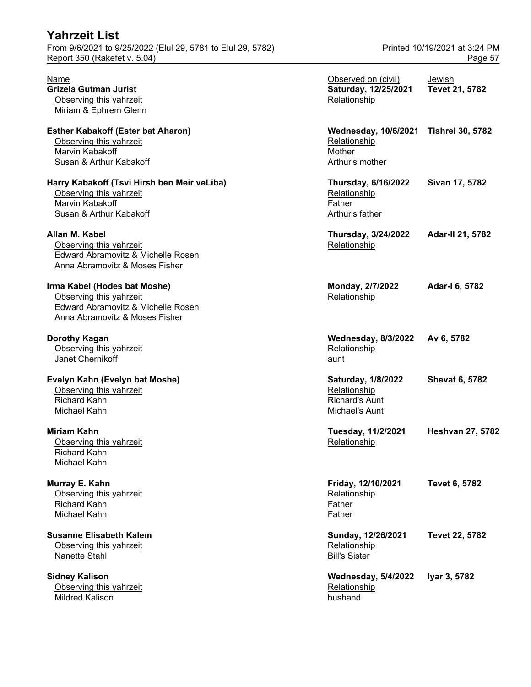| From 9/6/2021 to 9/25/2022 (Elul 29, 5781 to Elul 29, 5782)<br>Report 350 (Rakefet v. 5.04) |                                       | Printed 10/19/2021 at 3:24 PM<br>Page 57 |
|---------------------------------------------------------------------------------------------|---------------------------------------|------------------------------------------|
| Name                                                                                        | Observed on (civil)                   | Jewish                                   |
| Grizela Gutman Jurist                                                                       | Saturday, 12/25/2021                  | Tevet 21, 5782                           |
| Observing this yahrzeit                                                                     | Relationship                          |                                          |
| Miriam & Ephrem Glenn                                                                       |                                       |                                          |
| <b>Esther Kabakoff (Ester bat Aharon)</b>                                                   | Wednesday, 10/6/2021 Tishrei 30, 5782 |                                          |
| Observing this yahrzeit                                                                     | Relationship                          |                                          |
| Marvin Kabakoff                                                                             | Mother                                |                                          |
| Susan & Arthur Kabakoff                                                                     | Arthur's mother                       |                                          |
| Harry Kabakoff (Tsvi Hirsh ben Meir veLiba)                                                 | <b>Thursday, 6/16/2022</b>            | Sivan 17, 5782                           |
| Observing this yahrzeit                                                                     | Relationship                          |                                          |
| Marvin Kabakoff                                                                             | Father                                |                                          |
| Susan & Arthur Kabakoff                                                                     | Arthur's father                       |                                          |
| Allan M. Kabel                                                                              | <b>Thursday, 3/24/2022</b>            | Adar-II 21, 5782                         |
| Observing this yahrzeit                                                                     | Relationship                          |                                          |
| Edward Abramovitz & Michelle Rosen                                                          |                                       |                                          |
| Anna Abramovitz & Moses Fisher                                                              |                                       |                                          |
| Irma Kabel (Hodes bat Moshe)                                                                | Monday, 2/7/2022                      | Adar-I 6, 5782                           |
| Observing this yahrzeit                                                                     | Relationship                          |                                          |
| Edward Abramovitz & Michelle Rosen                                                          |                                       |                                          |
| Anna Abramovitz & Moses Fisher                                                              |                                       |                                          |
| Dorothy Kagan                                                                               | <b>Wednesday, 8/3/2022</b>            | Av 6, 5782                               |
| Observing this yahrzeit                                                                     | Relationship                          |                                          |
| Janet Chernikoff                                                                            | aunt                                  |                                          |
| Evelyn Kahn (Evelyn bat Moshe)                                                              | <b>Saturday, 1/8/2022</b>             | <b>Shevat 6, 5782</b>                    |
| Observing this yahrzeit                                                                     | Relationship                          |                                          |
| <b>Richard Kahn</b>                                                                         | <b>Richard's Aunt</b>                 |                                          |
| Michael Kahn                                                                                | Michael's Aunt                        |                                          |
| Miriam Kahn                                                                                 | Tuesday, 11/2/2021                    | <b>Heshvan 27, 5782</b>                  |
| Observing this yahrzeit                                                                     | Relationship                          |                                          |
| <b>Richard Kahn</b>                                                                         |                                       |                                          |
| Michael Kahn                                                                                |                                       |                                          |
| Murray E. Kahn                                                                              | Friday, 12/10/2021                    | Tevet 6, 5782                            |
| Observing this yahrzeit                                                                     | Relationship                          |                                          |
| <b>Richard Kahn</b>                                                                         | Father                                |                                          |
| Michael Kahn                                                                                | Father                                |                                          |
| <b>Susanne Elisabeth Kalem</b>                                                              | Sunday, 12/26/2021                    | Tevet 22, 5782                           |
| Observing this yahrzeit                                                                     | Relationship                          |                                          |
| Nanette Stahl                                                                               | <b>Bill's Sister</b>                  |                                          |
| <b>Sidney Kalison</b>                                                                       | <b>Wednesday, 5/4/2022</b>            | Iyar 3, 5782                             |
| Observing this yahrzeit                                                                     | Relationship                          |                                          |
| Mildred Kalison                                                                             | husband                               |                                          |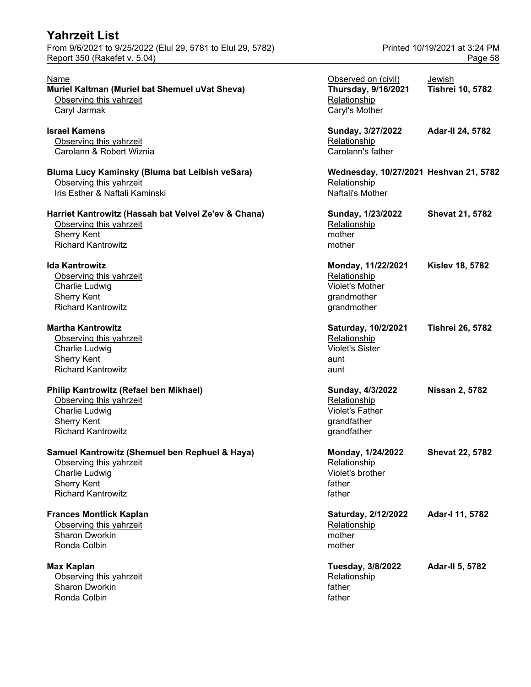#### **Muriel Kaltman (Muriel bat Shemuel uVat Sheva)** Observing this yahrzeit Caryl Jarmak

#### **Ida Kantrowitz**

#### **Martha Kantrowitz**

#### **Philip Kantrowitz (Refael ben Mikhael)**

## **Samuel Kantrowitz (Shemuel ben Rephuel & Haya)** Observing this yahrzeit

## **Frances Montlick Kaplan**

### **Max Kaplan**

Observing this yahrzeit Sharon Dworkin Ronda Colbin father and the collection of the collection of the collection of the collection of the collection of the collection of the collection of the collection of the collection of the collection of the collection of

| Name<br>Muriel Kaltman (Muriel bat Shemuel uVat Sheva)<br>Observing this yahrzeit | Observed on (civil)<br><b>Thursday, 9/16/2021</b><br>Relationship | Jewish<br><b>Tishrei 10, 5782</b> |
|-----------------------------------------------------------------------------------|-------------------------------------------------------------------|-----------------------------------|
| Caryl Jarmak                                                                      | Caryl's Mother                                                    |                                   |
| Israel Kamens                                                                     | Sunday, 3/27/2022                                                 | <b>Adar-II 24, 5782</b>           |
| Observing this yahrzeit                                                           | Relationship                                                      |                                   |
| Carolann & Robert Wiznia                                                          | Carolann's father                                                 |                                   |
| Bluma Lucy Kaminsky (Bluma bat Leibish veSara)                                    | Wednesday, 10/27/2021 Heshvan 21, 5782                            |                                   |
| Observing this yahrzeit                                                           | Relationship                                                      |                                   |
| Iris Esther & Naftali Kaminski                                                    | Naftali's Mother                                                  |                                   |
| Harriet Kantrowitz (Hassah bat Velvel Ze'ev & Chana)                              | Sunday, 1/23/2022                                                 | <b>Shevat 21, 5782</b>            |
| Observing this yahrzeit                                                           | Relationship                                                      |                                   |
| <b>Sherry Kent</b>                                                                | mother                                                            |                                   |
| <b>Richard Kantrowitz</b>                                                         | mother                                                            |                                   |
| lda Kantrowitz                                                                    | Monday, 11/22/2021                                                | <b>Kislev 18, 5782</b>            |
| Observing this yahrzeit                                                           | Relationship                                                      |                                   |
| Charlie Ludwig                                                                    | <b>Violet's Mother</b>                                            |                                   |
| <b>Sherry Kent</b>                                                                | grandmother                                                       |                                   |
| <b>Richard Kantrowitz</b>                                                         | grandmother                                                       |                                   |
| <b>Martha Kantrowitz</b>                                                          | Saturday, 10/2/2021                                               | <b>Tishrei 26, 5782</b>           |
| Observing this yahrzeit                                                           | Relationship                                                      |                                   |
| Charlie Ludwig                                                                    | <b>Violet's Sister</b>                                            |                                   |
| <b>Sherry Kent</b>                                                                | aunt                                                              |                                   |
| <b>Richard Kantrowitz</b>                                                         | aunt                                                              |                                   |
| Philip Kantrowitz (Refael ben Mikhael)                                            | Sunday, 4/3/2022                                                  | <b>Nissan 2, 5782</b>             |
| Observing this yahrzeit                                                           | Relationship                                                      |                                   |
| Charlie Ludwig                                                                    | <b>Violet's Father</b>                                            |                                   |
| <b>Sherry Kent</b>                                                                | grandfather                                                       |                                   |
| <b>Richard Kantrowitz</b>                                                         | grandfather                                                       |                                   |
| Samuel Kantrowitz (Shemuel ben Rephuel & Haya)                                    | Monday, 1/24/2022                                                 | <b>Shevat 22, 5782</b>            |
| Observing this yahrzeit                                                           | Relationship                                                      |                                   |
| Charlie Ludwig                                                                    | Violet's brother                                                  |                                   |
| <b>Sherry Kent</b>                                                                | father                                                            |                                   |
| <b>Richard Kantrowitz</b>                                                         | father                                                            |                                   |
| <b>Frances Montlick Kaplan</b>                                                    | Saturday, 2/12/2022                                               | Adar-I 11, 5782                   |
| Observing this yahrzeit                                                           | Relationship                                                      |                                   |
| Sharon Dworkin                                                                    | mother                                                            |                                   |
| Ronda Colbin                                                                      | mother                                                            |                                   |
| Max Kaplan                                                                        | Tuesday, 3/8/2022                                                 | <b>Adar-II 5, 5782</b>            |
| Observing this yahrzeit                                                           | Relationship                                                      |                                   |
| Sharon Dworkin<br>$D$ anda $O$ elkin                                              | father<br>$f = f _{\mathcal{L}} = \mathcal{L}$                    |                                   |
|                                                                                   |                                                                   |                                   |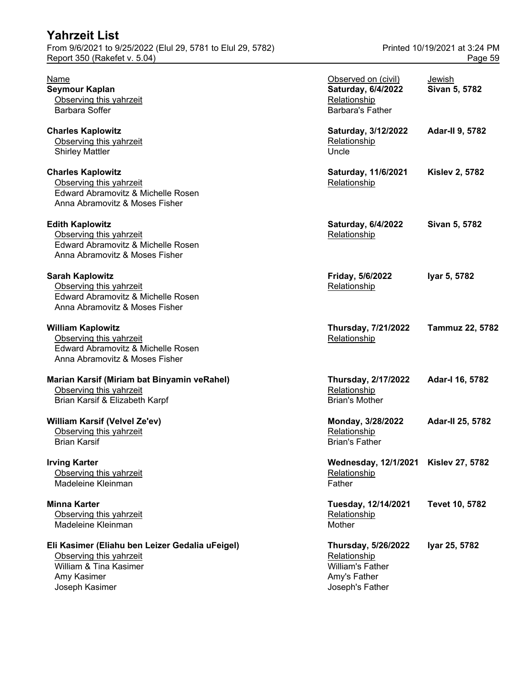| From 9/6/2021 to 9/25/2022 (Elul 29, 5781 to Elul 29, 5782)<br>Report 350 (Rakefet v. 5.04)                                           | Printed 10/19/2021 at 3:24 PM<br>Page 59                                                                 |                         |  |
|---------------------------------------------------------------------------------------------------------------------------------------|----------------------------------------------------------------------------------------------------------|-------------------------|--|
| Name<br><b>Seymour Kaplan</b><br>Observing this yahrzeit<br><b>Barbara Soffer</b>                                                     | Observed on (civil)<br>Saturday, 6/4/2022<br>Relationship<br><b>Barbara's Father</b>                     | Jewish<br>Sivan 5, 5782 |  |
| <b>Charles Kaplowitz</b><br>Observing this yahrzeit<br><b>Shirley Mattler</b>                                                         | Saturday, 3/12/2022<br>Relationship<br>Uncle                                                             | <b>Adar-II 9, 5782</b>  |  |
| <b>Charles Kaplowitz</b><br>Observing this yahrzeit<br>Edward Abramovitz & Michelle Rosen<br>Anna Abramovitz & Moses Fisher           | Saturday, 11/6/2021<br>Relationship                                                                      | <b>Kislev 2, 5782</b>   |  |
| <b>Edith Kaplowitz</b><br>Observing this yahrzeit<br>Edward Abramovitz & Michelle Rosen<br>Anna Abramovitz & Moses Fisher             | Saturday, 6/4/2022<br>Relationship                                                                       | Sivan 5, 5782           |  |
| <b>Sarah Kaplowitz</b><br>Observing this yahrzeit<br>Edward Abramovitz & Michelle Rosen<br>Anna Abramovitz & Moses Fisher             | Friday, 5/6/2022<br>Relationship                                                                         | Iyar 5, 5782            |  |
| <b>William Kaplowitz</b><br>Observing this yahrzeit<br>Edward Abramovitz & Michelle Rosen<br>Anna Abramovitz & Moses Fisher           | <b>Thursday, 7/21/2022</b><br>Relationship                                                               | <b>Tammuz 22, 5782</b>  |  |
| Marian Karsif (Miriam bat Binyamin veRahel)<br>Observing this yahrzeit<br>Brian Karsif & Elizabeth Karpf                              | <b>Thursday, 2/17/2022</b><br>Relationship<br><b>Brian's Mother</b>                                      | Adar-I 16, 5782         |  |
| <b>William Karsif (Velvel Ze'ev)</b><br>Observing this yahrzeit<br><b>Brian Karsif</b>                                                | Monday, 3/28/2022<br>Relationship<br><b>Brian's Father</b>                                               | Adar-II 25, 5782        |  |
| <b>Irving Karter</b><br>Observing this yahrzeit<br>Madeleine Kleinman                                                                 | Wednesday, 12/1/2021 Kislev 27, 5782<br>Relationship<br>Father                                           |                         |  |
| <b>Minna Karter</b><br>Observing this yahrzeit<br>Madeleine Kleinman                                                                  | Tuesday, 12/14/2021<br>Relationship<br>Mother                                                            | Tevet 10, 5782          |  |
| Eli Kasimer (Eliahu ben Leizer Gedalia uFeigel)<br>Observing this yahrzeit<br>William & Tina Kasimer<br>Amy Kasimer<br>Joseph Kasimer | <b>Thursday, 5/26/2022</b><br>Relationship<br><b>William's Father</b><br>Amy's Father<br>Joseph's Father | Iyar 25, 5782           |  |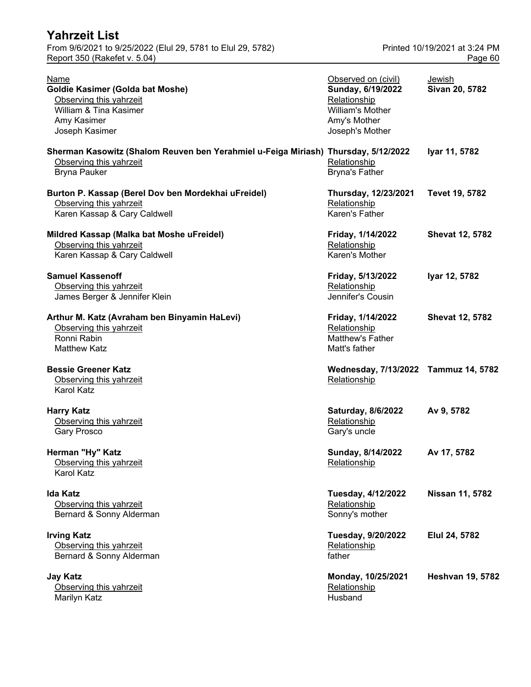| <b>Yahrzeit List</b>                                        |                               |
|-------------------------------------------------------------|-------------------------------|
| From 9/6/2021 to 9/25/2022 (Elul 29, 5781 to Elul 29, 5782) | Printed 10/19/2021 at 3:24 PM |
| Report 350 (Rakefet v. 5.04)                                | Page 60                       |

| Name<br>Goldie Kasimer (Golda bat Moshe)<br>Observing this yahrzeit<br>William & Tina Kasimer<br>Amy Kasimer<br>Joseph Kasimer       | Observed on (civil)<br>Sunday, 6/19/2022<br>Relationship<br>William's Mother<br>Amy's Mother<br>Joseph's Mother | Jewish<br>Sivan 20, 5782 |
|--------------------------------------------------------------------------------------------------------------------------------------|-----------------------------------------------------------------------------------------------------------------|--------------------------|
| Sherman Kasowitz (Shalom Reuven ben Yerahmiel u-Feiga Miriash) Thursday, 5/12/2022<br>Observing this yahrzeit<br><b>Bryna Pauker</b> | Relationship<br><b>Bryna's Father</b>                                                                           | Iyar 11, 5782            |
| Burton P. Kassap (Berel Dov ben Mordekhai uFreidel)<br>Observing this yahrzeit<br>Karen Kassap & Cary Caldwell                       | Thursday, 12/23/2021<br>Relationship<br>Karen's Father                                                          | Tevet 19, 5782           |
| Mildred Kassap (Malka bat Moshe uFreidel)<br>Observing this yahrzeit<br>Karen Kassap & Cary Caldwell                                 | Friday, 1/14/2022<br>Relationship<br>Karen's Mother                                                             | <b>Shevat 12, 5782</b>   |
| <b>Samuel Kassenoff</b><br>Observing this yahrzeit<br>James Berger & Jennifer Klein                                                  | Friday, 5/13/2022<br>Relationship<br>Jennifer's Cousin                                                          | Iyar 12, 5782            |
| Arthur M. Katz (Avraham ben Binyamin HaLevi)<br>Observing this yahrzeit<br>Ronni Rabin<br><b>Matthew Katz</b>                        | Friday, 1/14/2022<br>Relationship<br><b>Matthew's Father</b><br>Matt's father                                   | <b>Shevat 12, 5782</b>   |
| <b>Bessie Greener Katz</b><br>Observing this yahrzeit<br><b>Karol Katz</b>                                                           | Wednesday, 7/13/2022 Tammuz 14, 5782<br>Relationship                                                            |                          |
| <b>Harry Katz</b><br>Observing this yahrzeit<br><b>Gary Prosco</b>                                                                   | Saturday, 8/6/2022<br>Relationship<br>Gary's uncle                                                              | Av 9, 5782               |
| Herman "Hy" Katz<br>Observing this yahrzeit<br>Karol Katz                                                                            | Sunday, 8/14/2022<br>Relationship                                                                               | Av 17, 5782              |
| <b>Ida Katz</b><br>Observing this yahrzeit<br>Bernard & Sonny Alderman                                                               | Tuesday, 4/12/2022<br>Relationship<br>Sonny's mother                                                            | Nissan 11, 5782          |
| <b>Irving Katz</b><br>Observing this yahrzeit<br>Bernard & Sonny Alderman                                                            | <b>Tuesday, 9/20/2022</b><br>Relationship<br>father                                                             | Elul 24, 5782            |
| <b>Jay Katz</b><br>Observing this yahrzeit<br>Marilyn Katz                                                                           | Monday, 10/25/2021<br>Relationship<br>Husband                                                                   | <b>Heshvan 19, 5782</b>  |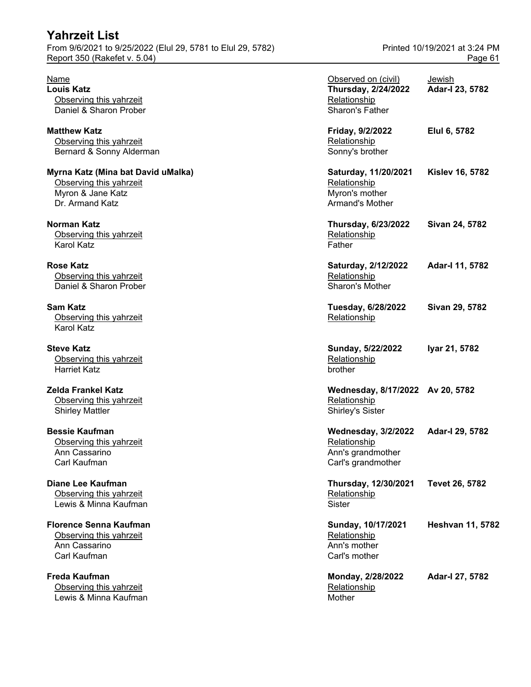**Freda Kaufman** Observing this yahrzeit **Lewis & Minna Kaufman** Mother Mother

| Name<br><b>Louis Katz</b><br>Observing this yahrzeit<br>Daniel & Sharon Prober                        | Observed on (civil)<br><b>Thursday, 2/24/2022</b><br>Relationship<br>Sharon's Father  | <u>Jewish</u><br>Adar-I 23, 5782 |
|-------------------------------------------------------------------------------------------------------|---------------------------------------------------------------------------------------|----------------------------------|
| <b>Matthew Katz</b><br>Observing this yahrzeit<br>Bernard & Sonny Alderman                            | Friday, 9/2/2022<br>Relationship<br>Sonny's brother                                   | Elul 6, 5782                     |
| Myrna Katz (Mina bat David uMalka)<br>Observing this yahrzeit<br>Myron & Jane Katz<br>Dr. Armand Katz | Saturday, 11/20/2021<br>Relationship<br>Myron's mother<br>Armand's Mother             | <b>Kislev 16, 5782</b>           |
| Norman Katz<br>Observing this yahrzeit<br><b>Karol Katz</b>                                           | <b>Thursday, 6/23/2022</b><br>Relationship<br>Father                                  | Sivan 24, 5782                   |
| <b>Rose Katz</b><br>Observing this yahrzeit<br>Daniel & Sharon Prober                                 | Saturday, 2/12/2022<br>Relationship<br><b>Sharon's Mother</b>                         | Adar-I 11, 5782                  |
| Sam Katz<br>Observing this yahrzeit<br><b>Karol Katz</b>                                              | Tuesday, 6/28/2022<br>Relationship                                                    | Sivan 29, 5782                   |
| <b>Steve Katz</b><br>Observing this yahrzeit<br><b>Harriet Katz</b>                                   | Sunday, 5/22/2022<br>Relationship<br>brother                                          | Iyar 21, 5782                    |
| Zelda Frankel Katz<br>Observing this yahrzeit<br><b>Shirley Mattler</b>                               | Wednesday, 8/17/2022 Av 20, 5782<br>Relationship<br><b>Shirley's Sister</b>           |                                  |
| <b>Bessie Kaufman</b><br>Observing this yahrzeit<br>Ann Cassarino<br>Carl Kaufman                     | <b>Wednesday, 3/2/2022</b><br>Relationship<br>Ann's grandmother<br>Carl's grandmother | Adar-I 29, 5782                  |
| <b>Diane Lee Kaufman</b><br>Observing this yahrzeit<br>Lewis & Minna Kaufman                          | Thursday, 12/30/2021<br>Relationship<br>Sister                                        | Tevet 26, 5782                   |
| <b>Florence Senna Kaufman</b><br>Observing this yahrzeit<br>Ann Cassarino<br>Carl Kaufman             | Sunday, 10/17/2021<br>Relationship<br>Ann's mother<br>Carl's mother                   | <b>Heshvan 11, 5782</b>          |
| Freda Kaufman<br>Observing this yahrzeit<br>Lewis & Minna Kaufman                                     | Monday, 2/28/2022<br>Relationship<br>Mother                                           | Adar-I 27, 5782                  |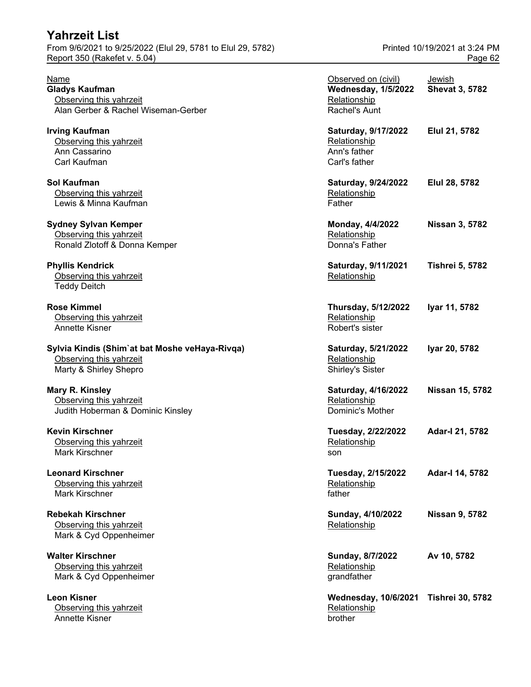Observing this yahrzeit Annette Kisner brother brother brother

| Name<br><b>Gladys Kaufman</b><br>Observing this yahrzeit                                            | Observed on (civil)<br><b>Wednesday, 1/5/2022</b><br>Relationship    | Jewish<br><b>Shevat 3, 5782</b> |
|-----------------------------------------------------------------------------------------------------|----------------------------------------------------------------------|---------------------------------|
| Alan Gerber & Rachel Wiseman-Gerber                                                                 | Rachel's Aunt                                                        |                                 |
| <b>Irving Kaufman</b><br>Observing this yahrzeit<br>Ann Cassarino<br>Carl Kaufman                   | Saturday, 9/17/2022<br>Relationship<br>Ann's father<br>Carl's father | Elul 21, 5782                   |
| Sol Kaufman<br>Observing this yahrzeit<br>Lewis & Minna Kaufman                                     | Saturday, 9/24/2022<br>Relationship<br>Father                        | Elul 28, 5782                   |
| <b>Sydney Sylvan Kemper</b><br>Observing this yahrzeit<br>Ronald Zlotoff & Donna Kemper             | Monday, 4/4/2022<br>Relationship<br>Donna's Father                   | <b>Nissan 3, 5782</b>           |
| <b>Phyllis Kendrick</b><br>Observing this yahrzeit<br><b>Teddy Deitch</b>                           | Saturday, 9/11/2021<br>Relationship                                  | <b>Tishrei 5, 5782</b>          |
| <b>Rose Kimmel</b><br>Observing this yahrzeit<br>Annette Kisner                                     | Thursday, 5/12/2022<br>Relationship<br>Robert's sister               | Iyar 11, 5782                   |
| Sylvia Kindis (Shim'at bat Moshe veHaya-Rivqa)<br>Observing this yahrzeit<br>Marty & Shirley Shepro | Saturday, 5/21/2022<br>Relationship<br>Shirley's Sister              | Iyar 20, 5782                   |
| Mary R. Kinsley<br>Observing this yahrzeit<br>Judith Hoberman & Dominic Kinsley                     | Saturday, 4/16/2022<br>Relationship<br>Dominic's Mother              | <b>Nissan 15, 5782</b>          |
| <b>Kevin Kirschner</b><br>Observing this yahrzeit<br>Mark Kirschner                                 | Tuesday, 2/22/2022<br>Relationship<br>son                            | Adar-I 21, 5782                 |
| <b>Leonard Kirschner</b><br>Observing this yahrzeit<br>Mark Kirschner                               | Tuesday, 2/15/2022<br>Relationship<br>father                         | Adar-I 14, 5782                 |
| <b>Rebekah Kirschner</b><br>Observing this yahrzeit<br>Mark & Cyd Oppenheimer                       | Sunday, 4/10/2022<br>Relationship                                    | <b>Nissan 9, 5782</b>           |
| <b>Walter Kirschner</b><br>Observing this yahrzeit<br>Mark & Cyd Oppenheimer                        | Sunday, 8/7/2022<br>Relationship<br>grandfather                      | Av 10, 5782                     |
| <b>Leon Kisner</b><br>Observing this yahrzeit                                                       | <b>Wednesday, 10/6/2021</b><br>Relationship                          | <b>Tishrei 30, 5782</b>         |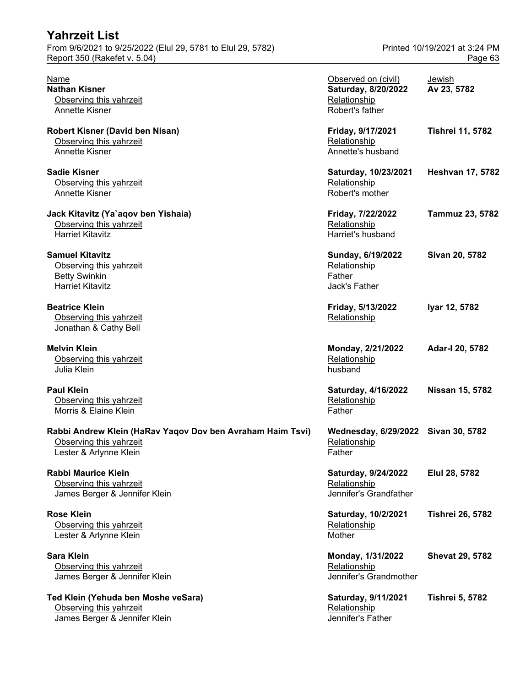| Report 350 (Rakefet v. 5.04)                               |                                     | Page 63                 |
|------------------------------------------------------------|-------------------------------------|-------------------------|
| Name                                                       | Observed on (civil)                 | Jewish                  |
| <b>Nathan Kisner</b>                                       | Saturday, 8/20/2022                 | Av 23, 5782             |
|                                                            |                                     |                         |
| Observing this yahrzeit                                    | Relationship                        |                         |
| Annette Kisner                                             | Robert's father                     |                         |
| Robert Kisner (David ben Nisan)                            | Friday, 9/17/2021                   | <b>Tishrei 11, 5782</b> |
| Observing this yahrzeit                                    | Relationship                        |                         |
| Annette Kisner                                             | Annette's husband                   |                         |
| <b>Sadie Kisner</b>                                        | Saturday, 10/23/2021                | <b>Heshvan 17, 5782</b> |
| Observing this yahrzeit                                    | Relationship                        |                         |
| Annette Kisner                                             | Robert's mother                     |                         |
| Jack Kitavitz (Ya`aqov ben Yishaia)                        | Friday, 7/22/2022                   | <b>Tammuz 23, 5782</b>  |
| Observing this yahrzeit                                    | Relationship                        |                         |
| <b>Harriet Kitavitz</b>                                    | Harriet's husband                   |                         |
| <b>Samuel Kitavitz</b>                                     | Sunday, 6/19/2022                   | Sivan 20, 5782          |
| Observing this yahrzeit                                    | Relationship                        |                         |
| <b>Betty Swinkin</b>                                       | Father                              |                         |
| <b>Harriet Kitavitz</b>                                    | Jack's Father                       |                         |
| <b>Beatrice Klein</b>                                      | Friday, 5/13/2022                   | Iyar 12, 5782           |
| Observing this yahrzeit                                    | Relationship                        |                         |
| Jonathan & Cathy Bell                                      |                                     |                         |
| <b>Melvin Klein</b>                                        | Monday, 2/21/2022                   | Adar-I 20, 5782         |
| Observing this yahrzeit                                    | Relationship                        |                         |
| Julia Klein                                                | husband                             |                         |
| <b>Paul Klein</b>                                          | Saturday, 4/16/2022                 | <b>Nissan 15, 5782</b>  |
| Observing this yahrzeit                                    | Relationship                        |                         |
| Morris & Elaine Klein                                      | Father                              |                         |
| Rabbi Andrew Klein (HaRav Yaqov Dov ben Avraham Haim Tsvi) | Wednesday, 6/29/2022 Sivan 30, 5782 |                         |
| Observing this yahrzeit                                    | Relationship                        |                         |
| Lester & Arlynne Klein                                     | Father                              |                         |
| <b>Rabbi Maurice Klein</b>                                 | Saturday, 9/24/2022                 | Elul 28, 5782           |
| Observing this yahrzeit                                    | Relationship                        |                         |
| James Berger & Jennifer Klein                              | Jennifer's Grandfather              |                         |
| <b>Rose Klein</b>                                          | Saturday, 10/2/2021                 | <b>Tishrei 26, 5782</b> |
| Observing this yahrzeit                                    | Relationship                        |                         |
| Lester & Arlynne Klein                                     | Mother                              |                         |
| <b>Sara Klein</b>                                          | Monday, 1/31/2022                   | <b>Shevat 29, 5782</b>  |
| Observing this yahrzeit                                    | Relationship                        |                         |
|                                                            | Jennifer's Grandmother              |                         |
| James Berger & Jennifer Klein                              |                                     |                         |
| Ted Klein (Yehuda ben Moshe veSara)                        | Saturday, 9/11/2021                 | <b>Tishrei 5, 5782</b>  |
| Observing this yahrzeit                                    | Relationship                        |                         |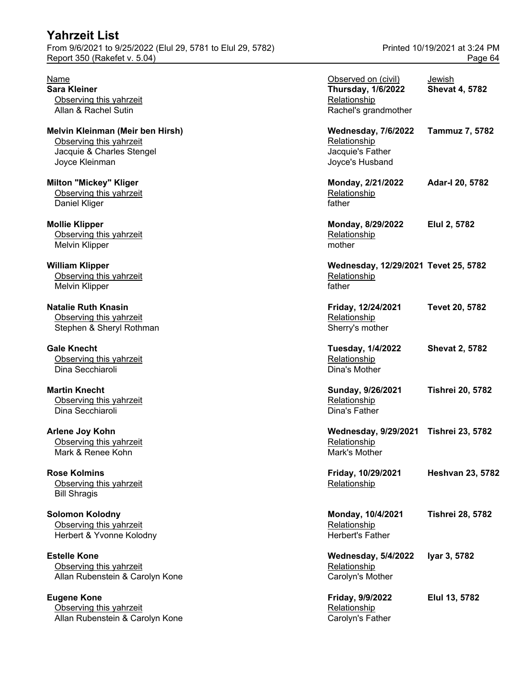From 9/6/2021 to 9/25/2022 (Elul 29, 5781 to Elul 29, 5782) Printed 10/19/2021 at 3:24 PM Report 350 (Rakefet v. 5.04) **Page 64** 

**Eugene Kone** <u>Observing this yahrzeit</u><br>
Allan Rubenstein & Carolyn Kone<br>
Allan Rubenstein & Carolyn Kone Allan Rubenstein & Carolyn Kone

| Name<br><b>Sara Kleiner</b><br>Observing this yahrzeit<br>Allan & Rachel Sutin                             | Observed on (civil)<br><b>Thursday, 1/6/2022</b><br>Relationship<br>Rachel's grandmother | Jewish<br><b>Shevat 4, 5782</b> |
|------------------------------------------------------------------------------------------------------------|------------------------------------------------------------------------------------------|---------------------------------|
| Melvin Kleinman (Meir ben Hirsh)<br>Observing this yahrzeit<br>Jacquie & Charles Stengel<br>Joyce Kleinman | <b>Wednesday, 7/6/2022</b><br>Relationship<br>Jacquie's Father<br>Joyce's Husband        | <b>Tammuz 7, 5782</b>           |
| <b>Milton "Mickey" Kliger</b><br>Observing this yahrzeit<br>Daniel Kliger                                  | Monday, 2/21/2022<br>Relationship<br>father                                              | Adar-I 20, 5782                 |
| <b>Mollie Klipper</b><br>Observing this yahrzeit<br><b>Melvin Klipper</b>                                  | Monday, 8/29/2022<br>Relationship<br>mother                                              | Elul 2, 5782                    |
| <b>William Klipper</b><br>Observing this yahrzeit<br><b>Melvin Klipper</b>                                 | Wednesday, 12/29/2021 Tevet 25, 5782<br>Relationship<br>father                           |                                 |
| <b>Natalie Ruth Knasin</b><br>Observing this yahrzeit<br>Stephen & Sheryl Rothman                          | Friday, 12/24/2021<br>Relationship<br>Sherry's mother                                    | Tevet 20, 5782                  |
| <b>Gale Knecht</b><br>Observing this yahrzeit<br>Dina Secchiaroli                                          | <b>Tuesday, 1/4/2022</b><br>Relationship<br>Dina's Mother                                | <b>Shevat 2, 5782</b>           |
| <b>Martin Knecht</b><br>Observing this yahrzeit<br>Dina Secchiaroli                                        | Sunday, 9/26/2021<br>Relationship<br>Dina's Father                                       | <b>Tishrei 20, 5782</b>         |
| <b>Arlene Joy Kohn</b><br>Observing this yahrzeit<br>Mark & Renee Kohn                                     | <b>Wednesday, 9/29/2021</b><br>Relationship<br>Mark's Mother                             | <b>Tishrei 23, 5782</b>         |
| <b>Rose Kolmins</b><br>Observing this yahrzeit<br><b>Bill Shragis</b>                                      | Friday, 10/29/2021<br>Relationship                                                       | <b>Heshvan 23, 5782</b>         |
| <b>Solomon Kolodny</b><br>Observing this yahrzeit<br>Herbert & Yvonne Kolodny                              | Monday, 10/4/2021<br>Relationship<br>Herbert's Father                                    | <b>Tishrei 28, 5782</b>         |
| <b>Estelle Kone</b><br>Observing this yahrzeit<br>Allan Rubenstein & Carolyn Kone                          | <b>Wednesday, 5/4/2022</b><br>Relationship<br>Carolyn's Mother                           | Iyar 3, 5782                    |
| <b>Eugene Kone</b><br>Observing this yahrzeit                                                              | Friday, 9/9/2022<br>Relationship                                                         | Elul 13, 5782                   |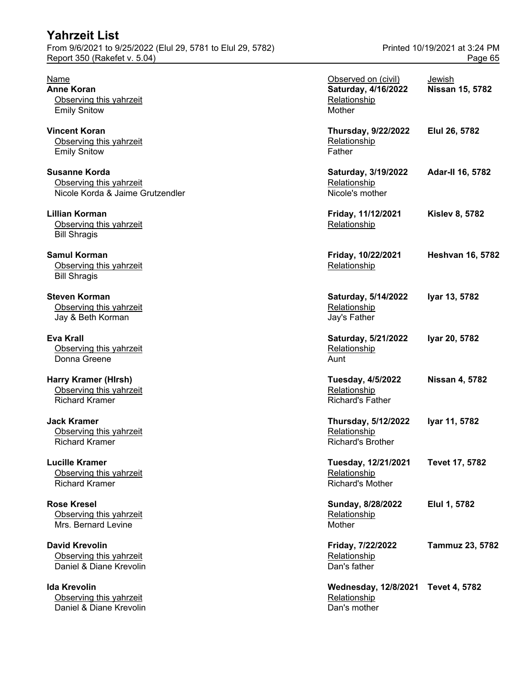| <b>Yahrzeit List</b>                                        |                               |
|-------------------------------------------------------------|-------------------------------|
| From 9/6/2021 to 9/25/2022 (Elul 29, 5781 to Elul 29, 5782) | Printed 10/19/2021 at 3:24 PM |
| Report 350 (Rakefet v. 5.04)                                | Page 65                       |

| Name<br><b>Anne Koran</b><br>Observing this yahrzeit<br><b>Emily Snitow</b>         | Observed on (civil)<br>Saturday, 4/16/2022<br>Relationship<br>Mother   | Jewish<br>Nissan 15, 5782 |
|-------------------------------------------------------------------------------------|------------------------------------------------------------------------|---------------------------|
| <b>Vincent Koran</b><br>Observing this yahrzeit<br><b>Emily Snitow</b>              | <b>Thursday, 9/22/2022</b><br>Relationship<br>Father                   | Elul 26, 5782             |
| <b>Susanne Korda</b><br>Observing this yahrzeit<br>Nicole Korda & Jaime Grutzendler | Saturday, 3/19/2022<br>Relationship<br>Nicole's mother                 | Adar-II 16, 5782          |
| <b>Lillian Korman</b><br>Observing this yahrzeit<br><b>Bill Shragis</b>             | Friday, 11/12/2021<br>Relationship                                     | <b>Kislev 8, 5782</b>     |
| <b>Samul Korman</b><br>Observing this yahrzeit<br><b>Bill Shragis</b>               | Friday, 10/22/2021<br>Relationship                                     | <b>Heshvan 16, 5782</b>   |
| <b>Steven Korman</b><br>Observing this yahrzeit<br>Jay & Beth Korman                | Saturday, 5/14/2022<br>Relationship<br>Jay's Father                    | Iyar 13, 5782             |
| Eva Krall<br>Observing this yahrzeit<br>Donna Greene                                | Saturday, 5/21/2022<br>Relationship<br>Aunt                            | Iyar 20, 5782             |
| <b>Harry Kramer (Hirsh)</b><br>Observing this yahrzeit<br><b>Richard Kramer</b>     | <b>Tuesday, 4/5/2022</b><br>Relationship<br><b>Richard's Father</b>    | <b>Nissan 4, 5782</b>     |
| <b>Jack Kramer</b><br>Observing this yahrzeit<br><b>Richard Kramer</b>              | <b>Thursday, 5/12/2022</b><br>Relationship<br><b>Richard's Brother</b> | Iyar 11, 5782             |
| <b>Lucille Kramer</b><br>Observing this yahrzeit<br><b>Richard Kramer</b>           | Tuesday, 12/21/2021<br>Relationship<br><b>Richard's Mother</b>         | Tevet 17, 5782            |
| <b>Rose Kresel</b><br>Observing this yahrzeit<br>Mrs. Bernard Levine                | Sunday, 8/28/2022<br>Relationship<br>Mother                            | Elul 1, 5782              |
| <b>David Krevolin</b><br>Observing this yahrzeit<br>Daniel & Diane Krevolin         | Friday, 7/22/2022<br>Relationship<br>Dan's father                      | Tammuz 23, 5782           |
| <b>Ida Krevolin</b><br>Observing this yahrzeit<br>Daniel & Diane Krevolin           | <b>Wednesday, 12/8/2021</b><br>Relationship<br>Dan's mother            | <b>Tevet 4, 5782</b>      |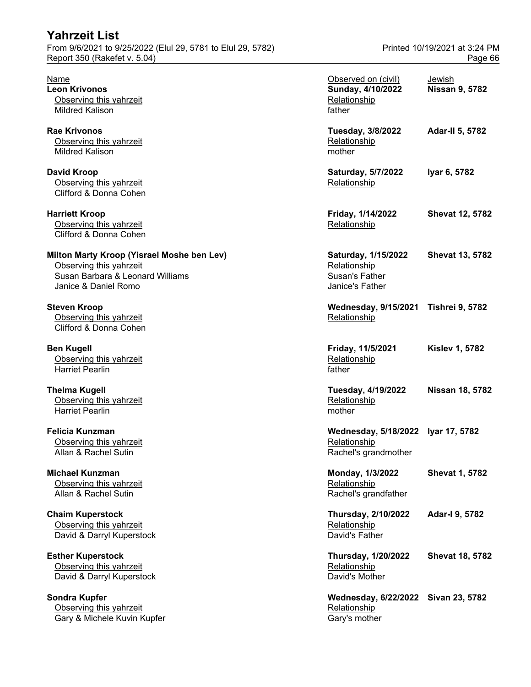| Yahrzeit List                                                                                                                     |                                                                                 |                                          |
|-----------------------------------------------------------------------------------------------------------------------------------|---------------------------------------------------------------------------------|------------------------------------------|
| From 9/6/2021 to 9/25/2022 (Elul 29, 5781 to Elul 29, 5782)<br>Report 350 (Rakefet v. 5.04)                                       |                                                                                 | Printed 10/19/2021 at 3:24 PM<br>Page 66 |
| Name<br><b>Leon Krivonos</b><br>Observing this yahrzeit<br><b>Mildred Kalison</b>                                                 | Observed on (civil)<br>Sunday, 4/10/2022<br>Relationship<br>father              | Jewish<br><b>Nissan 9, 5782</b>          |
| <b>Rae Krivonos</b><br>Observing this yahrzeit<br><b>Mildred Kalison</b>                                                          | <b>Tuesday, 3/8/2022</b><br>Relationship<br>mother                              | <b>Adar-II 5, 5782</b>                   |
| <b>David Kroop</b><br>Observing this yahrzeit<br>Clifford & Donna Cohen                                                           | Saturday, 5/7/2022<br>Relationship                                              | Iyar 6, 5782                             |
| <b>Harriett Kroop</b><br>Observing this yahrzeit<br>Clifford & Donna Cohen                                                        | Friday, 1/14/2022<br>Relationship                                               | <b>Shevat 12, 5782</b>                   |
| Milton Marty Kroop (Yisrael Moshe ben Lev)<br>Observing this yahrzeit<br>Susan Barbara & Leonard Williams<br>Janice & Daniel Romo | Saturday, 1/15/2022<br>Relationship<br><b>Susan's Father</b><br>Janice's Father | <b>Shevat 13, 5782</b>                   |
| <b>Steven Kroop</b><br>Observing this yahrzeit<br>Clifford & Donna Cohen                                                          | Wednesday, 9/15/2021 Tishrei 9, 5782<br>Relationship                            |                                          |
| <b>Ben Kugell</b><br>Observing this yahrzeit<br><b>Harriet Pearlin</b>                                                            | Friday, 11/5/2021<br>Relationship<br>father                                     | <b>Kislev 1, 5782</b>                    |
| <b>Thelma Kugell</b><br>Observing this yahrzeit<br><b>Harriet Pearlin</b>                                                         | Tuesday, 4/19/2022<br>Relationship<br>mother                                    | Nissan 18, 5782                          |
| <b>Felicia Kunzman</b><br>Observing this yahrzeit<br>Allan & Rachel Sutin                                                         | Wednesday, 5/18/2022 Iyar 17, 5782<br>Relationship<br>Rachel's grandmother      |                                          |
| <b>Michael Kunzman</b><br>Observing this yahrzeit<br>Allan & Rachel Sutin                                                         | Monday, 1/3/2022<br>Relationship<br>Rachel's grandfather                        | <b>Shevat 1, 5782</b>                    |
| <b>Chaim Kuperstock</b><br>Observing this yahrzeit<br>David & Darryl Kuperstock                                                   | <b>Thursday, 2/10/2022</b><br>Relationship<br>David's Father                    | Adar-I 9, 5782                           |
| <b>Esther Kuperstock</b><br>Observing this yahrzeit<br>David & Darryl Kuperstock                                                  | <b>Thursday, 1/20/2022</b><br>Relationship<br>David's Mother                    | <b>Shevat 18, 5782</b>                   |
| Sondra Kupfer<br>Observing this yahrzeit<br>Gary & Michele Kuvin Kupfer                                                           | Wednesday, 6/22/2022 Sivan 23, 5782<br>Relationship<br>Gary's mother            |                                          |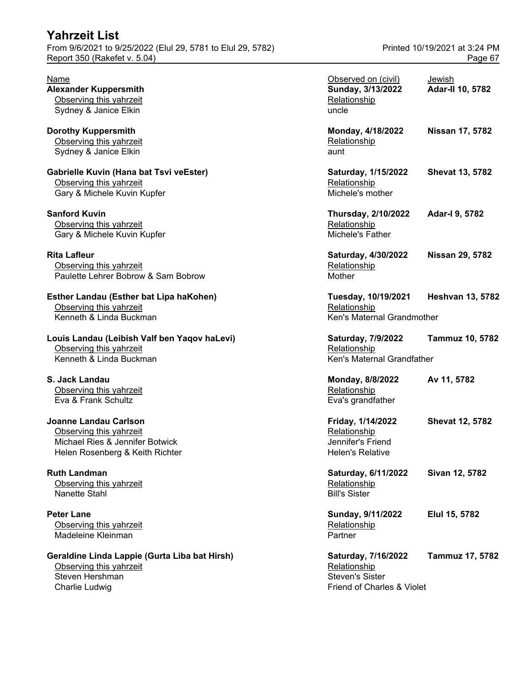| <b>Yahrzeit List</b>                                                                                                          |                                                                                             |                                          |
|-------------------------------------------------------------------------------------------------------------------------------|---------------------------------------------------------------------------------------------|------------------------------------------|
| From 9/6/2021 to 9/25/2022 (Elul 29, 5781 to Elul 29, 5782)<br>Report 350 (Rakefet v. 5.04)                                   |                                                                                             | Printed 10/19/2021 at 3:24 PM<br>Page 67 |
| Name<br><b>Alexander Kuppersmith</b><br>Observing this yahrzeit<br>Sydney & Janice Elkin                                      | Observed on (civil)<br>Sunday, 3/13/2022<br>Relationship<br>uncle                           | Jewish<br><b>Adar-II 10, 5782</b>        |
| <b>Dorothy Kuppersmith</b><br>Observing this yahrzeit<br>Sydney & Janice Elkin                                                | Monday, 4/18/2022<br>Relationship<br>aunt                                                   | Nissan 17, 5782                          |
| Gabrielle Kuvin (Hana bat Tsvi veEster)<br>Observing this yahrzeit<br>Gary & Michele Kuvin Kupfer                             | Saturday, 1/15/2022<br>Relationship<br>Michele's mother                                     | <b>Shevat 13, 5782</b>                   |
| <b>Sanford Kuvin</b><br>Observing this yahrzeit<br>Gary & Michele Kuvin Kupfer                                                | <b>Thursday, 2/10/2022</b><br>Relationship<br>Michele's Father                              | Adar-I 9, 5782                           |
| <b>Rita Lafleur</b><br>Observing this yahrzeit<br>Paulette Lehrer Bobrow & Sam Bobrow                                         | Saturday, 4/30/2022<br>Relationship<br>Mother                                               | <b>Nissan 29, 5782</b>                   |
| Esther Landau (Esther bat Lipa haKohen)<br>Observing this yahrzeit<br>Kenneth & Linda Buckman                                 | Tuesday, 10/19/2021<br>Relationship<br>Ken's Maternal Grandmother                           | <b>Heshvan 13, 5782</b>                  |
| Louis Landau (Leibish Valf ben Yaqov haLevi)<br>Observing this yahrzeit<br>Kenneth & Linda Buckman                            | Saturday, 7/9/2022<br>Relationship<br>Ken's Maternal Grandfather                            | <b>Tammuz 10, 5782</b>                   |
| S. Jack Landau<br>Observing this yahrzeit<br>Eva & Frank Schultz                                                              | Monday, 8/8/2022<br>Relationship<br>Eva's grandfather                                       | Av 11, 5782                              |
| <b>Joanne Landau Carlson</b><br>Observing this yahrzeit<br>Michael Ries & Jennifer Botwick<br>Helen Rosenberg & Keith Richter | Friday, 1/14/2022<br>Relationship<br>Jennifer's Friend<br><b>Helen's Relative</b>           | <b>Shevat 12, 5782</b>                   |
| <b>Ruth Landman</b><br>Observing this yahrzeit<br>Nanette Stahl                                                               | Saturday, 6/11/2022<br>Relationship<br><b>Bill's Sister</b>                                 | Sivan 12, 5782                           |
| <b>Peter Lane</b><br>Observing this yahrzeit<br>Madeleine Kleinman                                                            | Sunday, 9/11/2022<br>Relationship<br>Partner                                                | Elul 15, 5782                            |
| Geraldine Linda Lappie (Gurta Liba bat Hirsh)<br>Observing this yahrzeit<br>Steven Hershman<br>Charlie Ludwig                 | Saturday, 7/16/2022<br>Relationship<br><b>Steven's Sister</b><br>Friend of Charles & Violet | Tammuz 17, 5782                          |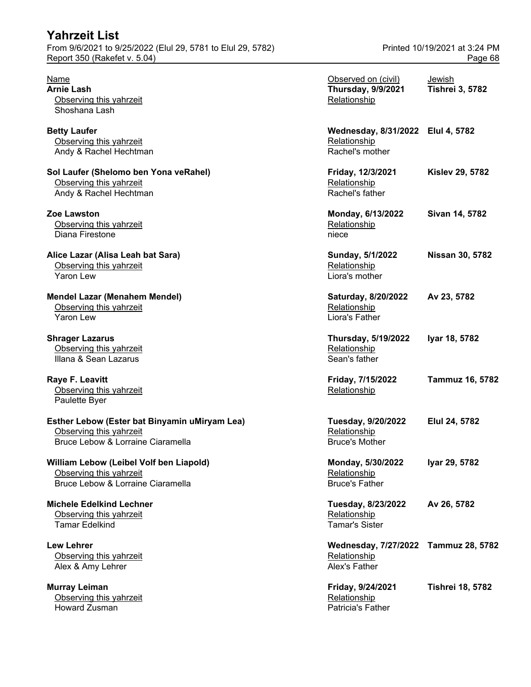| <b>Yahrzeit List</b>                                        |                               |
|-------------------------------------------------------------|-------------------------------|
| From 9/6/2021 to 9/25/2022 (Elul 29, 5781 to Elul 29, 5782) | Printed 10/19/2021 at 3:24 PM |
| Report 350 (Rakefet v. 5.04)                                | Page 68                       |

| Esther Lebow (Ester bat Binyamin uMiryam Lea) | Tuesday, 9/20/2022    | Elul 24, 5782 |
|-----------------------------------------------|-----------------------|---------------|
| Observing this yahrzeit                       | Relationship          |               |
| Bruce Lebow & Lorraine Ciaramella             | <b>Bruce's Mother</b> |               |

#### **William Lebow (Leibel Volf ben Liapold)** Observing this yahrzeit Bruce Lebow & Lorraine Ciaramella

**Murray Leiman** Observing this yahrzeit Howard Zusman Patricia's Father

| Name                                          | Observed on (civil)                  | Jewish                  |
|-----------------------------------------------|--------------------------------------|-------------------------|
| Arnie Lash                                    | <b>Thursday, 9/9/2021</b>            | <b>Tishrei 3, 5782</b>  |
| Observing this yahrzeit                       | Relationship                         |                         |
| Shoshana Lash                                 |                                      |                         |
| <b>Betty Laufer</b>                           | Wednesday, 8/31/2022 Elul 4, 5782    |                         |
| Observing this yahrzeit                       | Relationship                         |                         |
| Andy & Rachel Hechtman                        | Rachel's mother                      |                         |
| Sol Laufer (Shelomo ben Yona veRahel)         | Friday, 12/3/2021                    | <b>Kislev 29, 5782</b>  |
| Observing this yahrzeit                       | Relationship                         |                         |
| Andy & Rachel Hechtman                        | Rachel's father                      |                         |
| Zoe Lawston                                   | Monday, 6/13/2022                    | Sivan 14, 5782          |
| Observing this yahrzeit                       | Relationship                         |                         |
| Diana Firestone                               | niece                                |                         |
| Alice Lazar (Alisa Leah bat Sara)             | Sunday, 5/1/2022                     | <b>Nissan 30, 5782</b>  |
| Observing this yahrzeit                       | Relationship                         |                         |
| <b>Yaron Lew</b>                              | Liora's mother                       |                         |
| Mendel Lazar (Menahem Mendel)                 | Saturday, 8/20/2022                  | Av 23, 5782             |
| Observing this yahrzeit                       | Relationship                         |                         |
| Yaron Lew                                     | Liora's Father                       |                         |
| <b>Shrager Lazarus</b>                        | <b>Thursday, 5/19/2022</b>           | Iyar 18, 5782           |
| Observing this yahrzeit                       | Relationship                         |                         |
| Illana & Sean Lazarus                         | Sean's father                        |                         |
| Raye F. Leavitt                               | Friday, 7/15/2022                    | <b>Tammuz 16, 5782</b>  |
| Observing this yahrzeit                       | Relationship                         |                         |
| Paulette Byer                                 |                                      |                         |
| Esther Lebow (Ester bat Binyamin uMiryam Lea) | Tuesday, 9/20/2022                   | Elul 24, 5782           |
| Observing this yahrzeit                       | Relationship                         |                         |
| Bruce Lebow & Lorraine Ciaramella             | <b>Bruce's Mother</b>                |                         |
| William Lebow (Leibel Volf ben Liapold)       | Monday, 5/30/2022                    | Iyar 29, 5782           |
| Observing this yahrzeit                       | Relationship                         |                         |
| Bruce Lebow & Lorraine Ciaramella             | <b>Bruce's Father</b>                |                         |
| <b>Michele Edelkind Lechner</b>               | Tuesday, 8/23/2022                   | Av 26, 5782             |
| Observing this yahrzeit                       | Relationship                         |                         |
| <b>Tamar Edelkind</b>                         | <b>Tamar's Sister</b>                |                         |
| <b>Lew Lehrer</b>                             | Wednesday, 7/27/2022 Tammuz 28, 5782 |                         |
| Observing this yahrzeit                       | Relationship                         |                         |
| Alex & Amy Lehrer                             | Alex's Father                        |                         |
| Murray Leiman                                 | Friday, 9/24/2021                    | <b>Tishrei 18, 5782</b> |
| Observing this yahrzeit                       | Relationship                         |                         |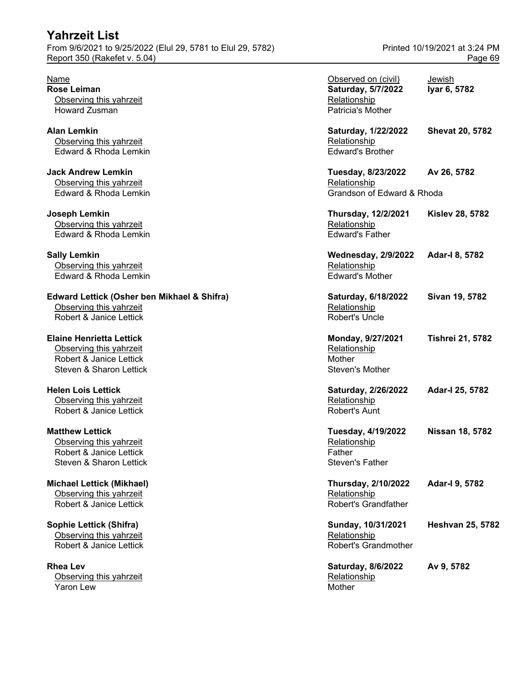#### **Edward Lettick (Osher ben Mikhael & Shifra)** Observing this yahrzeit

## **Elaine Henrietta Lettick**

### **Matthew Lettick**

#### **Michael Lettick (Mikhael)** Observing this yahrzeit Robert & Janice Lettick

### **Sophie Lettick (Shifra)**

| Name<br>Rose Leiman<br>Observing this yahrzeit                                                                   | Observed on (civil)<br>Saturday, 5/7/2022<br>Relationship                 | Jewish<br>Iyar 6, 5782  |
|------------------------------------------------------------------------------------------------------------------|---------------------------------------------------------------------------|-------------------------|
| Howard Zusman                                                                                                    | Patricia's Mother                                                         |                         |
| Alan Lemkin<br>Observing this yahrzeit<br>Edward & Rhoda Lemkin                                                  | Saturday, 1/22/2022<br>Relationship<br><b>Edward's Brother</b>            | <b>Shevat 20, 5782</b>  |
| <b>Jack Andrew Lemkin</b><br>Observing this yahrzeit<br>Edward & Rhoda Lemkin                                    | Tuesday, 8/23/2022<br>Relationship<br>Grandson of Edward & Rhoda          | Av 26, 5782             |
| Joseph Lemkin<br>Observing this yahrzeit<br>Edward & Rhoda Lemkin                                                | <b>Thursday, 12/2/2021</b><br>Relationship<br><b>Edward's Father</b>      | <b>Kislev 28, 5782</b>  |
| <b>Sally Lemkin</b><br>Observing this yahrzeit<br>Edward & Rhoda Lemkin                                          | <b>Wednesday, 2/9/2022</b><br>Relationship<br><b>Edward's Mother</b>      | Adar-I 8, 5782          |
| Edward Lettick (Osher ben Mikhael & Shifra)<br>Observing this yahrzeit<br>Robert & Janice Lettick                | Saturday, 6/18/2022<br>Relationship<br>Robert's Uncle                     | Sivan 19, 5782          |
| <b>Elaine Henrietta Lettick</b><br>Observing this yahrzeit<br>Robert & Janice Lettick<br>Steven & Sharon Lettick | Monday, 9/27/2021<br>Relationship<br>Mother<br>Steven's Mother            | <b>Tishrei 21, 5782</b> |
| <b>Helen Lois Lettick</b><br>Observing this yahrzeit<br>Robert & Janice Lettick                                  | Saturday, 2/26/2022<br>Relationship<br>Robert's Aunt                      | Adar-I 25, 5782         |
| <b>Matthew Lettick</b><br>Observing this yahrzeit<br>Robert & Janice Lettick<br>Steven & Sharon Lettick          | Tuesday, 4/19/2022<br>Relationship<br>Father<br>Steven's Father           | Nissan 18, 5782         |
| Michael Lettick (Mikhael)<br>Observing this yahrzeit<br>Robert & Janice Lettick                                  | <b>Thursday, 2/10/2022</b><br>Relationship<br><b>Robert's Grandfather</b> | Adar-I 9, 5782          |
| Sophie Lettick (Shifra)<br>Observing this yahrzeit<br>Robert & Janice Lettick                                    | Sunday, 10/31/2021<br>Relationship<br>Robert's Grandmother                | <b>Heshvan 25, 5782</b> |
| <b>Rhea Lev</b><br>Observing this yahrzeit<br>Yaron Lew                                                          | Saturday, 8/6/2022<br>Relationship<br>Mother                              | Av 9, 5782              |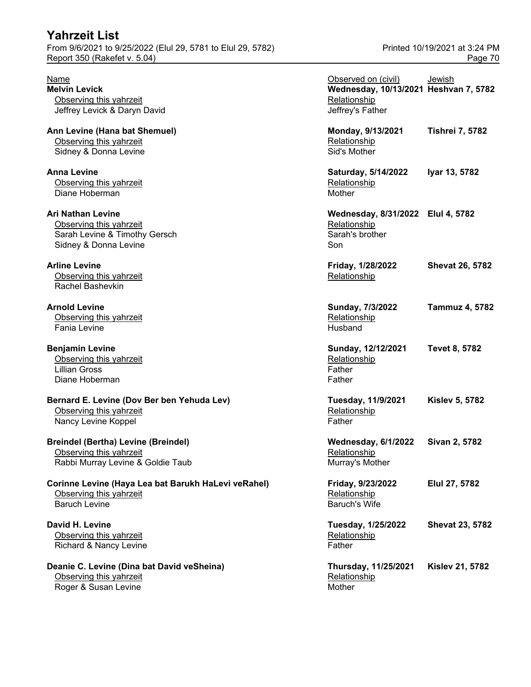Report 350 (Rakefet v. 5.04) **Page 70** 

**Deanie C. Levine (Dina bat David veSheina)** Observing this yahrzeit Roger & Susan Levine Mother Music and American Mother Mother Mother

| Name<br><b>Melvin Levick</b>                                          | Observed on (civil)<br>Wednesday, 10/13/2021 Heshvan 7, 5782 | Jewish                 |
|-----------------------------------------------------------------------|--------------------------------------------------------------|------------------------|
| Observing this yahrzeit<br>Jeffrey Levick & Daryn David               | Relationship<br>Jeffrey's Father                             |                        |
| Ann Levine (Hana bat Shemuel)<br>Observing this yahrzeit              | Monday, 9/13/2021<br>Relationship                            | <b>Tishrei 7, 5782</b> |
| Sidney & Donna Levine                                                 | Sid's Mother                                                 |                        |
| Anna Levine                                                           | Saturday, 5/14/2022                                          | Iyar 13, 5782          |
| Observing this yahrzeit<br>Diane Hoberman                             | Relationship<br>Mother                                       |                        |
| Ari Nathan Levine                                                     | Wednesday, 8/31/2022 Elul 4, 5782                            |                        |
| Observing this yahrzeit<br>Sarah Levine & Timothy Gersch              | Relationship<br>Sarah's brother                              |                        |
| Sidney & Donna Levine                                                 | Son                                                          |                        |
| <b>Arline Levine</b>                                                  | Friday, 1/28/2022                                            | <b>Shevat 26, 5782</b> |
| Observing this yahrzeit<br>Rachel Bashevkin                           | Relationship                                                 |                        |
| <b>Arnold Levine</b>                                                  | Sunday, 7/3/2022                                             | <b>Tammuz 4, 5782</b>  |
| Observing this yahrzeit<br>Fania Levine                               | Relationship<br>Husband                                      |                        |
| <b>Benjamin Levine</b>                                                | Sunday, 12/12/2021                                           | <b>Tevet 8, 5782</b>   |
| Observing this yahrzeit                                               | Relationship                                                 |                        |
| <b>Lillian Gross</b>                                                  | Father                                                       |                        |
| Diane Hoberman                                                        | Father                                                       |                        |
| Bernard E. Levine (Dov Ber ben Yehuda Lev)                            | Tuesday, 11/9/2021                                           | <b>Kislev 5, 5782</b>  |
| Observing this yahrzeit                                               | Relationship                                                 |                        |
| Nancy Levine Koppel                                                   | Father                                                       |                        |
| <b>Breindel (Bertha) Levine (Breindel)</b>                            | Wednesday, 6/1/2022                                          | Sivan 2, 5782          |
| Observing this yahrzeit                                               | Relationship                                                 |                        |
| Rabbi Murray Levine & Goldie Taub                                     | Murray's Mother                                              |                        |
| Corinne Levine (Haya Lea bat Barukh HaLevi veRahel)                   | Friday, 9/23/2022                                            | Elul 27, 5782          |
| Observing this yahrzeit                                               | Relationship                                                 |                        |
| <b>Baruch Levine</b>                                                  | <b>Baruch's Wife</b>                                         |                        |
| David H. Levine                                                       | Tuesday, 1/25/2022                                           | <b>Shevat 23, 5782</b> |
| Observing this yahrzeit                                               | Relationship                                                 |                        |
| Richard & Nancy Levine                                                | Father                                                       |                        |
| Deanie C. Levine (Dina bat David veSheina)<br>Observing this yahrzeit | Thursday, 11/25/2021<br>Relationship                         | <b>Kislev 21, 5782</b> |
|                                                                       |                                                              |                        |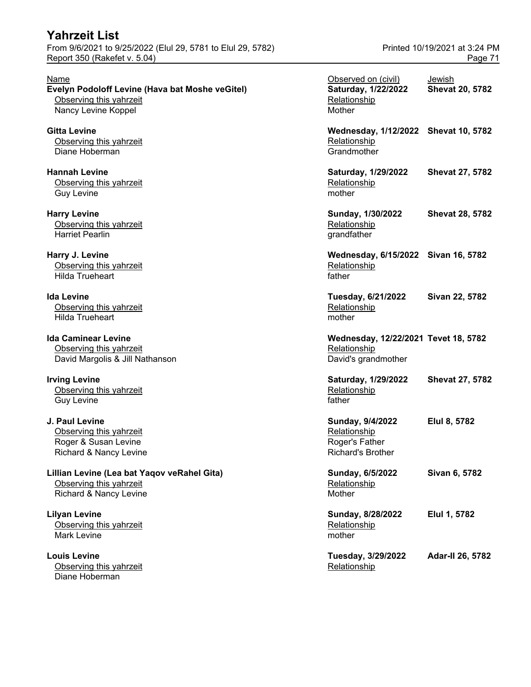## **Evelyn Podoloff Levine (Hava bat Moshe veGitel)** Observing this yahrzeit

#### **Lillian Levine (Lea bat Yaqov veRahel Gita)** Observing this yahrzeit

Observing this yahrzeit **Relationship Relationship** Diane Hoberman

| Name                                                                                             | Observed on (civil)                                                         | Jewish                 |
|--------------------------------------------------------------------------------------------------|-----------------------------------------------------------------------------|------------------------|
| Evelyn Podoloff Levine (Hava bat Moshe veGitel)<br>Observing this yahrzeit                       | Saturday, 1/22/2022<br>Relationship                                         | <b>Shevat 20, 5782</b> |
| Nancy Levine Koppel                                                                              | Mother                                                                      |                        |
| Gitta Levine<br>Observing this yahrzeit<br>Diane Hoberman                                        | Wednesday, 1/12/2022 Shevat 10, 5782<br>Relationship<br>Grandmother         |                        |
| <b>Hannah Levine</b><br>Observing this yahrzeit<br><b>Guy Levine</b>                             | Saturday, 1/29/2022<br>Relationship<br>mother                               | <b>Shevat 27, 5782</b> |
| <b>Harry Levine</b><br>Observing this yahrzeit<br><b>Harriet Pearlin</b>                         | Sunday, 1/30/2022<br>Relationship<br>grandfather                            | <b>Shevat 28, 5782</b> |
| Harry J. Levine<br>Observing this yahrzeit<br><b>Hilda Trueheart</b>                             | Wednesday, 6/15/2022 Sivan 16, 5782<br>Relationship<br>father               |                        |
| Ida Levine<br>Observing this yahrzeit<br><b>Hilda Trueheart</b>                                  | Tuesday, 6/21/2022<br>Relationship<br>mother                                | Sivan 22, 5782         |
| Ida Caminear Levine<br>Observing this yahrzeit<br>David Margolis & Jill Nathanson                | Wednesday, 12/22/2021 Tevet 18, 5782<br>Relationship<br>David's grandmother |                        |
| <b>Irving Levine</b><br>Observing this yahrzeit<br><b>Guy Levine</b>                             | Saturday, 1/29/2022<br>Relationship<br>father                               | <b>Shevat 27, 5782</b> |
| J. Paul Levine<br>Observing this yahrzeit<br>Roger & Susan Levine<br>Richard & Nancy Levine      | Sunday, 9/4/2022<br>Relationship<br>Roger's Father<br>Richard's Brother     | Elul 8, 5782           |
| Lillian Levine (Lea bat Yaqov veRahel Gita)<br>Observing this yahrzeit<br>Richard & Nancy Levine | Sunday, 6/5/2022<br>Relationship<br>Mother                                  | Sivan 6, 5782          |
| <b>Lilyan Levine</b><br>Observing this yahrzeit<br><b>Mark Levine</b>                            | Sunday, 8/28/2022<br>Relationship<br>mother                                 | Elul 1, 5782           |
| <b>Louis Levine</b><br>$\bigcap$ boon $\lim$ thio vobrzoit                                       | Tuesday, 3/29/2022<br><b>Dolotionabin</b>                                   | Adar-II 26, 5782       |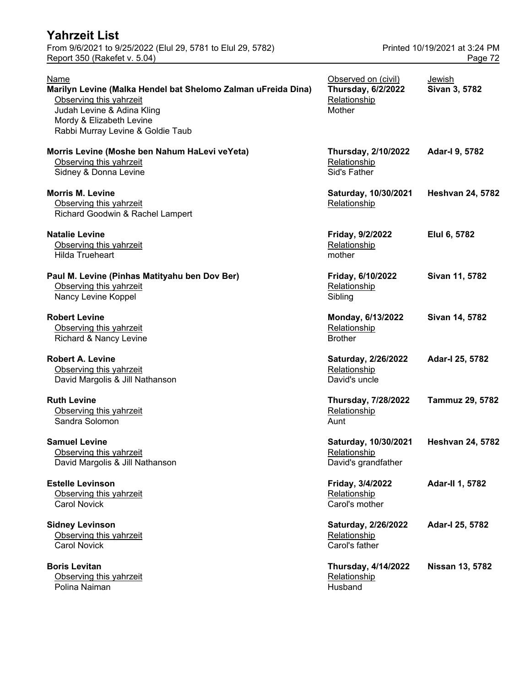| Yahrzeit List                                                                                                                                                                                   |                                                                            |                         |  |
|-------------------------------------------------------------------------------------------------------------------------------------------------------------------------------------------------|----------------------------------------------------------------------------|-------------------------|--|
| From 9/6/2021 to 9/25/2022 (Elul 29, 5781 to Elul 29, 5782)<br>Report 350 (Rakefet v. 5.04)                                                                                                     | Printed 10/19/2021 at 3:24 PM<br>Page 72                                   |                         |  |
| Name<br>Marilyn Levine (Malka Hendel bat Shelomo Zalman uFreida Dina)<br>Observing this yahrzeit<br>Judah Levine & Adina Kling<br>Mordy & Elizabeth Levine<br>Rabbi Murray Levine & Goldie Taub | Observed on (civil)<br><b>Thursday, 6/2/2022</b><br>Relationship<br>Mother | Jewish<br>Sivan 3, 5782 |  |
| Morris Levine (Moshe ben Nahum HaLevi veYeta)<br>Observing this yahrzeit<br>Sidney & Donna Levine                                                                                               | <b>Thursday, 2/10/2022</b><br>Relationship<br>Sid's Father                 | Adar-I 9, 5782          |  |
| <b>Morris M. Levine</b><br>Observing this yahrzeit<br>Richard Goodwin & Rachel Lampert                                                                                                          | Saturday, 10/30/2021<br>Relationship                                       | <b>Heshvan 24, 5782</b> |  |
| <b>Natalie Levine</b><br>Observing this yahrzeit<br><b>Hilda Trueheart</b>                                                                                                                      | Friday, 9/2/2022<br>Relationship<br>mother                                 | Elul 6, 5782            |  |
| Paul M. Levine (Pinhas Matityahu ben Dov Ber)<br>Observing this yahrzeit<br>Nancy Levine Koppel                                                                                                 | Friday, 6/10/2022<br>Relationship<br>Sibling                               | Sivan 11, 5782          |  |
| <b>Robert Levine</b><br>Observing this yahrzeit<br>Richard & Nancy Levine                                                                                                                       | Monday, 6/13/2022<br>Relationship<br><b>Brother</b>                        | Sivan 14, 5782          |  |
| <b>Robert A. Levine</b><br>Observing this yahrzeit<br>David Margolis & Jill Nathanson                                                                                                           | Saturday, 2/26/2022<br>Relationship<br>David's uncle                       | Adar-I 25, 5782         |  |
| <b>Ruth Levine</b><br>Observing this yahrzeit<br>Sandra Solomon                                                                                                                                 | <b>Thursday, 7/28/2022</b><br>Relationship<br>Aunt                         | <b>Tammuz 29, 5782</b>  |  |
| <b>Samuel Levine</b><br>Observing this yahrzeit<br>David Margolis & Jill Nathanson                                                                                                              | Saturday, 10/30/2021<br>Relationship<br>David's grandfather                | <b>Heshvan 24, 5782</b> |  |
| <b>Estelle Levinson</b><br>Observing this yahrzeit<br><b>Carol Novick</b>                                                                                                                       | Friday, 3/4/2022<br>Relationship<br>Carol's mother                         | <b>Adar-II 1, 5782</b>  |  |
| <b>Sidney Levinson</b><br>Observing this yahrzeit<br><b>Carol Novick</b>                                                                                                                        | Saturday, 2/26/2022<br>Relationship<br>Carol's father                      | Adar-I 25, 5782         |  |
| <b>Boris Levitan</b><br>Observing this yahrzeit<br>Polina Naiman                                                                                                                                | <b>Thursday, 4/14/2022</b><br>Relationship<br>Husband                      | <b>Nissan 13, 5782</b>  |  |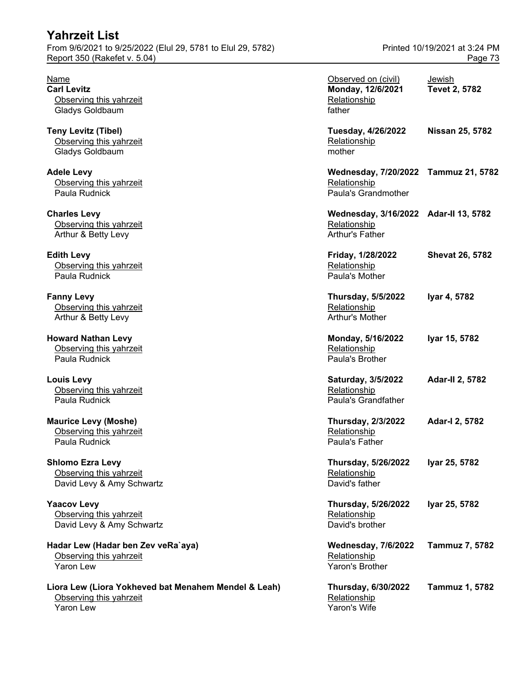| <b>Yahrzeit List</b>                                        |                               |
|-------------------------------------------------------------|-------------------------------|
| From 9/6/2021 to 9/25/2022 (Elul 29, 5781 to Elul 29, 5782) | Printed 10/19/2021 at 3:24 PM |
| Report 350 (Rakefet v. 5.04)                                | Page 73                       |

| Name<br><b>Carl Levitz</b><br>Observing this yahrzeit<br>Gladys Goldbaum                            | Observed on (civil)<br>Monday, 12/6/2021<br>Relationship<br>father              | Jewish<br><b>Tevet 2, 5782</b> |
|-----------------------------------------------------------------------------------------------------|---------------------------------------------------------------------------------|--------------------------------|
| <b>Teny Levitz (Tibel)</b><br>Observing this yahrzeit<br>Gladys Goldbaum                            | Tuesday, 4/26/2022<br>Relationship<br>mother                                    | Nissan 25, 5782                |
| <b>Adele Levy</b><br>Observing this yahrzeit<br>Paula Rudnick                                       | Wednesday, 7/20/2022 Tammuz 21, 5782<br>Relationship<br>Paula's Grandmother     |                                |
| <b>Charles Levy</b><br>Observing this yahrzeit<br>Arthur & Betty Levy                               | Wednesday, 3/16/2022 Adar-II 13, 5782<br>Relationship<br><b>Arthur's Father</b> |                                |
| <b>Edith Levy</b><br>Observing this yahrzeit<br>Paula Rudnick                                       | Friday, 1/28/2022<br>Relationship<br>Paula's Mother                             | <b>Shevat 26, 5782</b>         |
| <b>Fanny Levy</b><br>Observing this yahrzeit<br>Arthur & Betty Levy                                 | <b>Thursday, 5/5/2022</b><br>Relationship<br>Arthur's Mother                    | Iyar 4, 5782                   |
| <b>Howard Nathan Levy</b><br>Observing this yahrzeit<br>Paula Rudnick                               | Monday, 5/16/2022<br>Relationship<br>Paula's Brother                            | Iyar 15, 5782                  |
| <b>Louis Levy</b><br>Observing this yahrzeit<br>Paula Rudnick                                       | Saturday, 3/5/2022<br>Relationship<br>Paula's Grandfather                       | <b>Adar-II 2, 5782</b>         |
| <b>Maurice Levy (Moshe)</b><br>Observing this yahrzeit<br>Paula Rudnick                             | <b>Thursday, 2/3/2022</b><br>Relationship<br>Paula's Father                     | Adar-I 2, 5782                 |
| <b>Shlomo Ezra Levy</b><br>Observing this yahrzeit<br>David Levy & Amy Schwartz                     | <b>Thursday, 5/26/2022</b><br>Relationship<br>David's father                    | Iyar 25, 5782                  |
| <b>Yaacov Levy</b><br>Observing this yahrzeit<br>David Levy & Amy Schwartz                          | <b>Thursday, 5/26/2022</b><br>Relationship<br>David's brother                   | Iyar 25, 5782                  |
| Hadar Lew (Hadar ben Zev veRa`aya)<br>Observing this yahrzeit<br><b>Yaron Lew</b>                   | <b>Wednesday, 7/6/2022</b><br>Relationship<br>Yaron's Brother                   | Tammuz 7, 5782                 |
| Liora Lew (Liora Yokheved bat Menahem Mendel & Leah)<br>Observing this yahrzeit<br><b>Yaron Lew</b> | <b>Thursday, 6/30/2022</b><br>Relationship<br>Yaron's Wife                      | <b>Tammuz 1, 5782</b>          |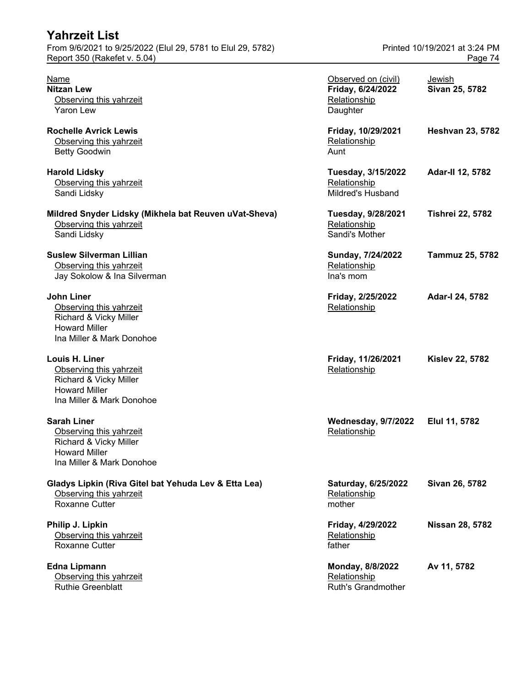| Yahrzeit List                                                                                                                |                                                                      |                               |
|------------------------------------------------------------------------------------------------------------------------------|----------------------------------------------------------------------|-------------------------------|
| From 9/6/2021 to 9/25/2022 (Elul 29, 5781 to Elul 29, 5782)                                                                  |                                                                      | Printed 10/19/2021 at 3:24 PM |
| Report 350 (Rakefet v. 5.04)                                                                                                 |                                                                      | Page 74                       |
| <b>Name</b><br><b>Nitzan Lew</b><br>Observing this yahrzeit<br>Yaron Lew                                                     | Observed on (civil)<br>Friday, 6/24/2022<br>Relationship<br>Daughter | Jewish<br>Sivan 25, 5782      |
| <b>Rochelle Avrick Lewis</b><br>Observing this yahrzeit<br><b>Betty Goodwin</b>                                              | Friday, 10/29/2021<br>Relationship<br>Aunt                           | <b>Heshvan 23, 5782</b>       |
| <b>Harold Lidsky</b><br>Observing this yahrzeit<br>Sandi Lidsky                                                              | Tuesday, 3/15/2022<br>Relationship<br>Mildred's Husband              | Adar-II 12, 5782              |
| Mildred Snyder Lidsky (Mikhela bat Reuven uVat-Sheva)<br>Observing this yahrzeit<br>Sandi Lidsky                             | Tuesday, 9/28/2021<br>Relationship<br>Sandi's Mother                 | <b>Tishrei 22, 5782</b>       |
| <b>Suslew Silverman Lillian</b><br>Observing this yahrzeit<br>Jay Sokolow & Ina Silverman                                    | Sunday, 7/24/2022<br>Relationship<br>Ina's mom                       | Tammuz 25, 5782               |
| <b>John Liner</b><br>Observing this yahrzeit<br>Richard & Vicky Miller<br><b>Howard Miller</b><br>Ina Miller & Mark Donohoe  | Friday, 2/25/2022<br>Relationship                                    | Adar-I 24, 5782               |
| Louis H. Liner<br>Observing this yahrzeit<br>Richard & Vicky Miller<br><b>Howard Miller</b><br>Ina Miller & Mark Donohoe     | Friday, 11/26/2021<br>Relationship                                   | <b>Kislev 22, 5782</b>        |
| <b>Sarah Liner</b><br>Observing this yahrzeit<br>Richard & Vicky Miller<br><b>Howard Miller</b><br>Ina Miller & Mark Donohoe | Wednesday, 9/7/2022 Elul 11, 5782<br>Relationship                    |                               |
| Gladys Lipkin (Riva Gitel bat Yehuda Lev & Etta Lea)<br>Observing this yahrzeit<br>Roxanne Cutter                            | Saturday, 6/25/2022<br>Relationship<br>mother                        | Sivan 26, 5782                |
| Philip J. Lipkin<br>Observing this yahrzeit<br>Roxanne Cutter                                                                | Friday, 4/29/2022<br>Relationship<br>father                          | <b>Nissan 28, 5782</b>        |
| <b>Edna Lipmann</b><br>Observing this yahrzeit<br>Ruthie Greenblatt                                                          | Monday, 8/8/2022<br>Relationship<br>Ruth's Grandmother               | Av 11, 5782                   |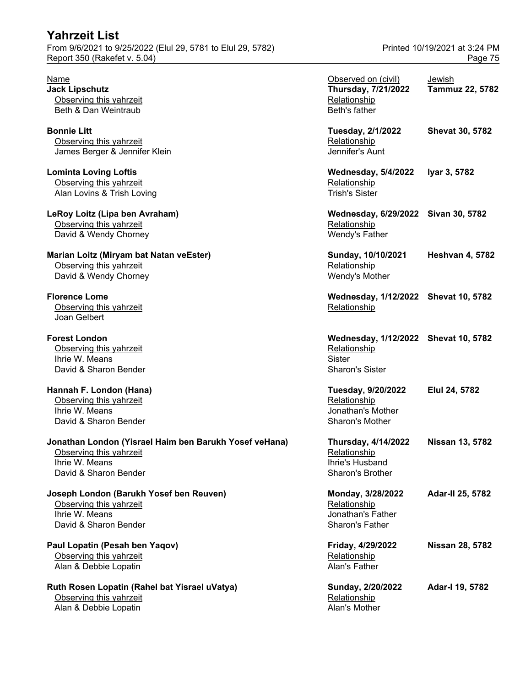#### **Yahrzeit List** From 9/6/2021 to 9/25/2022 (Elul 29, 5781 to Elul 29, 5782) Printed 10/19/2021 at 3:24 PM Report 350 (Rakefet v. 5.04) **Page 75**

#### Jonathan London (Yisrael Haim ben Barukh Yosef veHana) Observing this yahrzeit

#### **Joseph London (Barukh Yosef ben Reuven)** Observing this yahrzeit Ihrie W. Means David & Sharon Bender

# **Ruth Rosen Lopatin (Rahel bat Yisrael uVatya)**

Observing this yahrzeit Alan & Debbie Lopatin

| Name<br><b>Jack Lipschutz</b><br>Observing this yahrzeit                                                                     | Observed on (civil)<br>Thursday, 7/21/2022<br>Relationship                                      | Jewish<br><b>Tammuz 22, 5782</b> |
|------------------------------------------------------------------------------------------------------------------------------|-------------------------------------------------------------------------------------------------|----------------------------------|
| Beth & Dan Weintraub<br><b>Bonnie Litt</b><br>Observing this yahrzeit                                                        | Beth's father<br><b>Tuesday, 2/1/2022</b><br>Relationship                                       | <b>Shevat 30, 5782</b>           |
| James Berger & Jennifer Klein                                                                                                | Jennifer's Aunt                                                                                 |                                  |
| <b>Lominta Loving Loftis</b><br>Observing this yahrzeit<br>Alan Lovins & Trish Loving                                        | <b>Wednesday, 5/4/2022</b><br>Relationship<br><b>Trish's Sister</b>                             | Iyar 3, 5782                     |
| LeRoy Loitz (Lipa ben Avraham)<br>Observing this yahrzeit<br>David & Wendy Chorney                                           | Wednesday, 6/29/2022 Sivan 30, 5782<br>Relationship<br>Wendy's Father                           |                                  |
| Marian Loitz (Miryam bat Natan veEster)<br>Observing this yahrzeit<br>David & Wendy Chorney                                  | Sunday, 10/10/2021<br>Relationship<br>Wendy's Mother                                            | <b>Heshvan 4, 5782</b>           |
| <b>Florence Lome</b><br>Observing this yahrzeit<br>Joan Gelbert                                                              | Wednesday, 1/12/2022 Shevat 10, 5782<br>Relationship                                            |                                  |
| <b>Forest London</b><br>Observing this yahrzeit<br>Ihrie W. Means<br>David & Sharon Bender                                   | Wednesday, 1/12/2022 Shevat 10, 5782<br>Relationship<br><b>Sister</b><br><b>Sharon's Sister</b> |                                  |
| Hannah F. London (Hana)<br>Observing this yahrzeit<br>Ihrie W. Means<br>David & Sharon Bender                                | <b>Tuesday, 9/20/2022</b><br>Relationship<br>Jonathan's Mother<br>Sharon's Mother               | Elul 24, 5782                    |
| Jonathan London (Yisrael Haim ben Barukh Yosef veHana)<br>Observing this yahrzeit<br>Ihrie W. Means<br>David & Sharon Bender | <b>Thursday, 4/14/2022</b><br>Relationship<br>Ihrie's Husband<br>Sharon's Brother               | <b>Nissan 13, 5782</b>           |
| Joseph London (Barukh Yosef ben Reuven)<br>Observing this yahrzeit<br>Ihrie W. Means<br>David & Sharon Bender                | Monday, 3/28/2022<br>Relationship<br>Jonathan's Father<br>Sharon's Father                       | Adar-II 25, 5782                 |
| Paul Lopatin (Pesah ben Yaqov)<br>Observing this yahrzeit<br>Alan & Debbie Lopatin                                           | Friday, 4/29/2022<br>Relationship<br>Alan's Father                                              | Nissan 28, 5782                  |
| Ruth Rosen Lopatin (Rahel bat Yisrael uVatya)<br>Observing this yahrzeit<br>Alan & Debbie Lopatin                            | Sunday, 2/20/2022<br>Relationship<br>Alan's Mother                                              | Adar-I 19, 5782                  |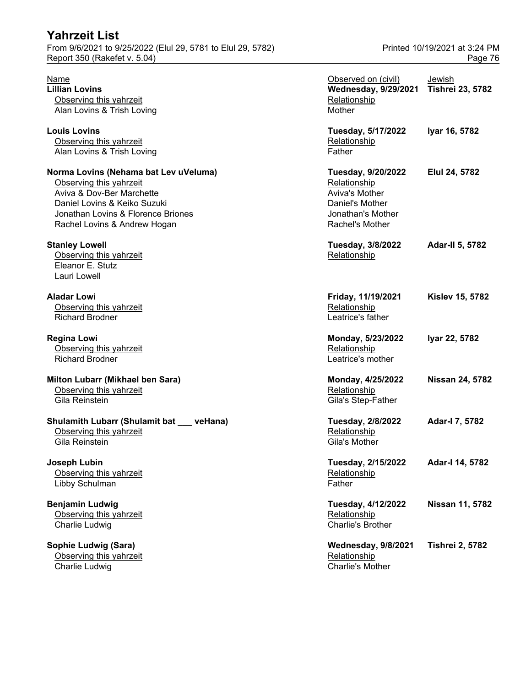From 9/6/2021 to 9/25/2022 (Elul 29, 5781 to Elul 29, 5782) Printed 10/19/2021 at 3:24 PM Report 350 (Rakefet v. 5.04) Page 76

| <b>Name</b><br><b>Lillian Lovins</b><br>Observing this yahrzeit<br>Alan Lovins & Trish Loving                                                                                                       | Observed on (civil)<br><b>Wednesday, 9/29/2021</b><br>Relationship<br>Mother                                    | Jewish<br><b>Tishrei 23, 5782</b> |
|-----------------------------------------------------------------------------------------------------------------------------------------------------------------------------------------------------|-----------------------------------------------------------------------------------------------------------------|-----------------------------------|
| <b>Louis Lovins</b><br>Observing this yahrzeit<br>Alan Lovins & Trish Loving                                                                                                                        | Tuesday, 5/17/2022<br>Relationship<br>Father                                                                    | Iyar 16, 5782                     |
| Norma Lovins (Nehama bat Lev uVeluma)<br>Observing this yahrzeit<br>Aviva & Dov-Ber Marchette<br>Daniel Lovins & Keiko Suzuki<br>Jonathan Lovins & Florence Briones<br>Rachel Lovins & Andrew Hogan | Tuesday, 9/20/2022<br>Relationship<br>Aviva's Mother<br>Daniel's Mother<br>Jonathan's Mother<br>Rachel's Mother | Elul 24, 5782                     |
| <b>Stanley Lowell</b><br>Observing this yahrzeit<br>Eleanor E. Stutz<br>Lauri Lowell                                                                                                                | Tuesday, 3/8/2022<br>Relationship                                                                               | <b>Adar-II 5, 5782</b>            |
| <b>Aladar Lowi</b><br>Observing this yahrzeit<br><b>Richard Brodner</b>                                                                                                                             | Friday, 11/19/2021<br>Relationship<br>Leatrice's father                                                         | <b>Kislev 15, 5782</b>            |
| <b>Regina Lowi</b><br>Observing this yahrzeit<br><b>Richard Brodner</b>                                                                                                                             | Monday, 5/23/2022<br>Relationship<br>Leatrice's mother                                                          | Iyar 22, 5782                     |
| Milton Lubarr (Mikhael ben Sara)<br>Observing this yahrzeit<br>Gila Reinstein                                                                                                                       | Monday, 4/25/2022<br>Relationship<br>Gila's Step-Father                                                         | <b>Nissan 24, 5782</b>            |
| Shulamith Lubarr (Shulamit bat __ veHana)<br>Observing this yahrzeit<br>Gila Reinstein                                                                                                              | Tuesday, 2/8/2022<br>Relationship<br>Gila's Mother                                                              | Adar-I 7, 5782                    |
| Joseph Lubin<br>Observing this yahrzeit<br>Libby Schulman                                                                                                                                           | Tuesday, 2/15/2022<br>Relationship<br>Father                                                                    | Adar-I 14, 5782                   |
| <b>Benjamin Ludwig</b><br>Observing this yahrzeit<br>Charlie Ludwig                                                                                                                                 | Tuesday, 4/12/2022<br>Relationship<br><b>Charlie's Brother</b>                                                  | <b>Nissan 11, 5782</b>            |
| Sophie Ludwig (Sara)<br>Observing this yahrzeit                                                                                                                                                     | Wednesday, 9/8/2021<br>Relationship                                                                             | <b>Tishrei 2, 5782</b>            |

Charlie Ludwig **Charlie's Mother**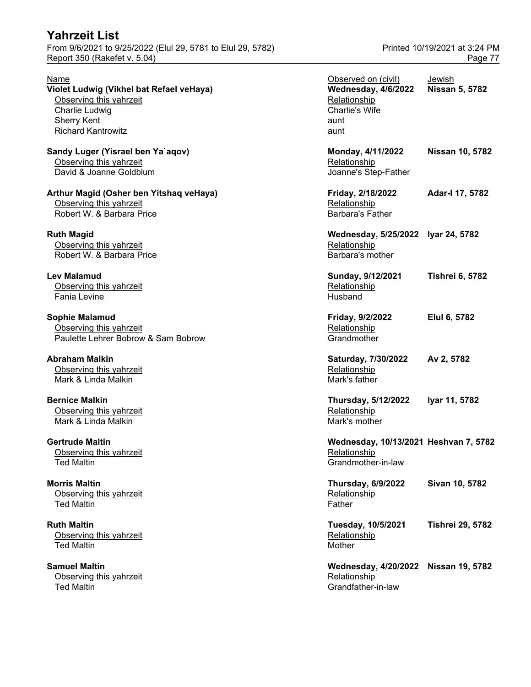From 9/6/2021 to 9/25/2022 (Elul 29, 5781 to Elul 29, 5782) Printed 10/19/2021 at 3:24 PM Report 350 (Rakefet v. 5.04) Page 77

| Name                                     | Observed on (civil)                   | Jewish                  |
|------------------------------------------|---------------------------------------|-------------------------|
| Violet Ludwig (Vikhel bat Refael veHaya) | Wednesday, 4/6/2022                   | Nissan 5, 5782          |
| Observing this yahrzeit                  | Relationship                          |                         |
| Charlie Ludwig                           | Charlie's Wife                        |                         |
| <b>Sherry Kent</b>                       | aunt                                  |                         |
| <b>Richard Kantrowitz</b>                | aunt                                  |                         |
| Sandy Luger (Yisrael ben Ya`aqov)        | Monday, 4/11/2022                     | Nissan 10, 5782         |
| Observing this yahrzeit                  | Relationship                          |                         |
| David & Joanne Goldblum                  | Joanne's Step-Father                  |                         |
| Arthur Magid (Osher ben Yitshaq veHaya)  | Friday, 2/18/2022                     | Adar-I 17, 5782         |
| Observing this yahrzeit                  | Relationship                          |                         |
| Robert W. & Barbara Price                | <b>Barbara's Father</b>               |                         |
| <b>Ruth Magid</b>                        | Wednesday, 5/25/2022 Iyar 24, 5782    |                         |
| Observing this yahrzeit                  | Relationship                          |                         |
| Robert W. & Barbara Price                | Barbara's mother                      |                         |
| Lev Malamud                              | Sunday, 9/12/2021                     | <b>Tishrei 6, 5782</b>  |
| Observing this yahrzeit                  | Relationship                          |                         |
| <b>Fania Levine</b>                      | Husband                               |                         |
| Sophie Malamud                           | Friday, 9/2/2022                      | Elul 6, 5782            |
| Observing this yahrzeit                  | Relationship                          |                         |
| Paulette Lehrer Bobrow & Sam Bobrow      | Grandmother                           |                         |
| Abraham Malkin                           | Saturday, 7/30/2022                   | Av 2, 5782              |
| Observing this yahrzeit                  | Relationship                          |                         |
| Mark & Linda Malkin                      | Mark's father                         |                         |
| <b>Bernice Malkin</b>                    | Thursday, 5/12/2022                   | Iyar 11, 5782           |
| Observing this yahrzeit                  | Relationship                          |                         |
| Mark & Linda Malkin                      | Mark's mother                         |                         |
| <b>Gertrude Maltin</b>                   | Wednesday, 10/13/2021 Heshvan 7, 5782 |                         |
| Observing this yahrzeit                  | Relationship                          |                         |
| <b>Ted Maltin</b>                        | Grandmother-in-law                    |                         |
| <b>Morris Maltin</b>                     | <b>Thursday, 6/9/2022</b>             | Sivan 10, 5782          |
| Observing this yahrzeit                  | Relationship                          |                         |
| <b>Ted Maltin</b>                        | Father                                |                         |
| <b>Ruth Maltin</b>                       | <b>Tuesday, 10/5/2021</b>             | <b>Tishrei 29, 5782</b> |
| Observing this yahrzeit                  | Relationship                          |                         |
| <b>Ted Maltin</b>                        | Mother                                |                         |
| <b>Samuel Maltin</b>                     | <b>Wednesday, 4/20/2022</b>           | Nissan 19, 5782         |
| Observing this yahrzeit                  | Relationship                          |                         |
| <b>Ted Maltin</b>                        | Grandfather-in-law                    |                         |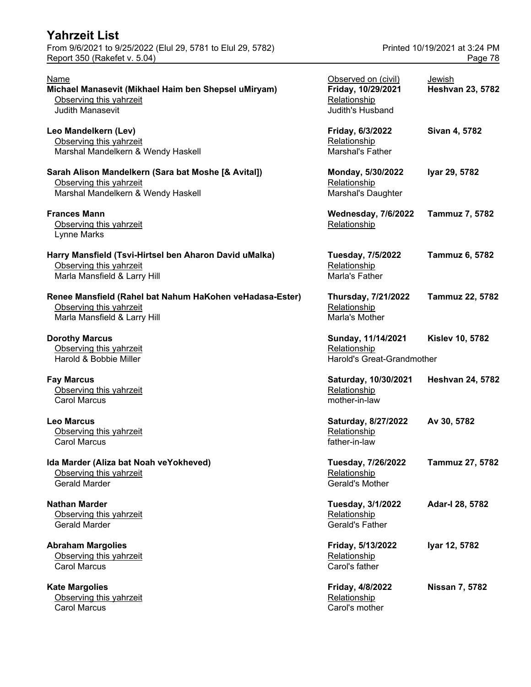| <b>Yahrzeit List</b><br>From 9/6/2021 to 9/25/2022 (Elul 29, 5781 to Elul 29, 5782)<br>Report 350 (Rakefet v. 5.04)  |                                                                               | Printed 10/19/2021 at 3:24 PM<br>Page 78 |
|----------------------------------------------------------------------------------------------------------------------|-------------------------------------------------------------------------------|------------------------------------------|
| Name<br>Michael Manasevit (Mikhael Haim ben Shepsel uMiryam)<br>Observing this yahrzeit<br><b>Judith Manasevit</b>   | Observed on (civil)<br>Friday, 10/29/2021<br>Relationship<br>Judith's Husband | Jewish<br><b>Heshvan 23, 5782</b>        |
| Leo Mandelkern (Lev)<br>Observing this yahrzeit<br>Marshal Mandelkern & Wendy Haskell                                | Friday, 6/3/2022<br>Relationship<br>Marshal's Father                          | Sivan 4, 5782                            |
| Sarah Alison Mandelkern (Sara bat Moshe [& Avital])<br>Observing this yahrzeit<br>Marshal Mandelkern & Wendy Haskell | Monday, 5/30/2022<br>Relationship<br>Marshal's Daughter                       | Iyar 29, 5782                            |
| <b>Frances Mann</b><br>Observing this yahrzeit<br>Lynne Marks                                                        | <b>Wednesday, 7/6/2022</b><br>Relationship                                    | <b>Tammuz 7, 5782</b>                    |
| Harry Mansfield (Tsvi-Hirtsel ben Aharon David uMalka)<br>Observing this yahrzeit<br>Marla Mansfield & Larry Hill    | Tuesday, 7/5/2022<br>Relationship<br>Marla's Father                           | <b>Tammuz 6, 5782</b>                    |
| Renee Mansfield (Rahel bat Nahum HaKohen veHadasa-Ester)<br>Observing this yahrzeit<br>Marla Mansfield & Larry Hill  | Thursday, 7/21/2022<br>Relationship<br>Marla's Mother                         | Tammuz 22, 5782                          |
| <b>Dorothy Marcus</b><br>Observing this yahrzeit<br>Harold & Bobbie Miller                                           | Sunday, 11/14/2021<br>Relationship<br>Harold's Great-Grandmother              | <b>Kislev 10, 5782</b>                   |
| <b>Fay Marcus</b><br>Observing this yahrzeit<br><b>Carol Marcus</b>                                                  | Saturday, 10/30/2021<br>Relationship<br>mother-in-law                         | <b>Heshvan 24, 5782</b>                  |
| <b>Leo Marcus</b><br>Observing this yahrzeit<br><b>Carol Marcus</b>                                                  | Saturday, 8/27/2022<br>Relationship<br>father-in-law                          | Av 30, 5782                              |
| Ida Marder (Aliza bat Noah veYokheved)<br>Observing this yahrzeit<br><b>Gerald Marder</b>                            | Tuesday, 7/26/2022<br>Relationship<br>Gerald's Mother                         | Tammuz 27, 5782                          |
| <b>Nathan Marder</b><br>Observing this yahrzeit<br><b>Gerald Marder</b>                                              | Tuesday, 3/1/2022<br>Relationship<br>Gerald's Father                          | Adar-I 28, 5782                          |
| <b>Abraham Margolies</b><br>Observing this yahrzeit<br><b>Carol Marcus</b>                                           | Friday, 5/13/2022<br>Relationship<br>Carol's father                           | Iyar 12, 5782                            |
| <b>Kate Margolies</b><br>Observing this yahrzeit<br><b>Carol Marcus</b>                                              | Friday, 4/8/2022<br>Relationship<br>Carol's mother                            | <b>Nissan 7, 5782</b>                    |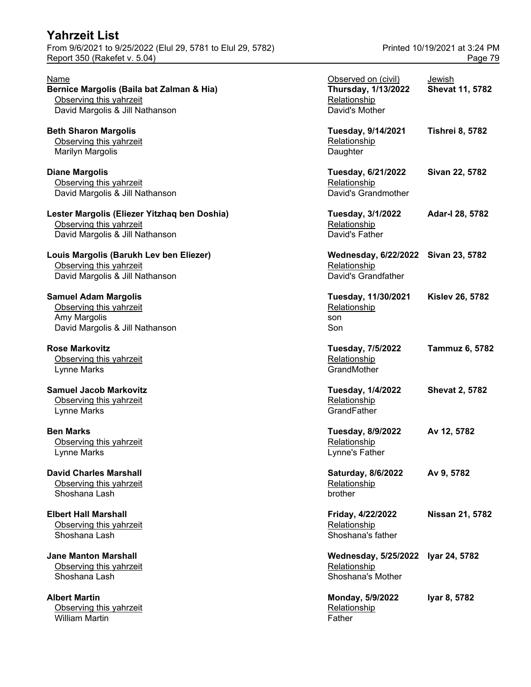# **Yahrzeit List** From 9/6/2021 to 9/25/2022 (Elul 29, 5781 to Elul 29, 5782) Printed 10/19/2021 at 3:24 PM

#### **Lester Margolis (Eliezer Yitzhaq ben Doshia)** Observing this yahrzeit David Margolis & Jill Nathanson

**Albert Martin** Observing this yahrzeit William Martin **Father** Father Father Father Father Father Father Father Father Father Father Father Father Father

Report 350 (Rakefet v. 5.04) **Page 79** 

| Name<br>Bernice Margolis (Baila bat Zalman & Hia)<br>Observing this yahrzeit<br>David Margolis & Jill Nathanson | Observed on (civil)<br><b>Thursday, 1/13/2022</b><br>Relationship<br>David's Mother | Jewish<br>Shevat 11, 5782 |
|-----------------------------------------------------------------------------------------------------------------|-------------------------------------------------------------------------------------|---------------------------|
| <b>Beth Sharon Margolis</b><br>Observing this yahrzeit<br><b>Marilyn Margolis</b>                               | Tuesday, 9/14/2021<br>Relationship<br>Daughter                                      | <b>Tishrei 8, 5782</b>    |
| <b>Diane Margolis</b><br>Observing this yahrzeit<br>David Margolis & Jill Nathanson                             | Tuesday, 6/21/2022<br>Relationship<br>David's Grandmother                           | Sivan 22, 5782            |
| Lester Margolis (Eliezer Yitzhaq ben Doshia)<br>Observing this yahrzeit<br>David Margolis & Jill Nathanson      | <b>Tuesday, 3/1/2022</b><br>Relationship<br>David's Father                          | Adar-I 28, 5782           |
| Louis Margolis (Barukh Lev ben Eliezer)<br>Observing this yahrzeit<br>David Margolis & Jill Nathanson           | Wednesday, 6/22/2022 Sivan 23, 5782<br>Relationship<br>David's Grandfather          |                           |
| <b>Samuel Adam Margolis</b><br>Observing this yahrzeit<br>Amy Margolis<br>David Margolis & Jill Nathanson       | Tuesday, 11/30/2021<br>Relationship<br>son<br>Son                                   | <b>Kislev 26, 5782</b>    |
| <b>Rose Markovitz</b><br>Observing this yahrzeit<br>Lynne Marks                                                 | <b>Tuesday, 7/5/2022</b><br>Relationship<br>GrandMother                             | <b>Tammuz 6, 5782</b>     |
| <b>Samuel Jacob Markovitz</b><br>Observing this yahrzeit<br>Lynne Marks                                         | <b>Tuesday, 1/4/2022</b><br>Relationship<br>GrandFather                             | <b>Shevat 2, 5782</b>     |
| <b>Ben Marks</b><br>Observing this yahrzeit<br>Lynne Marks                                                      | <b>Tuesday, 8/9/2022</b><br>Relationship<br>Lynne's Father                          | Av 12, 5782               |
| <b>David Charles Marshall</b><br>Observing this yahrzeit<br>Shoshana Lash                                       | Saturday, 8/6/2022<br>Relationship<br>brother                                       | Av 9, 5782                |
| <b>Elbert Hall Marshall</b><br>Observing this yahrzeit<br>Shoshana Lash                                         | Friday, 4/22/2022<br>Relationship<br>Shoshana's father                              | Nissan 21, 5782           |
| <b>Jane Manton Marshall</b><br>Observing this yahrzeit<br>Shoshana Lash                                         | <b>Wednesday, 5/25/2022</b><br>Relationship<br>Shoshana's Mother                    | lyar 24, 5782             |
| <b>Albert Martin</b><br>Observing this yahrzeit                                                                 | Monday, 5/9/2022<br>Relationship                                                    | Iyar 8, 5782              |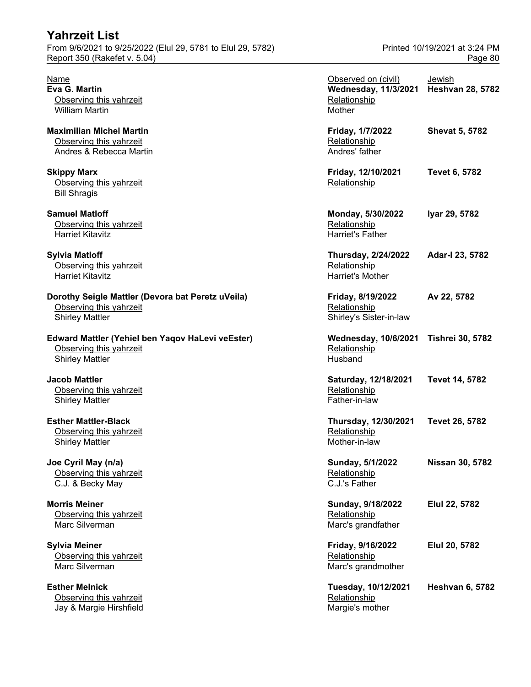| From 9/6/2021 to 9/25/2022 (Elul 29, 5781 to Elul 29, 5782)<br>Report 350 (Rakefet v. 5.04)            | Printed 10/19/2021 at 3:24 PM<br>Page 80                                     |                                   |
|--------------------------------------------------------------------------------------------------------|------------------------------------------------------------------------------|-----------------------------------|
| Name<br>Eva G. Martin<br>Observing this yahrzeit<br><b>William Martin</b>                              | Observed on (civil)<br><b>Wednesday, 11/3/2021</b><br>Relationship<br>Mother | Jewish<br><b>Heshvan 28, 5782</b> |
| <b>Maximilian Michel Martin</b><br>Observing this yahrzeit<br>Andres & Rebecca Martin                  | Friday, 1/7/2022<br>Relationship<br>Andres' father                           | <b>Shevat 5, 5782</b>             |
| <b>Skippy Marx</b><br>Observing this yahrzeit<br><b>Bill Shragis</b>                                   | Friday, 12/10/2021<br>Relationship                                           | <b>Tevet 6, 5782</b>              |
| <b>Samuel Matloff</b><br>Observing this yahrzeit<br><b>Harriet Kitavitz</b>                            | Monday, 5/30/2022<br>Relationship<br>Harriet's Father                        | Iyar 29, 5782                     |
| <b>Sylvia Matloff</b><br>Observing this yahrzeit<br><b>Harriet Kitavitz</b>                            | <b>Thursday, 2/24/2022</b><br>Relationship<br><b>Harriet's Mother</b>        | Adar-I 23, 5782                   |
| Dorothy Seigle Mattler (Devora bat Peretz uVeila)<br>Observing this yahrzeit<br><b>Shirley Mattler</b> | Friday, 8/19/2022<br>Relationship<br>Shirley's Sister-in-law                 | Av 22, 5782                       |
| Edward Mattler (Yehiel ben Yaqov HaLevi veEster)<br>Observing this yahrzeit<br><b>Shirley Mattler</b>  | <b>Wednesday, 10/6/2021</b><br>Relationship<br>Husband                       | <b>Tishrei 30, 5782</b>           |
| <b>Jacob Mattler</b><br>Observing this yahrzeit<br><b>Shirley Mattler</b>                              | Saturday, 12/18/2021<br>Relationship<br>Father-in-law                        | <b>Tevet 14, 5782</b>             |
| <b>Esther Mattler-Black</b><br>Observing this yahrzeit<br><b>Shirley Mattler</b>                       | Thursday, 12/30/2021<br>Relationship<br>Mother-in-law                        | Tevet 26, 5782                    |
| Joe Cyril May (n/a)<br>Observing this yahrzeit<br>C.J. & Becky May                                     | Sunday, 5/1/2022<br>Relationship<br>C.J.'s Father                            | <b>Nissan 30, 5782</b>            |
| <b>Morris Meiner</b><br>Observing this yahrzeit<br>Marc Silverman                                      | Sunday, 9/18/2022<br>Relationship<br>Marc's grandfather                      | Elul 22, 5782                     |
| <b>Sylvia Meiner</b><br>Observing this yahrzeit<br>Marc Silverman                                      | Friday, 9/16/2022<br>Relationship<br>Marc's grandmother                      | Elul 20, 5782                     |
| <b>Esther Melnick</b><br>Observing this yahrzeit<br>Jay & Margie Hirshfield                            | Tuesday, 10/12/2021<br>Relationship<br>Margie's mother                       | <b>Heshvan 6, 5782</b>            |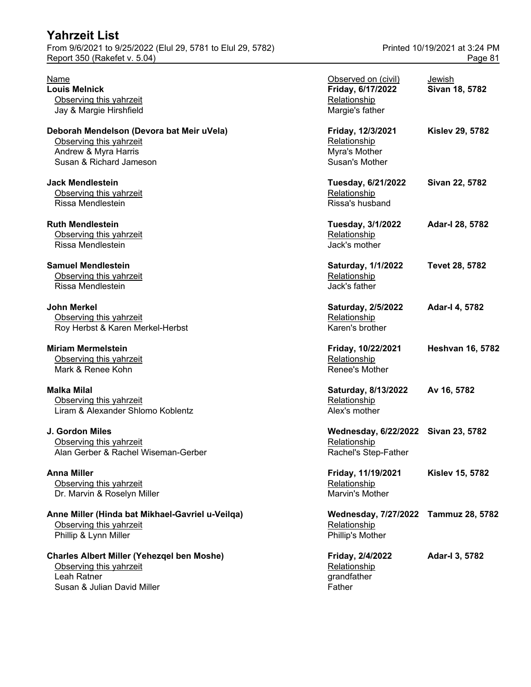# **Yahrzeit List** From 9/6/2021 to 9/25/2022 (Elul 29, 5781 to Elul 29, 5782) Printed 10/19/2021 at 3:24 PM

### **Charles Albert Miller (Yehezqel ben Moshe)** Observing this yahrzeit Leah Ratner

Susan & Julian David Miller Father Father

# Report 350 (Rakefet v. 5.04) **Page 81**

| Name                                              | Observed on (civil)                  | <b>Jewish</b>           |
|---------------------------------------------------|--------------------------------------|-------------------------|
| <b>Louis Melnick</b>                              | Friday, 6/17/2022                    | Sivan 18, 5782          |
| Observing this yahrzeit                           | Relationship                         |                         |
| Jay & Margie Hirshfield                           | Margie's father                      |                         |
| Deborah Mendelson (Devora bat Meir uVela)         | Friday, 12/3/2021                    | <b>Kislev 29, 5782</b>  |
| Observing this yahrzeit                           | Relationship                         |                         |
| Andrew & Myra Harris                              | Myra's Mother                        |                         |
| Susan & Richard Jameson                           | Susan's Mother                       |                         |
| Jack Mendlestein                                  | Tuesday, 6/21/2022                   | Sivan 22, 5782          |
| Observing this yahrzeit                           | Relationship                         |                         |
| Rissa Mendlestein                                 | Rissa's husband                      |                         |
| <b>Ruth Mendlestein</b>                           | Tuesday, 3/1/2022                    | Adar-I 28, 5782         |
| Observing this yahrzeit                           | Relationship                         |                         |
| Rissa Mendlestein                                 | Jack's mother                        |                         |
| <b>Samuel Mendlestein</b>                         | Saturday, 1/1/2022                   | Tevet 28, 5782          |
| Observing this yahrzeit                           | Relationship                         |                         |
| Rissa Mendlestein                                 | Jack's father                        |                         |
| John Merkel                                       | Saturday, 2/5/2022                   | Adar-I 4, 5782          |
| Observing this yahrzeit                           | Relationship                         |                         |
| Roy Herbst & Karen Merkel-Herbst                  | Karen's brother                      |                         |
| Miriam Mermelstein                                | Friday, 10/22/2021                   | <b>Heshvan 16, 5782</b> |
| Observing this yahrzeit                           | Relationship                         |                         |
| Mark & Renee Kohn                                 | Renee's Mother                       |                         |
| Malka Milal                                       | Saturday, 8/13/2022                  | Av 16, 5782             |
| Observing this yahrzeit                           | Relationship                         |                         |
| Liram & Alexander Shlomo Koblentz                 | Alex's mother                        |                         |
| J. Gordon Miles                                   | Wednesday, 6/22/2022 Sivan 23, 5782  |                         |
| Observing this yahrzeit                           | Relationship                         |                         |
| Alan Gerber & Rachel Wiseman-Gerber               | Rachel's Step-Father                 |                         |
| Anna Miller                                       | Friday, 11/19/2021                   | <b>Kislev 15, 5782</b>  |
| Observing this yahrzeit                           | Relationship                         |                         |
| Dr. Marvin & Roselyn Miller                       | Marvin's Mother                      |                         |
| Anne Miller (Hinda bat Mikhael-Gavriel u-Veilqa)  | Wednesday, 7/27/2022 Tammuz 28, 5782 |                         |
| Observing this yahrzeit                           | Relationship                         |                         |
| Phillip & Lynn Miller                             | Phillip's Mother                     |                         |
| <b>Charles Albert Miller (Yehezgel ben Moshe)</b> | Friday, 2/4/2022                     | Adar-I 3, 5782          |
| Observing this yahrzeit                           | Relationship                         |                         |
| Leah Ratner                                       | grandfather                          |                         |
| $\sim 1.1$ M and $\sim$                           |                                      |                         |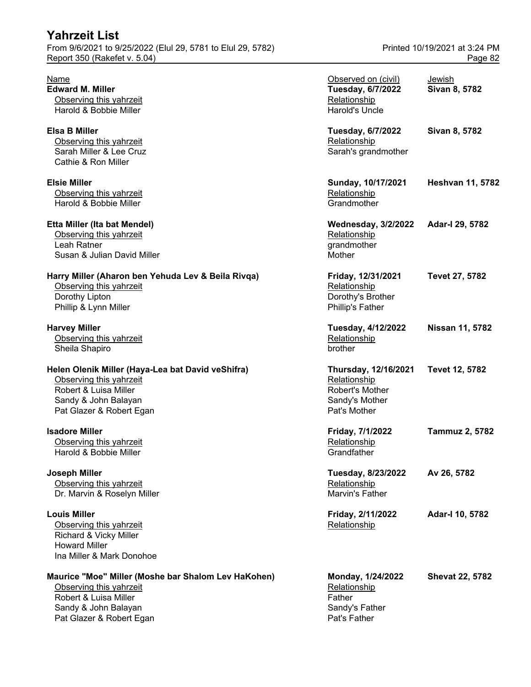| Yahrzeit List<br>From 9/6/2021 to 9/25/2022 (Elul 29, 5781 to Elul 29, 5782)<br>Report 350 (Rakefet v. 5.04)                                                |                                                                                           | Printed 10/19/2021 at 3:24 PM<br>Page 82 |
|-------------------------------------------------------------------------------------------------------------------------------------------------------------|-------------------------------------------------------------------------------------------|------------------------------------------|
| Name<br><b>Edward M. Miller</b><br>Observing this yahrzeit<br>Harold & Bobbie Miller                                                                        | Observed on (civil)<br><b>Tuesday, 6/7/2022</b><br>Relationship<br><b>Harold's Uncle</b>  | Jewish<br>Sivan 8, 5782                  |
| <b>Elsa B Miller</b><br>Observing this yahrzeit<br>Sarah Miller & Lee Cruz<br>Cathie & Ron Miller                                                           | <b>Tuesday, 6/7/2022</b><br>Relationship<br>Sarah's grandmother                           | Sivan 8, 5782                            |
| <b>Elsie Miller</b><br>Observing this yahrzeit<br>Harold & Bobbie Miller                                                                                    | Sunday, 10/17/2021<br>Relationship<br>Grandmother                                         | <b>Heshvan 11, 5782</b>                  |
| Etta Miller (Ita bat Mendel)<br>Observing this yahrzeit<br>Leah Ratner<br>Susan & Julian David Miller                                                       | <b>Wednesday, 3/2/2022</b><br>Relationship<br>grandmother<br>Mother                       | Adar-I 29, 5782                          |
| Harry Miller (Aharon ben Yehuda Lev & Beila Rivqa)<br>Observing this yahrzeit<br>Dorothy Lipton<br>Phillip & Lynn Miller                                    | Friday, 12/31/2021<br>Relationship<br>Dorothy's Brother<br><b>Phillip's Father</b>        | Tevet 27, 5782                           |
| <b>Harvey Miller</b><br>Observing this yahrzeit<br>Sheila Shapiro                                                                                           | Tuesday, 4/12/2022<br>Relationship<br>brother                                             | Nissan 11, 5782                          |
| Helen Olenik Miller (Haya-Lea bat David veShifra)<br>Observing this yahrzeit<br>Robert & Luisa Miller<br>Sandy & John Balayan<br>Pat Glazer & Robert Egan   | Thursday, 12/16/2021<br>Relationship<br>Robert's Mother<br>Sandy's Mother<br>Pat's Mother | Tevet 12, 5782                           |
| <b>Isadore Miller</b><br>Observing this yahrzeit<br>Harold & Bobbie Miller                                                                                  | Friday, 7/1/2022<br>Relationship<br>Grandfather                                           | <b>Tammuz 2, 5782</b>                    |
| <b>Joseph Miller</b><br>Observing this yahrzeit<br>Dr. Marvin & Roselyn Miller                                                                              | Tuesday, 8/23/2022<br>Relationship<br>Marvin's Father                                     | Av 26, 5782                              |
| <b>Louis Miller</b><br>Observing this yahrzeit<br>Richard & Vicky Miller<br><b>Howard Miller</b><br>Ina Miller & Mark Donohoe                               | Friday, 2/11/2022<br>Relationship                                                         | Adar-I 10, 5782                          |
| Maurice "Moe" Miller (Moshe bar Shalom Lev HaKohen)<br>Observing this yahrzeit<br>Robert & Luisa Miller<br>Sandy & John Balayan<br>Pat Glazer & Robert Egan | Monday, 1/24/2022<br>Relationship<br>Father<br>Sandy's Father<br>Pat's Father             | <b>Shevat 22, 5782</b>                   |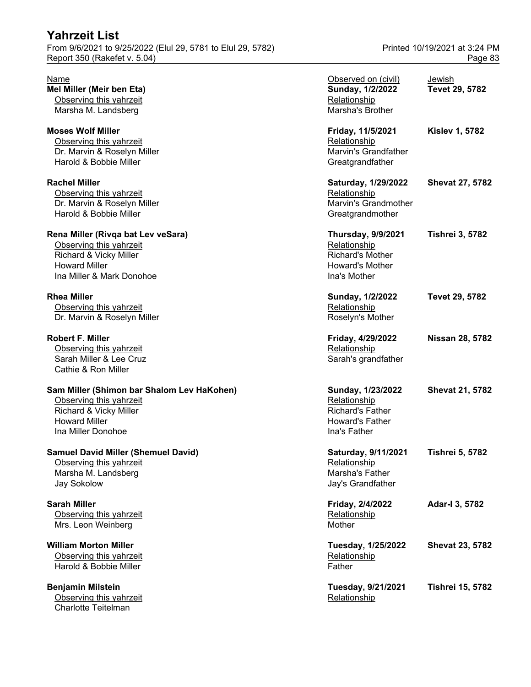From 9/6/2021 to 9/25/2022 (Elul 29, 5781 to Elul 29, 5782) Printed 10/19/2021 at 3:24 PM Report 350 (Rakefet v. 5.04) **Page 83** 

#### **Rena Miller (Rivga bat Lev veSara)**

#### **Robert F. Miller**

#### **Sam Miller (Shimon bar Shalom Lev HaKohen)**

#### **Samuel David Miller (Shemuel David)**

# **William Morton Miller**

### **Benjamin Milstein**

Observing this yahrzeit **Relationship Relationship** Charlotte Teitelman

| Name                                       | Observed on (civil)       | Jewish                  |
|--------------------------------------------|---------------------------|-------------------------|
| Mel Miller (Meir ben Eta)                  | Sunday, 1/2/2022          | Tevet 29, 5782          |
| Observing this yahrzeit                    | Relationship              |                         |
| Marsha M. Landsberg                        | Marsha's Brother          |                         |
| <b>Moses Wolf Miller</b>                   | Friday, 11/5/2021         | <b>Kislev 1, 5782</b>   |
| Observing this yahrzeit                    | Relationship              |                         |
| Dr. Marvin & Roselyn Miller                | Marvin's Grandfather      |                         |
| Harold & Bobbie Miller                     | Greatgrandfather          |                         |
| <b>Rachel Miller</b>                       | Saturday, 1/29/2022       | <b>Shevat 27, 5782</b>  |
| Observing this yahrzeit                    | Relationship              |                         |
| Dr. Marvin & Roselyn Miller                | Marvin's Grandmother      |                         |
| Harold & Bobbie Miller                     | Greatgrandmother          |                         |
| Rena Miller (Rivqa bat Lev veSara)         | <b>Thursday, 9/9/2021</b> | <b>Tishrei 3, 5782</b>  |
| Observing this yahrzeit                    | Relationship              |                         |
| Richard & Vicky Miller                     | <b>Richard's Mother</b>   |                         |
| <b>Howard Miller</b>                       | <b>Howard's Mother</b>    |                         |
| Ina Miller & Mark Donohoe                  | Ina's Mother              |                         |
| Rhea Miller                                | Sunday, 1/2/2022          | Tevet 29, 5782          |
| Observing this yahrzeit                    | Relationship              |                         |
| Dr. Marvin & Roselyn Miller                | Roselyn's Mother          |                         |
| Robert F. Miller                           | Friday, 4/29/2022         | <b>Nissan 28, 5782</b>  |
| Observing this yahrzeit                    | Relationship              |                         |
| Sarah Miller & Lee Cruz                    | Sarah's grandfather       |                         |
| Cathie & Ron Miller                        |                           |                         |
| Sam Miller (Shimon bar Shalom Lev HaKohen) | Sunday, 1/23/2022         | <b>Shevat 21, 5782</b>  |
| Observing this yahrzeit                    | Relationship              |                         |
| Richard & Vicky Miller                     | <b>Richard's Father</b>   |                         |
| <b>Howard Miller</b>                       | <b>Howard's Father</b>    |                         |
| Ina Miller Donohoe                         | Ina's Father              |                         |
| <b>Samuel David Miller (Shemuel David)</b> | Saturday, 9/11/2021       | <b>Tishrei 5, 5782</b>  |
| Observing this yahrzeit                    | Relationship              |                         |
| Marsha M. Landsberg                        | Marsha's Father           |                         |
| Jay Sokolow                                | Jay's Grandfather         |                         |
| Sarah Miller                               | Friday, 2/4/2022          | Adar-I 3, 5782          |
| Observing this yahrzeit                    | Relationship              |                         |
| Mrs. Leon Weinberg                         | Mother                    |                         |
| William Morton Miller                      | Tuesday, 1/25/2022        | <b>Shevat 23, 5782</b>  |
| Observing this yahrzeit                    | Relationship              |                         |
| Harold & Bobbie Miller                     | Father                    |                         |
| Benjamin Milstein                          | <b>Tuesday, 9/21/2021</b> | <b>Tishrei 15, 5782</b> |
| Ohonation this work                        | <b>Deletienship</b>       |                         |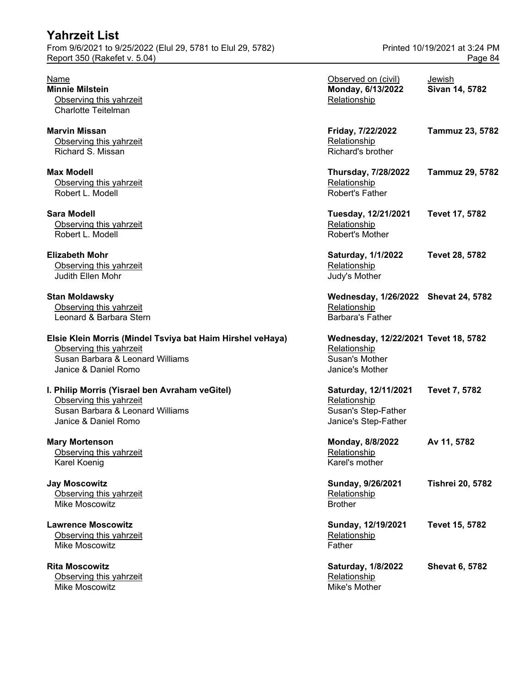| Yahrzeit List                                                                                                                                     |                                                                                            |                                          |
|---------------------------------------------------------------------------------------------------------------------------------------------------|--------------------------------------------------------------------------------------------|------------------------------------------|
| From 9/6/2021 to 9/25/2022 (Elul 29, 5781 to Elul 29, 5782)<br>Report 350 (Rakefet v. 5.04)                                                       |                                                                                            | Printed 10/19/2021 at 3:24 PM<br>Page 84 |
| Name<br><b>Minnie Milstein</b><br>Observing this yahrzeit<br><b>Charlotte Teitelman</b>                                                           | Observed on (civil)<br>Monday, 6/13/2022<br>Relationship                                   | Jewish<br>Sivan 14, 5782                 |
| <b>Marvin Missan</b><br>Observing this yahrzeit<br>Richard S. Missan                                                                              | Friday, 7/22/2022<br>Relationship<br>Richard's brother                                     | <b>Tammuz 23, 5782</b>                   |
| <b>Max Modell</b><br>Observing this yahrzeit<br>Robert L. Modell                                                                                  | <b>Thursday, 7/28/2022</b><br>Relationship<br><b>Robert's Father</b>                       | <b>Tammuz 29, 5782</b>                   |
| <b>Sara Modell</b><br>Observing this yahrzeit<br>Robert L. Modell                                                                                 | Tuesday, 12/21/2021<br>Relationship<br>Robert's Mother                                     | Tevet 17, 5782                           |
| <b>Elizabeth Mohr</b><br>Observing this yahrzeit<br><b>Judith Ellen Mohr</b>                                                                      | Saturday, 1/1/2022<br>Relationship<br>Judy's Mother                                        | Tevet 28, 5782                           |
| <b>Stan Moldawsky</b><br>Observing this yahrzeit<br>Leonard & Barbara Stern                                                                       | Wednesday, 1/26/2022 Shevat 24, 5782<br>Relationship<br><b>Barbara's Father</b>            |                                          |
| Elsie Klein Morris (Mindel Tsviya bat Haim Hirshel veHaya)<br>Observing this yahrzeit<br>Susan Barbara & Leonard Williams<br>Janice & Daniel Romo | Wednesday, 12/22/2021 Tevet 18, 5782<br>Relationship<br>Susan's Mother<br>Janice's Mother  |                                          |
| I. Philip Morris (Yisrael ben Avraham veGitel)<br>Observing this yahrzeit<br>Susan Barbara & Leonard Williams<br>Janice & Daniel Romo             | Saturday, 12/11/2021<br>Relationship<br><b>Susan's Step-Father</b><br>Janice's Step-Father | <b>Tevet 7, 5782</b>                     |
| <b>Mary Mortenson</b><br>Observing this yahrzeit<br>Karel Koenig                                                                                  | Monday, 8/8/2022<br>Relationship<br>Karel's mother                                         | Av 11, 5782                              |
| <b>Jay Moscowitz</b><br>Observing this yahrzeit<br>Mike Moscowitz                                                                                 | Sunday, 9/26/2021<br>Relationship<br><b>Brother</b>                                        | <b>Tishrei 20, 5782</b>                  |
| <b>Lawrence Moscowitz</b><br>Observing this yahrzeit<br>Mike Moscowitz                                                                            | Sunday, 12/19/2021<br>Relationship<br>Father                                               | Tevet 15, 5782                           |
| <b>Rita Moscowitz</b>                                                                                                                             | Saturday, 1/8/2022                                                                         | <b>Shevat 6, 5782</b>                    |

Observing this yahrzeit Relationship Relationship Mike Moscowitz Mike's Mother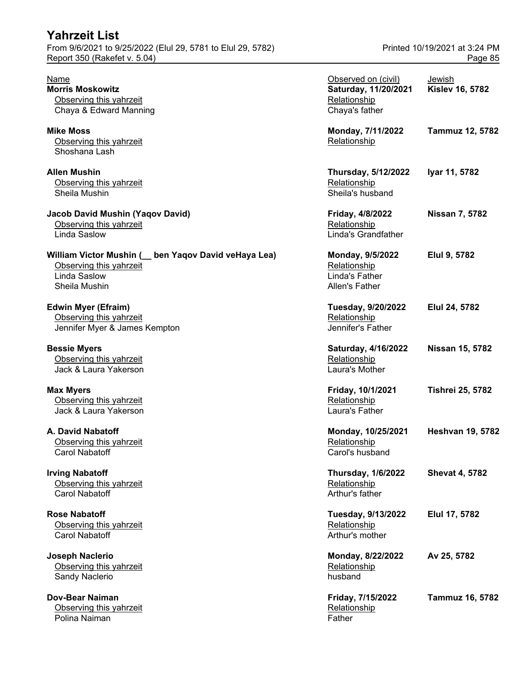| <b>Yahrzeit List</b>                                        |                            |                               |  |
|-------------------------------------------------------------|----------------------------|-------------------------------|--|
| From 9/6/2021 to 9/25/2022 (Elul 29, 5781 to Elul 29, 5782) |                            | Printed 10/19/2021 at 3:24 PM |  |
| Report 350 (Rakefet v. 5.04)                                | Page 85                    |                               |  |
| Name                                                        | Observed on (civil)        | Jewish                        |  |
| <b>Morris Moskowitz</b>                                     | Saturday, 11/20/2021       | <b>Kislev 16, 5782</b>        |  |
| Observing this yahrzeit                                     | Relationship               |                               |  |
| Chaya & Edward Manning                                      | Chaya's father             |                               |  |
| <b>Mike Moss</b>                                            | Monday, 7/11/2022          | <b>Tammuz 12, 5782</b>        |  |
| Observing this vahrzeit                                     | Relationship               |                               |  |
| Shoshana Lash                                               |                            |                               |  |
| <b>Allen Mushin</b>                                         | <b>Thursday, 5/12/2022</b> | Iyar 11, 5782                 |  |
| Observing this vahrzeit                                     | Relationship               |                               |  |
| Sheila Mushin                                               | Sheila's husband           |                               |  |
| <b>Jacob David Mushin (Yaqov David)</b>                     | Friday, 4/8/2022           | <b>Nissan 7, 5782</b>         |  |
| Observing this yahrzeit                                     | Relationship               |                               |  |

**Dov-Bear Naiman** Observing this yahrzeit Polina Naiman Father **Father** 

| Name<br><b>Morris Moskowitz</b>                       | Observed on (civil)                  | <b>Jewish</b>           |
|-------------------------------------------------------|--------------------------------------|-------------------------|
| Observing this yahrzeit                               | Saturday, 11/20/2021<br>Relationship | <b>Kislev 16, 5782</b>  |
| Chaya & Edward Manning                                | Chaya's father                       |                         |
|                                                       |                                      |                         |
| <b>Mike Moss</b>                                      | Monday, 7/11/2022                    | <b>Tammuz 12, 5782</b>  |
| Observing this yahrzeit                               | Relationship                         |                         |
| Shoshana Lash                                         |                                      |                         |
| Allen Mushin                                          | <b>Thursday, 5/12/2022</b>           | Iyar 11, 5782           |
| Observing this yahrzeit                               | Relationship                         |                         |
| Sheila Mushin                                         | Sheila's husband                     |                         |
| Jacob David Mushin (Yaqov David)                      | Friday, 4/8/2022                     | <b>Nissan 7, 5782</b>   |
| Observing this yahrzeit                               | Relationship                         |                         |
| <b>Linda Saslow</b>                                   | Linda's Grandfather                  |                         |
|                                                       |                                      |                         |
| William Victor Mushin ( _ ben Yaqov David veHaya Lea) | Monday, 9/5/2022                     | Elul 9, 5782            |
| Observing this yahrzeit                               | Relationship                         |                         |
| <b>Linda Saslow</b>                                   | Linda's Father                       |                         |
| Sheila Mushin                                         | Allen's Father                       |                         |
| <b>Edwin Myer (Efraim)</b>                            | Tuesday, 9/20/2022                   | Elul 24, 5782           |
| Observing this yahrzeit                               | Relationship                         |                         |
| Jennifer Myer & James Kempton                         | Jennifer's Father                    |                         |
| <b>Bessie Myers</b>                                   | Saturday, 4/16/2022                  | Nissan 15, 5782         |
| Observing this yahrzeit                               | Relationship                         |                         |
| Jack & Laura Yakerson                                 | Laura's Mother                       |                         |
| <b>Max Myers</b>                                      | Friday, 10/1/2021                    | <b>Tishrei 25, 5782</b> |
| Observing this yahrzeit                               | Relationship                         |                         |
| Jack & Laura Yakerson                                 | Laura's Father                       |                         |
| A. David Nabatoff                                     | Monday, 10/25/2021                   | <b>Heshvan 19, 5782</b> |
| Observing this yahrzeit                               | Relationship                         |                         |
| Carol Nabatoff                                        | Carol's husband                      |                         |
|                                                       |                                      |                         |
| <b>Irving Nabatoff</b>                                | <b>Thursday, 1/6/2022</b>            | <b>Shevat 4, 5782</b>   |
| Observing this yahrzeit                               | Relationship                         |                         |
| Carol Nabatoff                                        | Arthur's father                      |                         |
| <b>Rose Nabatoff</b>                                  | Tuesday, 9/13/2022                   | Elul 17, 5782           |
| Observing this yahrzeit                               | Relationship                         |                         |
| Carol Nabatoff                                        | Arthur's mother                      |                         |
| <b>Joseph Naclerio</b>                                | Monday, 8/22/2022                    | Av 25, 5782             |
| Observing this yahrzeit                               | Relationship                         |                         |
| Sandy Naclerio                                        | husband                              |                         |
|                                                       |                                      |                         |
| Dov-Bear Naiman                                       | Friday, 7/15/2022                    | Tammuz 16, 5782         |
| Observing this vahrzeit                               | Relationship                         |                         |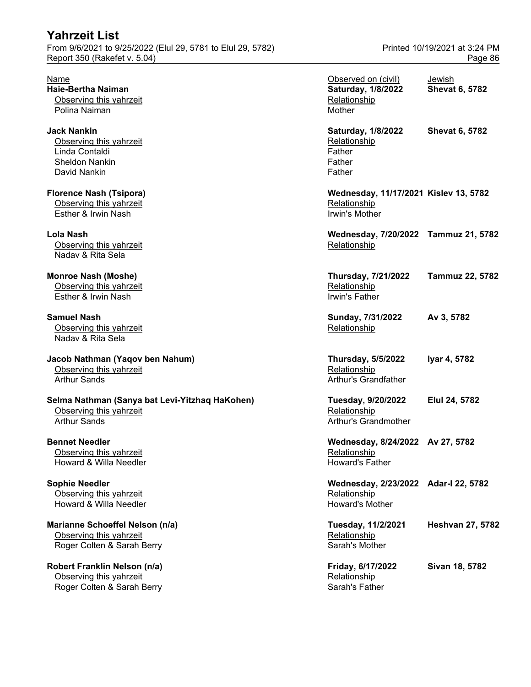# **Yahrzeit List** From 9/6/2021 to 9/25/2022 (Elul 29, 5781 to Elul 29, 5782) Printed 10/19/2021 at 3:24 PM Report 350 (Rakefet v. 5.04) Page 86 Name **Name Observed on (civil)** Jewish **Haie-Bertha Naiman Saturday, 1/8/2022 Shevat 6, 5782** Observing this yahrzeit **Relationship Relationship** Polina Naiman Mother and Mother and Mother and Mother and Mother and Mother and Mother and Mother and Mother and Mother and Mother and Mother and Mother and Mother and Mother and Mother and Mother and Mother and Mother and **Jack Nankin Saturday, 1/8/2022 Shevat 6, 5782** Observing this yahrzeit **Relationship Relationship** Linda Contaldi Father Sheldon Nankin Father Father David Nankin Father Controllering Controllering Controllering Controllering Controllering Controllering Controllering Controllering Controllering Controllering Controllering Controllering Controllering Controllering Contro **Florence Nash (Tsipora) Wednesday, 11/17/2021 Kislev 13, 5782** Observing this yahrzeit **Relationship Containst According the Containst According Contains According Contains According Contains According Contains According Contains According Contains According Contains According Conta** Esther & Irwin Nash Irwin's Mother **Lola Nash Wednesday, 7/20/2022 Tammuz 21, 5782** Observing this yahrzeit **Relationship Relationship Relationship** Nadav & Rita Sela **Monroe Nash (Moshe) Thursday, 7/21/2022 Tammuz 22, 5782** Observing this yahrzeit **Relationship Relationship Relationship** Esther & Irwin Nash Irwin's Father **Samuel Nash Sunday, 7/31/2022 Av 3, 5782** Observing this yahrzeit **Relationship Relationship** Nadav & Rita Sela **Jacob Nathman (Yaqov ben Nahum) Thursday, 5/5/2022 Iyar 4, 5782** Observing this yahrzeit **Relationship Relationship** Arthur Sands **Arthur's Grandfather** Arthur's Grandfather Selma Nathman (Sanya bat Levi-Yitzhaq HaKohen) **Tuesday, 9/20/2022** Elul 24, 5782 Observing this yahrzeit **Relationship Relationship** Arthur Sands **Arthur's Grandmother** Arthur's Grandmother **Bennet Needler Wednesday, 8/24/2022 Av 27, 5782** Observing this yahrzeit **Relationship Relationship Relationship** Howard & Willa Needler **Howard's Father** Howard's Father **Sophie Needler Wednesday, 2/23/2022 Adar-I 22, 5782** Observing this yahrzeit **Relationship Contains a Contains A** Relationship Howard & Willa Needler **Howard's Mother** Howard's Mother **Marianne Schoeffel Nelson (n/a) Tuesday, 11/2/2021 Heshvan 27, 5782** Observing this yahrzeit **Relationship** Conserving this yahrzeit Roger Colten & Sarah Berry Sarah's Mother

**Robert Franklin Nelson (n/a) Friday, 6/17/2022 Sivan 18, 5782** Observing this yahrzeit **Relationship Relationship Relationship** Roger Colten & Sarah Berry Sarah's Father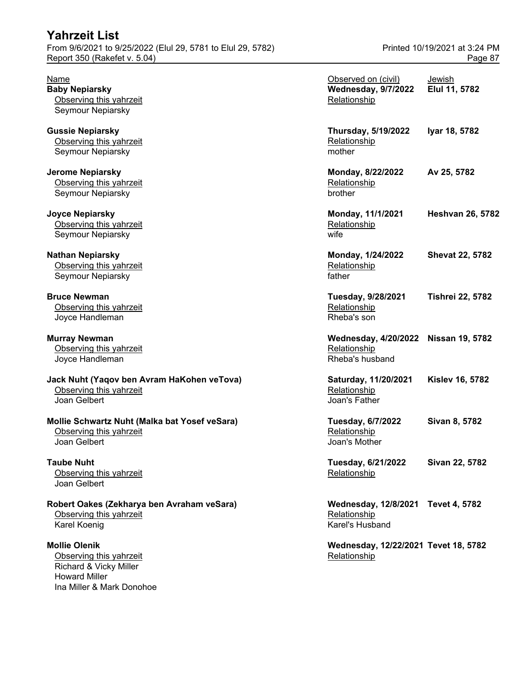| $\frac{1}{2}$ for $\frac{1}{2}$ or $\frac{1}{2}$ for $\frac{1}{2}$ for $\frac{1}{2}$ for $\frac{1}{2}$ for $\frac{1}{2}$ for $\frac{1}{2}$ for $\frac{1}{2}$ for $\frac{1}{2}$ for $\frac{1}{2}$ for $\frac{1}{2}$ for $\frac{1}{2}$ for $\frac{1}{2}$ for $\frac{1}{2}$ for $\frac{1}{2}$ fo<br>Report 350 (Rakefet v. 5.04) |                                                                         | Page 87                        |
|-------------------------------------------------------------------------------------------------------------------------------------------------------------------------------------------------------------------------------------------------------------------------------------------------------------------------------|-------------------------------------------------------------------------|--------------------------------|
| Name<br><b>Baby Nepiarsky</b><br>Observing this yahrzeit<br>Seymour Nepiarsky                                                                                                                                                                                                                                                 | Observed on (civil)<br><b>Wednesday, 9/7/2022</b><br>Relationship       | <b>Jewish</b><br>Elul 11, 5782 |
| <b>Gussie Nepiarsky</b><br>Observing this yahrzeit<br>Seymour Nepiarsky                                                                                                                                                                                                                                                       | <b>Thursday, 5/19/2022</b><br>Relationship<br>mother                    | Iyar 18, 5782                  |
| <b>Jerome Nepiarsky</b><br>Observing this yahrzeit<br>Seymour Nepiarsky                                                                                                                                                                                                                                                       | Monday, 8/22/2022<br>Relationship<br>brother                            | Av 25, 5782                    |
| <b>Joyce Nepiarsky</b><br>Observing this yahrzeit<br>Seymour Nepiarsky                                                                                                                                                                                                                                                        | Monday, 11/1/2021<br>Relationship<br>wife                               | <b>Heshvan 26, 5782</b>        |
| <b>Nathan Nepiarsky</b><br>Observing this yahrzeit<br>Seymour Nepiarsky                                                                                                                                                                                                                                                       | Monday, 1/24/2022<br>Relationship<br>father                             | <b>Shevat 22, 5782</b>         |
| <b>Bruce Newman</b><br>Observing this yahrzeit<br>Joyce Handleman                                                                                                                                                                                                                                                             | Tuesday, 9/28/2021<br>Relationship<br>Rheba's son                       | <b>Tishrei 22, 5782</b>        |
| <b>Murray Newman</b><br>Observing this yahrzeit<br>Joyce Handleman                                                                                                                                                                                                                                                            | Wednesday, 4/20/2022 Nissan 19, 5782<br>Relationship<br>Rheba's husband |                                |
| Jack Nuht (Yaqov ben Avram HaKohen veTova)<br>Observing this yahrzeit<br>Joan Gelbert                                                                                                                                                                                                                                         | Saturday, 11/20/2021<br>Relationship<br>Joan's Father                   | <b>Kislev 16, 5782</b>         |
| Mollie Schwartz Nuht (Malka bat Yosef veSara)<br>Observing this yahrzeit<br>Joan Gelbert                                                                                                                                                                                                                                      | Tuesday, 6/7/2022<br>Relationship<br>Joan's Mother                      | Sivan 8, 5782                  |
| <b>Taube Nuht</b><br>Observing this yahrzeit<br>Joan Gelbert                                                                                                                                                                                                                                                                  | Tuesday, 6/21/2022<br>Relationship                                      | Sivan 22, 5782                 |
| Robert Oakes (Zekharya ben Avraham veSara)<br>Observing this yahrzeit<br>Karel Koenig                                                                                                                                                                                                                                         | <b>Wednesday, 12/8/2021</b><br>Relationship<br>Karel's Husband          | <b>Tevet 4, 5782</b>           |
| <b>Mollie Olenik</b><br>Observing this yahrzeit                                                                                                                                                                                                                                                                               | Wednesday, 12/22/2021 Tevet 18, 5782<br>Relationship                    |                                |

Richard & Vicky Miller

Ina Miller & Mark Donohoe

Howard Miller

# From 9/6/2021 to 9/25/2022 (Elul 29, 5781 to Elul 29, 5782) Printed 10/19/2021 at 3:24 PM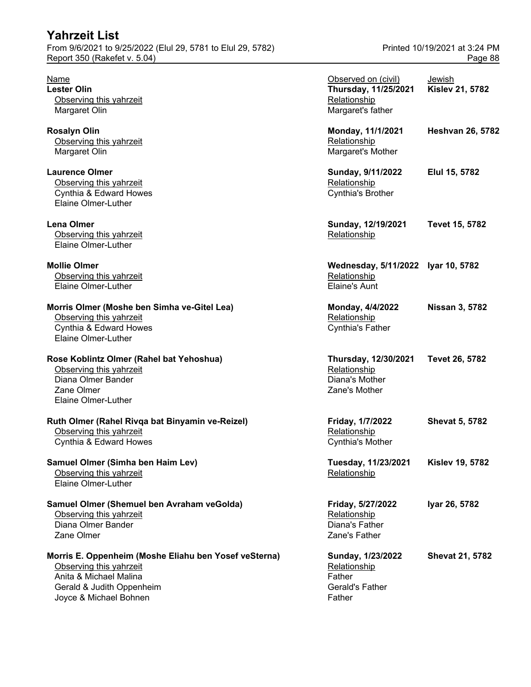| <b>Yahrzeit List</b><br>From 9/6/2021 to 9/25/2022 (Elul 29, 5781 to Elul 29, 5782)<br>Report 350 (Rakefet v. 5.04)                                               |                                                                                  | Printed 10/19/2021 at 3:24 PM<br>Page 88 |
|-------------------------------------------------------------------------------------------------------------------------------------------------------------------|----------------------------------------------------------------------------------|------------------------------------------|
| <u>Name</u><br><b>Lester Olin</b><br>Observing this yahrzeit<br>Margaret Olin                                                                                     | Observed on (civil)<br>Thursday, 11/25/2021<br>Relationship<br>Margaret's father | Jewish<br><b>Kislev 21, 5782</b>         |
| <b>Rosalyn Olin</b><br>Observing this yahrzeit<br>Margaret Olin                                                                                                   | Monday, 11/1/2021<br>Relationship<br>Margaret's Mother                           | <b>Heshvan 26, 5782</b>                  |
| <b>Laurence Olmer</b><br>Observing this yahrzeit<br>Cynthia & Edward Howes<br>Elaine Olmer-Luther                                                                 | Sunday, 9/11/2022<br>Relationship<br>Cynthia's Brother                           | Elul 15, 5782                            |
| <b>Lena Olmer</b><br>Observing this yahrzeit<br>Elaine Olmer-Luther                                                                                               | Sunday, 12/19/2021<br>Relationship                                               | Tevet 15, 5782                           |
| <b>Mollie Olmer</b><br>Observing this yahrzeit<br>Elaine Olmer-Luther                                                                                             | Wednesday, 5/11/2022 Iyar 10, 5782<br>Relationship<br><b>Elaine's Aunt</b>       |                                          |
| Morris Olmer (Moshe ben Simha ve-Gitel Lea)<br>Observing this yahrzeit<br>Cynthia & Edward Howes<br>Elaine Olmer-Luther                                           | Monday, 4/4/2022<br>Relationship<br><b>Cynthia's Father</b>                      | <b>Nissan 3, 5782</b>                    |
| Rose Koblintz Olmer (Rahel bat Yehoshua)<br>Observing this yahrzeit<br>Diana Olmer Bander<br>Zane Olmer<br>Elaine Olmer-Luther                                    | Thursday, 12/30/2021<br>Relationship<br>Diana's Mother<br>Zane's Mother          | <b>Tevet 26, 5782</b>                    |
| Ruth Olmer (Rahel Rivqa bat Binyamin ve-Reizel)<br>Observing this yahrzeit<br>Cynthia & Edward Howes                                                              | Friday, 1/7/2022<br>Relationship<br>Cynthia's Mother                             | <b>Shevat 5, 5782</b>                    |
| Samuel Olmer (Simha ben Haim Lev)<br>Observing this yahrzeit<br>Elaine Olmer-Luther                                                                               | Tuesday, 11/23/2021<br>Relationship                                              | <b>Kislev 19, 5782</b>                   |
| Samuel Olmer (Shemuel ben Avraham veGolda)<br>Observing this yahrzeit<br>Diana Olmer Bander<br>Zane Olmer                                                         | Friday, 5/27/2022<br>Relationship<br>Diana's Father<br>Zane's Father             | Iyar 26, 5782                            |
| Morris E. Oppenheim (Moshe Eliahu ben Yosef veSterna)<br>Observing this yahrzeit<br>Anita & Michael Malina<br>Gerald & Judith Oppenheim<br>Joyce & Michael Bohnen | Sunday, 1/23/2022<br>Relationship<br>Father<br>Gerald's Father<br>Father         | <b>Shevat 21, 5782</b>                   |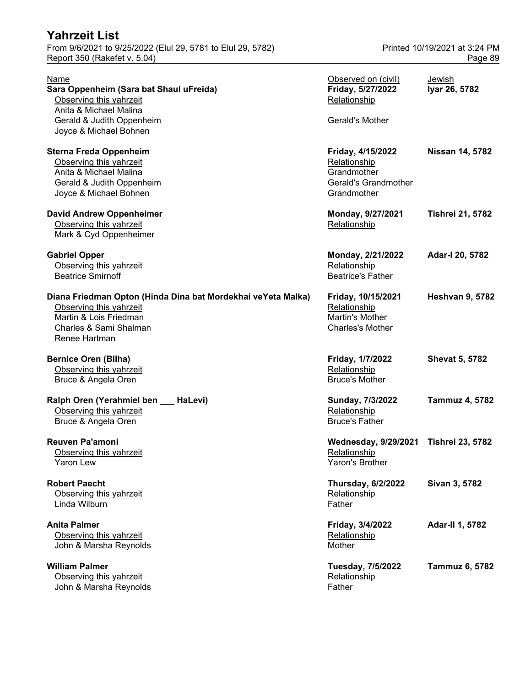| From 9/6/2021 to 9/25/2022 (Elul 29, 5781 to Elul 29, 5782)<br>Report 350 (Rakefet v. 5.04)                                                                  | Printed 10/19/2021 at 3:24 PM<br>Page 89                                                |                         |
|--------------------------------------------------------------------------------------------------------------------------------------------------------------|-----------------------------------------------------------------------------------------|-------------------------|
| Name<br>Sara Oppenheim (Sara bat Shaul uFreida)<br>Observing this yahrzeit<br>Anita & Michael Malina                                                         | Observed on (civil)<br>Friday, 5/27/2022<br>Relationship                                | Jewish<br>Iyar 26, 5782 |
| Gerald & Judith Oppenheim<br>Joyce & Michael Bohnen                                                                                                          | Gerald's Mother                                                                         |                         |
| <b>Sterna Freda Oppenheim</b><br>Observing this yahrzeit<br>Anita & Michael Malina<br>Gerald & Judith Oppenheim<br>Joyce & Michael Bohnen                    | Friday, 4/15/2022<br>Relationship<br>Grandmother<br>Gerald's Grandmother<br>Grandmother | <b>Nissan 14, 5782</b>  |
| <b>David Andrew Oppenheimer</b><br>Observing this yahrzeit<br>Mark & Cyd Oppenheimer                                                                         | Monday, 9/27/2021<br>Relationship                                                       | <b>Tishrei 21, 5782</b> |
| <b>Gabriel Opper</b><br>Observing this yahrzeit<br><b>Beatrice Smirnoff</b>                                                                                  | Monday, 2/21/2022<br>Relationship<br><b>Beatrice's Father</b>                           | Adar-I 20, 5782         |
| Diana Friedman Opton (Hinda Dina bat Mordekhai veYeta Malka)<br>Observing this yahrzeit<br>Martin & Lois Friedman<br>Charles & Sami Shalman<br>Renee Hartman | Friday, 10/15/2021<br>Relationship<br>Martin's Mother<br><b>Charles's Mother</b>        | <b>Heshvan 9, 5782</b>  |
| <b>Bernice Oren (Bilha)</b><br>Observing this yahrzeit<br>Bruce & Angela Oren                                                                                | Friday, 1/7/2022<br>Relationship<br><b>Bruce's Mother</b>                               | <b>Shevat 5, 5782</b>   |
| Ralph Oren (Yerahmiel ben __ HaLevi)<br>Observing this yahrzeit<br>Bruce & Angela Oren                                                                       | Sunday, 7/3/2022<br>Relationship<br><b>Bruce's Father</b>                               | <b>Tammuz 4, 5782</b>   |
| <b>Reuven Pa'amoni</b><br>Observing this yahrzeit<br><b>Yaron Lew</b>                                                                                        | <b>Wednesday, 9/29/2021</b><br>Relationship<br>Yaron's Brother                          | <b>Tishrei 23, 5782</b> |
| <b>Robert Paecht</b><br>Observing this yahrzeit<br>Linda Wilburn                                                                                             | <b>Thursday, 6/2/2022</b><br>Relationship<br>Father                                     | Sivan 3, 5782           |
| <b>Anita Palmer</b><br>Observing this yahrzeit<br>John & Marsha Reynolds                                                                                     | Friday, 3/4/2022<br>Relationship<br>Mother                                              | Adar-II 1, 5782         |
| <b>William Palmer</b><br>Observing this yahrzeit<br>John & Marsha Reynolds                                                                                   | <b>Tuesday, 7/5/2022</b><br>Relationship<br>Father                                      | Tammuz 6, 5782          |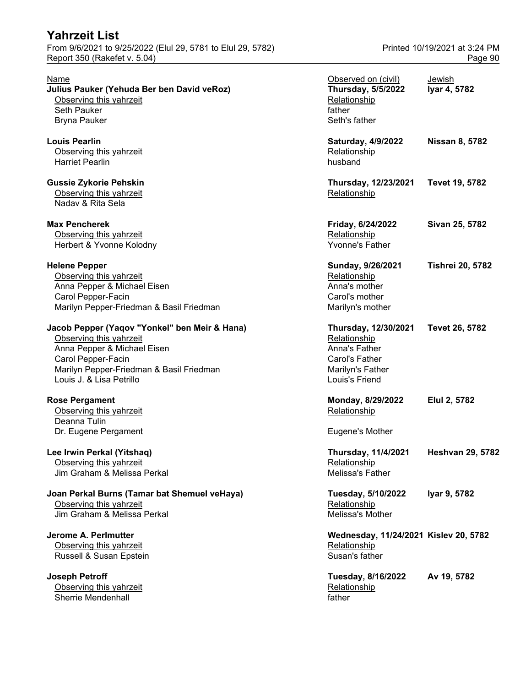From 9/6/2021 to 9/25/2022 (Elul 29, 5781 to Elul 29, 5782) Printed 10/19/2021 at 3:24 PM Report 350 (Rakefet v. 5.04) **Page 90** 

| Name<br>Julius Pauker (Yehuda Ber ben David veRoz)<br>Observing this yahrzeit<br>Seth Pauker<br><b>Bryna Pauker</b>                                                                                   | Observed on (civil)<br><b>Thursday, 5/5/2022</b><br>Relationship<br>father<br>Seth's father                   | Jewish<br>Iyar 4, 5782  |
|-------------------------------------------------------------------------------------------------------------------------------------------------------------------------------------------------------|---------------------------------------------------------------------------------------------------------------|-------------------------|
| <b>Louis Pearlin</b><br>Observing this yahrzeit<br><b>Harriet Pearlin</b>                                                                                                                             | Saturday, 4/9/2022<br>Relationship<br>husband                                                                 | <b>Nissan 8, 5782</b>   |
| <b>Gussie Zykorie Pehskin</b><br>Observing this yahrzeit<br>Nadav & Rita Sela                                                                                                                         | Thursday, 12/23/2021<br>Relationship                                                                          | Tevet 19, 5782          |
| <b>Max Pencherek</b><br>Observing this yahrzeit<br>Herbert & Yvonne Kolodny                                                                                                                           | Friday, 6/24/2022<br>Relationship<br>Yvonne's Father                                                          | Sivan 25, 5782          |
| <b>Helene Pepper</b><br>Observing this yahrzeit<br>Anna Pepper & Michael Eisen<br>Carol Pepper-Facin<br>Marilyn Pepper-Friedman & Basil Friedman                                                      | Sunday, 9/26/2021<br>Relationship<br>Anna's mother<br>Carol's mother<br>Marilyn's mother                      | <b>Tishrei 20, 5782</b> |
| Jacob Pepper (Yaqov "Yonkel" ben Meir & Hana)<br>Observing this yahrzeit<br>Anna Pepper & Michael Eisen<br>Carol Pepper-Facin<br>Marilyn Pepper-Friedman & Basil Friedman<br>Louis J. & Lisa Petrillo | Thursday, 12/30/2021<br>Relationship<br>Anna's Father<br>Carol's Father<br>Marilyn's Father<br>Louis's Friend | Tevet 26, 5782          |
| <b>Rose Pergament</b><br>Observing this yahrzeit<br>Deanna Tulin                                                                                                                                      | Monday, 8/29/2022<br>Relationship                                                                             | Elul 2, 5782            |
| Dr. Eugene Pergament                                                                                                                                                                                  | Eugene's Mother                                                                                               |                         |
| Lee Irwin Perkal (Yitshaq)<br>Observing this yahrzeit<br>Jim Graham & Melissa Perkal                                                                                                                  | <b>Thursday, 11/4/2021</b><br>Relationship<br>Melissa's Father                                                | <b>Heshvan 29, 5782</b> |
| Joan Perkal Burns (Tamar bat Shemuel veHaya)<br>Observing this yahrzeit<br>Jim Graham & Melissa Perkal                                                                                                | Tuesday, 5/10/2022<br>Relationship<br>Melissa's Mother                                                        | Iyar 9, 5782            |
| Jerome A. Perlmutter<br>Observing this yahrzeit<br>Russell & Susan Epstein                                                                                                                            | Wednesday, 11/24/2021 Kislev 20, 5782<br>Relationship<br>Susan's father                                       |                         |
| <b>Joseph Petroff</b><br>Observing this yahrzeit<br>Sherrie Mendenhall                                                                                                                                | Tuesday, 8/16/2022<br>Relationship<br>father                                                                  | Av 19, 5782             |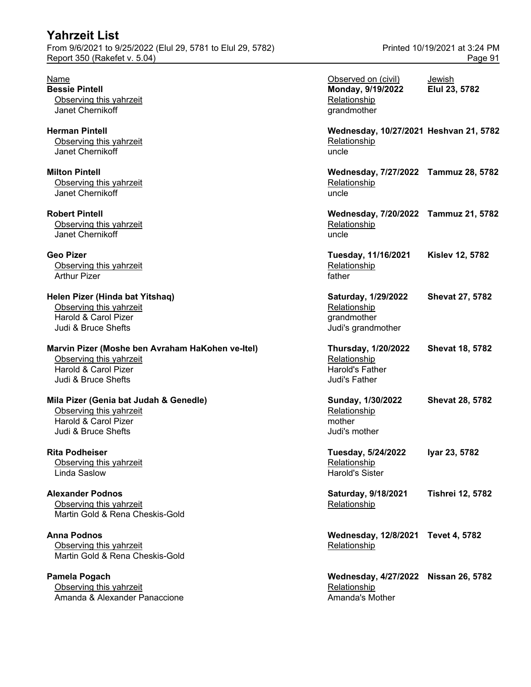# **Yahrzeit List** From 9/6/2021 to 9/25/2022 (Elul 29, 5781 to Elul 29, 5782) Printed 10/19/2021 at 3:24 PM

**Pamela Pogach** Observing this yahrzeit Amanda & Alexander Panaccione Amanda's Mother Amanda's Mother

| Name<br><b>Bessie Pintell</b><br>Observing this yahrzeit<br>Janet Chernikoff                                               | Observed on (civil)<br>Monday, 9/19/2022<br>Relationship<br>grandmother                      | Jewish<br>Elul 23, 5782 |
|----------------------------------------------------------------------------------------------------------------------------|----------------------------------------------------------------------------------------------|-------------------------|
| <b>Herman Pintell</b><br>Observing this yahrzeit<br>Janet Chernikoff                                                       | Wednesday, 10/27/2021 Heshvan 21, 5782<br>Relationship<br>uncle                              |                         |
| <b>Milton Pintell</b><br>Observing this yahrzeit<br>Janet Chernikoff                                                       | Wednesday, 7/27/2022 Tammuz 28, 5782<br>Relationship<br>uncle                                |                         |
| <b>Robert Pintell</b><br>Observing this yahrzeit<br>Janet Chernikoff                                                       | Wednesday, 7/20/2022 Tammuz 21, 5782<br>Relationship<br>uncle                                |                         |
| Geo Pizer<br>Observing this yahrzeit<br><b>Arthur Pizer</b>                                                                | Tuesday, 11/16/2021<br>Relationship<br>father                                                | <b>Kislev 12, 5782</b>  |
| Helen Pizer (Hinda bat Yitshaq)<br>Observing this yahrzeit<br>Harold & Carol Pizer<br>Judi & Bruce Shefts                  | Saturday, 1/29/2022<br>Relationship<br>grandmother<br>Judi's grandmother                     | <b>Shevat 27, 5782</b>  |
| Marvin Pizer (Moshe ben Avraham HaKohen ve-Itel)<br>Observing this yahrzeit<br>Harold & Carol Pizer<br>Judi & Bruce Shefts | <b>Thursday, 1/20/2022</b><br>Relationship<br><b>Harold's Father</b><br><b>Judi's Father</b> | <b>Shevat 18, 5782</b>  |
| Mila Pizer (Genia bat Judah & Genedle)<br>Observing this yahrzeit<br>Harold & Carol Pizer<br>Judi & Bruce Shefts           | Sunday, 1/30/2022<br>Relationship<br>mother<br>Judi's mother                                 | <b>Shevat 28, 5782</b>  |
| Rita Podheiser<br>Observing this yahrzeit<br>Linda Saslow                                                                  | Tuesday, 5/24/2022<br><u>Relationship</u><br><b>Harold's Sister</b>                          | Iyar 23, 5782           |
| <b>Alexander Podnos</b><br>Observing this yahrzeit<br>Martin Gold & Rena Cheskis-Gold                                      | Saturday, 9/18/2021<br>Relationship                                                          | <b>Tishrei 12, 5782</b> |
| Anna Podnos<br>Observing this yahrzeit<br>Martin Gold & Rena Cheskis-Gold                                                  | Wednesday, 12/8/2021 Tevet 4, 5782<br>Relationship                                           |                         |
| Pamela Pogach<br>Observing this yahrzeit<br>Amanda & Alexander Panaccione                                                  | Wednesday, 4/27/2022 Nissan 26, 5782<br>Relationship<br>Amanda's Mother                      |                         |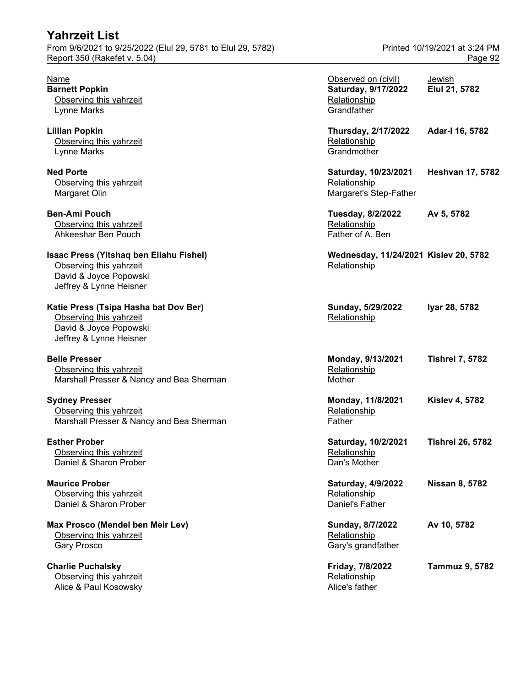| <b>Yahrzeit List</b><br>From 9/6/2021 to 9/25/2022 (Elul 29, 5781 to Elul 29, 5782)<br>Report 350 (Rakefet v. 5.04)     |                                                                           | Printed 10/19/2021 at 3:24 PM<br>Page 92 |
|-------------------------------------------------------------------------------------------------------------------------|---------------------------------------------------------------------------|------------------------------------------|
| <b>Name</b><br><b>Barnett Popkin</b><br>Observing this yahrzeit<br>Lynne Marks                                          | Observed on (civil)<br>Saturday, 9/17/2022<br>Relationship<br>Grandfather | Jewish<br>Elul 21, 5782                  |
| <b>Lillian Popkin</b><br>Observing this yahrzeit<br>Lynne Marks                                                         | Thursday, 2/17/2022<br>Relationship<br>Grandmother                        | Adar-I 16, 5782                          |
| <b>Ned Porte</b><br>Observing this yahrzeit<br>Margaret Olin                                                            | Saturday, 10/23/2021<br>Relationship<br>Margaret's Step-Father            | <b>Heshvan 17, 5782</b>                  |
| <b>Ben-Ami Pouch</b><br>Observing this yahrzeit<br>Ahkeeshar Ben Pouch                                                  | Tuesday, 8/2/2022<br>Relationship<br>Father of A. Ben                     | Av 5, 5782                               |
| Isaac Press (Yitshaq ben Eliahu Fishel)<br>Observing this yahrzeit<br>David & Joyce Popowski<br>Jeffrey & Lynne Heisner | Wednesday, 11/24/2021 Kislev 20, 5782<br>Relationship                     |                                          |
| Katie Press (Tsipa Hasha bat Dov Ber)<br>Observing this yahrzeit<br>David & Joyce Popowski<br>Jeffrey & Lynne Heisner   | Sunday, 5/29/2022<br>Relationship                                         | Iyar 28, 5782                            |
| <b>Belle Presser</b><br>Observing this yahrzeit<br>Marshall Presser & Nancy and Bea Sherman                             | Monday, 9/13/2021<br>Relationship<br>Mother                               | <b>Tishrei 7, 5782</b>                   |
| <b>Sydney Presser</b><br>Observing this yahrzeit<br>Marshall Presser & Nancy and Bea Sherman                            | Monday, 11/8/2021<br>Relationship<br>Father                               | <b>Kislev 4, 5782</b>                    |
| <b>Esther Prober</b><br>Observing this yahrzeit<br>Daniel & Sharon Prober                                               | Saturday, 10/2/2021<br>Relationship<br>Dan's Mother                       | <b>Tishrei 26, 5782</b>                  |
| <b>Maurice Prober</b><br>Observing this yahrzeit<br>Daniel & Sharon Prober                                              | Saturday, 4/9/2022<br>Relationship<br>Daniel's Father                     | <b>Nissan 8, 5782</b>                    |
| Max Prosco (Mendel ben Meir Lev)<br>Observing this yahrzeit<br>Gary Prosco                                              | Sunday, 8/7/2022<br>Relationship<br>Gary's grandfather                    | Av 10, 5782                              |
| <b>Charlie Puchalsky</b><br>Observing this yahrzeit<br>Alice & Paul Kosowsky                                            | Friday, 7/8/2022<br>Relationship<br>Alice's father                        | <b>Tammuz 9, 5782</b>                    |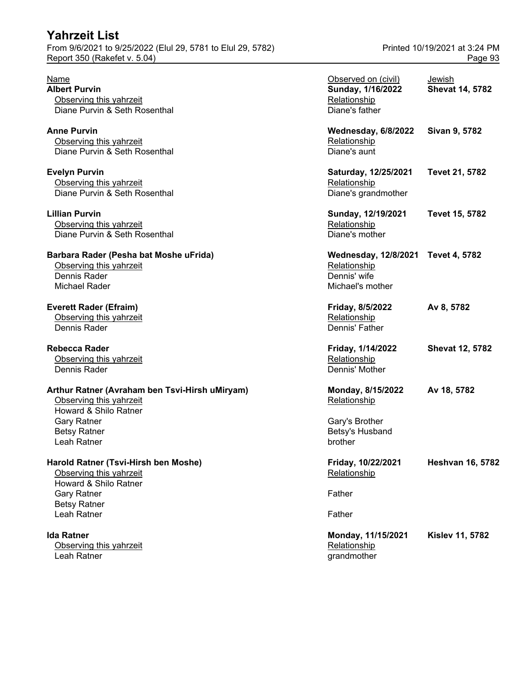### **Yahrzeit List** From 9/6/2021 to 9/25/2022 (Elul 29, 5781 to Elul 29, 5782) Printed 10/19/2021 at 3:24 PM Report 350 (Rakefet v. 5.04) **Page 93**

# **Barbara Rader (Pesha bat Moshe uFrida)**

### **Rebecca Rader**

#### **Arthur Ratner (Avraham ben Tsvi-Hirsh uMiryam)**

Observing this yahrzeit Leah Ratner and the contract of the contract of the contract of the contract of the contract of the contract of the contract of the contract of the contract of the contract of the contract of the contract of the contract o

| Name<br><b>Albert Purvin</b><br>Observing this yahrzeit<br>Diane Purvin & Seth Rosenthal           | Observed on (civil)<br>Sunday, 1/16/2022<br>Relationship<br>Diane's father             | Jewish<br><b>Shevat 14, 5782</b> |
|----------------------------------------------------------------------------------------------------|----------------------------------------------------------------------------------------|----------------------------------|
| Anne Purvin<br>Observing this yahrzeit<br>Diane Purvin & Seth Rosenthal                            | Wednesday, 6/8/2022<br>Relationship<br>Diane's aunt                                    | Sivan 9, 5782                    |
| <b>Evelyn Purvin</b><br>Observing this yahrzeit<br>Diane Purvin & Seth Rosenthal                   | Saturday, 12/25/2021<br>Relationship<br>Diane's grandmother                            | Tevet 21, 5782                   |
| Lillian Purvin<br>Observing this yahrzeit<br>Diane Purvin & Seth Rosenthal                         | Sunday, 12/19/2021<br>Relationship<br>Diane's mother                                   | <b>Tevet 15, 5782</b>            |
| Barbara Rader (Pesha bat Moshe uFrida)<br>Observing this yahrzeit<br>Dennis Rader<br>Michael Rader | Wednesday, 12/8/2021 Tevet 4, 5782<br>Relationship<br>Dennis' wife<br>Michael's mother |                                  |
| <b>Everett Rader (Efraim)</b><br>Observing this yahrzeit<br>Dennis Rader                           | Friday, 8/5/2022<br>Relationship<br>Dennis' Father                                     | Av 8, 5782                       |
| Rebecca Rader<br>Observing this yahrzeit<br>Dennis Rader                                           | Friday, 1/14/2022<br>Relationship<br>Dennis' Mother                                    | <b>Shevat 12, 5782</b>           |
| Arthur Ratner (Avraham ben Tsvi-Hirsh uMiryam)<br>Observing this yahrzeit<br>Howard & Shilo Ratner | Monday, 8/15/2022<br>Relationship                                                      | Av 18, 5782                      |
| <b>Gary Ratner</b><br><b>Betsy Ratner</b><br>Leah Ratner                                           | Gary's Brother<br>Betsy's Husband<br>brother                                           |                                  |
| Harold Ratner (Tsvi-Hirsh ben Moshe)<br>Observing this yahrzeit<br>Howard & Shilo Ratner           | Friday, 10/22/2021<br>Relationship                                                     | <b>Heshvan 16, 5782</b>          |
| <b>Gary Ratner</b><br><b>Betsy Ratner</b><br>Leah Ratner                                           | Father<br>Father                                                                       |                                  |
| <b>Ida Ratner</b><br>Observing this yahrzeit                                                       | Monday, 11/15/2021<br>Relationship                                                     | <b>Kislev 11, 5782</b>           |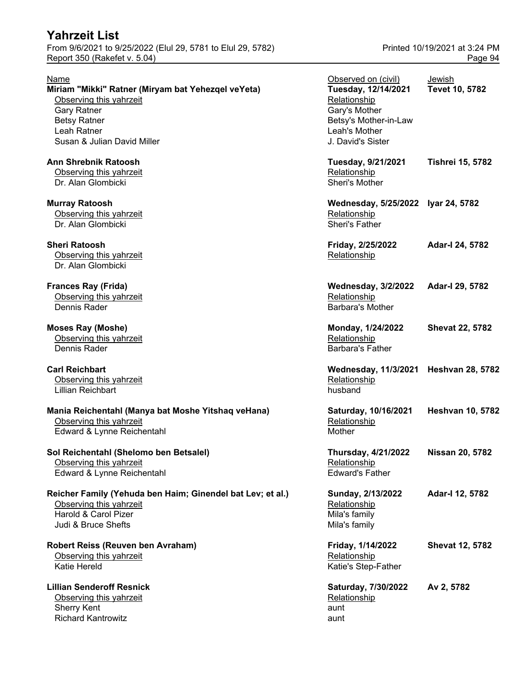From 9/6/2021 to 9/25/2022 (Elul 29, 5781 to Elul 29, 5782) Printed 10/19/2021 at 3:24 PM Report 350 (Rakefet v. 5.04) **Page 94** 

| Name                                                       | Observed on (civil)                | Jewish                  |
|------------------------------------------------------------|------------------------------------|-------------------------|
| Miriam "Mikki" Ratner (Miryam bat Yehezqel veYeta)         | Tuesday, 12/14/2021                | Tevet 10, 5782          |
| Observing this yahrzeit                                    | Relationship                       |                         |
| <b>Gary Ratner</b>                                         | Gary's Mother                      |                         |
| <b>Betsy Ratner</b>                                        | Betsy's Mother-in-Law              |                         |
| Leah Ratner                                                | Leah's Mother                      |                         |
| Susan & Julian David Miller                                | J. David's Sister                  |                         |
| <b>Ann Shrebnik Ratoosh</b>                                | Tuesday, 9/21/2021                 | <b>Tishrei 15, 5782</b> |
| Observing this yahrzeit                                    | Relationship                       |                         |
| Dr. Alan Glombicki                                         | Sheri's Mother                     |                         |
| <b>Murray Ratoosh</b>                                      | Wednesday, 5/25/2022 Iyar 24, 5782 |                         |
| Observing this yahrzeit                                    | Relationship                       |                         |
| Dr. Alan Glombicki                                         | <b>Sheri's Father</b>              |                         |
|                                                            |                                    |                         |
| <b>Sheri Ratoosh</b>                                       | Friday, 2/25/2022                  | Adar-I 24, 5782         |
| Observing this yahrzeit                                    | Relationship                       |                         |
| Dr. Alan Glombicki                                         |                                    |                         |
| <b>Frances Ray (Frida)</b>                                 | <b>Wednesday, 3/2/2022</b>         | Adar-I 29, 5782         |
| Observing this yahrzeit                                    | Relationship                       |                         |
| Dennis Rader                                               | <b>Barbara's Mother</b>            |                         |
| <b>Moses Ray (Moshe)</b>                                   | Monday, 1/24/2022                  | <b>Shevat 22, 5782</b>  |
| Observing this yahrzeit                                    | Relationship                       |                         |
| Dennis Rader                                               | <b>Barbara's Father</b>            |                         |
| <b>Carl Reichbart</b>                                      | <b>Wednesday, 11/3/2021</b>        | <b>Heshvan 28, 5782</b> |
| Observing this yahrzeit                                    | Relationship                       |                         |
| <b>Lillian Reichbart</b>                                   | husband                            |                         |
|                                                            |                                    |                         |
| Mania Reichentahl (Manya bat Moshe Yitshaq veHana)         | Saturday, 10/16/2021               | <b>Heshvan 10, 5782</b> |
| Observing this yahrzeit                                    | Relationship                       |                         |
| Edward & Lynne Reichentahl                                 | Mother                             |                         |
| Sol Reichentahl (Shelomo ben Betsalel)                     | <b>Thursday, 4/21/2022</b>         | <b>Nissan 20, 5782</b>  |
| Observing this yahrzeit                                    | Relationship                       |                         |
| Edward & Lynne Reichentahl                                 | <b>Edward's Father</b>             |                         |
| Reicher Family (Yehuda ben Haim; Ginendel bat Lev; et al.) | Sunday, 2/13/2022                  | Adar-I 12, 5782         |
| Observing this yahrzeit                                    | Relationship                       |                         |
| Harold & Carol Pizer                                       | Mila's family                      |                         |
| Judi & Bruce Shefts                                        | Mila's family                      |                         |
| Robert Reiss (Reuven ben Avraham)                          | Friday, 1/14/2022                  | <b>Shevat 12, 5782</b>  |
| Observing this yahrzeit                                    | Relationship                       |                         |
| Katie Hereld                                               | Katie's Step-Father                |                         |
|                                                            |                                    |                         |
| <b>Lillian Senderoff Resnick</b>                           | Saturday, 7/30/2022                | Av 2, 5782              |
| Observing this yahrzeit                                    | Relationship                       |                         |
| <b>Sherry Kent</b>                                         | aunt                               |                         |

Richard Kantrowitz aunt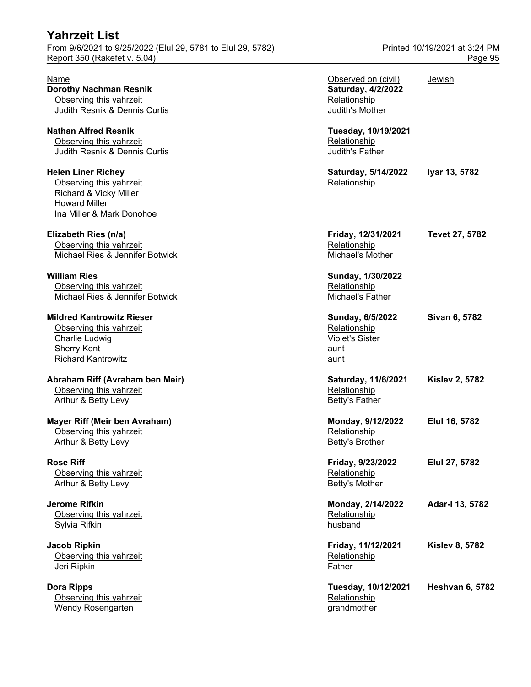From 9/6/2021 to 9/25/2022 (Elul 29, 5781 to Elul 29, 5782) Printed 10/19/2021 at 3:24 PM Report 350 (Rakefet v. 5.04) **Page 95** 

Observing this yahrzeit Wendy Rosengarten and the control of the control of the control of the grandmother

| Name<br><b>Dorothy Nachman Resnik</b>                                                                                               | Observed on (civil)<br>Saturday, 4/2/2022                                  | Jewish                 |
|-------------------------------------------------------------------------------------------------------------------------------------|----------------------------------------------------------------------------|------------------------|
| Observing this yahrzeit<br>Judith Resnik & Dennis Curtis                                                                            | Relationship<br>Judith's Mother                                            |                        |
| <b>Nathan Alfred Resnik</b><br>Observing this yahrzeit<br>Judith Resnik & Dennis Curtis                                             | Tuesday, 10/19/2021<br>Relationship<br>Judith's Father                     |                        |
| <b>Helen Liner Richey</b><br>Observing this yahrzeit<br>Richard & Vicky Miller<br><b>Howard Miller</b><br>Ina Miller & Mark Donohoe | Saturday, 5/14/2022<br>Relationship                                        | Iyar 13, 5782          |
| Elizabeth Ries (n/a)<br>Observing this yahrzeit<br>Michael Ries & Jennifer Botwick                                                  | Friday, 12/31/2021<br>Relationship<br>Michael's Mother                     | Tevet 27, 5782         |
| <b>William Ries</b><br>Observing this yahrzeit<br>Michael Ries & Jennifer Botwick                                                   | Sunday, 1/30/2022<br>Relationship<br>Michael's Father                      |                        |
| <b>Mildred Kantrowitz Rieser</b><br>Observing this yahrzeit<br>Charlie Ludwig<br><b>Sherry Kent</b><br><b>Richard Kantrowitz</b>    | Sunday, 6/5/2022<br>Relationship<br><b>Violet's Sister</b><br>aunt<br>aunt | Sivan 6, 5782          |
| Abraham Riff (Avraham ben Meir)<br>Observing this yahrzeit<br>Arthur & Betty Levy                                                   | Saturday, 11/6/2021<br>Relationship<br>Betty's Father                      | <b>Kislev 2, 5782</b>  |
| <b>Mayer Riff (Meir ben Avraham)</b><br>Observing this yahrzeit<br>Arthur & Betty Levy                                              | Monday, 9/12/2022<br>Relationship<br>Betty's Brother                       | Elul 16, 5782          |
| <b>Rose Riff</b><br>Observing this yahrzeit<br>Arthur & Betty Levy                                                                  | Friday, 9/23/2022<br>Relationship<br>Betty's Mother                        | Elul 27, 5782          |
| <b>Jerome Rifkin</b><br>Observing this yahrzeit<br>Sylvia Rifkin                                                                    | Monday, 2/14/2022<br>Relationship<br>husband                               | Adar-I 13, 5782        |
| <b>Jacob Ripkin</b><br>Observing this yahrzeit<br>Jeri Ripkin                                                                       | Friday, 11/12/2021<br>Relationship<br>Father                               | <b>Kislev 8, 5782</b>  |
| <b>Dora Ripps</b><br>Observing this yahrzeit                                                                                        | Tuesday, 10/12/2021<br>Relationship                                        | <b>Heshvan 6, 5782</b> |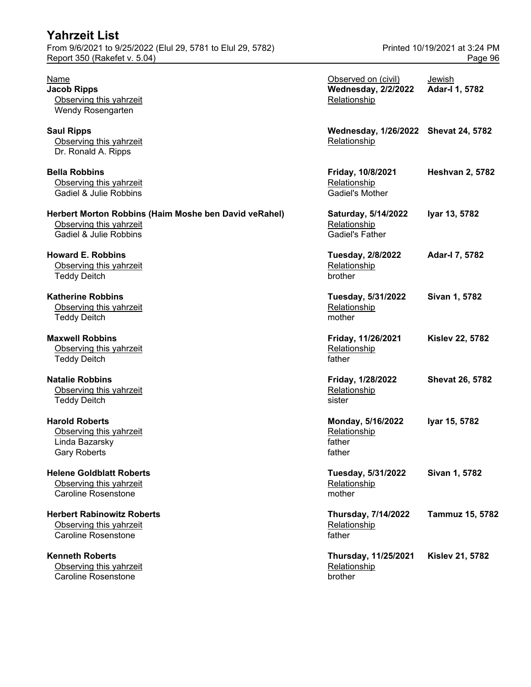| <b>Yahrzeit List</b><br>From 9/6/2021 to 9/25/2022 (Elul 29, 5781 to Elul 29, 5782)<br>Report 350 (Rakefet v. 5.04) | Printed 10/19/2021 at 3:24 PM<br>Page 96                          |                          |
|---------------------------------------------------------------------------------------------------------------------|-------------------------------------------------------------------|--------------------------|
| Name<br><b>Jacob Ripps</b><br>Observing this yahrzeit<br>Wendy Rosengarten                                          | Observed on (civil)<br><b>Wednesday, 2/2/2022</b><br>Relationship | Jewish<br>Adar-I 1, 5782 |
| <b>Saul Ripps</b><br>Observing this yahrzeit<br>Dr. Ronald A. Ripps                                                 | Wednesday, 1/26/2022 Shevat 24, 5782<br>Relationship              |                          |
| <b>Bella Robbins</b><br>Observing this yahrzeit<br>Gadiel & Julie Robbins                                           | Friday, 10/8/2021<br>Relationship<br><b>Gadiel's Mother</b>       | <b>Heshvan 2, 5782</b>   |
| Herbert Morton Robbins (Haim Moshe ben David veRahel)<br>Observing this yahrzeit<br>Gadiel & Julie Robbins          | Saturday, 5/14/2022<br>Relationship<br><b>Gadiel's Father</b>     | Iyar 13, 5782            |
| <b>Howard E. Robbins</b><br>Observing this yahrzeit<br><b>Teddy Deitch</b>                                          | Tuesday, 2/8/2022<br>Relationship<br>brother                      | Adar-I 7, 5782           |
| <b>Katherine Robbins</b><br>Observing this yahrzeit<br><b>Teddy Deitch</b>                                          | Tuesday, 5/31/2022<br>Relationship<br>mother                      | Sivan 1, 5782            |
| <b>Maxwell Robbins</b><br>Observing this yahrzeit<br><b>Teddy Deitch</b>                                            | Friday, 11/26/2021<br>Relationship<br>father                      | <b>Kislev 22, 5782</b>   |
| <b>Natalie Robbins</b><br>Observing this yahrzeit<br><b>Teddy Deitch</b>                                            | Friday, 1/28/2022<br>Relationship<br>sister                       | <b>Shevat 26, 5782</b>   |
| <b>Harold Roberts</b><br>Observing this yahrzeit<br>Linda Bazarsky<br><b>Gary Roberts</b>                           | Monday, 5/16/2022<br>Relationship<br>father<br>father             | Iyar 15, 5782            |
| <b>Helene Goldblatt Roberts</b><br>Observing this yahrzeit<br><b>Caroline Rosenstone</b>                            | Tuesday, 5/31/2022<br>Relationship<br>mother                      | Sivan 1, 5782            |
| <b>Herbert Rabinowitz Roberts</b><br>Observing this yahrzeit<br><b>Caroline Rosenstone</b>                          | Thursday, 7/14/2022<br>Relationship<br>father                     | Tammuz 15, 5782          |
| <b>Kenneth Roberts</b><br>Observing this yahrzeit<br><b>Caroline Rosenstone</b>                                     | Thursday, 11/25/2021<br>Relationship<br>brother                   | <b>Kislev 21, 5782</b>   |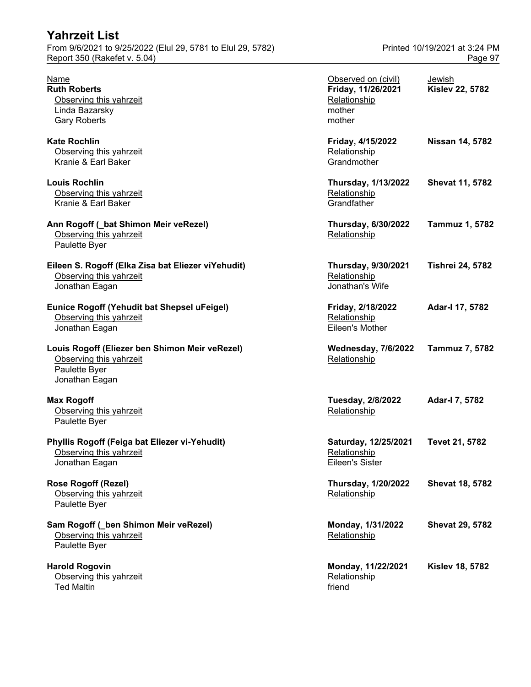| Yahrzeit List                                                                                                |                                                                               |                                          |
|--------------------------------------------------------------------------------------------------------------|-------------------------------------------------------------------------------|------------------------------------------|
| From 9/6/2021 to 9/25/2022 (Elul 29, 5781 to Elul 29, 5782)<br>Report 350 (Rakefet v. 5.04)                  |                                                                               | Printed 10/19/2021 at 3:24 PM<br>Page 97 |
| <b>Name</b><br><b>Ruth Roberts</b><br>Observing this yahrzeit<br>Linda Bazarsky<br><b>Gary Roberts</b>       | Observed on (civil)<br>Friday, 11/26/2021<br>Relationship<br>mother<br>mother | Jewish<br><b>Kislev 22, 5782</b>         |
| <b>Kate Rochlin</b><br>Observing this yahrzeit<br>Kranie & Earl Baker                                        | Friday, 4/15/2022<br>Relationship<br>Grandmother                              | <b>Nissan 14, 5782</b>                   |
| <b>Louis Rochlin</b><br>Observing this yahrzeit<br>Kranie & Earl Baker                                       | <b>Thursday, 1/13/2022</b><br>Relationship<br>Grandfather                     | <b>Shevat 11, 5782</b>                   |
| Ann Rogoff (_bat Shimon Meir veRezel)<br>Observing this yahrzeit<br>Paulette Byer                            | Thursday, 6/30/2022<br>Relationship                                           | <b>Tammuz 1, 5782</b>                    |
| Eileen S. Rogoff (Elka Zisa bat Eliezer viYehudit)<br>Observing this yahrzeit<br>Jonathan Eagan              | Thursday, 9/30/2021<br>Relationship<br>Jonathan's Wife                        | <b>Tishrei 24, 5782</b>                  |
| Eunice Rogoff (Yehudit bat Shepsel uFeigel)<br>Observing this yahrzeit<br>Jonathan Eagan                     | Friday, 2/18/2022<br>Relationship<br>Eileen's Mother                          | Adar-I 17, 5782                          |
| Louis Rogoff (Eliezer ben Shimon Meir veRezel)<br>Observing this yahrzeit<br>Paulette Byer<br>Jonathan Eagan | <b>Wednesday, 7/6/2022</b><br>Relationship                                    | Tammuz 7, 5782                           |
| <b>Max Rogoff</b><br>Observing this yahrzeit<br>Paulette Byer                                                | Tuesday, 2/8/2022<br>Relationship                                             | Adar-I 7, 5782                           |
| Phyllis Rogoff (Feiga bat Eliezer vi-Yehudit)<br>Observing this yahrzeit<br>Jonathan Eagan                   | Saturday, 12/25/2021<br>Relationship<br><b>Eileen's Sister</b>                | Tevet 21, 5782                           |
| <b>Rose Rogoff (Rezel)</b><br>Observing this yahrzeit<br>Paulette Byer                                       | <b>Thursday, 1/20/2022</b><br>Relationship                                    | <b>Shevat 18, 5782</b>                   |
| Sam Rogoff (_ben Shimon Meir veRezel)<br>Observing this yahrzeit<br>Paulette Byer                            | Monday, 1/31/2022<br>Relationship                                             | <b>Shevat 29, 5782</b>                   |
| <b>Harold Rogovin</b><br>Observing this yahrzeit<br><b>Ted Maltin</b>                                        | Monday, 11/22/2021<br>Relationship<br>friend                                  | <b>Kislev 18, 5782</b>                   |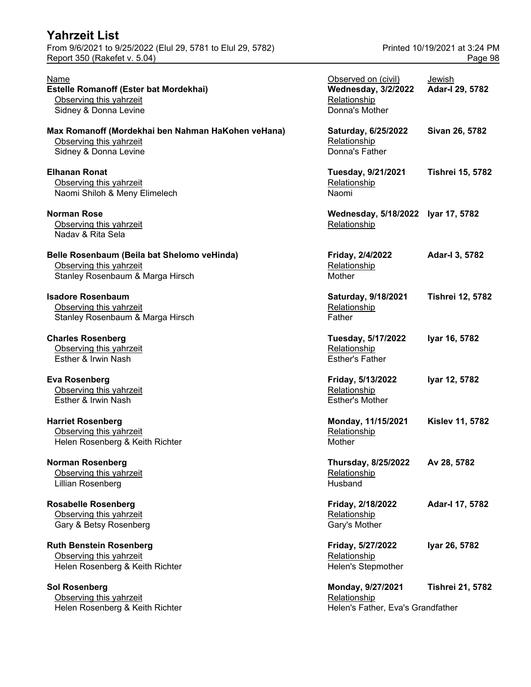| <b>Yahrzeit List</b>                                        |                               |
|-------------------------------------------------------------|-------------------------------|
| From 9/6/2021 to 9/25/2022 (Elul 29, 5781 to Elul 29, 5782) | Printed 10/19/2021 at 3:24 PM |
| Report 350 (Rakefet v. 5.04)                                | Page 98                       |

| Name<br>Estelle Romanoff (Ester bat Mordekhai)<br>Observing this yahrzeit<br>Sidney & Donna Levine         | Observed on (civil)<br><b>Wednesday, 3/2/2022</b><br>Relationship<br>Donna's Mother | Jewish<br>Adar-I 29, 5782 |
|------------------------------------------------------------------------------------------------------------|-------------------------------------------------------------------------------------|---------------------------|
| Max Romanoff (Mordekhai ben Nahman HaKohen veHana)<br>Observing this yahrzeit<br>Sidney & Donna Levine     | Saturday, 6/25/2022<br>Relationship<br>Donna's Father                               | Sivan 26, 5782            |
| <b>Elhanan Ronat</b><br>Observing this yahrzeit<br>Naomi Shiloh & Meny Elimelech                           | Tuesday, 9/21/2021<br>Relationship<br>Naomi                                         | <b>Tishrei 15, 5782</b>   |
| <b>Norman Rose</b><br>Observing this yahrzeit<br>Nadav & Rita Sela                                         | Wednesday, 5/18/2022 Iyar 17, 5782<br>Relationship                                  |                           |
| Belle Rosenbaum (Beila bat Shelomo veHinda)<br>Observing this yahrzeit<br>Stanley Rosenbaum & Marga Hirsch | Friday, 2/4/2022<br>Relationship<br>Mother                                          | Adar-I 3, 5782            |
| <b>Isadore Rosenbaum</b><br>Observing this yahrzeit<br>Stanley Rosenbaum & Marga Hirsch                    | Saturday, 9/18/2021<br>Relationship<br>Father                                       | <b>Tishrei 12, 5782</b>   |
| <b>Charles Rosenberg</b><br>Observing this yahrzeit<br>Esther & Irwin Nash                                 | Tuesday, 5/17/2022<br>Relationship<br><b>Esther's Father</b>                        | Iyar 16, 5782             |
| <b>Eva Rosenberg</b><br>Observing this yahrzeit<br>Esther & Irwin Nash                                     | Friday, 5/13/2022<br>Relationship<br><b>Esther's Mother</b>                         | Iyar 12, 5782             |
| <b>Harriet Rosenberg</b><br>Observing this yahrzeit<br>Helen Rosenberg & Keith Richter                     | Monday, 11/15/2021<br>Relationship<br>Mother                                        | <b>Kislev 11, 5782</b>    |
| <b>Norman Rosenberg</b><br>Observing this yahrzeit<br>Lillian Rosenberg                                    | <b>Thursday, 8/25/2022</b><br>Relationship<br>Husband                               | Av 28, 5782               |
| <b>Rosabelle Rosenberg</b><br>Observing this yahrzeit<br>Gary & Betsy Rosenberg                            | Friday, 2/18/2022<br>Relationship<br>Gary's Mother                                  | Adar-I 17, 5782           |
| <b>Ruth Benstein Rosenberg</b><br>Observing this yahrzeit<br>Helen Rosenberg & Keith Richter               | Friday, 5/27/2022<br>Relationship<br><b>Helen's Stepmother</b>                      | Iyar 26, 5782             |
| <b>Sol Rosenberg</b><br>Observing this yahrzeit<br>Helen Rosenberg & Keith Richter                         | Monday, 9/27/2021<br>Relationship<br>Helen's Father, Eva's Grandfather              | <b>Tishrei 21, 5782</b>   |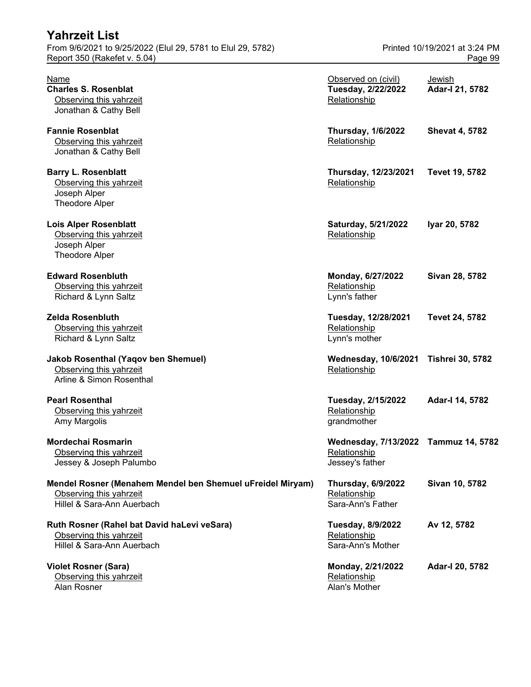| Report 350 (Rakefet v. 5.04)                                                                                        |                                                                         | Page 99                   |
|---------------------------------------------------------------------------------------------------------------------|-------------------------------------------------------------------------|---------------------------|
| Name<br><b>Charles S. Rosenblat</b><br>Observing this yahrzeit<br>Jonathan & Cathy Bell                             | Observed on (civil)<br>Tuesday, 2/22/2022<br>Relationship               | Jewish<br>Adar-I 21, 5782 |
| <b>Fannie Rosenblat</b><br>Observing this yahrzeit<br>Jonathan & Cathy Bell                                         | <b>Thursday, 1/6/2022</b><br>Relationship                               | <b>Shevat 4, 5782</b>     |
| <b>Barry L. Rosenblatt</b><br>Observing this yahrzeit<br>Joseph Alper<br><b>Theodore Alper</b>                      | Thursday, 12/23/2021<br>Relationship                                    | Tevet 19, 5782            |
| <b>Lois Alper Rosenblatt</b><br>Observing this yahrzeit<br>Joseph Alper<br><b>Theodore Alper</b>                    | Saturday, 5/21/2022<br>Relationship                                     | Iyar 20, 5782             |
| <b>Edward Rosenbluth</b><br>Observing this yahrzeit<br>Richard & Lynn Saltz                                         | Monday, 6/27/2022<br>Relationship<br>Lynn's father                      | Sivan 28, 5782            |
| <b>Zelda Rosenbluth</b><br>Observing this yahrzeit<br>Richard & Lynn Saltz                                          | Tuesday, 12/28/2021<br>Relationship<br>Lynn's mother                    | <b>Tevet 24, 5782</b>     |
| <b>Jakob Rosenthal (Yaqov ben Shemuel)</b><br>Observing this yahrzeit<br>Arline & Simon Rosenthal                   | <b>Wednesday, 10/6/2021</b><br>Relationship                             | <b>Tishrei 30, 5782</b>   |
| <b>Pearl Rosenthal</b><br>Observing this yahrzeit<br>Amy Margolis                                                   | Tuesday, 2/15/2022<br>Relationship<br>grandmother                       | Adar-I 14, 5782           |
| Mordechai Rosmarin<br>Observing this yahrzeit<br>Jessey & Joseph Palumbo                                            | Wednesday, 7/13/2022 Tammuz 14, 5782<br>Relationship<br>Jessey's father |                           |
| Mendel Rosner (Menahem Mendel ben Shemuel uFreidel Miryam)<br>Observing this yahrzeit<br>Hillel & Sara-Ann Auerbach | <b>Thursday, 6/9/2022</b><br>Relationship<br>Sara-Ann's Father          | Sivan 10, 5782            |
| Ruth Rosner (Rahel bat David haLevi veSara)<br>Observing this yahrzeit<br>Hillel & Sara-Ann Auerbach                | Tuesday, 8/9/2022<br>Relationship<br>Sara-Ann's Mother                  | Av 12, 5782               |
| <b>Violet Rosner (Sara)</b><br>Observing this yahrzeit<br>Alan Rosner                                               | Monday, 2/21/2022<br>Relationship<br>Alan's Mother                      | Adar-I 20, 5782           |

From 9/6/2021 to 9/25/2022 (Elul 29, 5781 to Elul 29, 5782) Printed 10/19/2021 at 3:24 PM

**Yahrzeit List**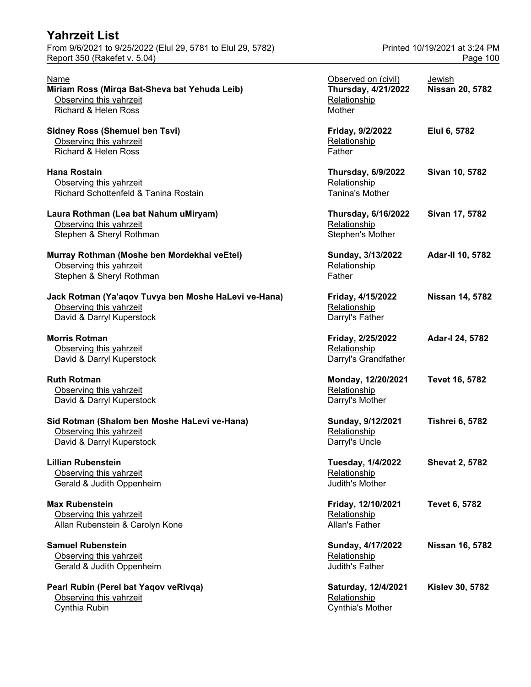| From 9/6/2021 to 9/25/2022 (Elul 29, 5781 to Elul 29, 5782)<br>Report 350 (Rakefet v. 5.04) |                                            | Printed 10/19/2021 at 3:24 PM<br>Page 100 |
|---------------------------------------------------------------------------------------------|--------------------------------------------|-------------------------------------------|
| Name                                                                                        | Observed on (civil)                        | Jewish                                    |
| Miriam Ross (Mirqa Bat-Sheva bat Yehuda Leib)<br>Observing this yahrzeit                    | <b>Thursday, 4/21/2022</b><br>Relationship | <b>Nissan 20, 5782</b>                    |
| <b>Richard &amp; Helen Ross</b>                                                             | Mother                                     |                                           |
| <b>Sidney Ross (Shemuel ben Tsvi)</b>                                                       | Friday, 9/2/2022                           | Elul 6, 5782                              |
| Observing this yahrzeit                                                                     | Relationship                               |                                           |
| <b>Richard &amp; Helen Ross</b>                                                             | Father                                     |                                           |
| <b>Hana Rostain</b>                                                                         | <b>Thursday, 6/9/2022</b>                  | Sivan 10, 5782                            |
| Observing this yahrzeit                                                                     | Relationship                               |                                           |
| Richard Schottenfeld & Tanina Rostain                                                       | <b>Tanina's Mother</b>                     |                                           |
| Laura Rothman (Lea bat Nahum uMiryam)                                                       | <b>Thursday, 6/16/2022</b>                 | Sivan 17, 5782                            |
| Observing this yahrzeit                                                                     | Relationship                               |                                           |
| Stephen & Sheryl Rothman                                                                    | Stephen's Mother                           |                                           |
| Murray Rothman (Moshe ben Mordekhai veEtel)                                                 | Sunday, 3/13/2022                          | Adar-II 10, 5782                          |
| Observing this yahrzeit                                                                     | Relationship                               |                                           |
| Stephen & Sheryl Rothman                                                                    | Father                                     |                                           |
| Jack Rotman (Ya'aqov Tuvya ben Moshe HaLevi ve-Hana)                                        | Friday, 4/15/2022                          | <b>Nissan 14, 5782</b>                    |
| Observing this yahrzeit                                                                     | Relationship                               |                                           |
| David & Darryl Kuperstock                                                                   | Darryl's Father                            |                                           |
| <b>Morris Rotman</b>                                                                        | Friday, 2/25/2022                          | Adar-I 24, 5782                           |
| Observing this yahrzeit                                                                     | Relationship                               |                                           |
| David & Darryl Kuperstock                                                                   | Darryl's Grandfather                       |                                           |
| <b>Ruth Rotman</b>                                                                          | Monday, 12/20/2021                         | Tevet 16, 5782                            |
| Observing this yahrzeit                                                                     | Relationship                               |                                           |
| David & Darryl Kuperstock                                                                   | Darryl's Mother                            |                                           |
| Sid Rotman (Shalom ben Moshe HaLevi ve-Hana)                                                | Sunday, 9/12/2021                          | <b>Tishrei 6, 5782</b>                    |
| Observing this yahrzeit                                                                     | Relationship                               |                                           |
| David & Darryl Kuperstock                                                                   | Darryl's Uncle                             |                                           |
| <b>Lillian Rubenstein</b>                                                                   | <b>Tuesday, 1/4/2022</b>                   | <b>Shevat 2, 5782</b>                     |
| Observing this yahrzeit                                                                     | Relationship                               |                                           |
| Gerald & Judith Oppenheim                                                                   | Judith's Mother                            |                                           |
| <b>Max Rubenstein</b>                                                                       | Friday, 12/10/2021                         | <b>Tevet 6, 5782</b>                      |
| Observing this yahrzeit                                                                     | Relationship                               |                                           |
| Allan Rubenstein & Carolyn Kone                                                             | Allan's Father                             |                                           |
| <b>Samuel Rubenstein</b>                                                                    | Sunday, 4/17/2022                          | <b>Nissan 16, 5782</b>                    |
| Observing this yahrzeit                                                                     | Relationship                               |                                           |
| Gerald & Judith Oppenheim                                                                   | Judith's Father                            |                                           |
| Pearl Rubin (Perel bat Yaqov veRivqa)                                                       | Saturday, 12/4/2021                        | <b>Kislev 30, 5782</b>                    |
| Observing this yahrzeit                                                                     | Relationship                               |                                           |

Cynthia Rubin Cynthia's Mother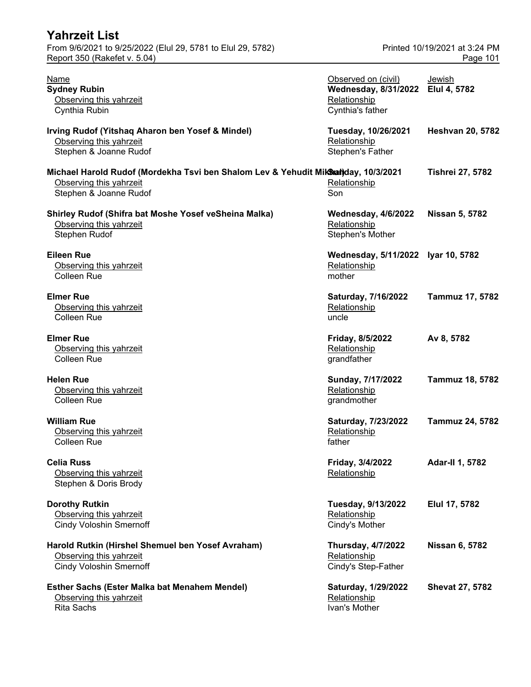| <b>Yahrzeit List</b>                                                                                                                    |                                                                                              |                                           |
|-----------------------------------------------------------------------------------------------------------------------------------------|----------------------------------------------------------------------------------------------|-------------------------------------------|
| From 9/6/2021 to 9/25/2022 (Elul 29, 5781 to Elul 29, 5782)<br>Report 350 (Rakefet v. 5.04)                                             |                                                                                              | Printed 10/19/2021 at 3:24 PM<br>Page 101 |
| <b>Name</b><br><b>Sydney Rubin</b><br>Observing this yahrzeit<br>Cynthia Rubin                                                          | Observed on (civil)<br>Wednesday, 8/31/2022 Elul 4, 5782<br>Relationship<br>Cynthia's father | Jewish                                    |
| Irving Rudof (Yitshaq Aharon ben Yosef & Mindel)<br>Observing this yahrzeit<br>Stephen & Joanne Rudof                                   | Tuesday, 10/26/2021<br>Relationship<br>Stephen's Father                                      | <b>Heshvan 20, 5782</b>                   |
| Michael Harold Rudof (Mordekha Tsvi ben Shalom Lev & Yehudit Mikhan)day, 10/3/2021<br>Observing this yahrzeit<br>Stephen & Joanne Rudof | Relationship<br>Son                                                                          | <b>Tishrei 27, 5782</b>                   |
| Shirley Rudof (Shifra bat Moshe Yosef veSheina Malka)<br>Observing this yahrzeit<br>Stephen Rudof                                       | <b>Wednesday, 4/6/2022</b><br>Relationship<br>Stephen's Mother                               | <b>Nissan 5, 5782</b>                     |
| <b>Eileen Rue</b><br>Observing this yahrzeit<br>Colleen Rue                                                                             | Wednesday, 5/11/2022 Iyar 10, 5782<br>Relationship<br>mother                                 |                                           |
| <b>Elmer Rue</b><br>Observing this yahrzeit<br><b>Colleen Rue</b>                                                                       | Saturday, 7/16/2022<br>Relationship<br>uncle                                                 | Tammuz 17, 5782                           |
| <b>Elmer Rue</b><br>Observing this yahrzeit<br><b>Colleen Rue</b>                                                                       | Friday, 8/5/2022<br>Relationship<br>grandfather                                              | Av 8, 5782                                |
| <b>Helen Rue</b><br>Observing this yahrzeit<br><b>Colleen Rue</b>                                                                       | Sunday, 7/17/2022<br>Relationship<br>grandmother                                             | Tammuz 18, 5782                           |
| <b>William Rue</b><br>Observing this yahrzeit<br><b>Colleen Rue</b>                                                                     | Saturday, 7/23/2022<br>Relationship<br>father                                                | <b>Tammuz 24, 5782</b>                    |
| <b>Celia Russ</b><br>Observing this yahrzeit<br>Stephen & Doris Brody                                                                   | Friday, 3/4/2022<br>Relationship                                                             | <b>Adar-II 1, 5782</b>                    |
| <b>Dorothy Rutkin</b><br>Observing this yahrzeit<br><b>Cindy Voloshin Smernoff</b>                                                      | <b>Tuesday, 9/13/2022</b><br>Relationship<br>Cindy's Mother                                  | Elul 17, 5782                             |
| Harold Rutkin (Hirshel Shemuel ben Yosef Avraham)<br>Observing this yahrzeit<br><b>Cindy Voloshin Smernoff</b>                          | <b>Thursday, 4/7/2022</b><br>Relationship<br>Cindy's Step-Father                             | <b>Nissan 6, 5782</b>                     |
| <b>Esther Sachs (Ester Malka bat Menahem Mendel)</b><br>Observing this yahrzeit<br><b>Rita Sachs</b>                                    | Saturday, 1/29/2022<br>Relationship<br>Ivan's Mother                                         | <b>Shevat 27, 5782</b>                    |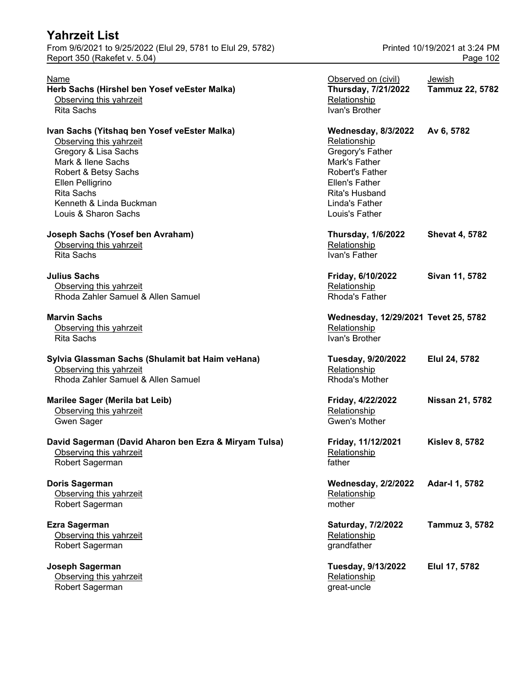From 9/6/2021 to 9/25/2022 (Elul 29, 5781 to Elul 29, 5782) Printed 10/19/2021 at 3:24 PM Report 350 (Rakefet v. 5.04) **Page 102** 

| Name<br>Herb Sachs (Hirshel ben Yosef veEster Malka)<br>Observing this yahrzeit<br><b>Rita Sachs</b>                                                                                                                                      | Observed on (civil)<br>Thursday, 7/21/2022<br>Relationship<br>Ivan's Brother                                                                                                      | Jewish<br><b>Tammuz 22, 5782</b> |
|-------------------------------------------------------------------------------------------------------------------------------------------------------------------------------------------------------------------------------------------|-----------------------------------------------------------------------------------------------------------------------------------------------------------------------------------|----------------------------------|
| Ivan Sachs (Yitshaq ben Yosef veEster Malka)<br>Observing this yahrzeit<br>Gregory & Lisa Sachs<br>Mark & Ilene Sachs<br>Robert & Betsy Sachs<br>Ellen Pelligrino<br><b>Rita Sachs</b><br>Kenneth & Linda Buckman<br>Louis & Sharon Sachs | <b>Wednesday, 8/3/2022</b><br>Relationship<br>Gregory's Father<br>Mark's Father<br>Robert's Father<br>Ellen's Father<br><b>Rita's Husband</b><br>Linda's Father<br>Louis's Father | Av 6, 5782                       |
| Joseph Sachs (Yosef ben Avraham)<br>Observing this yahrzeit<br><b>Rita Sachs</b>                                                                                                                                                          | <b>Thursday, 1/6/2022</b><br>Relationship<br>Ivan's Father                                                                                                                        | <b>Shevat 4, 5782</b>            |
| <b>Julius Sachs</b><br>Observing this yahrzeit<br>Rhoda Zahler Samuel & Allen Samuel                                                                                                                                                      | Friday, 6/10/2022<br>Relationship<br>Rhoda's Father                                                                                                                               | Sivan 11, 5782                   |
| <b>Marvin Sachs</b><br>Observing this yahrzeit<br><b>Rita Sachs</b>                                                                                                                                                                       | Wednesday, 12/29/2021 Tevet 25, 5782<br>Relationship<br>Ivan's Brother                                                                                                            |                                  |
| Sylvia Glassman Sachs (Shulamit bat Haim veHana)<br>Observing this yahrzeit<br>Rhoda Zahler Samuel & Allen Samuel                                                                                                                         | Tuesday, 9/20/2022<br>Relationship<br>Rhoda's Mother                                                                                                                              | Elul 24, 5782                    |
| <b>Marilee Sager (Merila bat Leib)</b><br>Observing this yahrzeit<br><b>Gwen Sager</b>                                                                                                                                                    | Friday, 4/22/2022<br>Relationship<br>Gwen's Mother                                                                                                                                | <b>Nissan 21, 5782</b>           |
| David Sagerman (David Aharon ben Ezra & Miryam Tulsa)<br>Observing this yahrzeit<br>Robert Sagerman                                                                                                                                       | Friday, 11/12/2021<br>Relationship<br>father                                                                                                                                      | <b>Kislev 8, 5782</b>            |
| Doris Sagerman<br>Observing this yahrzeit<br>Robert Sagerman                                                                                                                                                                              | <b>Wednesday, 2/2/2022</b><br>Relationship<br>mother                                                                                                                              | Adar-I 1, 5782                   |
| <b>Ezra Sagerman</b><br>Observing this yahrzeit<br>Robert Sagerman                                                                                                                                                                        | Saturday, 7/2/2022<br>Relationship<br>grandfather                                                                                                                                 | Tammuz 3, 5782                   |
| Joseph Sagerman<br>Observing this yahrzeit<br>Robert Sagerman                                                                                                                                                                             | Tuesday, 9/13/2022<br>Relationship<br>great-uncle                                                                                                                                 | Elul 17, 5782                    |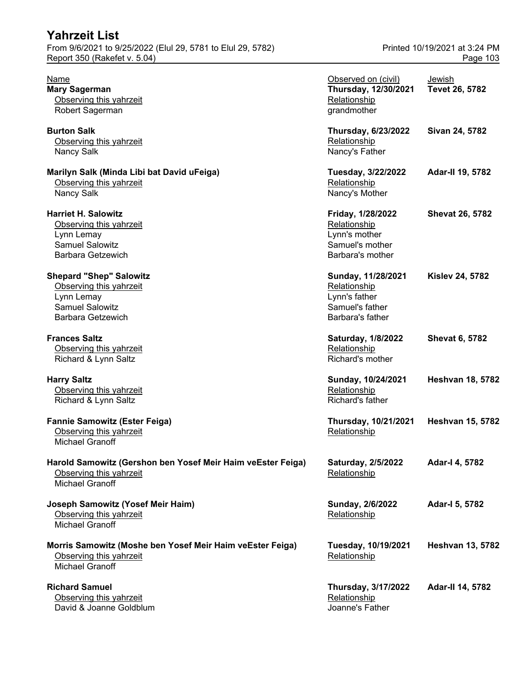| <b>Yahrzeit List</b>                                                                                                          |                                                                                            |                                           |
|-------------------------------------------------------------------------------------------------------------------------------|--------------------------------------------------------------------------------------------|-------------------------------------------|
| From 9/6/2021 to 9/25/2022 (Elul 29, 5781 to Elul 29, 5782)<br>Report 350 (Rakefet v. 5.04)                                   |                                                                                            | Printed 10/19/2021 at 3:24 PM<br>Page 103 |
| Name<br><b>Mary Sagerman</b><br>Observing this yahrzeit<br>Robert Sagerman                                                    | Observed on (civil)<br>Thursday, 12/30/2021<br>Relationship<br>grandmother                 | <b>Jewish</b><br>Tevet 26, 5782           |
| <b>Burton Salk</b><br>Observing this yahrzeit<br>Nancy Salk                                                                   | <b>Thursday, 6/23/2022</b><br>Relationship<br>Nancy's Father                               | Sivan 24, 5782                            |
| Marilyn Salk (Minda Libi bat David uFeiga)<br>Observing this yahrzeit<br>Nancy Salk                                           | Tuesday, 3/22/2022<br>Relationship<br>Nancy's Mother                                       | Adar-II 19, 5782                          |
| <b>Harriet H. Salowitz</b><br>Observing this yahrzeit<br>Lynn Lemay<br><b>Samuel Salowitz</b><br><b>Barbara Getzewich</b>     | Friday, 1/28/2022<br>Relationship<br>Lynn's mother<br>Samuel's mother<br>Barbara's mother  | <b>Shevat 26, 5782</b>                    |
| <b>Shepard "Shep" Salowitz</b><br>Observing this yahrzeit<br>Lynn Lemay<br><b>Samuel Salowitz</b><br><b>Barbara Getzewich</b> | Sunday, 11/28/2021<br>Relationship<br>Lynn's father<br>Samuel's father<br>Barbara's father | <b>Kislev 24, 5782</b>                    |
| <b>Frances Saltz</b><br>Observing this yahrzeit<br>Richard & Lynn Saltz                                                       | Saturday, 1/8/2022<br>Relationship<br>Richard's mother                                     | <b>Shevat 6, 5782</b>                     |
| <b>Harry Saltz</b><br>Observing this yahrzeit<br>Richard & Lynn Saltz                                                         | Sunday, 10/24/2021<br>Relationship<br>Richard's father                                     | <b>Heshvan 18, 5782</b>                   |
| <b>Fannie Samowitz (Ester Feiga)</b><br>Observing this yahrzeit<br><b>Michael Granoff</b>                                     | Thursday, 10/21/2021<br>Relationship                                                       | <b>Heshvan 15, 5782</b>                   |
| Harold Samowitz (Gershon ben Yosef Meir Haim veEster Feiga)<br>Observing this yahrzeit<br><b>Michael Granoff</b>              | Saturday, 2/5/2022<br>Relationship                                                         | Adar-I 4, 5782                            |
| Joseph Samowitz (Yosef Meir Haim)<br>Observing this yahrzeit<br><b>Michael Granoff</b>                                        | Sunday, 2/6/2022<br>Relationship                                                           | Adar-I 5, 5782                            |
| Morris Samowitz (Moshe ben Yosef Meir Haim veEster Feiga)<br>Observing this yahrzeit<br>Michael Granoff                       | Tuesday, 10/19/2021<br>Relationship                                                        | <b>Heshvan 13, 5782</b>                   |
| <b>Richard Samuel</b><br>Observing this yahrzeit<br>David & Joanne Goldblum                                                   | <b>Thursday, 3/17/2022</b><br>Relationship<br>Joanne's Father                              | Adar-II 14, 5782                          |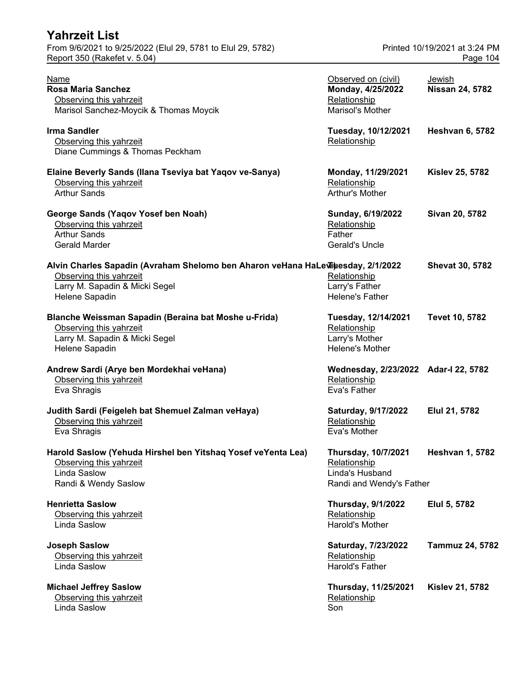| Yahrzeit List                                                                                                                                                   |                                                                                           |                                           |
|-----------------------------------------------------------------------------------------------------------------------------------------------------------------|-------------------------------------------------------------------------------------------|-------------------------------------------|
| From 9/6/2021 to 9/25/2022 (Elul 29, 5781 to Elul 29, 5782)<br>Report 350 (Rakefet v. 5.04)                                                                     |                                                                                           | Printed 10/19/2021 at 3:24 PM<br>Page 104 |
| Name<br><b>Rosa Maria Sanchez</b><br>Observing this yahrzeit<br>Marisol Sanchez-Moycik & Thomas Moycik                                                          | Observed on (civil)<br>Monday, 4/25/2022<br>Relationship<br>Marisol's Mother              | Jewish<br><b>Nissan 24, 5782</b>          |
| <b>Irma Sandler</b><br>Observing this yahrzeit<br>Diane Cummings & Thomas Peckham                                                                               | Tuesday, 10/12/2021<br>Relationship                                                       | <b>Heshvan 6, 5782</b>                    |
| Elaine Beverly Sands (Ilana Tseviya bat Yaqov ve-Sanya)<br>Observing this yahrzeit<br><b>Arthur Sands</b>                                                       | Monday, 11/29/2021<br>Relationship<br>Arthur's Mother                                     | <b>Kislev 25, 5782</b>                    |
| George Sands (Yaqov Yosef ben Noah)<br>Observing this yahrzeit<br><b>Arthur Sands</b><br><b>Gerald Marder</b>                                                   | Sunday, 6/19/2022<br>Relationship<br>Father<br><b>Gerald's Uncle</b>                      | Sivan 20, 5782                            |
| Alvin Charles Sapadin (Avraham Shelomo ben Aharon veHana HaLeviiuesday, 2/1/2022<br>Observing this yahrzeit<br>Larry M. Sapadin & Micki Segel<br>Helene Sapadin | Relationship<br>Larry's Father<br><b>Helene's Father</b>                                  | <b>Shevat 30, 5782</b>                    |
| Blanche Weissman Sapadin (Beraina bat Moshe u-Frida)<br>Observing this yahrzeit<br>Larry M. Sapadin & Micki Segel<br>Helene Sapadin                             | Tuesday, 12/14/2021<br>Relationship<br>Larry's Mother<br>Helene's Mother                  | <b>Tevet 10, 5782</b>                     |
| Andrew Sardi (Arye ben Mordekhai veHana)<br>Observing this yahrzeit<br>Eva Shragis                                                                              | Wednesday, 2/23/2022 Adar-I 22, 5782<br>Relationship<br>Eva's Father                      |                                           |
| Judith Sardi (Feigeleh bat Shemuel Zalman veHaya)<br>Observing this yahrzeit<br>Eva Shragis                                                                     | Saturday, 9/17/2022<br>Relationship<br>Eva's Mother                                       | Elul 21, 5782                             |
| Harold Saslow (Yehuda Hirshel ben Yitshaq Yosef veYenta Lea)<br>Observing this yahrzeit<br>Linda Saslow<br>Randi & Wendy Saslow                                 | <b>Thursday, 10/7/2021</b><br>Relationship<br>Linda's Husband<br>Randi and Wendy's Father | <b>Heshvan 1, 5782</b>                    |
| <b>Henrietta Saslow</b><br>Observing this yahrzeit<br>Linda Saslow                                                                                              | <b>Thursday, 9/1/2022</b><br>Relationship<br>Harold's Mother                              | Elul 5, 5782                              |
| <b>Joseph Saslow</b><br>Observing this yahrzeit<br>Linda Saslow                                                                                                 | Saturday, 7/23/2022<br>Relationship<br><b>Harold's Father</b>                             | <b>Tammuz 24, 5782</b>                    |
| <b>Michael Jeffrey Saslow</b><br>Observing this yahrzeit<br>Linda Saslow                                                                                        | Thursday, 11/25/2021<br>Relationship<br>Son                                               | <b>Kislev 21, 5782</b>                    |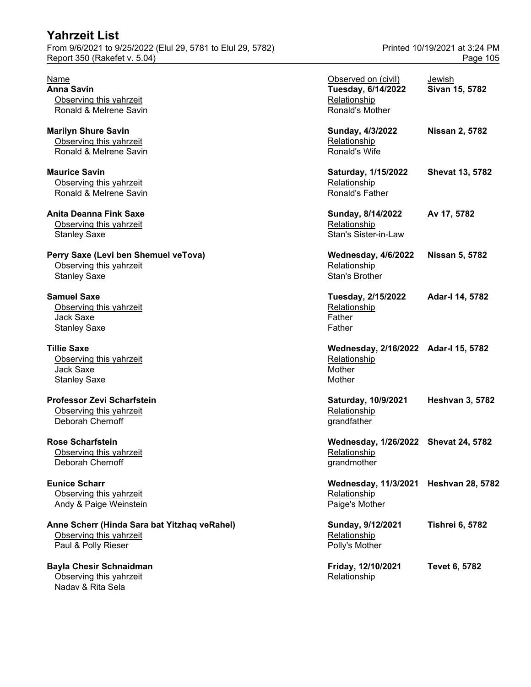#### **Yahrzeit List** From 9/6/2021 to 9/25/2022 (Elul 29, 5781 to Elul 29, 5782) Printed 10/19/2021 at 3:24 PM Report 350 (Rakefet v. 5.04) **Page 105**

#### **Anne Scherr (Hinda Sara bat Yitzhaq veRahel)** Observing this yahrzeit

**Bayla Chesir Schnaidman** Observing this yahrzeit **Relationship Relationship Relationship** Nadav & Rita Sela

| Name<br><b>Anna Savin</b><br>Observing this yahrzeit<br>Ronald & Melrene Savin                 | Observed on (civil)<br>Tuesday, 6/14/2022<br>Relationship<br>Ronald's Mother | Jewish<br>Sivan 15, 5782 |
|------------------------------------------------------------------------------------------------|------------------------------------------------------------------------------|--------------------------|
| <b>Marilyn Shure Savin</b><br>Observing this yahrzeit<br>Ronald & Melrene Savin                | Sunday, 4/3/2022<br>Relationship<br>Ronald's Wife                            | <b>Nissan 2, 5782</b>    |
| <b>Maurice Savin</b><br>Observing this yahrzeit<br>Ronald & Melrene Savin                      | Saturday, 1/15/2022<br>Relationship<br>Ronald's Father                       | <b>Shevat 13, 5782</b>   |
| <b>Anita Deanna Fink Saxe</b><br>Observing this yahrzeit<br><b>Stanley Saxe</b>                | Sunday, 8/14/2022<br>Relationship<br><b>Stan's Sister-in-Law</b>             | Av 17, 5782              |
| Perry Saxe (Levi ben Shemuel veTova)<br>Observing this yahrzeit<br><b>Stanley Saxe</b>         | <b>Wednesday, 4/6/2022</b><br>Relationship<br>Stan's Brother                 | <b>Nissan 5, 5782</b>    |
| <b>Samuel Saxe</b><br>Observing this yahrzeit<br>Jack Saxe<br><b>Stanley Saxe</b>              | Tuesday, 2/15/2022<br>Relationship<br>Father<br>Father                       | Adar-I 14, 5782          |
| <b>Tillie Saxe</b><br>Observing this yahrzeit<br>Jack Saxe<br><b>Stanley Saxe</b>              | Wednesday, 2/16/2022 Adar-I 15, 5782<br>Relationship<br>Mother<br>Mother     |                          |
| <b>Professor Zevi Scharfstein</b><br>Observing this yahrzeit<br><b>Deborah Chernoff</b>        | Saturday, 10/9/2021<br>Relationship<br>grandfather                           | <b>Heshvan 3, 5782</b>   |
| <b>Rose Scharfstein</b><br>Observing this yahrzeit<br>Deborah Chernoff                         | Wednesday, 1/26/2022 Shevat 24, 5782<br>Relationship<br>grandmother          |                          |
| <b>Eunice Scharr</b><br>Observing this yahrzeit<br>Andy & Paige Weinstein                      | <b>Wednesday, 11/3/2021</b><br>Relationship<br>Paige's Mother                | <b>Heshvan 28, 5782</b>  |
| Anne Scherr (Hinda Sara bat Yitzhaq veRahel)<br>Observing this yahrzeit<br>Paul & Polly Rieser | Sunday, 9/12/2021<br>Relationship<br>Polly's Mother                          | <b>Tishrei 6, 5782</b>   |
| <b>Bayla Chesir Schnaidman</b><br>Ohserving this vahrzeit                                      | Friday, 12/10/2021<br><b>Relationshin</b>                                    | <b>Tevet 6, 5782</b>     |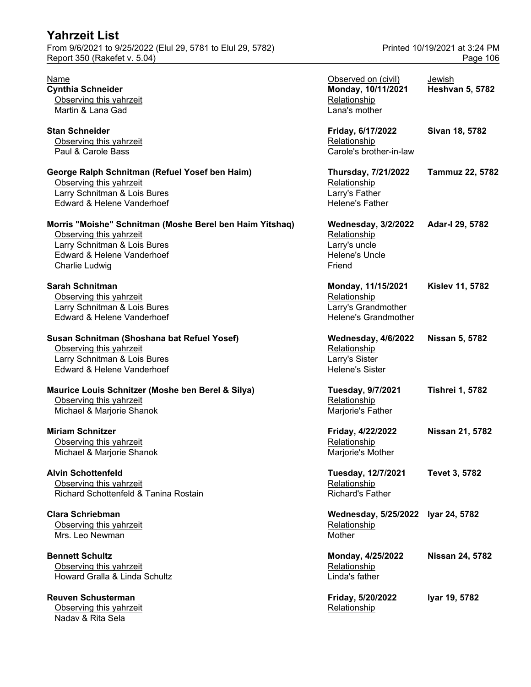| <b>Yahrzeit List</b>                                                                                                                                                |                                                                                          |                                           |
|---------------------------------------------------------------------------------------------------------------------------------------------------------------------|------------------------------------------------------------------------------------------|-------------------------------------------|
| From 9/6/2021 to 9/25/2022 (Elul 29, 5781 to Elul 29, 5782)<br>Report 350 (Rakefet v. 5.04)                                                                         |                                                                                          | Printed 10/19/2021 at 3:24 PM<br>Page 106 |
| Name<br><b>Cynthia Schneider</b><br>Observing this yahrzeit<br>Martin & Lana Gad                                                                                    | Observed on (civil)<br>Monday, 10/11/2021<br>Relationship<br>Lana's mother               | Jewish<br><b>Heshvan 5, 5782</b>          |
| <b>Stan Schneider</b><br>Observing this yahrzeit<br>Paul & Carole Bass                                                                                              | Friday, 6/17/2022<br>Relationship<br>Carole's brother-in-law                             | Sivan 18, 5782                            |
| George Ralph Schnitman (Refuel Yosef ben Haim)<br>Observing this yahrzeit<br>Larry Schnitman & Lois Bures<br>Edward & Helene Vanderhoef                             | Thursday, 7/21/2022<br>Relationship<br>Larry's Father<br>Helene's Father                 | <b>Tammuz 22, 5782</b>                    |
| Morris "Moishe" Schnitman (Moshe Berel ben Haim Yitshaq)<br>Observing this yahrzeit<br>Larry Schnitman & Lois Bures<br>Edward & Helene Vanderhoef<br>Charlie Ludwig | <b>Wednesday, 3/2/2022</b><br>Relationship<br>Larry's uncle<br>Helene's Uncle<br>Friend  | Adar-I 29, 5782                           |
| <b>Sarah Schnitman</b><br>Observing this yahrzeit<br>Larry Schnitman & Lois Bures<br>Edward & Helene Vanderhoef                                                     | Monday, 11/15/2021<br>Relationship<br>Larry's Grandmother<br><b>Helene's Grandmother</b> | <b>Kislev 11, 5782</b>                    |
| Susan Schnitman (Shoshana bat Refuel Yosef)<br>Observing this yahrzeit<br>Larry Schnitman & Lois Bures<br>Edward & Helene Vanderhoef                                | <b>Wednesday, 4/6/2022</b><br>Relationship<br>Larry's Sister<br><b>Helene's Sister</b>   | <b>Nissan 5, 5782</b>                     |
| Maurice Louis Schnitzer (Moshe ben Berel & Silya)<br>Observing this yahrzeit<br>Michael & Marjorie Shanok                                                           | Tuesday, 9/7/2021<br>Relationship<br>Marjorie's Father                                   | <b>Tishrei 1, 5782</b>                    |
| <b>Miriam Schnitzer</b><br>Observing this yahrzeit<br>Michael & Marjorie Shanok                                                                                     | Friday, 4/22/2022<br>Relationship<br>Marjorie's Mother                                   | Nissan 21, 5782                           |
| <b>Alvin Schottenfeld</b><br>Observing this yahrzeit<br>Richard Schottenfeld & Tanina Rostain                                                                       | Tuesday, 12/7/2021<br>Relationship<br><b>Richard's Father</b>                            | <b>Tevet 3, 5782</b>                      |
| Clara Schriebman<br>Observing this yahrzeit<br>Mrs. Leo Newman                                                                                                      | Wednesday, 5/25/2022 Iyar 24, 5782<br>Relationship<br>Mother                             |                                           |
| <b>Bennett Schultz</b><br>Observing this yahrzeit<br>Howard Gralla & Linda Schultz                                                                                  | Monday, 4/25/2022<br>Relationship<br>Linda's father                                      | <b>Nissan 24, 5782</b>                    |
| <b>Reuven Schusterman</b><br>Observing this yahrzeit<br>Nadav & Rita Sela                                                                                           | Friday, 5/20/2022<br>Relationship                                                        | Iyar 19, 5782                             |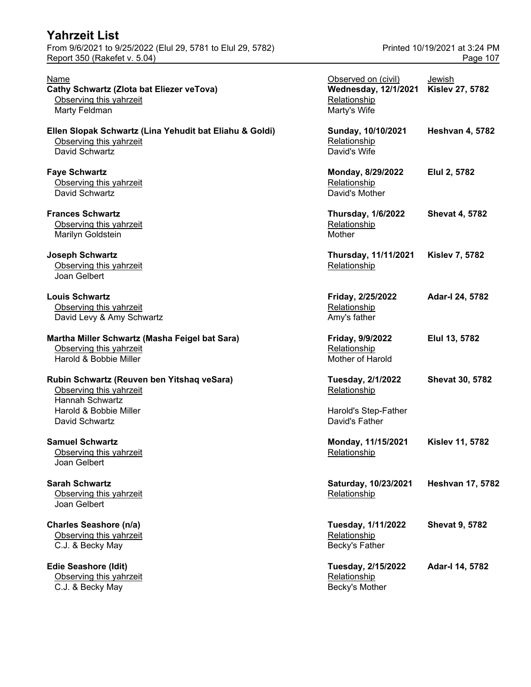| <b>Yahrzeit List</b><br>From 9/6/2021 to 9/25/2022 (Elul 29, 5781 to Elul 29, 5782)                                       | Printed 10/19/2021 at 3:24 PM                                                      |                                  |
|---------------------------------------------------------------------------------------------------------------------------|------------------------------------------------------------------------------------|----------------------------------|
| Report 350 (Rakefet v. 5.04)                                                                                              |                                                                                    | Page 107                         |
| Name<br>Cathy Schwartz (Zlota bat Eliezer veTova)<br>Observing this yahrzeit<br>Marty Feldman                             | Observed on (civil)<br><b>Wednesday, 12/1/2021</b><br>Relationship<br>Marty's Wife | Jewish<br><b>Kislev 27, 5782</b> |
| Ellen Slopak Schwartz (Lina Yehudit bat Eliahu & Goldi)<br>Observing this yahrzeit<br>David Schwartz                      | Sunday, 10/10/2021<br>Relationship<br>David's Wife                                 | <b>Heshvan 4, 5782</b>           |
| <b>Faye Schwartz</b><br>Observing this yahrzeit<br>David Schwartz                                                         | Monday, 8/29/2022<br>Relationship<br>David's Mother                                | Elul 2, 5782                     |
| <b>Frances Schwartz</b><br>Observing this yahrzeit<br>Marilyn Goldstein                                                   | <b>Thursday, 1/6/2022</b><br>Relationship<br>Mother                                | <b>Shevat 4, 5782</b>            |
| <b>Joseph Schwartz</b><br>Observing this yahrzeit<br>Joan Gelbert                                                         | Thursday, 11/11/2021<br>Relationship                                               | <b>Kislev 7, 5782</b>            |
| <b>Louis Schwartz</b><br>Observing this yahrzeit<br>David Levy & Amy Schwartz                                             | Friday, 2/25/2022<br>Relationship<br>Amy's father                                  | Adar-I 24, 5782                  |
| Martha Miller Schwartz (Masha Feigel bat Sara)<br>Observing this yahrzeit<br>Harold & Bobbie Miller                       | Friday, 9/9/2022<br>Relationship<br>Mother of Harold                               | Elul 13, 5782                    |
| Rubin Schwartz (Reuven ben Yitshaq veSara)<br>Observing this yahrzeit<br><b>Hannah Schwartz</b><br>Harold & Bobbie Miller | Tuesday, 2/1/2022<br>Relationship<br>Harold's Step-Father                          | <b>Shevat 30, 5782</b>           |
| David Schwartz                                                                                                            | David's Father                                                                     |                                  |

**Edie Seashore (Idit)** Observing this yahrzeit C.J. & Becky May Becky's Motor Management of Becky

| Name<br>Cathy Schwartz (Zlota bat Eliezer veTova)<br>Observing this yahrzeit<br>Marty Feldman        | Observed on (civil)<br><b>Wednesday, 12/1/2021</b><br>Relationship<br>Marty's Wife | Jewish<br><b>Kislev 27, 5782</b> |
|------------------------------------------------------------------------------------------------------|------------------------------------------------------------------------------------|----------------------------------|
| Ellen Slopak Schwartz (Lina Yehudit bat Eliahu & Goldi)<br>Observing this yahrzeit<br>David Schwartz | Sunday, 10/10/2021<br>Relationship<br>David's Wife                                 | <b>Heshvan 4, 5782</b>           |
| <b>Faye Schwartz</b><br>Observing this yahrzeit<br>David Schwartz                                    | Monday, 8/29/2022<br>Relationship<br>David's Mother                                | Elul 2, 5782                     |
| <b>Frances Schwartz</b><br>Observing this yahrzeit<br>Marilyn Goldstein                              | <b>Thursday, 1/6/2022</b><br>Relationship<br>Mother                                | <b>Shevat 4, 5782</b>            |
| <b>Joseph Schwartz</b><br>Observing this yahrzeit<br>Joan Gelbert                                    | Thursday, 11/11/2021<br>Relationship                                               | <b>Kislev 7, 5782</b>            |
| <b>Louis Schwartz</b><br>Observing this yahrzeit<br>David Levy & Amy Schwartz                        | Friday, 2/25/2022<br>Relationship<br>Amy's father                                  | Adar-I 24, 5782                  |
| Martha Miller Schwartz (Masha Feigel bat Sara)<br>Observing this yahrzeit<br>Harold & Bobbie Miller  | Friday, 9/9/2022<br>Relationship<br>Mother of Harold                               | Elul 13, 5782                    |
| Rubin Schwartz (Reuven ben Yitshaq veSara)<br>Observing this yahrzeit<br>Hannah Schwartz             | <b>Tuesday, 2/1/2022</b><br>Relationship                                           | <b>Shevat 30, 5782</b>           |
| Harold & Bobbie Miller<br>David Schwartz                                                             | Harold's Step-Father<br>David's Father                                             |                                  |
| <b>Samuel Schwartz</b><br>Observing this yahrzeit<br>Joan Gelbert                                    | Monday, 11/15/2021<br>Relationship                                                 | <b>Kislev 11, 5782</b>           |
| <b>Sarah Schwartz</b><br>Observing this yahrzeit<br>Joan Gelbert                                     | Saturday, 10/23/2021<br>Relationship                                               | <b>Heshvan 17, 5782</b>          |
| <b>Charles Seashore (n/a)</b><br>Observing this yahrzeit<br>C.J. & Becky May                         | Tuesday, 1/11/2022<br>Relationship<br>Becky's Father                               | <b>Shevat 9, 5782</b>            |
| <b>Edie Seashore (Idit)</b><br>Observing this yahrzeit<br>C.J. & Becky May                           | Tuesday, 2/15/2022<br>Relationship<br>Becky's Mother                               | Adar-I 14, 5782                  |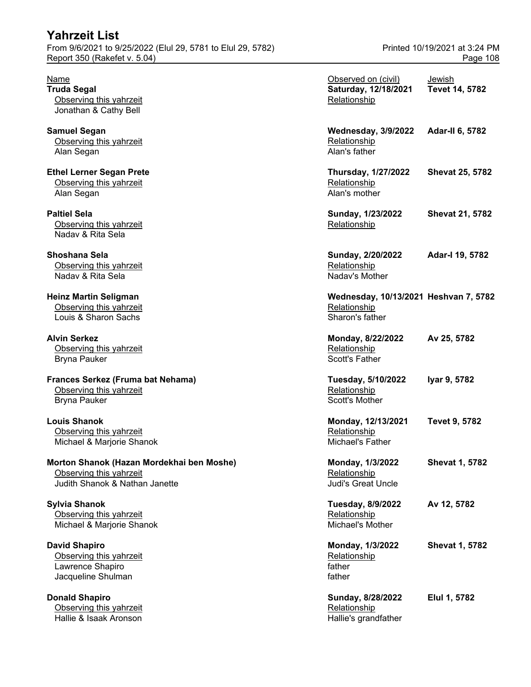| From 9/6/2021 to 9/25/2022 (Elul 29, 5781 to Elul 29, 5782)<br>Report 350 (Rakefet v. 5.04)            |                                                                          | Printed 10/19/2021 at 3:24 PM<br>Page 108 |  |
|--------------------------------------------------------------------------------------------------------|--------------------------------------------------------------------------|-------------------------------------------|--|
| Name<br><b>Truda Segal</b><br>Observing this yahrzeit<br>Jonathan & Cathy Bell                         | Observed on (civil)<br>Saturday, 12/18/2021<br>Relationship              | Jewish<br>Tevet 14, 5782                  |  |
| <b>Samuel Segan</b><br>Observing this yahrzeit<br>Alan Segan                                           | <b>Wednesday, 3/9/2022</b><br>Relationship<br>Alan's father              | <b>Adar-II 6, 5782</b>                    |  |
| <b>Ethel Lerner Segan Prete</b><br>Observing this yahrzeit<br>Alan Segan                               | <b>Thursday, 1/27/2022</b><br>Relationship<br>Alan's mother              | <b>Shevat 25, 5782</b>                    |  |
| <b>Paltiel Sela</b><br>Observing this yahrzeit<br>Nadav & Rita Sela                                    | Sunday, 1/23/2022<br>Relationship                                        | <b>Shevat 21, 5782</b>                    |  |
| Shoshana Sela<br>Observing this yahrzeit<br>Nadav & Rita Sela                                          | Sunday, 2/20/2022<br>Relationship<br>Nadav's Mother                      | Adar-I 19, 5782                           |  |
| <b>Heinz Martin Seligman</b><br>Observing this yahrzeit<br>Louis & Sharon Sachs                        | Wednesday, 10/13/2021 Heshvan 7, 5782<br>Relationship<br>Sharon's father |                                           |  |
| <b>Alvin Serkez</b><br>Observing this yahrzeit<br><b>Bryna Pauker</b>                                  | Monday, 8/22/2022<br>Relationship<br>Scott's Father                      | Av 25, 5782                               |  |
| Frances Serkez (Fruma bat Nehama)<br>Observing this yahrzeit<br><b>Bryna Pauker</b>                    | Tuesday, 5/10/2022<br>Relationship<br>Scott's Mother                     | Iyar 9, 5782                              |  |
| <b>Louis Shanok</b><br>Observing this yahrzeit<br>Michael & Marjorie Shanok                            | Monday, 12/13/2021<br>Relationship<br>Michael's Father                   | <b>Tevet 9, 5782</b>                      |  |
| Morton Shanok (Hazan Mordekhai ben Moshe)<br>Observing this yahrzeit<br>Judith Shanok & Nathan Janette | Monday, 1/3/2022<br>Relationship<br><b>Judi's Great Uncle</b>            | <b>Shevat 1, 5782</b>                     |  |
| <b>Sylvia Shanok</b><br>Observing this yahrzeit<br>Michael & Marjorie Shanok                           | Tuesday, 8/9/2022<br>Relationship<br>Michael's Mother                    | Av 12, 5782                               |  |
| <b>David Shapiro</b><br>Observing this yahrzeit<br>Lawrence Shapiro<br>Jacqueline Shulman              | Monday, 1/3/2022<br>Relationship<br>father<br>father                     | <b>Shevat 1, 5782</b>                     |  |
| <b>Donald Shapiro</b>                                                                                  | Sunday, 8/28/2022                                                        | Elul 1, 5782                              |  |

Observing this yahrzeit Christian Christian Christian Media in the Relationship Relationship<br>Thallie & Isaak Aronson Christian Christian Christian Christian Christian Christian Media in the Hallie's grandfather Hallie & Isaak Aronson

**Yahrzeit List**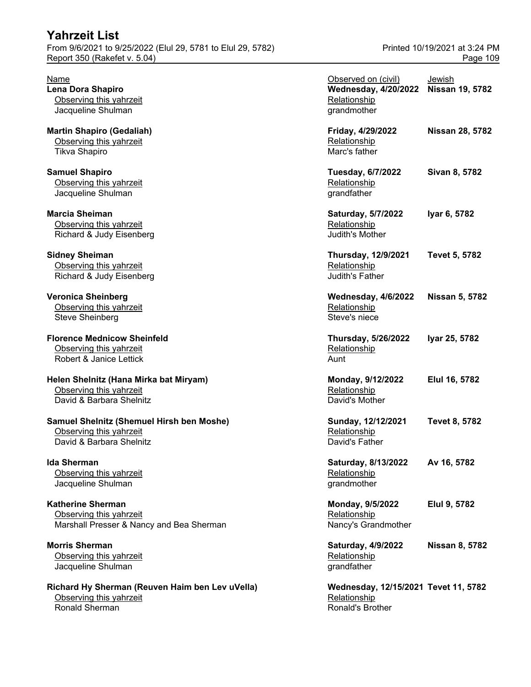| Report 350 (Rakefet v. 5.04)                                                                     |                                                                                   | Page 109                  |
|--------------------------------------------------------------------------------------------------|-----------------------------------------------------------------------------------|---------------------------|
| Name<br>Lena Dora Shapiro<br>Observing this yahrzeit<br>Jacqueline Shulman                       | Observed on (civil)<br><b>Wednesday, 4/20/2022</b><br>Relationship<br>grandmother | Jewish<br>Nissan 19, 5782 |
| <b>Martin Shapiro (Gedaliah)</b><br>Observing this yahrzeit<br>Tikva Shapiro                     | Friday, 4/29/2022<br>Relationship<br>Marc's father                                | <b>Nissan 28, 5782</b>    |
| <b>Samuel Shapiro</b><br>Observing this yahrzeit<br>Jacqueline Shulman                           | <b>Tuesday, 6/7/2022</b><br>Relationship<br>grandfather                           | Sivan 8, 5782             |
| <b>Marcia Sheiman</b><br>Observing this yahrzeit<br>Richard & Judy Eisenberg                     | Saturday, 5/7/2022<br>Relationship<br>Judith's Mother                             | Iyar 6, 5782              |
| <b>Sidney Sheiman</b><br>Observing this yahrzeit<br>Richard & Judy Eisenberg                     | <b>Thursday, 12/9/2021</b><br>Relationship<br>Judith's Father                     | <b>Tevet 5, 5782</b>      |
| <b>Veronica Sheinberg</b><br>Observing this yahrzeit<br><b>Steve Sheinberg</b>                   | <b>Wednesday, 4/6/2022</b><br>Relationship<br>Steve's niece                       | <b>Nissan 5, 5782</b>     |
| <b>Florence Mednicow Sheinfeld</b><br>Observing this yahrzeit<br>Robert & Janice Lettick         | Thursday, 5/26/2022<br>Relationship<br>Aunt                                       | Iyar 25, 5782             |
| Helen Shelnitz (Hana Mirka bat Miryam)<br>Observing this yahrzeit<br>David & Barbara Shelnitz    | Monday, 9/12/2022<br>Relationship<br>David's Mother                               | Elul 16, 5782             |
| Samuel Shelnitz (Shemuel Hirsh ben Moshe)<br>Observing this yahrzeit<br>David & Barbara Shelnitz | Sunday, 12/12/2021<br>Relationship<br>David's Father                              | Tevet 8, 5782             |
| <b>Ida Sherman</b><br>Observing this yahrzeit<br>Jacqueline Shulman                              | Saturday, 8/13/2022<br>Relationship<br>grandmother                                | Av 16, 5782               |
| <b>Katherine Sherman</b><br>Observing this yahrzeit<br>Marshall Presser & Nancy and Bea Sherman  | Monday, 9/5/2022<br>Relationship<br>Nancy's Grandmother                           | Elul 9, 5782              |
| <b>Morris Sherman</b><br>Observing this yahrzeit<br>Jacqueline Shulman                           | Saturday, 4/9/2022<br>Relationship<br>grandfather                                 | <b>Nissan 8, 5782</b>     |
| Richard Hy Sherman (Reuven Haim ben Lev uVella)<br>Observing this yahrzeit<br>Ronald Sherman     | Wednesday, 12/15/2021 Tevet 11, 5782<br>Relationship<br>Ronald's Brother          |                           |

From 9/6/2021 to 9/25/2022 (Elul 29, 5781 to Elul 29, 5782) Printed 10/19/2021 at 3:24 PM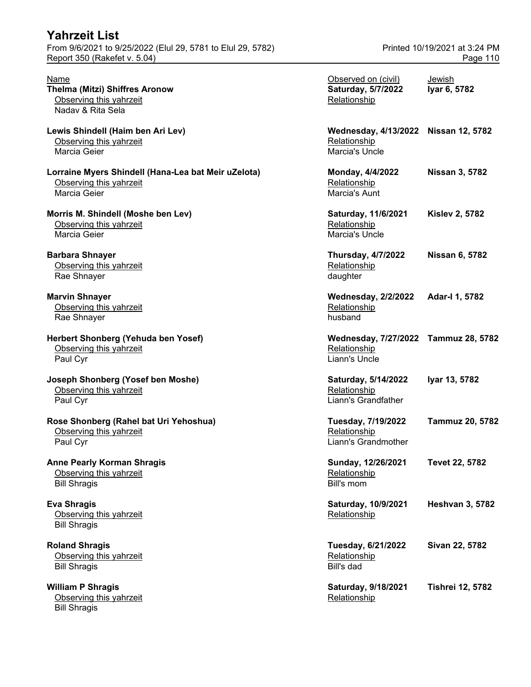| <b>Yahrzeit List</b>                                        |                               |
|-------------------------------------------------------------|-------------------------------|
| From 9/6/2021 to 9/25/2022 (Elul 29, 5781 to Elul 29, 5782) | Printed 10/19/2021 at 3:24 PM |
| Report 350 (Rakefet v. 5.04)                                | Page 110                      |

| Name<br>Thelma (Mitzi) Shiffres Aronow<br>Observing this yahrzeit<br>Naday & Rita Sela         | Observed on (civil)<br>Saturday, 5/7/2022<br>Relationship              | Jewish<br>Iyar 6, 5782  |
|------------------------------------------------------------------------------------------------|------------------------------------------------------------------------|-------------------------|
| Lewis Shindell (Haim ben Ari Lev)<br>Observing this yahrzeit<br>Marcia Geier                   | Wednesday, 4/13/2022 Nissan 12, 5782<br>Relationship<br>Marcia's Uncle |                         |
| Lorraine Myers Shindell (Hana-Lea bat Meir uZelota)<br>Observing this yahrzeit<br>Marcia Geier | Monday, 4/4/2022<br>Relationship<br>Marcia's Aunt                      | <b>Nissan 3, 5782</b>   |
| Morris M. Shindell (Moshe ben Lev)<br>Observing this yahrzeit<br>Marcia Geier                  | Saturday, 11/6/2021<br>Relationship<br>Marcia's Uncle                  | <b>Kislev 2, 5782</b>   |
| <b>Barbara Shnayer</b><br>Observing this yahrzeit<br>Rae Shnayer                               | <b>Thursday, 4/7/2022</b><br>Relationship<br>daughter                  | <b>Nissan 6, 5782</b>   |
| <b>Marvin Shnayer</b><br>Observing this yahrzeit<br>Rae Shnayer                                | <b>Wednesday, 2/2/2022</b><br>Relationship<br>husband                  | Adar-I 1, 5782          |
| Herbert Shonberg (Yehuda ben Yosef)<br>Observing this yahrzeit<br>Paul Cyr                     | Wednesday, 7/27/2022 Tammuz 28, 5782<br>Relationship<br>Liann's Uncle  |                         |
| Joseph Shonberg (Yosef ben Moshe)<br>Observing this yahrzeit<br>Paul Cyr                       | Saturday, 5/14/2022<br>Relationship<br>Liann's Grandfather             | Iyar 13, 5782           |
| Rose Shonberg (Rahel bat Uri Yehoshua)<br>Observing this yahrzeit<br>Paul Cyr                  | Tuesday, 7/19/2022<br>Relationship<br>Liann's Grandmother              | <b>Tammuz 20, 5782</b>  |
| <b>Anne Pearly Korman Shragis</b><br>Observing this yahrzeit<br><b>Bill Shragis</b>            | Sunday, 12/26/2021<br>Relationship<br>Bill's mom                       | Tevet 22, 5782          |
| <b>Eva Shragis</b><br>Observing this yahrzeit<br><b>Bill Shragis</b>                           | Saturday, 10/9/2021<br>Relationship                                    | <b>Heshvan 3, 5782</b>  |
| <b>Roland Shragis</b><br>Observing this yahrzeit<br><b>Bill Shragis</b>                        | Tuesday, 6/21/2022<br>Relationship<br>Bill's dad                       | Sivan 22, 5782          |
| <b>William P Shragis</b><br>Observing this yahrzeit<br><b>Bill Shragis</b>                     | Saturday, 9/18/2021<br>Relationship                                    | <b>Tishrei 12, 5782</b> |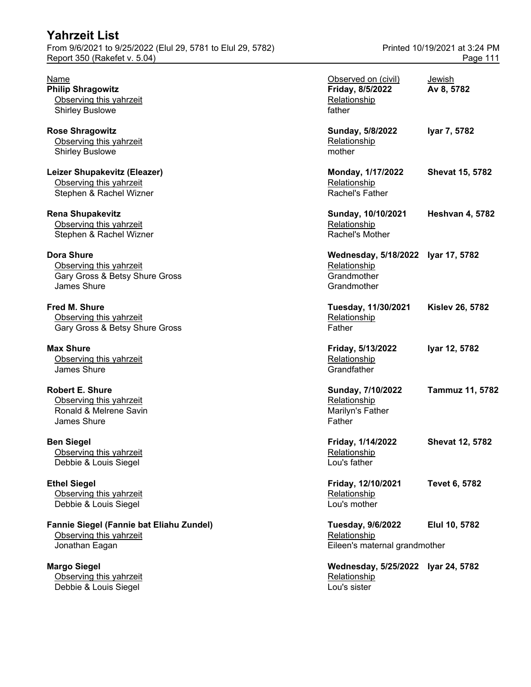| <b>Yahrzeit List</b><br>From 9/6/2021 to 9/25/2022 (Elul 29, 5781 to Elul 29, 5782)<br>Report 350 (Rakefet v. 5.04) |                                                                                  | Printed 10/19/2021 at 3:24 PM<br>Page 111 |
|---------------------------------------------------------------------------------------------------------------------|----------------------------------------------------------------------------------|-------------------------------------------|
| Name<br><b>Philip Shragowitz</b><br>Observing this yahrzeit<br><b>Shirley Buslowe</b>                               | Observed on (civil)<br>Friday, 8/5/2022<br>Relationship<br>father                | <b>Jewish</b><br>Av 8, 5782               |
| <b>Rose Shragowitz</b><br>Observing this yahrzeit<br><b>Shirley Buslowe</b>                                         | Sunday, 5/8/2022<br>Relationship<br>mother                                       | Iyar 7, 5782                              |
| Leizer Shupakevitz (Eleazer)<br>Observing this yahrzeit<br>Stephen & Rachel Wizner                                  | Monday, 1/17/2022<br>Relationship<br>Rachel's Father                             | <b>Shevat 15, 5782</b>                    |
| <b>Rena Shupakevitz</b><br>Observing this yahrzeit<br>Stephen & Rachel Wizner                                       | Sunday, 10/10/2021<br>Relationship<br>Rachel's Mother                            | <b>Heshvan 4, 5782</b>                    |
| <b>Dora Shure</b><br>Observing this yahrzeit<br>Gary Gross & Betsy Shure Gross<br><b>James Shure</b>                | Wednesday, 5/18/2022 Iyar 17, 5782<br>Relationship<br>Grandmother<br>Grandmother |                                           |
| <b>Fred M. Shure</b><br>Observing this yahrzeit<br>Gary Gross & Betsy Shure Gross                                   | Tuesday, 11/30/2021<br>Relationship<br>Father                                    | <b>Kislev 26, 5782</b>                    |
| <b>Max Shure</b><br>Observing this yahrzeit<br>James Shure                                                          | Friday, 5/13/2022<br>Relationship<br>Grandfather                                 | Iyar 12, 5782                             |
| <b>Robert E. Shure</b><br>Observing this yahrzeit<br>Ronald & Melrene Savin<br>James Shure                          | Sunday, 7/10/2022<br>Relationship<br>Marilyn's Father<br>Father                  | <b>Tammuz 11, 5782</b>                    |
| <b>Ben Siegel</b><br>Observing this yahrzeit<br>Debbie & Louis Siegel                                               | Friday, 1/14/2022<br>Relationship<br>Lou's father                                | <b>Shevat 12, 5782</b>                    |
| <b>Ethel Siegel</b><br>Observing this yahrzeit<br>Debbie & Louis Siegel                                             | Friday, 12/10/2021<br>Relationship<br>Lou's mother                               | <b>Tevet 6, 5782</b>                      |
| Fannie Siegel (Fannie bat Eliahu Zundel)<br>Observing this yahrzeit<br>Jonathan Eagan                               | Tuesday, 9/6/2022<br>Relationship<br>Eileen's maternal grandmother               | Elul 10, 5782                             |
| <b>Margo Siegel</b><br>Observing this yahrzeit                                                                      | Wednesday, 5/25/2022 Iyar 24, 5782<br>Relationship                               |                                           |

**Debbie & Louis Siegel Louis Siegel Louis Siegel Louis Siegel Louis Siegel Louis Siegel Louis Siegel Louis Sieg**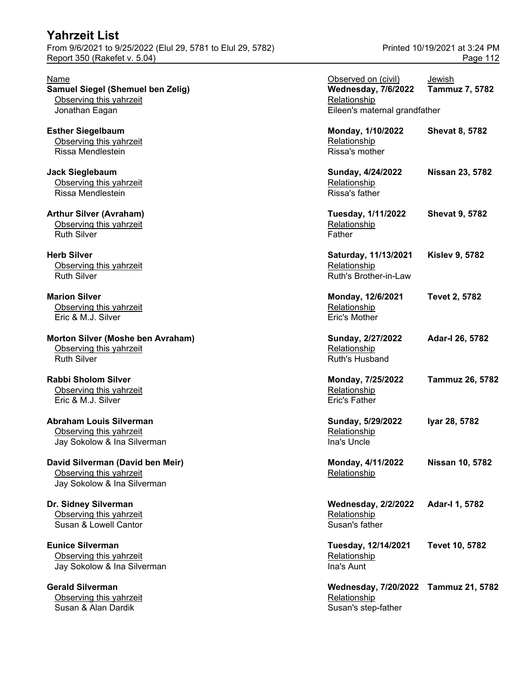| Name<br>Samuel Siegel (Shemuel ben Zelig)<br>Observing this yahrzeit                       | Observed on (civil)<br><b>Wednesday, 7/6/2022</b><br>Relationship | Jewish<br><b>Tammuz 7, 5782</b> |
|--------------------------------------------------------------------------------------------|-------------------------------------------------------------------|---------------------------------|
| Jonathan Eagan                                                                             | Eileen's maternal grandfather                                     |                                 |
| <b>Esther Siegelbaum</b><br>Observing this yahrzeit<br>Rissa Mendlestein                   | Monday, 1/10/2022<br>Relationship<br>Rissa's mother               | <b>Shevat 8, 5782</b>           |
| <b>Jack Sieglebaum</b><br>Observing this yahrzeit<br>Rissa Mendlestein                     | Sunday, 4/24/2022<br>Relationship<br>Rissa's father               | Nissan 23, 5782                 |
| <b>Arthur Silver (Avraham)</b><br>Observing this yahrzeit<br><b>Ruth Silver</b>            | Tuesday, 1/11/2022<br>Relationship<br>Father                      | <b>Shevat 9, 5782</b>           |
| <b>Herb Silver</b><br>Observing this yahrzeit<br><b>Ruth Silver</b>                        | Saturday, 11/13/2021<br>Relationship<br>Ruth's Brother-in-Law     | <b>Kislev 9, 5782</b>           |
| <b>Marion Silver</b><br>Observing this yahrzeit<br>Eric & M.J. Silver                      | Monday, 12/6/2021<br>Relationship<br>Eric's Mother                | <b>Tevet 2, 5782</b>            |
| Morton Silver (Moshe ben Avraham)<br>Observing this yahrzeit<br><b>Ruth Silver</b>         | Sunday, 2/27/2022<br>Relationship<br><b>Ruth's Husband</b>        | Adar-I 26, 5782                 |
| <b>Rabbi Sholom Silver</b><br>Observing this yahrzeit<br>Eric & M.J. Silver                | Monday, 7/25/2022<br>Relationship<br>Eric's Father                | Tammuz 26, 5782                 |
| <b>Abraham Louis Silverman</b><br>Observing this yahrzeit<br>Jay Sokolow & Ina Silverman   | Sunday, 5/29/2022<br>Relationship<br>Ina's Uncle                  | Iyar 28, 5782                   |
| David Silverman (David ben Meir)<br>Observing this yahrzeit<br>Jay Sokolow & Ina Silverman | Monday, 4/11/2022<br>Relationship                                 | <b>Nissan 10, 5782</b>          |
| Dr. Sidney Silverman<br>Observing this yahrzeit<br>Susan & Lowell Cantor                   | <b>Wednesday, 2/2/2022</b><br>Relationship<br>Susan's father      | Adar-I 1, 5782                  |
| <b>Eunice Silverman</b><br>Observing this yahrzeit<br>Jay Sokolow & Ina Silverman          | Tuesday, 12/14/2021<br>Relationship<br>Ina's Aunt                 | Tevet 10, 5782                  |
| <b>Gerald Silverman</b><br>Observing this yahrzeit                                         | Wednesday, 7/20/2022 Tammuz 21, 5782<br>Relationship              |                                 |

Susan & Alan Dardik Susan's step-father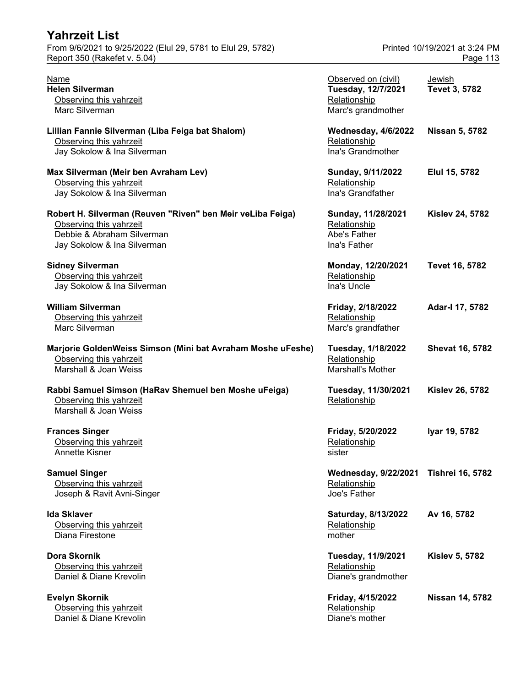| Yahrzeit List                                                                                                                                      |                                                                                 |                                           |
|----------------------------------------------------------------------------------------------------------------------------------------------------|---------------------------------------------------------------------------------|-------------------------------------------|
| From 9/6/2021 to 9/25/2022 (Elul 29, 5781 to Elul 29, 5782)<br>Report 350 (Rakefet v. 5.04)                                                        |                                                                                 | Printed 10/19/2021 at 3:24 PM<br>Page 113 |
| Name<br><b>Helen Silverman</b><br>Observing this yahrzeit<br>Marc Silverman                                                                        | Observed on (civil)<br>Tuesday, 12/7/2021<br>Relationship<br>Marc's grandmother | <b>Jewish</b><br>Tevet 3, 5782            |
| Lillian Fannie Silverman (Liba Feiga bat Shalom)<br>Observing this yahrzeit<br>Jay Sokolow & Ina Silverman                                         | <b>Wednesday, 4/6/2022</b><br>Relationship<br>Ina's Grandmother                 | <b>Nissan 5, 5782</b>                     |
| Max Silverman (Meir ben Avraham Lev)<br>Observing this yahrzeit<br>Jay Sokolow & Ina Silverman                                                     | Sunday, 9/11/2022<br>Relationship<br>Ina's Grandfather                          | Elul 15, 5782                             |
| Robert H. Silverman (Reuven "Riven" ben Meir veLiba Feiga)<br>Observing this yahrzeit<br>Debbie & Abraham Silverman<br>Jay Sokolow & Ina Silverman | Sunday, 11/28/2021<br>Relationship<br>Abe's Father<br>Ina's Father              | <b>Kislev 24, 5782</b>                    |
| <b>Sidney Silverman</b><br>Observing this yahrzeit<br>Jay Sokolow & Ina Silverman                                                                  | Monday, 12/20/2021<br>Relationship<br>Ina's Uncle                               | <b>Tevet 16, 5782</b>                     |
| <b>William Silverman</b><br>Observing this yahrzeit<br>Marc Silverman                                                                              | Friday, 2/18/2022<br>Relationship<br>Marc's grandfather                         | Adar-I 17, 5782                           |
| Marjorie GoldenWeiss Simson (Mini bat Avraham Moshe uFeshe)<br>Observing this yahrzeit<br>Marshall & Joan Weiss                                    | <b>Tuesday, 1/18/2022</b><br>Relationship<br>Marshall's Mother                  | <b>Shevat 16, 5782</b>                    |
| Rabbi Samuel Simson (HaRav Shemuel ben Moshe uFeiga)<br>Observing this yahrzeit<br>Marshall & Joan Weiss                                           | Tuesday, 11/30/2021<br>Relationship                                             | <b>Kislev 26, 5782</b>                    |
| <b>Frances Singer</b><br>Observing this yahrzeit<br>Annette Kisner                                                                                 | Friday, 5/20/2022<br>Relationship<br>sister                                     | Iyar 19, 5782                             |
| <b>Samuel Singer</b><br>Observing this yahrzeit<br>Joseph & Ravit Avni-Singer                                                                      | <b>Wednesday, 9/22/2021</b><br>Relationship<br>Joe's Father                     | <b>Tishrei 16, 5782</b>                   |
| <b>Ida Sklaver</b><br>Observing this yahrzeit<br>Diana Firestone                                                                                   | Saturday, 8/13/2022<br>Relationship<br>mother                                   | Av 16, 5782                               |
| Dora Skornik<br>Observing this yahrzeit<br>Daniel & Diane Krevolin                                                                                 | Tuesday, 11/9/2021<br>Relationship<br>Diane's grandmother                       | <b>Kislev 5, 5782</b>                     |
| <b>Evelyn Skornik</b><br>Observing this yahrzeit<br>Daniel & Diane Krevolin                                                                        | Friday, 4/15/2022<br>Relationship<br>Diane's mother                             | <b>Nissan 14, 5782</b>                    |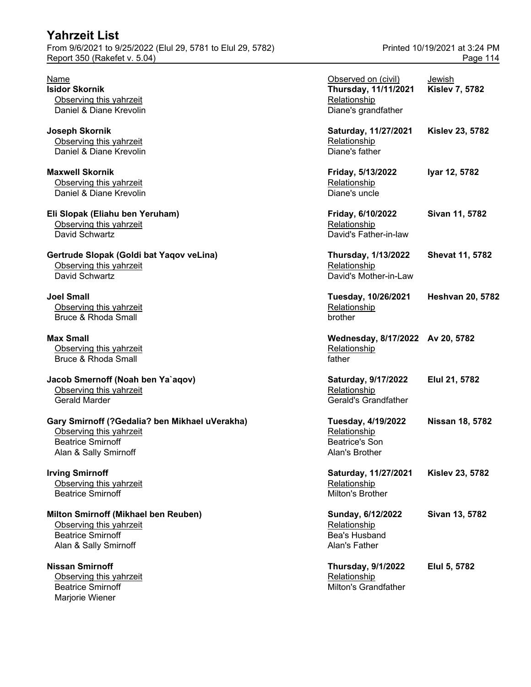| <b>Yahrzeit List</b>                                        |                               |
|-------------------------------------------------------------|-------------------------------|
| From 9/6/2021 to 9/25/2022 (Elul 29, 5781 to Elul 29, 5782) | Printed 10/19/2021 at 3:24 PM |
| Report 350 (Rakefet v. 5.04)                                | Page 114                      |
|                                                             |                               |

| Name<br><b>Isidor Skornik</b><br>Observing this yahrzeit<br>Daniel & Diane Krevolin                                            | Observed on (civil)<br>Thursday, 11/11/2021<br>Relationship<br>Diane's grandfather | <b>Jewish</b><br><b>Kislev 7, 5782</b> |
|--------------------------------------------------------------------------------------------------------------------------------|------------------------------------------------------------------------------------|----------------------------------------|
| Joseph Skornik<br>Observing this yahrzeit<br>Daniel & Diane Krevolin                                                           | Saturday, 11/27/2021<br>Relationship<br>Diane's father                             | <b>Kislev 23, 5782</b>                 |
| <b>Maxwell Skornik</b><br>Observing this yahrzeit<br>Daniel & Diane Krevolin                                                   | Friday, 5/13/2022<br>Relationship<br>Diane's uncle                                 | Iyar 12, 5782                          |
| Eli Slopak (Eliahu ben Yeruham)<br>Observing this yahrzeit<br>David Schwartz                                                   | Friday, 6/10/2022<br>Relationship<br>David's Father-in-law                         | Sivan 11, 5782                         |
| Gertrude Slopak (Goldi bat Yaqov veLina)<br>Observing this yahrzeit<br>David Schwartz                                          | <b>Thursday, 1/13/2022</b><br>Relationship<br>David's Mother-in-Law                | <b>Shevat 11, 5782</b>                 |
| <b>Joel Small</b><br>Observing this yahrzeit<br><b>Bruce &amp; Rhoda Small</b>                                                 | Tuesday, 10/26/2021<br>Relationship<br>brother                                     | <b>Heshvan 20, 5782</b>                |
| <b>Max Small</b><br>Observing this yahrzeit<br><b>Bruce &amp; Rhoda Small</b>                                                  | Wednesday, 8/17/2022 Av 20, 5782<br>Relationship<br>father                         |                                        |
| Jacob Smernoff (Noah ben Ya`aqov)<br>Observing this yahrzeit<br><b>Gerald Marder</b>                                           | Saturday, 9/17/2022<br>Relationship<br>Gerald's Grandfather                        | Elul 21, 5782                          |
| Gary Smirnoff (?Gedalia? ben Mikhael uVerakha)<br>Observing this yahrzeit<br><b>Beatrice Smirnoff</b><br>Alan & Sally Smirnoff | Tuesday, 4/19/2022<br>Relationship<br><b>Beatrice's Son</b><br>Alan's Brother      | Nissan 18, 5782                        |
| <b>Irving Smirnoff</b><br>Observing this yahrzeit<br><b>Beatrice Smirnoff</b>                                                  | Saturday, 11/27/2021<br>Relationship<br>Milton's Brother                           | <b>Kislev 23, 5782</b>                 |
| Milton Smirnoff (Mikhael ben Reuben)<br>Observing this yahrzeit<br><b>Beatrice Smirnoff</b><br>Alan & Sally Smirnoff           | Sunday, 6/12/2022<br>Relationship<br>Bea's Husband<br>Alan's Father                | Sivan 13, 5782                         |
| <b>Nissan Smirnoff</b><br>Observing this yahrzeit<br><b>Beatrice Smirnoff</b><br>Marjorie Wiener                               | <b>Thursday, 9/1/2022</b><br>Relationship<br>Milton's Grandfather                  | Elul 5, 5782                           |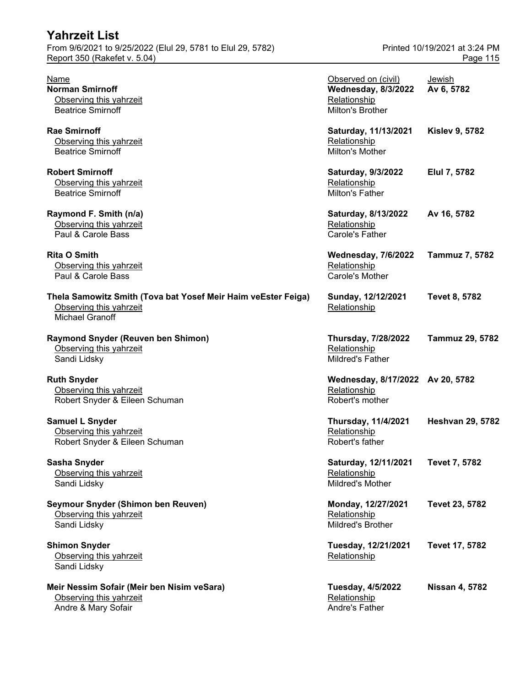| <b>Yahrzeit List</b><br>From 9/6/2021 to 9/25/2022 (Elul 29, 5781 to Elul 29, 5782)                                |                                                                                       | Printed 10/19/2021 at 3:24 PM |
|--------------------------------------------------------------------------------------------------------------------|---------------------------------------------------------------------------------------|-------------------------------|
| Report 350 (Rakefet v. 5.04)                                                                                       |                                                                                       | Page 115                      |
| Name<br><b>Norman Smirnoff</b><br>Observing this yahrzeit<br><b>Beatrice Smirnoff</b>                              | Observed on (civil)<br><b>Wednesday, 8/3/2022</b><br>Relationship<br>Milton's Brother | Jewish<br>Av 6, 5782          |
| <b>Rae Smirnoff</b><br>Observing this yahrzeit<br><b>Beatrice Smirnoff</b>                                         | Saturday, 11/13/2021<br>Relationship<br>Milton's Mother                               | <b>Kislev 9, 5782</b>         |
| <b>Robert Smirnoff</b><br>Observing this yahrzeit<br><b>Beatrice Smirnoff</b>                                      | Saturday, 9/3/2022<br>Relationship<br><b>Milton's Father</b>                          | Elul 7, 5782                  |
| Raymond F. Smith (n/a)<br>Observing this yahrzeit<br>Paul & Carole Bass                                            | Saturday, 8/13/2022<br>Relationship<br>Carole's Father                                | Av 16, 5782                   |
| <b>Rita O Smith</b><br>Observing this yahrzeit<br>Paul & Carole Bass                                               | <b>Wednesday, 7/6/2022</b><br>Relationship<br>Carole's Mother                         | Tammuz 7, 5782                |
| Thela Samowitz Smith (Tova bat Yosef Meir Haim veEster Feiga)<br>Observing this yahrzeit<br><b>Michael Granoff</b> | Sunday, 12/12/2021<br>Relationship                                                    | <b>Tevet 8, 5782</b>          |
| <b>Raymond Snyder (Reuven ben Shimon)</b><br>Observing this yahrzeit<br>Sandi Lidsky                               | <b>Thursday, 7/28/2022</b><br>Relationship<br><b>Mildred's Father</b>                 | <b>Tammuz 29, 5782</b>        |
| <b>Ruth Snyder</b><br>Observing this yahrzeit<br>Robert Snyder & Eileen Schuman                                    | Wednesday, 8/17/2022 Av 20, 5782<br>Relationship<br>Robert's mother                   |                               |
| Samuel L Snyder<br>Observing this yahrzeit<br>Robert Snyder & Eileen Schuman                                       | <b>Thursday, 11/4/2021</b><br>Relationship<br>Robert's father                         | <b>Heshvan 29, 5782</b>       |
| <b>Sasha Snyder</b><br>Observing this yahrzeit<br>Sandi Lidsky                                                     | Saturday, 12/11/2021<br>Relationship<br>Mildred's Mother                              | <b>Tevet 7, 5782</b>          |
| Seymour Snyder (Shimon ben Reuven)<br>Observing this yahrzeit<br>Sandi Lidsky                                      | Monday, 12/27/2021<br>Relationship<br><b>Mildred's Brother</b>                        | Tevet 23, 5782                |
| <b>Shimon Snyder</b><br>Observing this yahrzeit<br>Sandi Lidsky                                                    | Tuesday, 12/21/2021<br>Relationship                                                   | Tevet 17, 5782                |
| Meir Nessim Sofair (Meir ben Nisim veSara)<br>Observing this yahrzeit<br>Andre & Mary Sofair                       | <b>Tuesday, 4/5/2022</b><br>Relationship<br>Andre's Father                            | <b>Nissan 4, 5782</b>         |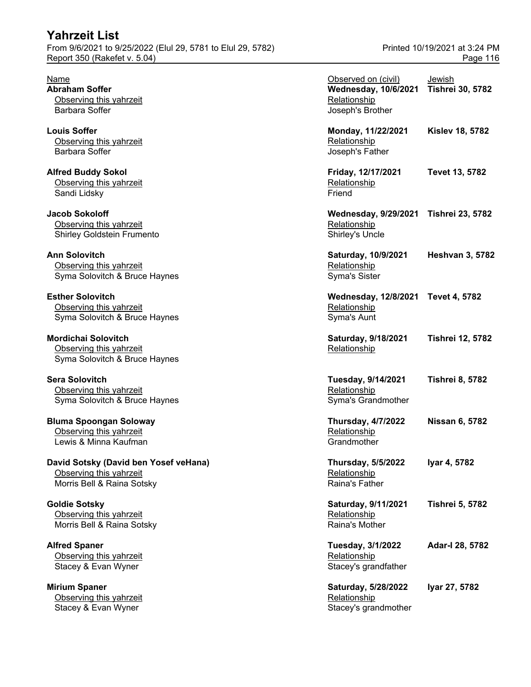### **Yahrzeit List** From 9/6/2021 to 9/25/2022 (Elul 29, 5781 to Elul 29, 5782) Printed 10/19/2021 at 3:24 PM

**Mirium Spaner** Observing this yahrzeit Stacey & Evan Wyner Stacey's grandmother

| Name<br><b>Abraham Soffer</b><br>Observing this yahrzeit<br><b>Barbara Soffer</b>                                | Observed on (civil)<br><b>Wednesday, 10/6/2021</b><br>Relationship<br>Joseph's Brother | Jewish<br><b>Tishrei 30, 5782</b> |
|------------------------------------------------------------------------------------------------------------------|----------------------------------------------------------------------------------------|-----------------------------------|
| <b>Louis Soffer</b><br>Observing this yahrzeit<br><b>Barbara Soffer</b>                                          | Monday, 11/22/2021<br>Relationship<br>Joseph's Father                                  | <b>Kislev 18, 5782</b>            |
| <b>Alfred Buddy Sokol</b><br>Observing this yahrzeit<br>Sandi Lidsky                                             | Friday, 12/17/2021<br>Relationship<br>Friend                                           | Tevet 13, 5782                    |
| <b>Jacob Sokoloff</b><br>Observing this yahrzeit<br>Shirley Goldstein Frumento                                   | <b>Wednesday, 9/29/2021</b><br>Relationship<br>Shirley's Uncle                         | <b>Tishrei 23, 5782</b>           |
| <b>Ann Solovitch</b><br>Observing this yahrzeit<br>Syma Solovitch & Bruce Haynes                                 | Saturday, 10/9/2021<br>Relationship<br><b>Syma's Sister</b>                            | <b>Heshvan 3, 5782</b>            |
| <b>Esther Solovitch</b><br>Observing this yahrzeit<br>Syma Solovitch & Bruce Haynes                              | <b>Wednesday, 12/8/2021</b><br>Relationship<br>Syma's Aunt                             | <b>Tevet 4, 5782</b>              |
| <b>Mordichai Solovitch</b><br>Observing this yahrzeit<br>Syma Solovitch & Bruce Haynes                           | Saturday, 9/18/2021<br>Relationship                                                    | <b>Tishrei 12, 5782</b>           |
| <b>Sera Solovitch</b><br>Observing this yahrzeit<br>Syma Solovitch & Bruce Haynes                                | Tuesday, 9/14/2021<br>Relationship<br>Syma's Grandmother                               | <b>Tishrei 8, 5782</b>            |
| <b>Bluma Spoongan Soloway</b><br>Observing this yahrzeit<br>Lewis & Minna Kaufman                                | <b>Thursday, 4/7/2022</b><br>Relationship<br>Grandmother                               | <b>Nissan 6, 5782</b>             |
| David Sotsky (David ben Yosef veHana)<br>Observing this yahrzeit<br>Morris Bell & Raina Sotsky                   | <b>Thursday, 5/5/2022</b><br>Relationship<br>Raina's Father                            | Iyar 4, 5782                      |
| <b>Goldie Sotsky</b><br>Observing this yahrzeit<br>Morris Bell & Raina Sotsky                                    | Saturday, 9/11/2021<br>Relationship<br>Raina's Mother                                  | <b>Tishrei 5, 5782</b>            |
| <b>Alfred Spaner</b><br>Observing this yahrzeit<br>Stacey & Evan Wyner                                           | Tuesday, 3/1/2022<br>Relationship<br>Stacey's grandfather                              | Adar-I 28, 5782                   |
| <b>Mirium Spaner</b><br>Observing this yahrzeit<br>$C_{\text{faoan}}$ $0 \Gamma_{\text{tone}}$ $M_{\text{tone}}$ | Saturday, 5/28/2022<br>Relationship                                                    | Iyar 27, 5782                     |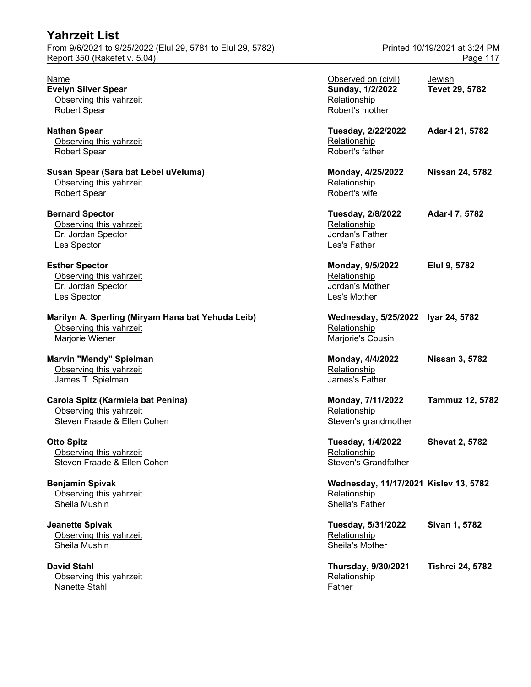| Name                                              | Observed on (civil)                   | <b>Jewish</b>           |
|---------------------------------------------------|---------------------------------------|-------------------------|
| <b>Evelyn Silver Spear</b>                        | Sunday, 1/2/2022                      | Tevet 29, 5782          |
| Observing this yahrzeit                           | Relationship                          |                         |
| <b>Robert Spear</b>                               | Robert's mother                       |                         |
| <b>Nathan Spear</b>                               | Tuesday, 2/22/2022                    | Adar-I 21, 5782         |
| Observing this yahrzeit                           | Relationship                          |                         |
| <b>Robert Spear</b>                               | Robert's father                       |                         |
| Susan Spear (Sara bat Lebel uVeluma)              | Monday, 4/25/2022                     | <b>Nissan 24, 5782</b>  |
| Observing this yahrzeit                           | Relationship                          |                         |
| <b>Robert Spear</b>                               | Robert's wife                         |                         |
| <b>Bernard Spector</b>                            | <b>Tuesday, 2/8/2022</b>              | Adar-I 7, 5782          |
| Observing this yahrzeit                           | Relationship                          |                         |
| Dr. Jordan Spector                                | Jordan's Father                       |                         |
| Les Spector                                       | Les's Father                          |                         |
| <b>Esther Spector</b>                             | Monday, 9/5/2022                      | Elul 9, 5782            |
| Observing this yahrzeit                           | Relationship                          |                         |
| Dr. Jordan Spector                                | Jordan's Mother                       |                         |
| Les Spector                                       | Les's Mother                          |                         |
| Marilyn A. Sperling (Miryam Hana bat Yehuda Leib) | Wednesday, 5/25/2022 Iyar 24, 5782    |                         |
| Observing this yahrzeit                           | Relationship                          |                         |
| Marjorie Wiener                                   | Marjorie's Cousin                     |                         |
|                                                   |                                       |                         |
| Marvin "Mendy" Spielman                           | Monday, 4/4/2022                      | <b>Nissan 3, 5782</b>   |
| Observing this yahrzeit                           | Relationship                          |                         |
| James T. Spielman                                 | James's Father                        |                         |
| Carola Spitz (Karmiela bat Penina)                | Monday, 7/11/2022                     | <b>Tammuz 12, 5782</b>  |
| Observing this yahrzeit                           | Relationship                          |                         |
| Steven Fraade & Ellen Cohen                       | Steven's grandmother                  |                         |
| Otto Spitz                                        | <b>Tuesday, 1/4/2022</b>              | <b>Shevat 2, 5782</b>   |
| Observing this yahrzeit                           | Relationship                          |                         |
| Steven Fraade & Ellen Cohen                       | Steven's Grandfather                  |                         |
| <b>Benjamin Spivak</b>                            | Wednesday, 11/17/2021 Kislev 13, 5782 |                         |
| Observing this yahrzeit                           | Relationship                          |                         |
| Sheila Mushin                                     | Sheila's Father                       |                         |
| <b>Jeanette Spivak</b>                            | Tuesday, 5/31/2022                    | Sivan 1, 5782           |
| Observing this yahrzeit                           | Relationship                          |                         |
| Sheila Mushin                                     | Sheila's Mother                       |                         |
| <b>David Stahl</b>                                | <b>Thursday, 9/30/2021</b>            | <b>Tishrei 24, 5782</b> |
| Observing this yahrzeit                           | Relationship                          |                         |
| Nanette Stahl                                     | Father                                |                         |
|                                                   |                                       |                         |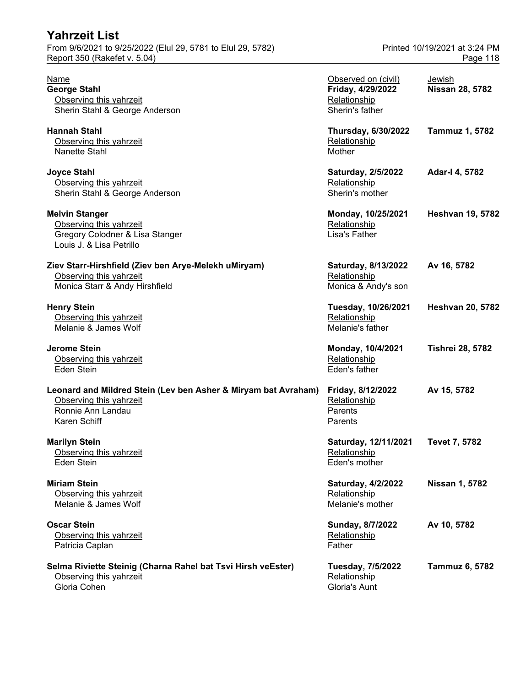| <b>Yahrzeit List</b>                                                                                                           |                                                                             |                               |
|--------------------------------------------------------------------------------------------------------------------------------|-----------------------------------------------------------------------------|-------------------------------|
| From 9/6/2021 to 9/25/2022 (Elul 29, 5781 to Elul 29, 5782)                                                                    |                                                                             | Printed 10/19/2021 at 3:24 PM |
| Report 350 (Rakefet v. 5.04)                                                                                                   |                                                                             | Page 118                      |
| Name<br><b>George Stahl</b><br>Observing this yahrzeit<br>Sherin Stahl & George Anderson                                       | Observed on (civil)<br>Friday, 4/29/2022<br>Relationship<br>Sherin's father | Jewish<br>Nissan 28, 5782     |
| <b>Hannah Stahl</b><br>Observing this yahrzeit<br>Nanette Stahl                                                                | <b>Thursday, 6/30/2022</b><br>Relationship<br>Mother                        | Tammuz 1, 5782                |
| <b>Joyce Stahl</b><br>Observing this yahrzeit<br>Sherin Stahl & George Anderson                                                | Saturday, 2/5/2022<br>Relationship<br>Sherin's mother                       | Adar-I 4, 5782                |
| <b>Melvin Stanger</b><br>Observing this yahrzeit<br>Gregory Colodner & Lisa Stanger<br>Louis J. & Lisa Petrillo                | Monday, 10/25/2021<br>Relationship<br>Lisa's Father                         | <b>Heshvan 19, 5782</b>       |
| Ziev Starr-Hirshfield (Ziev ben Arye-Melekh uMiryam)<br>Observing this yahrzeit<br>Monica Starr & Andy Hirshfield              | Saturday, 8/13/2022<br>Relationship<br>Monica & Andy's son                  | Av 16, 5782                   |
| <b>Henry Stein</b><br>Observing this yahrzeit<br>Melanie & James Wolf                                                          | Tuesday, 10/26/2021<br>Relationship<br>Melanie's father                     | <b>Heshvan 20, 5782</b>       |
| <b>Jerome Stein</b><br>Observing this yahrzeit<br>Eden Stein                                                                   | Monday, 10/4/2021<br>Relationship<br>Eden's father                          | <b>Tishrei 28, 5782</b>       |
| Leonard and Mildred Stein (Lev ben Asher & Miryam bat Avraham)<br>Observing this yahrzeit<br>Ronnie Ann Landau<br>Karen Schiff | Friday, 8/12/2022<br>Relationship<br>Parents<br>Parents                     | Av 15, 5782                   |
| <b>Marilyn Stein</b><br>Observing this yahrzeit<br>Eden Stein                                                                  | Saturday, 12/11/2021<br>Relationship<br>Eden's mother                       | Tevet 7, 5782                 |
| <b>Miriam Stein</b><br>Observing this yahrzeit<br>Melanie & James Wolf                                                         | <b>Saturday, 4/2/2022</b><br>Relationship<br>Melanie's mother               | <b>Nissan 1, 5782</b>         |
| <b>Oscar Stein</b><br>Observing this yahrzeit<br>Patricia Caplan                                                               | Sunday, 8/7/2022<br>Relationship<br>Father                                  | Av 10, 5782                   |
| Selma Riviette Steinig (Charna Rahel bat Tsvi Hirsh veEster)<br>Observing this yahrzeit<br>Gloria Cohen                        | <b>Tuesday, 7/5/2022</b><br>Relationship<br>Gloria's Aunt                   | Tammuz 6, 5782                |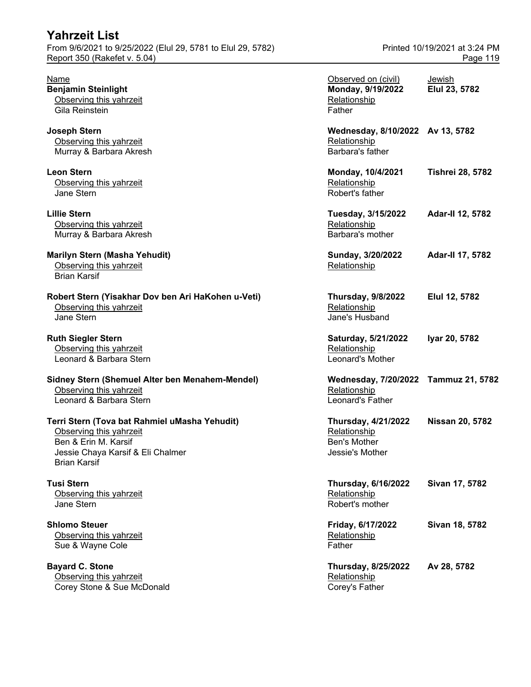| <b>Yahrzeit List</b><br>From 9/6/2021 to 9/25/2022 (Elul 29, 5781 to Elul 29, 5782)<br>Report 350 (Rakefet v. 5.04)                                          |                                                                          | Printed 10/19/2021 at 3:24 PM<br>Page 119 |
|--------------------------------------------------------------------------------------------------------------------------------------------------------------|--------------------------------------------------------------------------|-------------------------------------------|
| Name<br><b>Benjamin Steinlight</b><br>Observing this yahrzeit<br>Gila Reinstein                                                                              | Observed on (civil)<br>Monday, 9/19/2022<br>Relationship<br>Father       | Jewish<br>Elul 23, 5782                   |
| <b>Joseph Stern</b><br>Observing this yahrzeit<br>Murray & Barbara Akresh                                                                                    | Wednesday, 8/10/2022 Av 13, 5782<br>Relationship<br>Barbara's father     |                                           |
| <b>Leon Stern</b><br>Observing this yahrzeit<br>Jane Stern                                                                                                   | Monday, 10/4/2021<br>Relationship<br>Robert's father                     | <b>Tishrei 28, 5782</b>                   |
| <b>Lillie Stern</b><br>Observing this yahrzeit<br>Murray & Barbara Akresh                                                                                    | Tuesday, 3/15/2022<br>Relationship<br>Barbara's mother                   | Adar-II 12, 5782                          |
| Marilyn Stern (Masha Yehudit)<br>Observing this yahrzeit<br><b>Brian Karsif</b>                                                                              | Sunday, 3/20/2022<br>Relationship                                        | Adar-II 17, 5782                          |
| Robert Stern (Yisakhar Dov ben Ari HaKohen u-Veti)<br>Observing this yahrzeit<br>Jane Stern                                                                  | <b>Thursday, 9/8/2022</b><br>Relationship<br>Jane's Husband              | Elul 12, 5782                             |
| <b>Ruth Siegler Stern</b><br>Observing this yahrzeit<br>Leonard & Barbara Stern                                                                              | Saturday, 5/21/2022<br>Relationship<br>Leonard's Mother                  | Iyar 20, 5782                             |
| Sidney Stern (Shemuel Alter ben Menahem-Mendel)<br>Observing this yahrzeit<br>Leonard & Barbara Stern                                                        | Wednesday, 7/20/2022 Tammuz 21, 5782<br>Relationship<br>Leonard's Father |                                           |
| Terri Stern (Tova bat Rahmiel uMasha Yehudit)<br>Observing this yahrzeit<br>Ben & Erin M. Karsif<br>Jessie Chaya Karsif & Eli Chalmer<br><b>Brian Karsif</b> | Thursday, 4/21/2022<br>Relationship<br>Ben's Mother<br>Jessie's Mother   | <b>Nissan 20, 5782</b>                    |
| <b>Tusi Stern</b><br>Observing this yahrzeit<br>Jane Stern                                                                                                   | <b>Thursday, 6/16/2022</b><br>Relationship<br>Robert's mother            | Sivan 17, 5782                            |
| <b>Shlomo Steuer</b><br>Observing this yahrzeit<br>Sue & Wayne Cole                                                                                          | Friday, 6/17/2022<br>Relationship<br>Father                              | Sivan 18, 5782                            |
| <b>Bayard C. Stone</b><br>Observing this yahrzeit                                                                                                            | <b>Thursday, 8/25/2022</b><br>Relationship                               | Av 28, 5782                               |

Corey Stone & Sue McDonald Corey's Father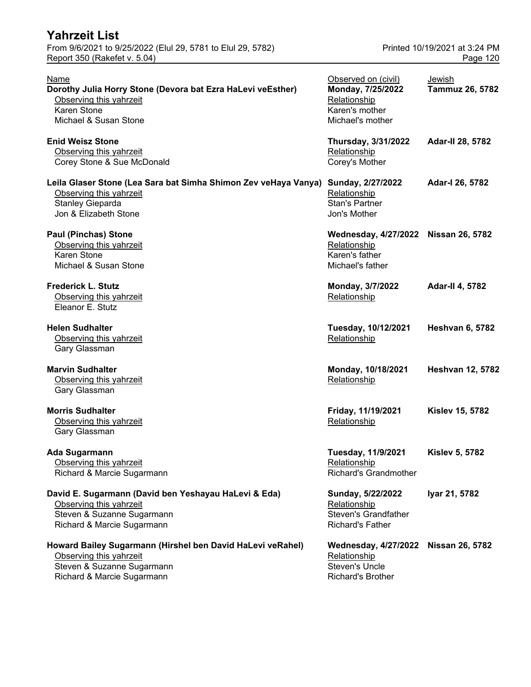| <b>Yahrzeit List</b><br>From 9/6/2021 to 9/25/2022 (Elul 29, 5781 to Elul 29, 5782)                                                               |                                                                                                  | Printed 10/19/2021 at 3:24 PM |
|---------------------------------------------------------------------------------------------------------------------------------------------------|--------------------------------------------------------------------------------------------------|-------------------------------|
| Report 350 (Rakefet v. 5.04)                                                                                                                      |                                                                                                  | Page 120                      |
| <b>Name</b><br>Dorothy Julia Horry Stone (Devora bat Ezra HaLevi veEsther)<br>Observing this yahrzeit<br>Karen Stone<br>Michael & Susan Stone     | Observed on (civil)<br>Monday, 7/25/2022<br>Relationship<br>Karen's mother<br>Michael's mother   | Jewish<br>Tammuz 26, 5782     |
| <b>Enid Weisz Stone</b><br>Observing this yahrzeit<br>Corey Stone & Sue McDonald                                                                  | Thursday, 3/31/2022<br>Relationship<br>Corey's Mother                                            | Adar-II 28, 5782              |
| Leila Glaser Stone (Lea Sara bat Simha Shimon Zev veHaya Vanya)<br>Observing this yahrzeit<br>Stanley Gieparda<br>Jon & Elizabeth Stone           | Sunday, 2/27/2022<br>Relationship<br><b>Stan's Partner</b><br>Jon's Mother                       | Adar-I 26, 5782               |
| <b>Paul (Pinchas) Stone</b><br>Observing this yahrzeit<br>Karen Stone<br>Michael & Susan Stone                                                    | <b>Wednesday, 4/27/2022</b><br>Relationship<br>Karen's father<br>Michael's father                | <b>Nissan 26, 5782</b>        |
| <b>Frederick L. Stutz</b><br>Observing this yahrzeit<br>Eleanor E. Stutz                                                                          | Monday, 3/7/2022<br>Relationship                                                                 | <b>Adar-II 4, 5782</b>        |
| <b>Helen Sudhalter</b><br>Observing this yahrzeit<br>Gary Glassman                                                                                | Tuesday, 10/12/2021<br>Relationship                                                              | <b>Heshvan 6, 5782</b>        |
| <b>Marvin Sudhalter</b><br>Observing this yahrzeit<br>Gary Glassman                                                                               | Monday, 10/18/2021<br>Relationship                                                               | <b>Heshvan 12, 5782</b>       |
| <b>Morris Sudhalter</b><br>Observing this yahrzeit<br>Gary Glassman                                                                               | Friday, 11/19/2021<br>Relationship                                                               | <b>Kislev 15, 5782</b>        |
| <b>Ada Sugarmann</b><br>Observing this yahrzeit<br>Richard & Marcie Sugarmann                                                                     | <b>Tuesday, 11/9/2021</b><br>Relationship<br><b>Richard's Grandmother</b>                        | <b>Kislev 5, 5782</b>         |
| David E. Sugarmann (David ben Yeshayau HaLevi & Eda)<br>Observing this yahrzeit<br>Steven & Suzanne Sugarmann<br>Richard & Marcie Sugarmann       | Sunday, 5/22/2022<br>Relationship<br><b>Steven's Grandfather</b><br><b>Richard's Father</b>      | Iyar 21, 5782                 |
| Howard Bailey Sugarmann (Hirshel ben David HaLevi veRahel)<br>Observing this yahrzeit<br>Steven & Suzanne Sugarmann<br>Richard & Marcie Sugarmann | <b>Wednesday, 4/27/2022</b><br>Relationship<br><b>Steven's Uncle</b><br><b>Richard's Brother</b> | <b>Nissan 26, 5782</b>        |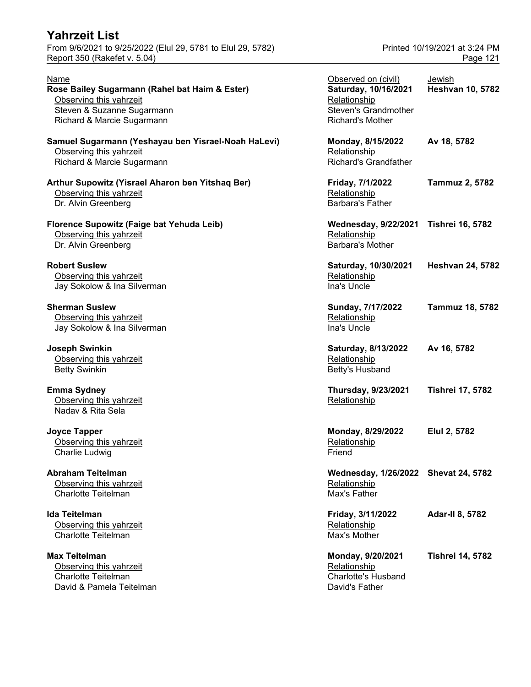From 9/6/2021 to 9/25/2022 (Elul 29, 5781 to Elul 29, 5782) Printed 10/19/2021 at 3:24 PM Report 350 (Rakefet v. 5.04) **Page 121** 

| Name<br>Rose Bailey Sugarmann (Rahel bat Haim & Ester)<br>Observing this yahrzeit<br>Steven & Suzanne Sugarmann<br>Richard & Marcie Sugarmann | Observed on (civil)<br>Saturday, 10/16/2021<br>Relationship<br>Steven's Grandmother<br>Richard's Mother | Jewish<br><b>Heshvan 10, 5782</b> |
|-----------------------------------------------------------------------------------------------------------------------------------------------|---------------------------------------------------------------------------------------------------------|-----------------------------------|
| Samuel Sugarmann (Yeshayau ben Yisrael-Noah HaLevi)<br>Observing this yahrzeit<br>Richard & Marcie Sugarmann                                  | Monday, 8/15/2022<br>Relationship<br><b>Richard's Grandfather</b>                                       | Av 18, 5782                       |
| Arthur Supowitz (Yisrael Aharon ben Yitshaq Ber)<br>Observing this yahrzeit<br>Dr. Alvin Greenberg                                            | Friday, 7/1/2022<br>Relationship<br><b>Barbara's Father</b>                                             | Tammuz 2, 5782                    |
| Florence Supowitz (Faige bat Yehuda Leib)<br>Observing this yahrzeit<br>Dr. Alvin Greenberg                                                   | <b>Wednesday, 9/22/2021</b><br>Relationship<br><b>Barbara's Mother</b>                                  | <b>Tishrei 16, 5782</b>           |
| <b>Robert Suslew</b><br>Observing this yahrzeit<br>Jay Sokolow & Ina Silverman                                                                | Saturday, 10/30/2021<br>Relationship<br>Ina's Uncle                                                     | <b>Heshvan 24, 5782</b>           |
| <b>Sherman Suslew</b><br>Observing this yahrzeit<br>Jay Sokolow & Ina Silverman                                                               | Sunday, 7/17/2022<br>Relationship<br>Ina's Uncle                                                        | <b>Tammuz 18, 5782</b>            |
| <b>Joseph Swinkin</b><br>Observing this yahrzeit<br><b>Betty Swinkin</b>                                                                      | Saturday, 8/13/2022<br>Relationship<br>Betty's Husband                                                  | Av 16, 5782                       |
| <b>Emma Sydney</b><br>Observing this yahrzeit<br>Naday & Rita Sela                                                                            | Thursday, 9/23/2021<br>Relationship                                                                     | <b>Tishrei 17, 5782</b>           |
| <b>Joyce Tapper</b><br>Observing this yahrzeit<br>Charlie Ludwig                                                                              | Monday, 8/29/2022<br>Relationship<br>Friend                                                             | Elul 2, 5782                      |
| <b>Abraham Teitelman</b><br>Observing this yahrzeit<br><b>Charlotte Teitelman</b>                                                             | Wednesday, 1/26/2022 Shevat 24, 5782<br>Relationship<br>Max's Father                                    |                                   |
| <b>Ida Teitelman</b><br>Observing this yahrzeit<br><b>Charlotte Teitelman</b>                                                                 | Friday, 3/11/2022<br>Relationship<br>Max's Mother                                                       | <b>Adar-II 8, 5782</b>            |
| <b>Max Teitelman</b><br>Observing this yahrzeit<br>Charlotte Teitelman                                                                        | Monday, 9/20/2021<br>Relationship<br><b>Charlotte's Husband</b>                                         | <b>Tishrei 14, 5782</b>           |

David & Pamela Teitelman David's Father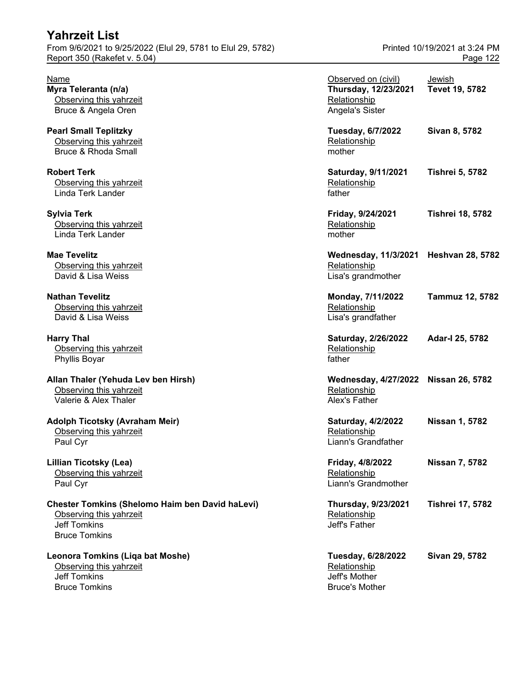| ו פווובטונ ∟וסנ<br>From 9/6/2021 to 9/25/2022 (Elul 29, 5781 to Elul 29, 5782)<br>Report 350 (Rakefet v. 5.04)                   | Printed 10/19/2021 at 3:24 PM<br>Page 122                                      |                          |
|----------------------------------------------------------------------------------------------------------------------------------|--------------------------------------------------------------------------------|--------------------------|
| Name<br>Myra Teleranta (n/a)<br>Observing this yahrzeit<br>Bruce & Angela Oren                                                   | Observed on (civil)<br>Thursday, 12/23/2021<br>Relationship<br>Angela's Sister | Jewish<br>Tevet 19, 5782 |
| <b>Pearl Small Teplitzky</b><br>Observing this yahrzeit<br><b>Bruce &amp; Rhoda Small</b>                                        | Tuesday, 6/7/2022<br>Relationship<br>mother                                    | Sivan 8, 5782            |
| <b>Robert Terk</b><br>Observing this yahrzeit<br>Linda Terk Lander                                                               | Saturday, 9/11/2021<br>Relationship<br>father                                  | <b>Tishrei 5, 5782</b>   |
| <b>Sylvia Terk</b><br>Observing this yahrzeit<br>Linda Terk Lander                                                               | Friday, 9/24/2021<br>Relationship<br>mother                                    | <b>Tishrei 18, 5782</b>  |
| <b>Mae Tevelitz</b><br>Observing this yahrzeit<br>David & Lisa Weiss                                                             | Wednesday, 11/3/2021 Heshvan 28, 5782<br>Relationship<br>Lisa's grandmother    |                          |
| <b>Nathan Tevelitz</b><br>Observing this yahrzeit<br>David & Lisa Weiss                                                          | Monday, 7/11/2022<br>Relationship<br>Lisa's grandfather                        | <b>Tammuz 12, 5782</b>   |
| <b>Harry Thal</b><br>Observing this yahrzeit<br>Phyllis Boyar                                                                    | Saturday, 2/26/2022<br>Relationship<br>father                                  | Adar-I 25, 5782          |
| Allan Thaler (Yehuda Lev ben Hirsh)<br>Observing this yahrzeit<br>Valerie & Alex Thaler                                          | Wednesday, 4/27/2022 Nissan 26, 5782<br>Relationship<br>Alex's Father          |                          |
| Adolph Ticotsky (Avraham Meir)<br>Observing this yahrzeit<br>Paul Cyr                                                            | <b>Saturday, 4/2/2022</b><br>Relationship<br>Liann's Grandfather               | <b>Nissan 1, 5782</b>    |
| <b>Lillian Ticotsky (Lea)</b><br>Observing this yahrzeit<br>Paul Cyr                                                             | Friday, 4/8/2022<br>Relationship<br>Liann's Grandmother                        | <b>Nissan 7, 5782</b>    |
| <b>Chester Tomkins (Shelomo Haim ben David haLevi)</b><br>Observing this yahrzeit<br><b>Jeff Tomkins</b><br><b>Bruce Tomkins</b> | Thursday, 9/23/2021<br>Relationship<br>Jeff's Father                           | <b>Tishrei 17, 5782</b>  |
| Leonora Tomkins (Liqa bat Moshe)<br>Observing this yahrzeit<br><b>Jeff Tomkins</b>                                               | Tuesday, 6/28/2022<br>Relationship<br>Jeff's Mother                            | Sivan 29, 5782           |

Bruce Tomkins **Bruce's Mother** 

**Yahrzeit List**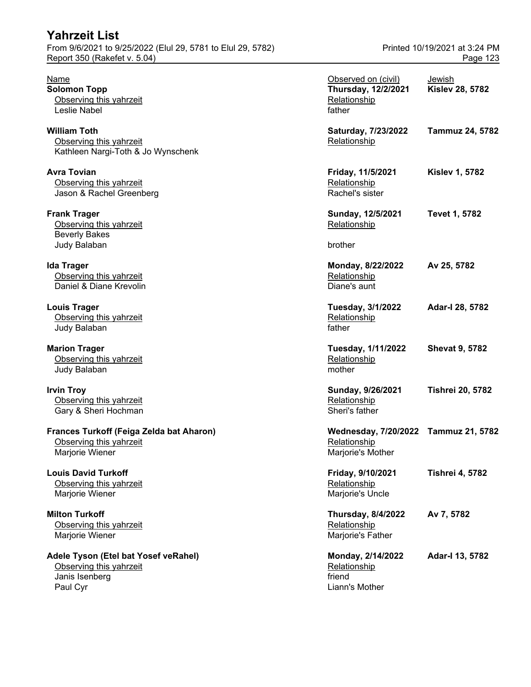| Yahrzeit List                                                                               |                                                                           |                                           |
|---------------------------------------------------------------------------------------------|---------------------------------------------------------------------------|-------------------------------------------|
| From 9/6/2021 to 9/25/2022 (Elul 29, 5781 to Elul 29, 5782)<br>Report 350 (Rakefet v. 5.04) |                                                                           | Printed 10/19/2021 at 3:24 PM<br>Page 123 |
| Name<br><b>Solomon Topp</b><br>Observing this yahrzeit<br>Leslie Nabel                      | Observed on (civil)<br>Thursday, 12/2/2021<br>Relationship<br>father      | <u>Jewish</u><br><b>Kislev 28, 5782</b>   |
| <b>William Toth</b><br>Observing this yahrzeit<br>Kathleen Nargi-Toth & Jo Wynschenk        | Saturday, 7/23/2022<br>Relationship                                       | <b>Tammuz 24, 5782</b>                    |
| <b>Avra Tovian</b><br>Observing this yahrzeit<br>Jason & Rachel Greenberg                   | Friday, 11/5/2021<br>Relationship<br>Rachel's sister                      | <b>Kislev 1, 5782</b>                     |
| <b>Frank Trager</b><br>Observing this yahrzeit<br><b>Beverly Bakes</b>                      | Sunday, 12/5/2021<br>Relationship                                         | <b>Tevet 1, 5782</b>                      |
| Judy Balaban                                                                                | brother                                                                   |                                           |
| <b>Ida Trager</b><br>Observing this yahrzeit<br>Daniel & Diane Krevolin                     | Monday, 8/22/2022<br>Relationship<br>Diane's aunt                         | Av 25, 5782                               |
| <b>Louis Trager</b><br>Observing this yahrzeit<br>Judy Balaban                              | <b>Tuesday, 3/1/2022</b><br>Relationship<br>father                        | Adar-I 28, 5782                           |
| <b>Marion Trager</b><br>Observing this yahrzeit<br>Judy Balaban                             | Tuesday, 1/11/2022<br>Relationship<br>mother                              | <b>Shevat 9, 5782</b>                     |
| <b>Irvin Troy</b><br>Observing this yahrzeit<br>Gary & Sheri Hochman                        | Sunday, 9/26/2021<br>Relationship<br>Sheri's father                       | <b>Tishrei 20, 5782</b>                   |
| Frances Turkoff (Feiga Zelda bat Aharon)<br>Observing this yahrzeit<br>Marjorie Wiener      | Wednesday, 7/20/2022 Tammuz 21, 5782<br>Relationship<br>Marjorie's Mother |                                           |
| <b>Louis David Turkoff</b><br>Observing this yahrzeit<br>Marjorie Wiener                    | Friday, 9/10/2021<br>Relationship<br>Marjorie's Uncle                     | <b>Tishrei 4, 5782</b>                    |
| <b>Milton Turkoff</b><br>Observing this yahrzeit<br>Marjorie Wiener                         | <b>Thursday, 8/4/2022</b><br>Relationship<br>Marjorie's Father            | Av 7, 5782                                |
| Adele Tyson (Etel bat Yosef veRahel)<br>Observing this yahrzeit                             | Monday, 2/14/2022<br>Relationship                                         | Adar-I 13, 5782                           |

Paul Cyr Liann's Mother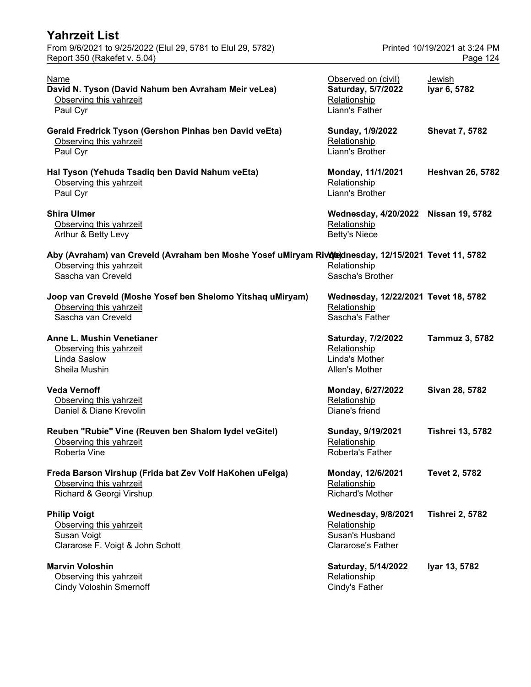| Yahrzeit List                                                                                                                                        |                                                                                            |                                           |
|------------------------------------------------------------------------------------------------------------------------------------------------------|--------------------------------------------------------------------------------------------|-------------------------------------------|
| From 9/6/2021 to 9/25/2022 (Elul 29, 5781 to Elul 29, 5782)<br>Report 350 (Rakefet v. 5.04)                                                          |                                                                                            | Printed 10/19/2021 at 3:24 PM<br>Page 124 |
| <b>Name</b><br>David N. Tyson (David Nahum ben Avraham Meir veLea)<br>Observing this yahrzeit<br>Paul Cyr                                            | Observed on (civil)<br>Saturday, 5/7/2022<br>Relationship<br>Liann's Father                | Jewish<br>Iyar 6, 5782                    |
| Gerald Fredrick Tyson (Gershon Pinhas ben David veEta)<br>Observing this yahrzeit<br>Paul Cyr                                                        | Sunday, 1/9/2022<br>Relationship<br>Liann's Brother                                        | <b>Shevat 7, 5782</b>                     |
| Hal Tyson (Yehuda Tsadiq ben David Nahum veEta)<br>Observing this yahrzeit<br>Paul Cyr                                                               | Monday, 11/1/2021<br>Relationship<br>Liann's Brother                                       | <b>Heshvan 26, 5782</b>                   |
| <b>Shira Ulmer</b><br>Observing this yahrzeit<br>Arthur & Betty Levy                                                                                 | Wednesday, 4/20/2022 Nissan 19, 5782<br>Relationship<br><b>Betty's Niece</b>               |                                           |
| Aby (Avraham) van Creveld (Avraham ben Moshe Yosef uMiryam Rivotednesday, 12/15/2021 Tevet 11, 5782<br>Observing this yahrzeit<br>Sascha van Creveld | Relationship<br>Sascha's Brother                                                           |                                           |
| Joop van Creveld (Moshe Yosef ben Shelomo Yitshaq uMiryam)<br>Observing this yahrzeit<br>Sascha van Creveld                                          | Wednesday, 12/22/2021 Tevet 18, 5782<br>Relationship<br>Sascha's Father                    |                                           |
| Anne L. Mushin Venetianer<br>Observing this yahrzeit<br>Linda Saslow<br>Sheila Mushin                                                                | Saturday, 7/2/2022<br>Relationship<br>Linda's Mother<br>Allen's Mother                     | Tammuz 3, 5782                            |
| <b>Veda Vernoff</b><br>Observing this yahrzeit<br>Daniel & Diane Krevolin                                                                            | Monday, 6/27/2022<br>Relationship<br>Diane's friend                                        | Sivan 28, 5782                            |
| Reuben "Rubie" Vine (Reuven ben Shalom lydel veGitel)<br>Observing this yahrzeit<br>Roberta Vine                                                     | Sunday, 9/19/2021<br>Relationship<br>Roberta's Father                                      | <b>Tishrei 13, 5782</b>                   |
| Freda Barson Virshup (Frida bat Zev Volf HaKohen uFeiga)<br>Observing this yahrzeit<br>Richard & Georgi Virshup                                      | Monday, 12/6/2021<br>Relationship<br><b>Richard's Mother</b>                               | <b>Tevet 2, 5782</b>                      |
| <b>Philip Voigt</b><br>Observing this yahrzeit<br>Susan Voigt<br>Clararose F. Voigt & John Schott                                                    | <b>Wednesday, 9/8/2021</b><br>Relationship<br>Susan's Husband<br><b>Clararose's Father</b> | <b>Tishrei 2, 5782</b>                    |
| <b>Marvin Voloshin</b><br>Observing this yahrzeit<br><b>Cindy Voloshin Smernoff</b>                                                                  | Saturday, 5/14/2022<br>Relationship<br>Cindy's Father                                      | Iyar 13, 5782                             |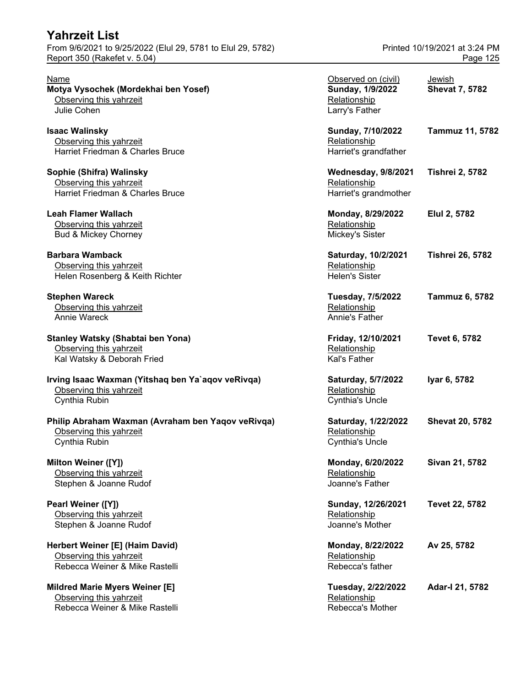Name Observed on (civil) Jewish **Motya Vysochek (Mordekhai ben Yosef)** Observing this yahrzeit Julie Cohen

**Isaac Walinsky** Observing this yahrzeit Harriet Friedman & Charles Bruce

**Sophie (Shifra) Walinsky** Observing this yahrzeit Harriet Friedman & Charles Bruce

**Leah Flamer Wallach** Observing this yahrzeit Bud & Mickey Chorney

**Barbara Wamback** Observing this yahrzeit Helen Rosenberg & Keith Richter

**Stephen Wareck** Observing this yahrzeit Annie Wareck

**Stanley Watsky (Shabtai ben Yona)** Observing this yahrzeit Kal Watsky & Deborah Fried

**Irving Isaac Waxman (Yitshaq ben Ya`aqov veRivqa)** Observing this yahrzeit Cynthia Rubin

**Philip Abraham Waxman (Avraham ben Yaqov veRivqa)** Observing this yahrzeit Cynthia Rubin

**Milton Weiner ([Y])** Observing this yahrzeit Stephen & Joanne Rudof

**Pearl Weiner ([Y])** Observing this yahrzeit Stephen & Joanne Rudof

**Herbert Weiner [E] (Haim David)** Observing this yahrzeit Rebecca Weiner & Mike Rastelli

**Mildred Marie Myers Weiner [E]** Observing this yahrzeit Rebecca Weiner & Mike Rastelli **Rebecca's Mother** Rebecca's Mother

| Observed on (civil)<br>Sunday, 1/9/2022<br>Relationship<br>Larry's Father | <u>Jewish</u><br><b>Shevat 7, 5782</b> |
|---------------------------------------------------------------------------|----------------------------------------|
| Sunday, 7/10/2022<br>Relationship<br>Harriet's grandfather                | <b>Tammuz 11, 5782</b>                 |
| <b>Wednesday, 9/8/2021</b><br>Relationship<br>Harriet's grandmother       | <b>Tishrei 2, 5782</b>                 |
| Monday, 8/29/2022<br>Relationship<br>Mickey's Sister                      | Elul 2, 5782                           |
| Saturday, 10/2/2021<br>Relationship<br><b>Helen's Sister</b>              | <b>Tishrei 26, 5782</b>                |
| Tuesday, 7/5/2022<br>Relationship<br>Annie's Father                       | <b>Tammuz 6, 5782</b>                  |
| Friday, 12/10/2021<br>Relationship<br>Kal's Father                        | Tevet 6, 5782                          |
| Saturday, 5/7/2022<br><b>Relationship</b><br><b>Cynthia's Uncle</b>       | Iyar 6, 5782                           |
| Saturday, 1/22/2022<br>Relationship<br><b>Cynthia's Uncle</b>             | <b>Shevat 20, 5782</b>                 |
| Monday, 6/20/2022<br>Relationship<br>Joanne's Father                      | Sivan 21, 5782                         |
| Sunday, 12/26/2021<br>Relationship<br>Joanne's Mother                     | <b>Tevet 22, 5782</b>                  |
| Monday, 8/22/2022<br>Relationship<br>Rebecca's father                     | Av 25, 5782                            |
| Tuesday, 2/22/2022<br>Relationship                                        | Adar-I 21, 5782                        |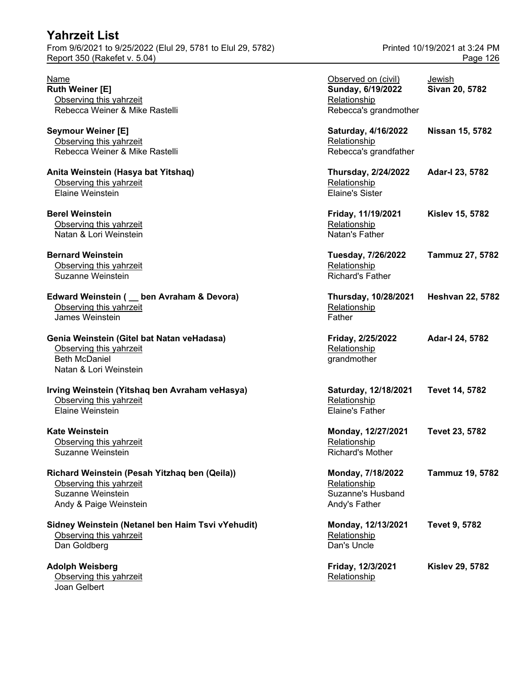#### **Edward Weinstein ( \_ ben Avraham & Devora)** Observing this yahrzeit James Weinstein

### **Genia Weinstein (Gitel bat Natan veHadasa)**

#### **Irving Weinstein (Yitshaq ben Avraham veHasya)** Observing this yahrzeit Elaine Weinstein

#### **Richard Weinstein (Pesah Yitzhaq ben (Qeila))** Observing this yahrzeit

#### **Sidney Weinstein (Netanel ben Haim Tsvi vYehudit)** Observing this yahrzeit Dan Goldberg

**Adolph Weisberg** Observing this yahrzeit **Relationship Relationship Relationship** Joan Gelbert

| Name<br>Ruth Weiner [E]<br>Observing this yahrzeit<br>Rebecca Weiner & Mike Rastelli                                    | Observed on (civil)<br>Sunday, 6/19/2022<br>Relationship<br>Rebecca's grandmother | Jewish<br>Sivan 20, 5782 |
|-------------------------------------------------------------------------------------------------------------------------|-----------------------------------------------------------------------------------|--------------------------|
| <b>Seymour Weiner [E]</b><br>Observing this yahrzeit<br>Rebecca Weiner & Mike Rastelli                                  | Saturday, 4/16/2022<br>Relationship<br>Rebecca's grandfather                      | Nissan 15, 5782          |
| Anita Weinstein (Hasya bat Yitshaq)<br>Observing this yahrzeit<br>Elaine Weinstein                                      | <b>Thursday, 2/24/2022</b><br>Relationship<br><b>Elaine's Sister</b>              | Adar-I 23, 5782          |
| <b>Berel Weinstein</b><br>Observing this yahrzeit<br>Natan & Lori Weinstein                                             | Friday, 11/19/2021<br>Relationship<br>Natan's Father                              | <b>Kislev 15, 5782</b>   |
| <b>Bernard Weinstein</b><br>Observing this yahrzeit<br>Suzanne Weinstein                                                | Tuesday, 7/26/2022<br>Relationship<br><b>Richard's Father</b>                     | Tammuz 27, 5782          |
| Edward Weinstein ( _ ben Avraham & Devora)<br>Observing this yahrzeit<br>James Weinstein                                | Thursday, 10/28/2021<br>Relationship<br>Father                                    | <b>Heshvan 22, 5782</b>  |
| Genia Weinstein (Gitel bat Natan veHadasa)<br>Observing this yahrzeit<br><b>Beth McDaniel</b><br>Natan & Lori Weinstein | Friday, 2/25/2022<br>Relationship<br>grandmother                                  | Adar-I 24, 5782          |
| Irving Weinstein (Yitshaq ben Avraham veHasya)<br>Observing this yahrzeit<br>Elaine Weinstein                           | Saturday, 12/18/2021<br>Relationship<br><b>Elaine's Father</b>                    | Tevet 14, 5782           |
| Kate Weinstein<br>Observing this yahrzeit<br>Suzanne Weinstein                                                          | Monday, 12/27/2021<br>Relationship<br>Richard's Mother                            | Tevet 23, 5782           |
| Richard Weinstein (Pesah Yitzhaq ben (Qeila))<br>Observing this yahrzeit<br>Suzanne Weinstein<br>Andy & Paige Weinstein | Monday, 7/18/2022<br>Relationship<br><b>Suzanne's Husband</b><br>Andy's Father    | Tammuz 19, 5782          |
| Sidney Weinstein (Netanel ben Haim Tsvi vYehudit)<br>Observing this yahrzeit<br>Dan Goldberg                            | Monday, 12/13/2021<br>Relationship<br>Dan's Uncle                                 | <b>Tevet 9, 5782</b>     |
| Adolph Weisberg<br>Ohserving this vahrzeit                                                                              | Friday, 12/3/2021<br>Relationshin                                                 | <b>Kislev 29, 5782</b>   |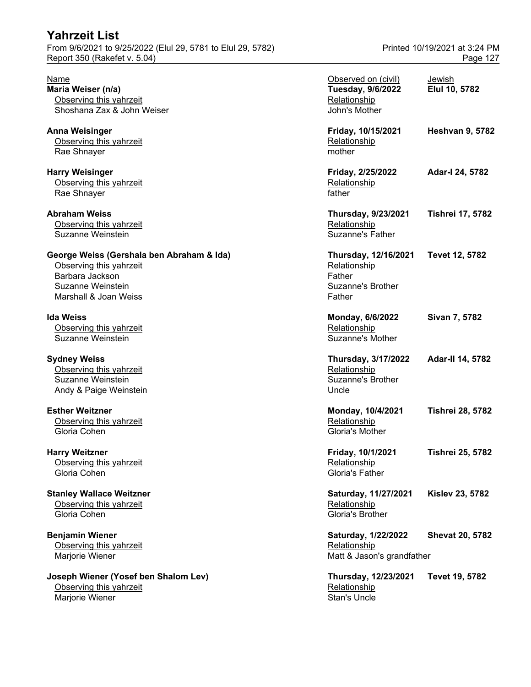#### **George Weiss (Gershala ben Abraham & Ida)** Observing this yahrzeit Barbara Jackson Suzanne Weinstein Marshall & Joan Weiss

**Joseph Wiener (Yosef ben Shalom Lev)** Observing this yahrzeit **Relationship Relationship** Marjorie Wiener **Stan's Uncle** Stan's Uncle

| <u>Name</u>                                   | Observed on (civil)                      | <b>Jewish</b>           |
|-----------------------------------------------|------------------------------------------|-------------------------|
| Maria Weiser (n/a)<br>Observing this yahrzeit | <b>Tuesday, 9/6/2022</b><br>Relationship | Elul 10, 5782           |
| Shoshana Zax & John Weiser                    | John's Mother                            |                         |
| Anna Weisinger                                | Friday, 10/15/2021                       | <b>Heshvan 9, 5782</b>  |
| Observing this yahrzeit<br>Rae Shnayer        | Relationship<br>mother                   |                         |
| <b>Harry Weisinger</b>                        | Friday, 2/25/2022                        | Adar-I 24, 5782         |
| Observing this yahrzeit<br>Rae Shnayer        | Relationship<br>father                   |                         |
| Abraham Weiss                                 | <b>Thursday, 9/23/2021</b>               | <b>Tishrei 17, 5782</b> |
| Observing this yahrzeit<br>Suzanne Weinstein  | Relationship<br><b>Suzanne's Father</b>  |                         |
| George Weiss (Gershala ben Abraham & Ida)     | Thursday, 12/16/2021                     | Tevet 12, 5782          |
| Observing this yahrzeit                       | Relationship                             |                         |
| Barbara Jackson                               | Father<br><b>Suzanne's Brother</b>       |                         |
| Suzanne Weinstein<br>Marshall & Joan Weiss    | Father                                   |                         |
|                                               |                                          |                         |
| Ida Weiss                                     | Monday, 6/6/2022                         | Sivan 7, 5782           |
| Observing this yahrzeit                       | Relationship                             |                         |
| Suzanne Weinstein                             | Suzanne's Mother                         |                         |
| Sydney Weiss                                  | <b>Thursday, 3/17/2022</b>               | <b>Adar-II 14, 5782</b> |
| Observing this yahrzeit                       | Relationship                             |                         |
| Suzanne Weinstein                             | <b>Suzanne's Brother</b>                 |                         |
| Andy & Paige Weinstein                        | Uncle                                    |                         |
| <b>Esther Weitzner</b>                        | Monday, 10/4/2021                        | <b>Tishrei 28, 5782</b> |
| Observing this yahrzeit                       | Relationship                             |                         |
| Gloria Cohen                                  | Gloria's Mother                          |                         |
| <b>Harry Weitzner</b>                         | Friday, 10/1/2021                        | <b>Tishrei 25, 5782</b> |
| Observing this yahrzeit                       | Relationship                             |                         |
| Gloria Cohen                                  | Gloria's Father                          |                         |
| <b>Stanley Wallace Weitzner</b>               | Saturday, 11/27/2021                     | <b>Kislev 23, 5782</b>  |
| Observing this yahrzeit                       | Relationship                             |                         |
| Gloria Cohen                                  | Gloria's Brother                         |                         |
| <b>Benjamin Wiener</b>                        | Saturday, 1/22/2022                      | <b>Shevat 20, 5782</b>  |
| Observing this yahrzeit                       | Relationship                             |                         |
| Marjorie Wiener                               | Matt & Jason's grandfather               |                         |
| Joseph Wiener (Yosef ben Shalom Lev)          | Thursday, 12/23/2021                     | <b>Tevet 19, 5782</b>   |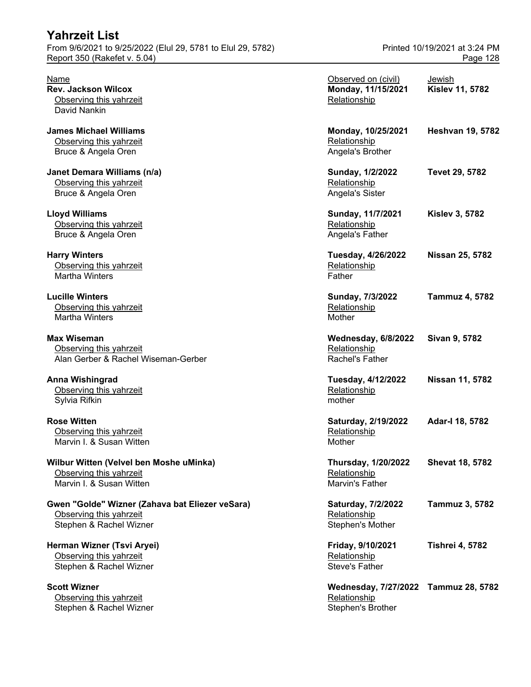| From 9/6/2021 to 9/25/2022 (Elul 29, 5781 to Elul 29, 5782)                                           | Printed 10/19/2021 at 3:24 PM                                 |                                  |
|-------------------------------------------------------------------------------------------------------|---------------------------------------------------------------|----------------------------------|
| Report 350 (Rakefet v. 5.04)                                                                          |                                                               | Page 128                         |
| Name<br><b>Rev. Jackson Wilcox</b><br>Observing this yahrzeit<br>David Nankin                         | Observed on (civil)<br>Monday, 11/15/2021<br>Relationship     | Jewish<br><b>Kislev 11, 5782</b> |
| <b>James Michael Williams</b><br>Observing this yahrzeit<br>Bruce & Angela Oren                       | Monday, 10/25/2021<br>Relationship<br>Angela's Brother        | <b>Heshvan 19, 5782</b>          |
| Janet Demara Williams (n/a)<br>Observing this yahrzeit<br>Bruce & Angela Oren                         | Sunday, 1/2/2022<br>Relationship<br>Angela's Sister           | <b>Tevet 29, 5782</b>            |
| <b>Lloyd Williams</b><br>Observing this yahrzeit<br>Bruce & Angela Oren                               | Sunday, 11/7/2021<br>Relationship<br>Angela's Father          | <b>Kislev 3, 5782</b>            |
| <b>Harry Winters</b><br>Observing this yahrzeit<br><b>Martha Winters</b>                              | Tuesday, 4/26/2022<br>Relationship<br>Father                  | <b>Nissan 25, 5782</b>           |
| <b>Lucille Winters</b><br>Observing this yahrzeit<br>Martha Winters                                   | Sunday, 7/3/2022<br>Relationship<br>Mother                    | <b>Tammuz 4, 5782</b>            |
| <b>Max Wiseman</b><br>Observing this yahrzeit<br>Alan Gerber & Rachel Wiseman-Gerber                  | Wednesday, 6/8/2022<br>Relationship<br>Rachel's Father        | Sivan 9, 5782                    |
| <b>Anna Wishingrad</b><br>Observing this yahrzeit<br>Sylvia Rifkin                                    | Tuesday, 4/12/2022<br>Relationship<br>mother                  | Nissan 11, 5782                  |
| <b>Rose Witten</b><br>Observing this yahrzeit<br>Marvin I. & Susan Witten                             | Saturday, 2/19/2022<br>Relationship<br>Mother                 | Adar-I 18, 5782                  |
| Wilbur Witten (Velvel ben Moshe uMinka)<br>Observing this yahrzeit<br>Marvin I. & Susan Witten        | <b>Thursday, 1/20/2022</b><br>Relationship<br>Marvin's Father | <b>Shevat 18, 5782</b>           |
| Gwen "Golde" Wizner (Zahava bat Eliezer veSara)<br>Observing this yahrzeit<br>Stephen & Rachel Wizner | Saturday, 7/2/2022<br>Relationship<br>Stephen's Mother        | <b>Tammuz 3, 5782</b>            |
| Herman Wizner (Tsvi Aryei)<br>Observing this yahrzeit<br>Stephen & Rachel Wizner                      | Friday, 9/10/2021<br>Relationship<br>Steve's Father           | <b>Tishrei 4, 5782</b>           |
| <b>Scott Wizner</b><br>Observing this yahrzeit                                                        | Wednesday, 7/27/2022 Tammuz 28, 5782<br>Relationship          |                                  |

Stephen & Rachel Wizner  $\sim$  Stephen's Brother Stephen's Brother Stephen's Brother

**Yahrzeit List**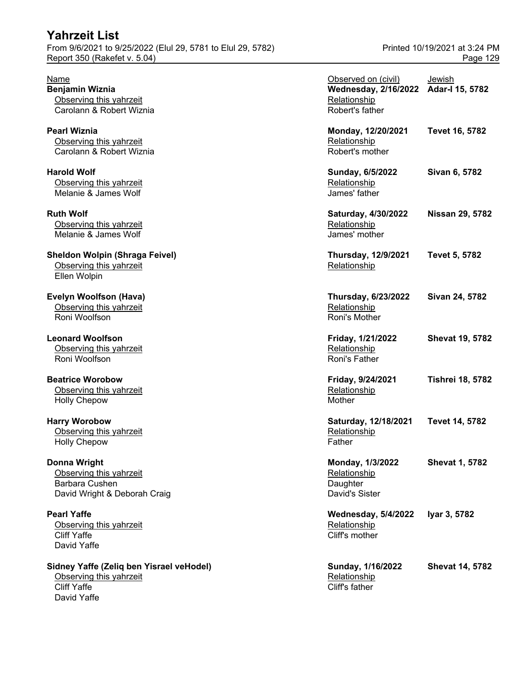### **Yahrzeit List** From 9/6/2021 to 9/25/2022 (Elul 29, 5781 to Elul 29, 5782) Printed 10/19/2021 at 3:24 PM

**Sidney Yaffe (Zeliq ben Yisrael veHodel)** Observing this yahrzeit Cliff Yaffe David Yaffe

| Name<br>Benjamin Wiznia<br>Observing this yahrzeit                                              | Observed on (civil)<br>Wednesday, 2/16/2022 Adar-I 15, 5782<br>Relationship | Jewish                  |
|-------------------------------------------------------------------------------------------------|-----------------------------------------------------------------------------|-------------------------|
| Carolann & Robert Wiznia<br>Pearl Wiznia<br>Observing this yahrzeit<br>Carolann & Robert Wiznia | Robert's father<br>Monday, 12/20/2021<br>Relationship<br>Robert's mother    | Tevet 16, 5782          |
| <b>Harold Wolf</b><br>Observing this yahrzeit<br>Melanie & James Wolf                           | Sunday, 6/5/2022<br>Relationship<br>James' father                           | Sivan 6, 5782           |
| <b>Ruth Wolf</b><br>Observing this yahrzeit<br>Melanie & James Wolf                             | Saturday, 4/30/2022<br>Relationship<br>James' mother                        | <b>Nissan 29, 5782</b>  |
| Sheldon Wolpin (Shraga Feivel)<br>Observing this yahrzeit<br>Ellen Wolpin                       | <b>Thursday, 12/9/2021</b><br>Relationship                                  | <b>Tevet 5, 5782</b>    |
| Evelyn Woolfson (Hava)<br>Observing this yahrzeit<br>Roni Woolfson                              | <b>Thursday, 6/23/2022</b><br>Relationship<br>Roni's Mother                 | Sivan 24, 5782          |
| <b>Leonard Woolfson</b><br>Observing this yahrzeit<br>Roni Woolfson                             | Friday, 1/21/2022<br>Relationship<br>Roni's Father                          | <b>Shevat 19, 5782</b>  |
| <b>Beatrice Worobow</b><br>Observing this yahrzeit<br><b>Holly Chepow</b>                       | Friday, 9/24/2021<br>Relationship<br>Mother                                 | <b>Tishrei 18, 5782</b> |
| <b>Harry Worobow</b><br>Observing this yahrzeit<br><b>Holly Chepow</b>                          | Saturday, 12/18/2021<br>Relationship<br>Father                              | <b>Tevet 14, 5782</b>   |
| Donna Wright<br>Observing this yahrzeit<br>Barbara Cushen<br>David Wright & Deborah Craig       | Monday, 1/3/2022<br>Relationship<br>Daughter<br><b>David's Sister</b>       | <b>Shevat 1, 5782</b>   |
| <b>Pearl Yaffe</b><br>Observing this yahrzeit<br><b>Cliff Yaffe</b><br>David Yaffe              | <b>Wednesday, 5/4/2022</b><br>Relationship<br>Cliff's mother                | Iyar 3, 5782            |
| Sidney Yaffe (Zeliq ben Yisrael veHodel)<br>Observing this yahrzeit<br>Cliff Yaffe              | Sunday, 1/16/2022<br>Relationship<br>Cliff's father                         | <b>Shevat 14, 5782</b>  |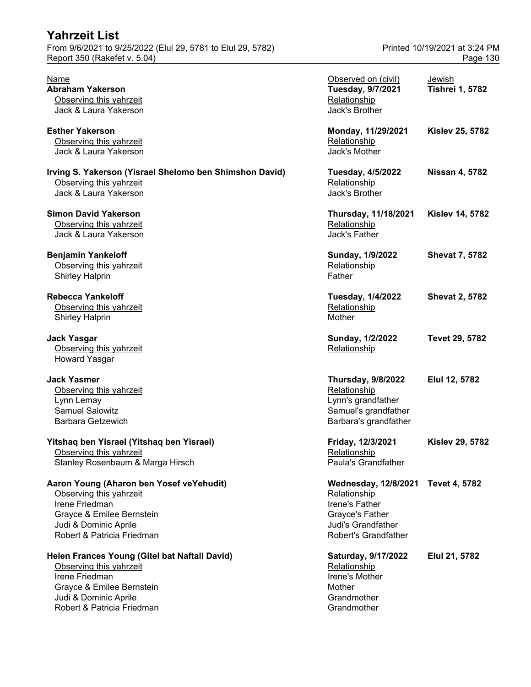| Yahrzeit List                                                                                                      |                                                                                                                  |                                           |
|--------------------------------------------------------------------------------------------------------------------|------------------------------------------------------------------------------------------------------------------|-------------------------------------------|
| From 9/6/2021 to 9/25/2022 (Elul 29, 5781 to Elul 29, 5782)<br>Report 350 (Rakefet v. 5.04)                        |                                                                                                                  | Printed 10/19/2021 at 3:24 PM<br>Page 130 |
| Name<br>Abraham Yakerson<br>Observing this yahrzeit<br>Jack & Laura Yakerson                                       | Observed on (civil)<br>Tuesday, 9/7/2021<br>Relationship<br>Jack's Brother                                       | Jewish<br><b>Tishrei 1, 5782</b>          |
| <b>Esther Yakerson</b><br>Observing this yahrzeit<br>Jack & Laura Yakerson                                         | Monday, 11/29/2021<br>Relationship<br>Jack's Mother                                                              | <b>Kislev 25, 5782</b>                    |
| Irving S. Yakerson (Yisrael Shelomo ben Shimshon David)<br>Observing this yahrzeit<br>Jack & Laura Yakerson        | <b>Tuesday, 4/5/2022</b><br>Relationship<br>Jack's Brother                                                       | <b>Nissan 4, 5782</b>                     |
| <b>Simon David Yakerson</b><br>Observing this yahrzeit<br>Jack & Laura Yakerson                                    | Thursday, 11/18/2021<br>Relationship<br>Jack's Father                                                            | <b>Kislev 14, 5782</b>                    |
| <b>Benjamin Yankeloff</b><br>Observing this yahrzeit<br><b>Shirley Halprin</b>                                     | Sunday, 1/9/2022<br>Relationship<br>Father                                                                       | <b>Shevat 7, 5782</b>                     |
| <b>Rebecca Yankeloff</b><br>Observing this yahrzeit<br><b>Shirley Halprin</b>                                      | <b>Tuesday, 1/4/2022</b><br>Relationship<br>Mother                                                               | <b>Shevat 2, 5782</b>                     |
| Jack Yasgar<br>Observing this yahrzeit<br><b>Howard Yasgar</b>                                                     | Sunday, 1/2/2022<br>Relationship                                                                                 | <b>Tevet 29, 5782</b>                     |
| Jack Yasmer<br>Observing this yahrzeit<br>Lynn Lemay<br><b>Samuel Salowitz</b><br>Barbara Getzewich                | <b>Thursday, 9/8/2022</b><br>Relationship<br>Lynn's grandfather<br>Samuel's grandfather<br>Barbara's grandfather | Elul 12, 5782                             |
| Yitshaq ben Yisrael (Yitshaq ben Yisrael)<br>Observing this yahrzeit<br>Stanley Rosenbaum & Marga Hirsch           | Friday, 12/3/2021<br>Relationship<br>Paula's Grandfather                                                         | <b>Kislev 29, 5782</b>                    |
| Aaron Young (Aharon ben Yosef veYehudit)<br>Observing this yahrzeit<br>Irene Friedman<br>Gravce & Emilee Bernstein | Wednesday, 12/8/2021 Tevet 4, 5782<br>Relationship<br>Irene's Father<br><b>Gravce's Father</b>                   |                                           |

Grayce & Emilee Bernstein Grayce's Father Judi & Dominic Aprile Judi's Grandfather Robert & Patricia Friedman

Helen Frances Young (Gitel bat Naftali David) Saturday, 9/17/2022 Elul 21, 5782 Observing this yahrzeit Christian Christian Christian Christian Christian Christian Christian Christian Christian<br>
Relationship<br>
Relationship<br>
Relationship Irene Friedman Grayce & Emilee Bernstein and the state of the Mother Mother Mother and Mother and Mother and Mother and Mothe<br>
Undi & Dominic Aprile and Mother and Mother and Mother and Mother and Mother and Mother and Mother and Mother Judi & Dominic Aprile Robert & Patricia Friedman Grandmother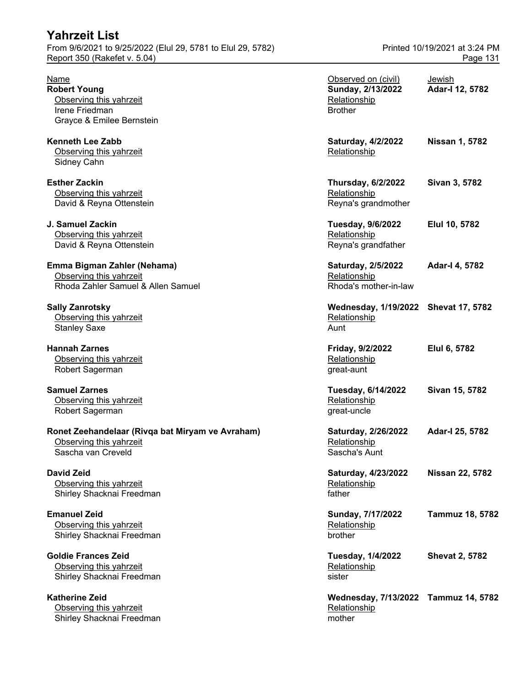From 9/6/2021 to 9/25/2022 (Elul 29, 5781 to Elul 29, 5782) Printed 10/19/2021 at 3:24 PM Report 350 (Rakefet v. 5.04) Page 131

| Name<br><b>Robert Young</b><br>Observing this yahrzeit<br>Irene Friedman<br>Grayce & Emilee Bernstein | Observed on (civil)<br>Sunday, 2/13/2022<br>Relationship<br><b>Brother</b> | Jewish<br>Adar-I 12, 5782 |
|-------------------------------------------------------------------------------------------------------|----------------------------------------------------------------------------|---------------------------|
| <b>Kenneth Lee Zabb</b><br>Observing this yahrzeit<br>Sidney Cahn                                     | Saturday, 4/2/2022<br>Relationship                                         | <b>Nissan 1, 5782</b>     |
| <b>Esther Zackin</b><br>Observing this yahrzeit<br>David & Reyna Ottenstein                           | <b>Thursday, 6/2/2022</b><br>Relationship<br>Reyna's grandmother           | Sivan 3, 5782             |
| J. Samuel Zackin<br>Observing this yahrzeit<br>David & Reyna Ottenstein                               | Tuesday, 9/6/2022<br>Relationship<br>Reyna's grandfather                   | Elul 10, 5782             |
| Emma Bigman Zahler (Nehama)<br>Observing this yahrzeit<br>Rhoda Zahler Samuel & Allen Samuel          | Saturday, 2/5/2022<br>Relationship<br>Rhoda's mother-in-law                | Adar-I 4, 5782            |
| <b>Sally Zanrotsky</b><br>Observing this yahrzeit<br><b>Stanley Saxe</b>                              | Wednesday, 1/19/2022 Shevat 17, 5782<br>Relationship<br>Aunt               |                           |
| <b>Hannah Zarnes</b><br>Observing this yahrzeit<br>Robert Sagerman                                    | Friday, 9/2/2022<br>Relationship<br>great-aunt                             | Elul 6, 5782              |
| <b>Samuel Zarnes</b><br>Observing this yahrzeit<br>Robert Sagerman                                    | Tuesday, 6/14/2022<br>Relationship<br>great-uncle                          | Sivan 15, 5782            |
| Ronet Zeehandelaar (Rivqa bat Miryam ve Avraham)<br>Observing this yahrzeit<br>Sascha van Creveld     | Saturday, 2/26/2022<br>Relationship<br>Sascha's Aunt                       | Adar-I 25, 5782           |
| David Zeid<br>Observing this yahrzeit<br>Shirley Shacknai Freedman                                    | Saturday, 4/23/2022<br>Relationship<br>father                              | <b>Nissan 22, 5782</b>    |
| <b>Emanuel Zeid</b><br>Observing this yahrzeit<br>Shirley Shacknai Freedman                           | Sunday, 7/17/2022<br>Relationship<br>brother                               | <b>Tammuz 18, 5782</b>    |
| <b>Goldie Frances Zeid</b><br>Observing this yahrzeit<br>Shirley Shacknai Freedman                    | <b>Tuesday, 1/4/2022</b><br>Relationship<br>sister                         | <b>Shevat 2, 5782</b>     |
| <b>Katherine Zeid</b><br>Observing this yahrzeit<br>Shirley Shacknai Freedman                         | Wednesday, 7/13/2022 Tammuz 14, 5782<br>Relationship<br>mother             |                           |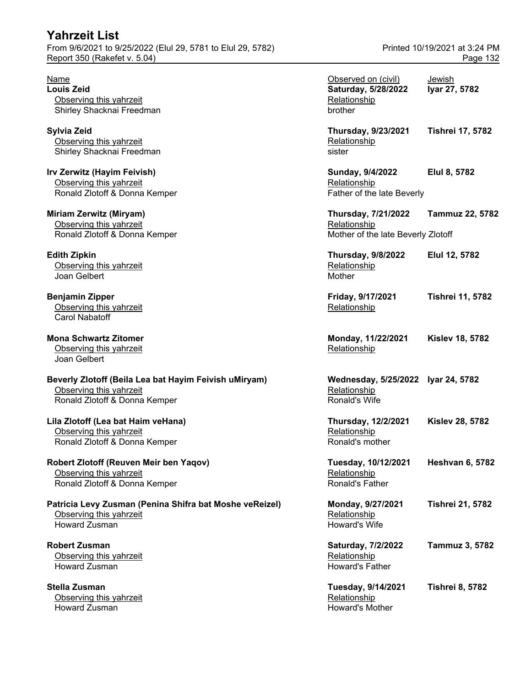From 9/6/2021 to 9/25/2022 (Elul 29, 5781 to Elul 29, 5782) Printed 10/19/2021 at 3:24 PM Report 350 (Rakefet v. 5.04) **Page 132** 

**Stella Zusman** Observing this yahrzeit Howard Zusman Howard's Mother

| Name<br>Louis Zeid<br>Observing this yahrzeit<br>Shirley Shacknai Freedman                                        | Observed on (civil)<br>Saturday, 5/28/2022<br>Relationship<br>brother            | <b>Jewish</b><br>Iyar 27, 5782 |
|-------------------------------------------------------------------------------------------------------------------|----------------------------------------------------------------------------------|--------------------------------|
| Sylvia Zeid<br>Observing this yahrzeit<br>Shirley Shacknai Freedman                                               | <b>Thursday, 9/23/2021</b><br>Relationship<br>sister                             | <b>Tishrei 17, 5782</b>        |
| Irv Zerwitz (Hayim Feivish)<br>Observing this yahrzeit<br>Ronald Zlotoff & Donna Kemper                           | Sunday, 9/4/2022<br>Relationship<br>Father of the late Beverly                   | Elul 8, 5782                   |
| Miriam Zerwitz (Miryam)<br>Observing this yahrzeit<br>Ronald Zlotoff & Donna Kemper                               | <b>Thursday, 7/21/2022</b><br>Relationship<br>Mother of the late Beverly Zlotoff | <b>Tammuz 22, 5782</b>         |
| <b>Edith Zipkin</b><br>Observing this yahrzeit<br>Joan Gelbert                                                    | <b>Thursday, 9/8/2022</b><br>Relationship<br>Mother                              | Elul 12, 5782                  |
| <b>Benjamin Zipper</b><br>Observing this yahrzeit<br><b>Carol Nabatoff</b>                                        | Friday, 9/17/2021<br>Relationship                                                | <b>Tishrei 11, 5782</b>        |
| <b>Mona Schwartz Zitomer</b><br>Observing this yahrzeit<br>Joan Gelbert                                           | Monday, 11/22/2021<br>Relationship                                               | <b>Kislev 18, 5782</b>         |
| Beverly Zlotoff (Beila Lea bat Hayim Feivish uMiryam)<br>Observing this yahrzeit<br>Ronald Zlotoff & Donna Kemper | Wednesday, 5/25/2022 Iyar 24, 5782<br>Relationship<br>Ronald's Wife              |                                |
| Lila Zlotoff (Lea bat Haim veHana)<br>Observing this yahrzeit<br>Ronald Zlotoff & Donna Kemper                    | <b>Thursday, 12/2/2021</b><br>Relationship<br>Ronald's mother                    | <b>Kislev 28, 5782</b>         |
| Robert Zlotoff (Reuven Meir ben Yaqov)<br>Observing this yahrzeit<br>Ronald Zlotoff & Donna Kemper                | Tuesday, 10/12/2021<br>Relationship<br>Ronald's Father                           | <b>Heshvan 6, 5782</b>         |
| Patricia Levy Zusman (Penina Shifra bat Moshe veReizel)<br>Observing this yahrzeit<br><b>Howard Zusman</b>        | Monday, 9/27/2021<br>Relationship<br>Howard's Wife                               | <b>Tishrei 21, 5782</b>        |
| <b>Robert Zusman</b><br>Observing this yahrzeit<br>Howard Zusman                                                  | Saturday, 7/2/2022<br>Relationship<br><b>Howard's Father</b>                     | Tammuz 3, 5782                 |
| Stella Zusman<br>Observing this yahrzeit                                                                          | Tuesday, 9/14/2021<br>Relationship                                               | <b>Tishrei 8, 5782</b>         |